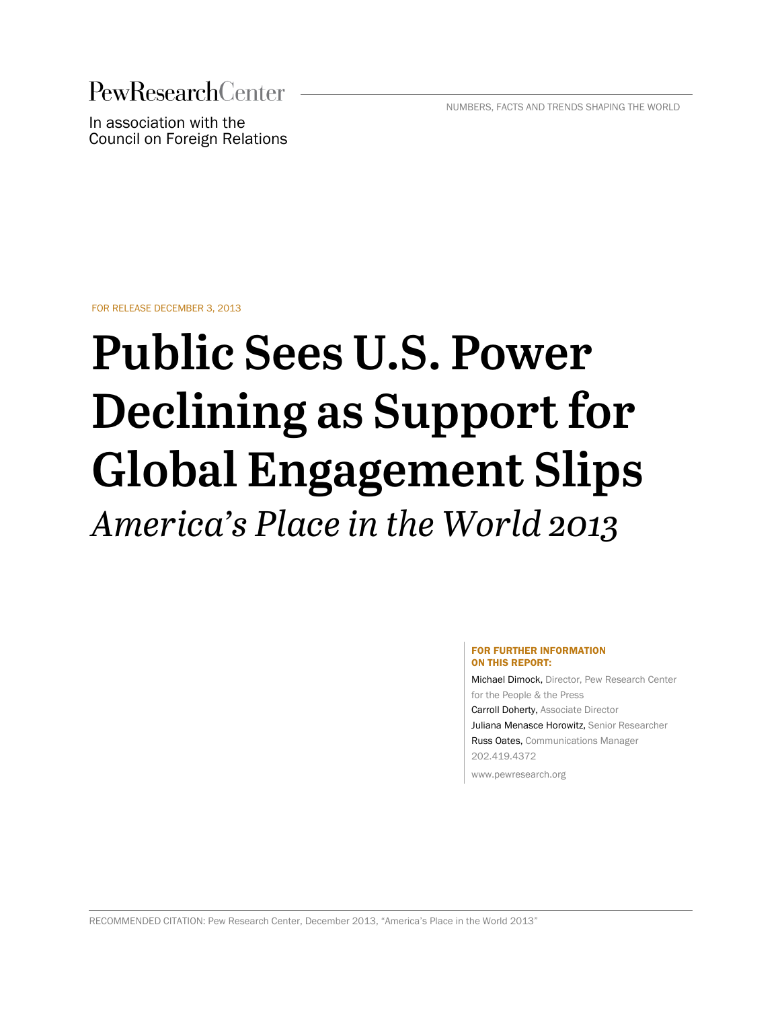**PewResearchCenter** 

NUMBERS, FACTS AND TRENDS SHAPING THE WORLD

In association with the Council on Foreign Relations

FOR RELEASE DECEMBER 3, 2013

# **Public Sees U.S. Power Declining as Support for Global Engagement Slips** *America's Place in the World 2013*

#### FOR FURTHER INFORMATION ON THIS REPORT:

<span id="page-0-0"></span>Michael Dimock, Director, Pew Research Center for the People & the Press Carroll Doherty, Associate Director Juliana Menasce Horowitz, Senior Researcher Russ Oates, Communications Manager 202.419.4372 www.pewresearch.org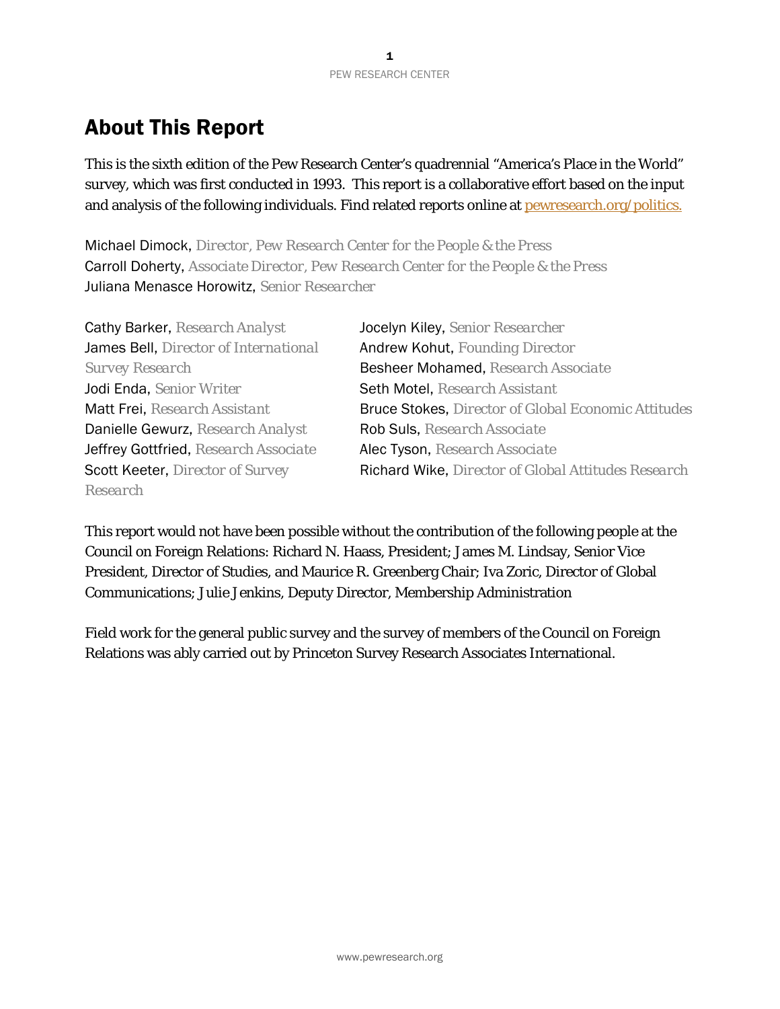# About This Report

This is the sixth edition of the Pew Research Center's quadrennial "America's Place in the World" survey, which was first conducted in 1993. This report is a collaborative effort based on the input and analysis of the following individuals. Find related reports online at pewresearch.org/politics.

Michael Dimock, *Director, Pew Research Center for the People & the Press* Carroll Doherty, *Associate Director, Pew Research Center for the People & the Press* Juliana Menasce Horowitz, *Senior Researcher*

| Cathy Barker, Research Analyst        |
|---------------------------------------|
| James Bell, Director of International |
| <b>Survey Research</b>                |
| Jodi Enda, Senior Writer              |
| <b>Matt Frei, Research Assistant</b>  |
| Danielle Gewurz, Research Analyst     |
| Jeffrey Gottfried, Research Associate |
| Scott Keeter, Director of Survey      |
| Research                              |

Jocelyn Kiley, *Senior Researcher* Andrew Kohut, *Founding Director Survey Research* Besheer Mohamed, *Research Associate* Seth Motel, *Research Assistant* **Bruce Stokes,** *Director of Global Economic Attitudes* Danielle Gewurz, *Research Analyst* Rob Suls, *Research Associate* Alec Tyson, *Research Associate* Scott Keeter, *Director of Survey* Richard Wike, *Director of Global Attitudes Research*

This report would not have been possible without the contribution of the following people at the Council on Foreign Relations: Richard N. Haass, President; James M. Lindsay, Senior Vice President, Director of Studies, and Maurice R. Greenberg Chair; Iva Zoric, Director of Global Communications; Julie Jenkins, Deputy Director, Membership Administration

Field work for the general public survey and the survey of members of the Council on Foreign Relations was ably carried out by Princeton Survey Research Associates International.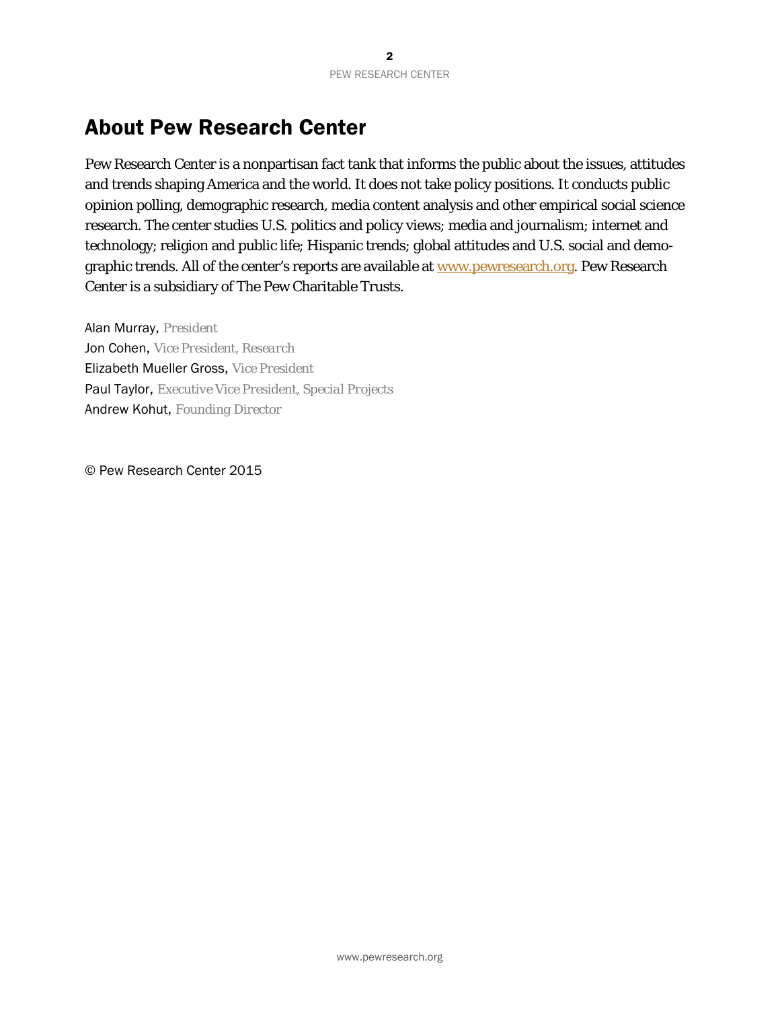# <span id="page-2-0"></span>About Pew Research Center

Pew Research Center is a nonpartisan fact tank that informs the public about the issues, attitudes and trends shaping America and the world. It does not take policy positions. It conducts public opinion polling, demographic research, media content analysis and other empirical social science research. The center studies U.S. politics and policy views; media and journalism; internet and technology; religion and public life; Hispanic trends; global attitudes and U.S. social and demographic trends. All of the center's reports are available at [www.pewresearch.org.](http://www.pewresearch.org/) Pew Research Center is a subsidiary of The Pew Charitable Trusts.

Alan Murray, *President* Jon Cohen, *Vice President, Research*  Elizabeth Mueller Gross, *Vice President* Paul Taylor, *Executive Vice President, Special Projects* Andrew Kohut, *Founding Director*

© Pew Research Center 2015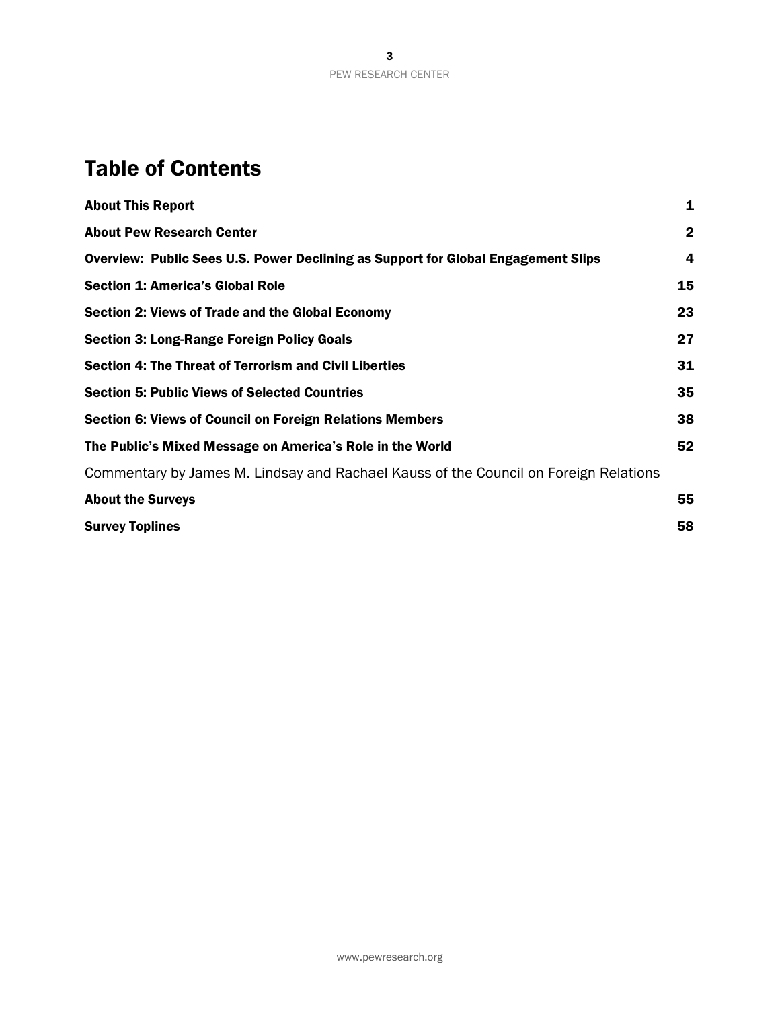# Table of Contents

| $\mathbf{2}$<br>4<br>15<br>23<br>27<br><b>Section 4: The Threat of Terrorism and Civil Liberties</b><br>31<br>35<br>38<br>52<br>Commentary by James M. Lindsay and Rachael Kauss of the Council on Foreign Relations<br>55<br>58 | <b>About This Report</b>                                                                 | $\mathbf{1}$ |
|----------------------------------------------------------------------------------------------------------------------------------------------------------------------------------------------------------------------------------|------------------------------------------------------------------------------------------|--------------|
|                                                                                                                                                                                                                                  | <b>About Pew Research Center</b>                                                         |              |
|                                                                                                                                                                                                                                  | <b>Overview: Public Sees U.S. Power Declining as Support for Global Engagement Slips</b> |              |
|                                                                                                                                                                                                                                  | <b>Section 1: America's Global Role</b>                                                  |              |
|                                                                                                                                                                                                                                  | <b>Section 2: Views of Trade and the Global Economy</b>                                  |              |
|                                                                                                                                                                                                                                  | <b>Section 3: Long-Range Foreign Policy Goals</b>                                        |              |
|                                                                                                                                                                                                                                  |                                                                                          |              |
|                                                                                                                                                                                                                                  | <b>Section 5: Public Views of Selected Countries</b>                                     |              |
|                                                                                                                                                                                                                                  | <b>Section 6: Views of Council on Foreign Relations Members</b>                          |              |
|                                                                                                                                                                                                                                  | The Public's Mixed Message on America's Role in the World                                |              |
|                                                                                                                                                                                                                                  |                                                                                          |              |
|                                                                                                                                                                                                                                  | <b>About the Surveys</b>                                                                 |              |
|                                                                                                                                                                                                                                  | <b>Survey Toplines</b>                                                                   |              |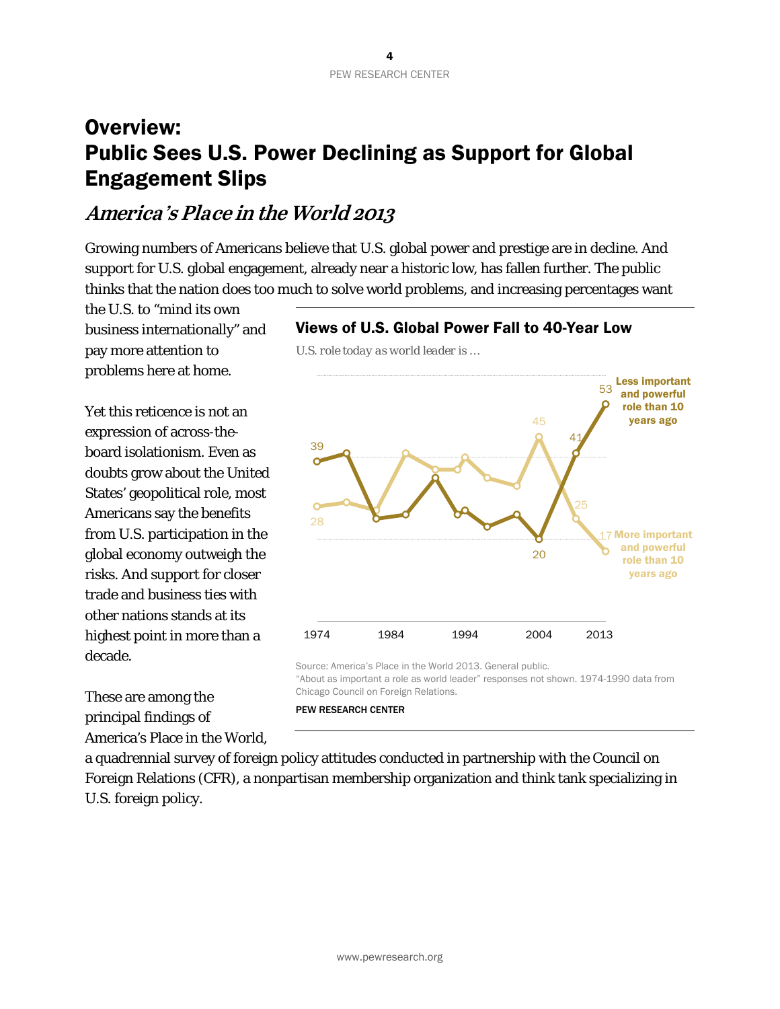# <span id="page-4-0"></span>Overview: Public Sees U.S. Power Declining as Support for Global Engagement Slips

# **America's Place in the World 2013**

Growing numbers of Americans believe that U.S. global power and prestige are in decline. And support for U.S. global engagement, already near a historic low, has fallen further. The public thinks that the nation does too much to solve world problems, and increasing percentages want

*U.S. role today as world leader is …*

the U.S. to "mind its own business internationally" and pay more attention to problems here at home.

Yet this reticence is not an expression of across-theboard isolationism. Even as doubts grow about the United States' geopolitical role, most Americans say the benefits from U.S. participation in the global economy outweigh the risks. And support for closer trade and business ties with other nations stands at its highest point in more than a decade.

These are among the principal findings of America's Place in the World, Views of U.S. Global Power Fall to 40-Year Low



"About as important a role as world leader" responses not shown. 1974-1990 data from Chicago Council on Foreign Relations. PEW RESEARCH CENTER

a quadrennial survey of foreign policy attitudes conducted in partnership with the Council on Foreign Relations (CFR), a nonpartisan membership organization and think tank specializing in U.S. foreign policy.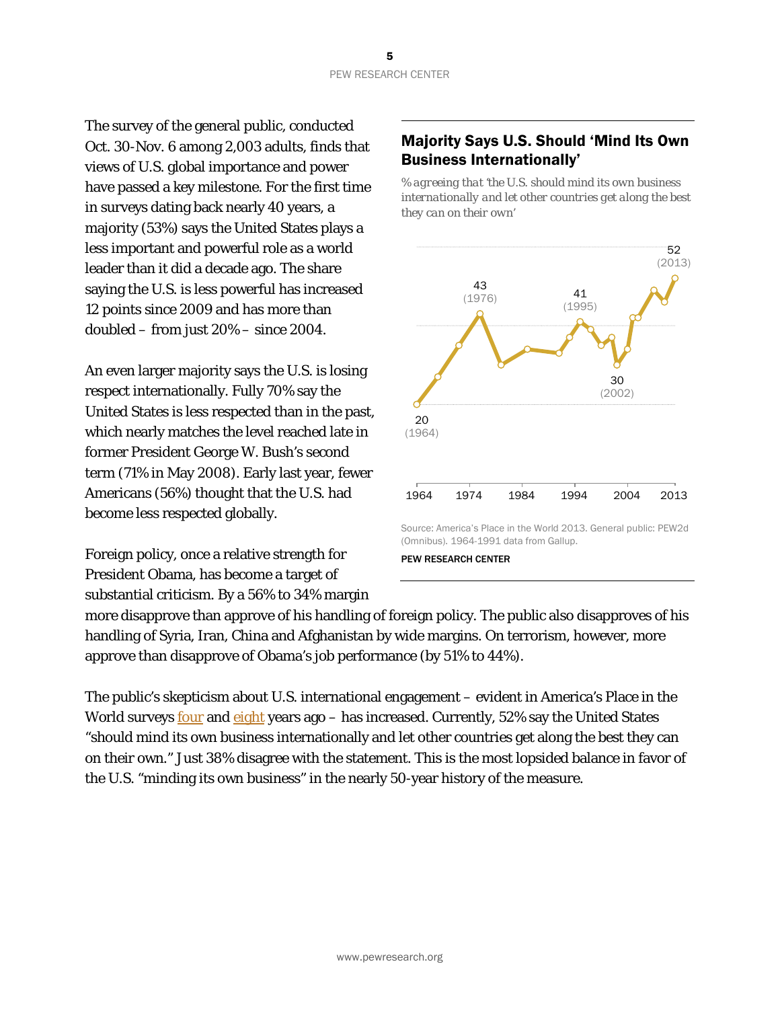The survey of the general public, conducted Oct. 30-Nov. 6 among 2,003 adults, finds that views of U.S. global importance and power have passed a key milestone. For the first time in surveys dating back nearly 40 years, a majority (53%) says the United States plays a less important and powerful role as a world leader than it did a decade ago. The share saying the U.S. is less powerful has increased 12 points since 2009 and has more than doubled – from just 20% – since 2004.

An even larger majority says the U.S. is losing respect internationally. Fully 70% say the United States is less respected than in the past, which nearly matches the level reached late in former President George W. Bush's second term (71% in May 2008). Early last year, fewer Americans (56%) thought that the U.S. had become less respected globally.

Foreign policy, once a relative strength for President Obama, has become a target of substantial criticism. By a 56% to 34% margin

# Majority Says U.S. Should 'Mind Its Own Business Internationally'

*% agreeing that 'the U.S. should mind its own business internationally and let other countries get along the best they can on their own'*



Source: America's Place in the World 2013. General public: PEW2d (Omnibus). 1964-1991 data from Gallup.

more disapprove than approve of his handling of foreign policy. The public also disapproves of his handling of Syria, Iran, China and Afghanistan by wide margins. On terrorism, however, more approve than disapprove of Obama's job performance (by 51% to 44%).

The public's skepticism about U.S. international engagement – evident in America's Place in the World surveys <u>four</u> and [eight](http://www.people-press.org/2005/11/17/opinion-leaders-turn-cautious-public-looks-homeward/) years ago – has increased. Currently, 52% say the United States "should mind its own business internationally and let other countries get along the best they can on their own." Just 38% disagree with the statement. This is the most lopsided balance in favor of the U.S. "minding its own business" in the nearly 50-year history of the measure.

PEW RESEARCH CENTER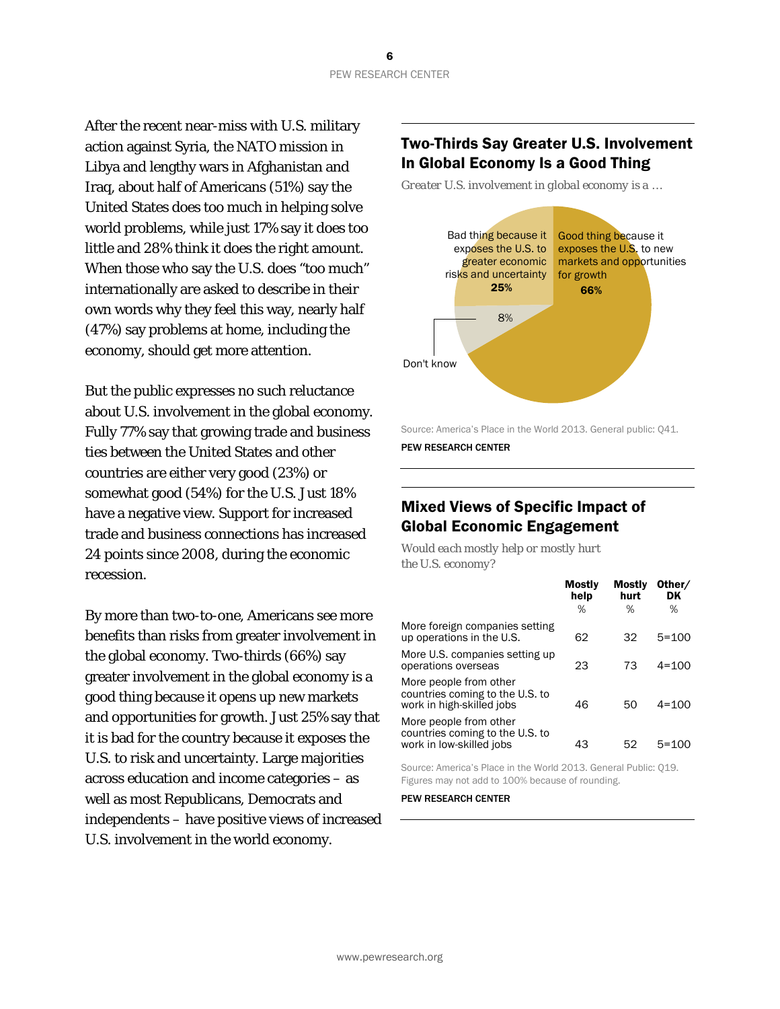After the recent near-miss with U.S. military action against Syria, the NATO mission in Libya and lengthy wars in Afghanistan and Iraq, about half of Americans (51%) say the United States does too much in helping solve world problems, while just 17% say it does too little and 28% think it does the right amount. When those who say the U.S. does "too much" internationally are asked to describe in their own words why they feel this way, nearly half (47%) say problems at home, including the economy, should get more attention.

But the public expresses no such reluctance about U.S. involvement in the global economy. Fully 77% say that growing trade and business ties between the United States and other countries are either very good (23%) or somewhat good (54%) for the U.S. Just 18% have a negative view. Support for increased trade and business connections has increased 24 points since 2008, during the economic recession.

By more than two-to-one, Americans see more benefits than risks from greater involvement in the global economy. Two-thirds (66%) say greater involvement in the global economy is a good thing because it opens up new markets and opportunities for growth. Just 25% say that it is bad for the country because it exposes the U.S. to risk and uncertainty. Large majorities across education and income categories – as well as most Republicans, Democrats and independents – have positive views of increased U.S. involvement in the world economy.

### Two-Thirds Say Greater U.S. Involvement In Global Economy Is a Good Thing

*Greater U.S. involvement in global economy is a …*



Source: America's Place in the World 2013. General public: Q41. PEW RESEARCH CENTER

# Mixed Views of Specific Impact of Global Economic Engagement

*Would each mostly help or mostly hurt the U.S. economy?*

|                                                                                        | Mostly<br>help | Mostly<br>hurt | Other/<br>DK |
|----------------------------------------------------------------------------------------|----------------|----------------|--------------|
|                                                                                        | %              | ℅              | %            |
| More foreign companies setting<br>up operations in the U.S.                            | 62             | 32             | $5 = 100$    |
| More U.S. companies setting up<br>operations overseas                                  | 23             | 73             | $4 = 100$    |
| More people from other<br>countries coming to the U.S. to<br>work in high-skilled jobs | 46             | 50             | $4 = 100$    |
| More people from other<br>countries coming to the U.S. to<br>work in low-skilled jobs  | 43             | 52             | 5=100        |

Source: America's Place in the World 2013. General Public: Q19. Figures may not add to 100% because of rounding.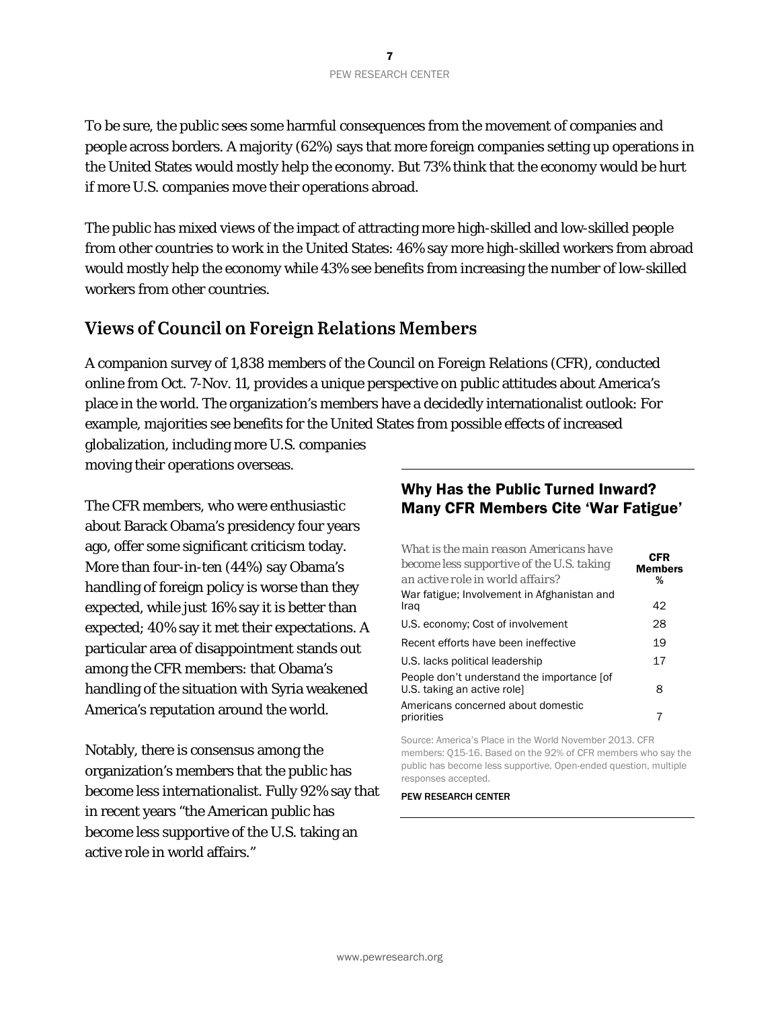To be sure, the public sees some harmful consequences from the movement of companies and people across borders. A majority (62%) says that more foreign companies setting up operations in the United States would mostly help the economy. But 73% think that the economy would be hurt if more U.S. companies move their operations abroad.

The public has mixed views of the impact of attracting more high-skilled and low-skilled people from other countries to work in the United States: 46% say more high-skilled workers from abroad would mostly help the economy while 43% see benefits from increasing the number of low-skilled workers from other countries.

# **Views of Council on Foreign Relations Members**

A companion survey of 1,838 members of the Council on Foreign Relations (CFR), conducted online from Oct. 7-Nov. 11, provides a unique perspective on public attitudes about America's place in the world. The organization's members have a decidedly internationalist outlook: For example, majorities see benefits for the United States from possible effects of increased globalization, including more U.S. companies

moving their operations overseas.

The CFR members, who were enthusiastic about Barack Obama's presidency four years ago, offer some significant criticism today. More than four-in-ten (44%) say Obama's handling of foreign policy is worse than they expected, while just 16% say it is better than expected; 40% say it met their expectations. A particular area of disappointment stands out among the CFR members: that Obama's handling of the situation with Syria weakened America's reputation around the world.

Notably, there is consensus among the organization's members that the public has become less internationalist. Fully 92% say that in recent years "the American public has become less supportive of the U.S. taking an active role in world affairs."

# Why Has the Public Turned Inward? Many CFR Members Cite 'War Fatigue'

| What is the main reason Americans have<br>become less supportive of the U.S. taking<br>an active role in world affairs? | <b>CFR</b><br><b>Members</b><br>% |
|-------------------------------------------------------------------------------------------------------------------------|-----------------------------------|
| War fatigue; Involvement in Afghanistan and<br>Iraq                                                                     | 42                                |
| U.S. economy; Cost of involvement                                                                                       | 28                                |
| Recent efforts have been ineffective                                                                                    | 19                                |
| U.S. lacks political leadership                                                                                         | 17                                |
| People don't understand the importance [of<br>U.S. taking an active role]                                               | 8                                 |
| Americans concerned about domestic<br>priorities                                                                        |                                   |

Source: America's Place in the World November 2013. CFR members: Q15-16. Based on the 92% of CFR members who say the public has become less supportive. Open-ended question, multiple responses accepted.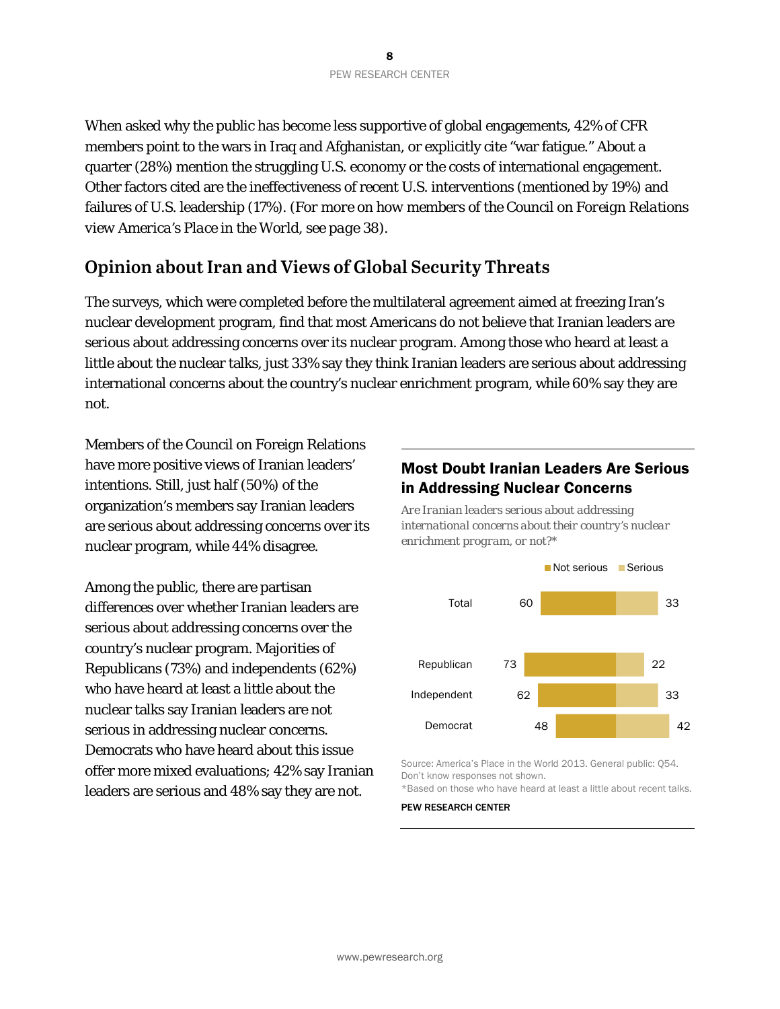When asked why the public has become less supportive of global engagements, 42% of CFR members point to the wars in Iraq and Afghanistan, or explicitly cite "war fatigue." About a quarter (28%) mention the struggling U.S. economy or the costs of international engagement. Other factors cited are the ineffectiveness of recent U.S. interventions (mentioned by 19%) and failures of U.S. leadership (17%). *(For more on how members of the Council on Foreign Relations view America's Place in the World, see page 38).*

# **Opinion about Iran and Views of Global Security Threats**

The surveys, which were completed before the multilateral agreement aimed at freezing Iran's nuclear development program, find that most Americans do not believe that Iranian leaders are serious about addressing concerns over its nuclear program. Among those who heard at least a little about the nuclear talks, just 33% say they think Iranian leaders are serious about addressing international concerns about the country's nuclear enrichment program, while 60% say they are not.

Members of the Council on Foreign Relations have more positive views of Iranian leaders' intentions. Still, just half (50%) of the organization's members say Iranian leaders are serious about addressing concerns over its nuclear program, while 44% disagree.

Among the public, there are partisan differences over whether Iranian leaders are serious about addressing concerns over the country's nuclear program. Majorities of Republicans (73%) and independents (62%) who have heard at least a little about the nuclear talks say Iranian leaders are not serious in addressing nuclear concerns. Democrats who have heard about this issue offer more mixed evaluations; 42% say Iranian leaders are serious and 48% say they are not.

# Most Doubt Iranian Leaders Are Serious in Addressing Nuclear Concerns

*Are Iranian leaders serious about addressing international concerns about their country's nuclear enrichment program, or not?\**



Source: America's Place in the World 2013. General public: Q54. Don't know responses not shown.

\*Based on those who have heard at least a little about recent talks.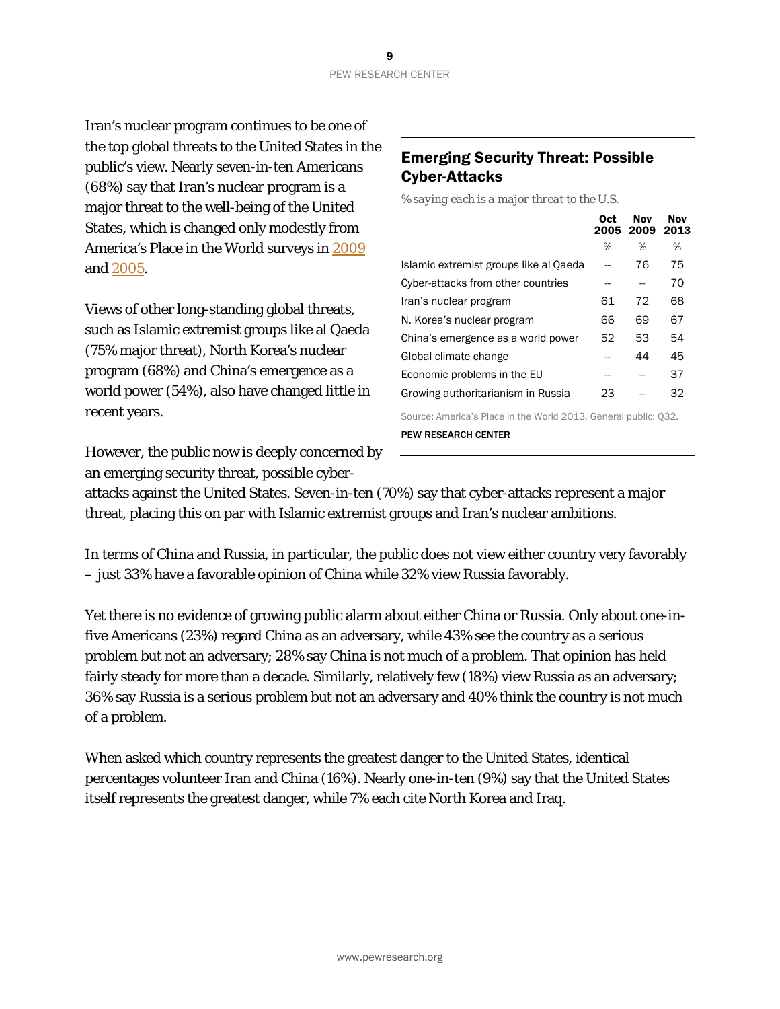Iran's nuclear program continues to be one of the top global threats to the United States in the public's view. Nearly seven-in-ten Americans (68%) say that Iran's nuclear program is a major threat to the well-being of the United States, which is changed only modestly from America's Place in the World surveys in [2009](http://www.people-press.org/2009/12/03/us-seen-as-less-important-china-as-more-powerful/) and [2005.](http://www.people-press.org/2005/11/17/opinion-leaders-turn-cautious-public-looks-homeward/)

Views of other long-standing global threats, such as Islamic extremist groups like al Qaeda (75% major threat), North Korea's nuclear program (68%) and China's emergence as a world power (54%), also have changed little in recent years.

However, the public now is deeply concerned by an emerging security threat, possible cyber-

# Emerging Security Threat: Possible Cyber-Attacks

*% saying each is a major threat to the U.S.* 

|                                                                 | Oct | Nov<br>2005 2009 2013 | <b>Nov</b> |
|-----------------------------------------------------------------|-----|-----------------------|------------|
|                                                                 | %   | %                     | %          |
| Islamic extremist groups like al Qaeda                          |     | 76                    | 75         |
| Cyber-attacks from other countries                              |     |                       | 70         |
| Iran's nuclear program                                          | 61  | 72                    | 68         |
| N. Korea's nuclear program                                      | 66  | 69                    | 67         |
| China's emergence as a world power                              | 52  | 53                    | 54         |
| Global climate change                                           |     | 44                    | 45         |
| Economic problems in the EU                                     |     |                       | 37         |
| Growing authoritarianism in Russia                              | 23  |                       | 32         |
| Source: America's Place in the World 2013. General public: 032. |     |                       |            |

PEW RESEARCH CENTER

attacks against the United States. Seven-in-ten (70%) say that cyber-attacks represent a major threat, placing this on par with Islamic extremist groups and Iran's nuclear ambitions.

In terms of China and Russia, in particular, the public does not view either country very favorably – just 33% have a favorable opinion of China while 32% view Russia favorably.

Yet there is no evidence of growing public alarm about either China or Russia. Only about one-infive Americans (23%) regard China as an adversary, while 43% see the country as a serious problem but not an adversary; 28% say China is not much of a problem. That opinion has held fairly steady for more than a decade. Similarly, relatively few (18%) view Russia as an adversary; 36% say Russia is a serious problem but not an adversary and 40% think the country is not much of a problem.

When asked which country represents the greatest danger to the United States, identical percentages volunteer Iran and China (16%). Nearly one-in-ten (9%) say that the United States itself represents the greatest danger, while 7% each cite North Korea and Iraq.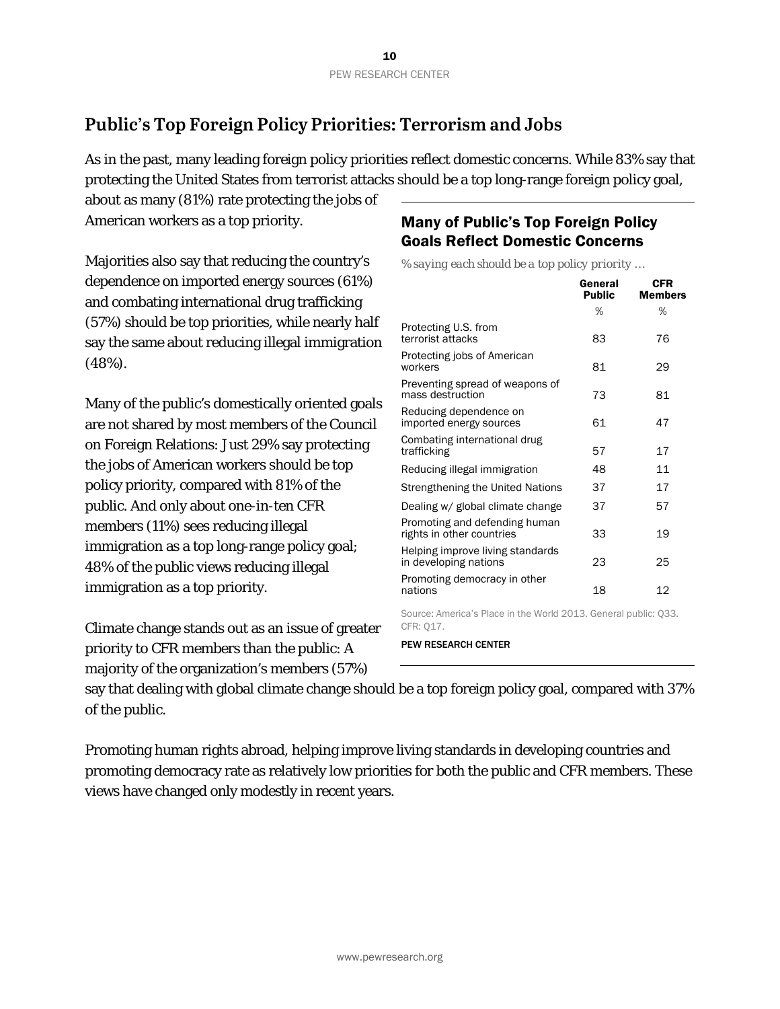# **Public's Top Foreign Policy Priorities: Terrorism and Jobs**

As in the past, many leading foreign policy priorities reflect domestic concerns. While 83% say that protecting the United States from terrorist attacks should be a top long-range foreign policy goal,

about as many (81%) rate protecting the jobs of American workers as a top priority.

Majorities also say that reducing the country's dependence on imported energy sources (61%) and combating international drug trafficking (57%) should be top priorities, while nearly half say the same about reducing illegal immigration (48%).

Many of the public's domestically oriented goals are not shared by most members of the Council on Foreign Relations: Just 29% say protecting the jobs of American workers should be top policy priority, compared with 81% of the public. And only about one-in-ten CFR members (11%) sees reducing illegal immigration as a top long-range policy goal; 48% of the public views reducing illegal immigration as a top priority.

Climate change stands out as an issue of greater priority to CFR members than the public: A majority of the organization's members (57%)

# Many of Public's Top Foreign Policy Goals Reflect Domestic Concerns

*% saying each should be a top policy priority …*

|                                                                 | General<br><b>Public</b> | CFR<br><b>Members</b> |
|-----------------------------------------------------------------|--------------------------|-----------------------|
|                                                                 | %                        | %                     |
| Protecting U.S. from<br>terrorist attacks                       | 83                       | 76                    |
| Protecting jobs of American<br>workers                          | 81                       | 29                    |
| Preventing spread of weapons of<br>mass destruction             | 73                       | 81                    |
| Reducing dependence on<br>imported energy sources               | 61                       | 47                    |
| Combating international drug<br>trafficking                     | 57                       | 17                    |
| Reducing illegal immigration                                    | 48                       | 11                    |
| Strengthening the United Nations                                | 37                       | 17                    |
| Dealing w/ global climate change                                | 37                       | 57                    |
| Promoting and defending human<br>rights in other countries      | 33                       | 19                    |
| Helping improve living standards<br>in developing nations       | 23                       | 25                    |
| Promoting democracy in other<br>nations                         | 18                       | 12                    |
| Source: America's Place in the World 2013. General public: Q33. |                          |                       |

CFR: Q17.

PEW RESEARCH CENTER

say that dealing with global climate change should be a top foreign policy goal, compared with 37% of the public.

Promoting human rights abroad, helping improve living standards in developing countries and promoting democracy rate as relatively low priorities for both the public and CFR members. These views have changed only modestly in recent years.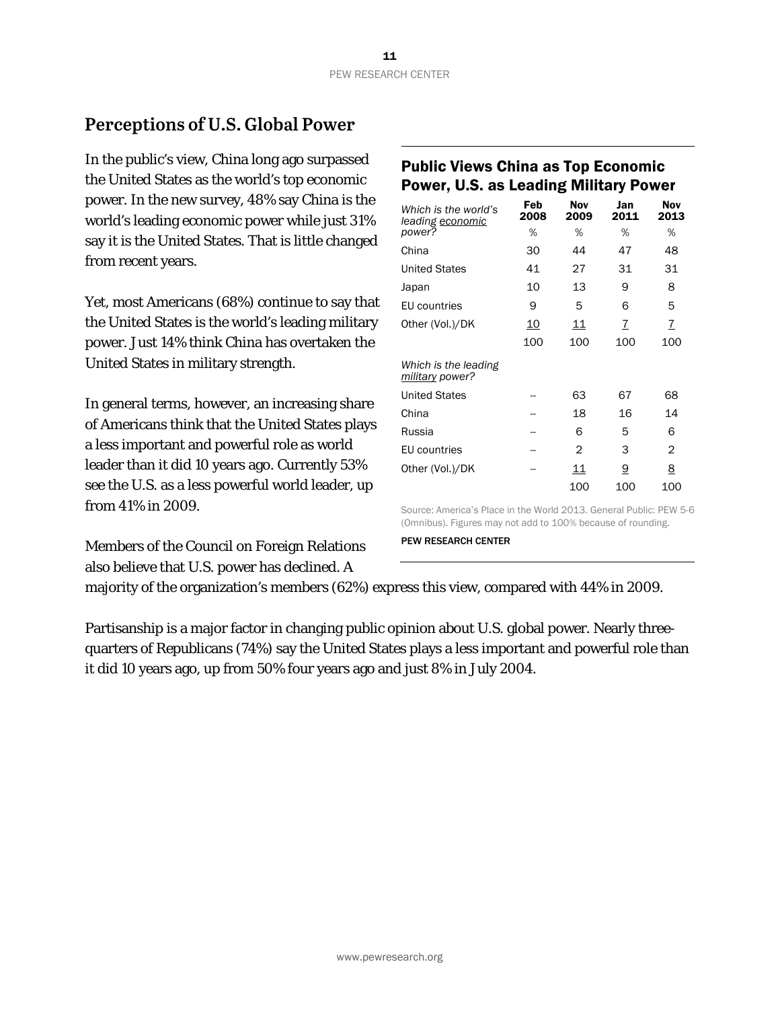# **Perceptions of U.S. Global Power**

In the public's view, China long ago surpassed the United States as the world's top economic power. In the new survey, 48% say China is the world's leading economic power while just 31% say it is the United States. That is little changed from recent years.

Yet, most Americans (68%) continue to say that the United States is the world's leading military power. Just 14% think China has overtaken the United States in military strength.

In general terms, however, an increasing share of Americans think that the United States plays a less important and powerful role as world leader than it did 10 years ago. Currently 53% see the U.S. as a less powerful world leader, up from 41% in 2009.

Members of the Council on Foreign Relations also believe that U.S. power has declined. A

# Public Views China as Top Economic Power, U.S. as Leading Military Power

| Which is the world's<br>leading economic | Feb<br>2008 | <b>Nov</b><br>2009 | Jan<br>2011 | Nov<br>2013 |
|------------------------------------------|-------------|--------------------|-------------|-------------|
| power?                                   | %           | %                  | %           | %           |
| China                                    | 30          | 44                 | 47          | 48          |
| <b>United States</b>                     | 41          | 27                 | 31          | 31          |
| Japan                                    | 10          | 13                 | 9           | 8           |
| EU countries                             | 9           | 5                  | 6           | 5           |
| Other (Vol.)/DK                          | <u>10</u>   | 11                 | 7           | 7           |
|                                          | 100         | 100                | 100         | 100         |
| Which is the leading<br>military power?  |             |                    |             |             |
| <b>United States</b>                     |             | 63                 | 67          | 68          |
| China                                    |             | 18                 | 16          | 14          |
| Russia                                   |             | 6                  | 5           | 6           |
| EU countries                             |             | 2                  | 3           | 2           |
| Other (Vol.)/DK                          |             | 11                 | 9           | 8           |
|                                          |             | 100                | 100         | 100         |

Source: America's Place in the World 2013. General Public: PEW 5-6 (Omnibus). Figures may not add to 100% because of rounding.

PEW RESEARCH CENTER

majority of the organization's members (62%) express this view, compared with 44% in 2009.

Partisanship is a major factor in changing public opinion about U.S. global power. Nearly threequarters of Republicans (74%) say the United States plays a less important and powerful role than it did 10 years ago, up from 50% four years ago and just 8% in July 2004.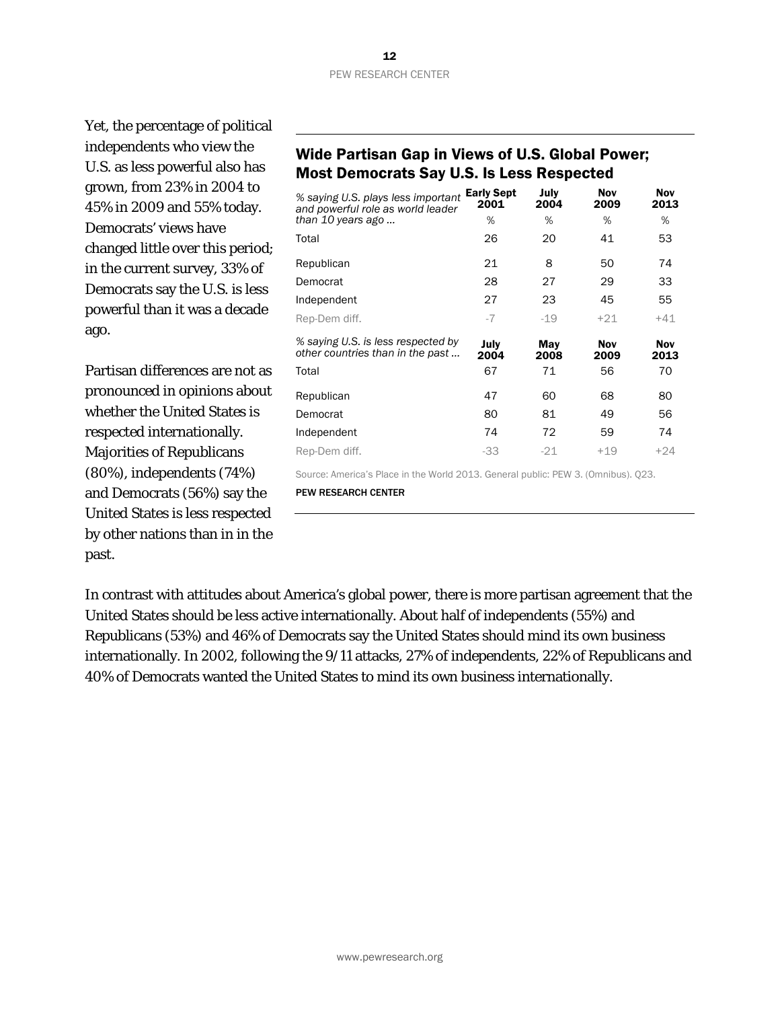Yet, the percentage of political independents who view the U.S. as less powerful also has grown, from 23% in 2004 to 45% in 2009 and 55% today. Democrats' views have changed little over this period; in the current survey, 33% of Democrats say the U.S. is less powerful than it was a decade ago.

Partisan differences are not as pronounced in opinions about whether the United States is respected internationally. Majorities of Republicans (80%), independents (74%) and Democrats (56%) say the United States is less respected by other nations than in in the past.

### Wide Partisan Gap in Views of U.S. Global Power; Most Democrats Say U.S. Is Less Respected

| % saying U.S. plays less important<br>and powerful role as world leader<br>than 10 years ago | <b>Early Sept</b><br>2001<br>% | July<br>2004<br>% | <b>Nov</b><br>2009<br>% | <b>Nov</b><br>2013<br>% |
|----------------------------------------------------------------------------------------------|--------------------------------|-------------------|-------------------------|-------------------------|
| Total                                                                                        | 26                             | 20                | 41                      | 53                      |
| Republican                                                                                   | 21                             | 8                 | 50                      | 74                      |
| Democrat                                                                                     | 28                             | 27                | 29                      | 33                      |
| Independent                                                                                  | 27                             | 23                | 45                      | 55                      |
| Rep-Dem diff.                                                                                | $-7$                           | $-19$             | $+21$                   | $+41$                   |
| % saying U.S. is less respected by<br>other countries than in the past                       | July<br>2004                   | May<br>2008       | <b>Nov</b><br>2009      | <b>Nov</b><br>2013      |
| Total                                                                                        | 67                             | 71                | 56                      | 70                      |
| Republican                                                                                   | 47                             | 60                | 68                      | 80                      |
| Democrat                                                                                     | 80                             | 81                | 49                      | 56                      |
| Independent                                                                                  | 74                             | 72                | 59                      | 74                      |
| Rep-Dem diff.                                                                                | $-33$                          | $-21$             | $+19$                   | $+24$                   |

Source: America's Place in the World 2013. General public: PEW 3. (Omnibus). Q23.

PEW RESEARCH CENTER

In contrast with attitudes about America's global power, there is more partisan agreement that the United States should be less active internationally. About half of independents (55%) and Republicans (53%) and 46% of Democrats say the United States should mind its own business internationally. In 2002, following the 9/11 attacks, 27% of independents, 22% of Republicans and 40% of Democrats wanted the United States to mind its own business internationally.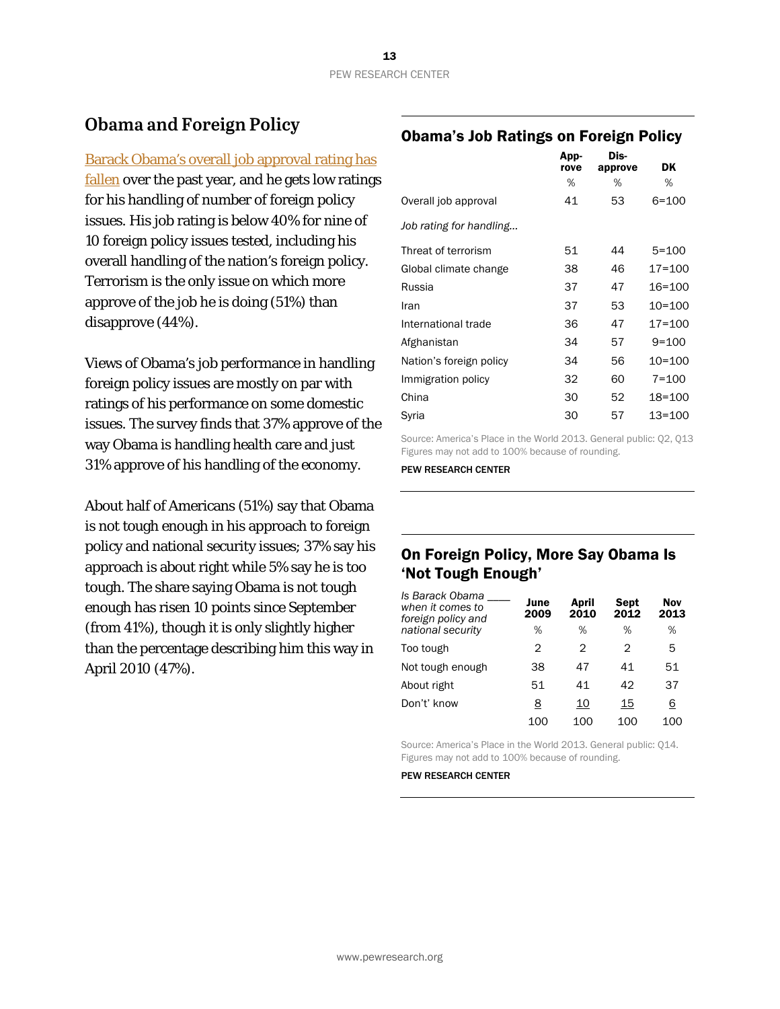# **Obama and Foreign Policy**

[Barack Obama's overall job approval rating has](http://www.people-press.org/) 

[fallen](http://www.people-press.org/) over the past year, and he gets low ratings for his handling of number of foreign policy issues. His job rating is below 40% for nine of 10 foreign policy issues tested, including his overall handling of the nation's foreign policy. Terrorism is the only issue on which more approve of the job he is doing (51%) than disapprove (44%).

Views of Obama's job performance in handling foreign policy issues are mostly on par with ratings of his performance on some domestic issues. The survey finds that 37% approve of the way Obama is handling health care and just 31% approve of his handling of the economy.

About half of Americans (51%) say that Obama is not tough enough in his approach to foreign policy and national security issues; 37% say his approach is about right while 5% say he is too tough. The share saying Obama is not tough enough has risen 10 points since September (from 41%), though it is only slightly higher than the percentage describing him this way in April 2010 (47%).

### Obama's Job Ratings on Foreign Policy

|                         | App-<br>rove | Dis-<br>approve | DK         |
|-------------------------|--------------|-----------------|------------|
|                         | %            | %               | %          |
| Overall job approval    | 41           | 53              | $6 = 100$  |
| Job rating for handling |              |                 |            |
| Threat of terrorism     | 51           | 44              | $5 = 100$  |
| Global climate change   | 38           | 46              | $17 = 100$ |
| Russia                  | 37           | 47              | 16=100     |
| Iran                    | 37           | 53              | $10 = 100$ |
| International trade     | 36           | 47              | $17 = 100$ |
| Afghanistan             | 34           | 57              | $9 = 100$  |
| Nation's foreign policy | 34           | 56              | 10=100     |
| Immigration policy      | 32           | 60              | $7 = 100$  |
| China                   | 30           | 52              | 18=100     |
| Syria                   | 30           | 57              | 13=100     |
|                         |              |                 |            |

Source: America's Place in the World 2013. General public: Q2, Q13 Figures may not add to 100% because of rounding.

PEW RESEARCH CENTER

# On Foreign Policy, More Say Obama Is 'Not Tough Enough'

| Is Barack Obama<br>when it comes to<br>foreign policy and<br>national security | June<br>2009<br>% | April<br>2010<br>% | Sept<br>2012<br>% | <b>Nov</b><br>2013<br>% |
|--------------------------------------------------------------------------------|-------------------|--------------------|-------------------|-------------------------|
| Too tough                                                                      | 2                 | 2                  | 2                 | 5                       |
| Not tough enough                                                               | 38                | 47                 | 41                | 51                      |
| About right                                                                    | 51                | 41                 | 42                | 37                      |
| Don't' know                                                                    | <u>8</u>          | <u>10</u>          | 15                | 6                       |
|                                                                                | 100               | 100                | 100               | 100                     |

Source: America's Place in the World 2013. General public: Q14. Figures may not add to 100% because of rounding.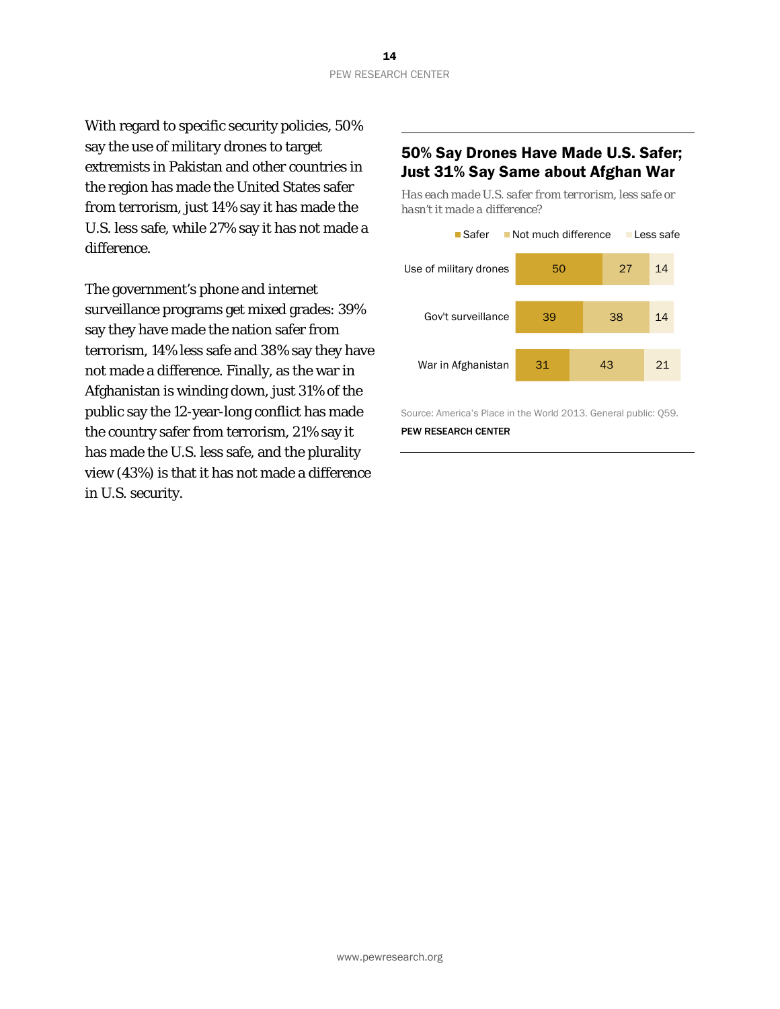With regard to specific security policies, 50% say the use of military drones to target extremists in Pakistan and other countries in the region has made the United States safer from terrorism, just 14% say it has made the U.S. less safe, while 27% say it has not made a difference.

The government's phone and internet surveillance programs get mixed grades: 39% say they have made the nation safer from terrorism, 14% less safe and 38% say they have not made a difference. Finally, as the war in Afghanistan is winding down, just 31% of the public say the 12-year-long conflict has made the country safer from terrorism, 21% say it has made the U.S. less safe, and the plurality view (43%) is that it has not made a difference in U.S. security.

# 50% Say Drones Have Made U.S. Safer; Just 31% Say Same about Afghan War

*Has each made U.S. safer from terrorism, less safe or hasn't it made a difference?*



Source: America's Place in the World 2013. General public: Q59.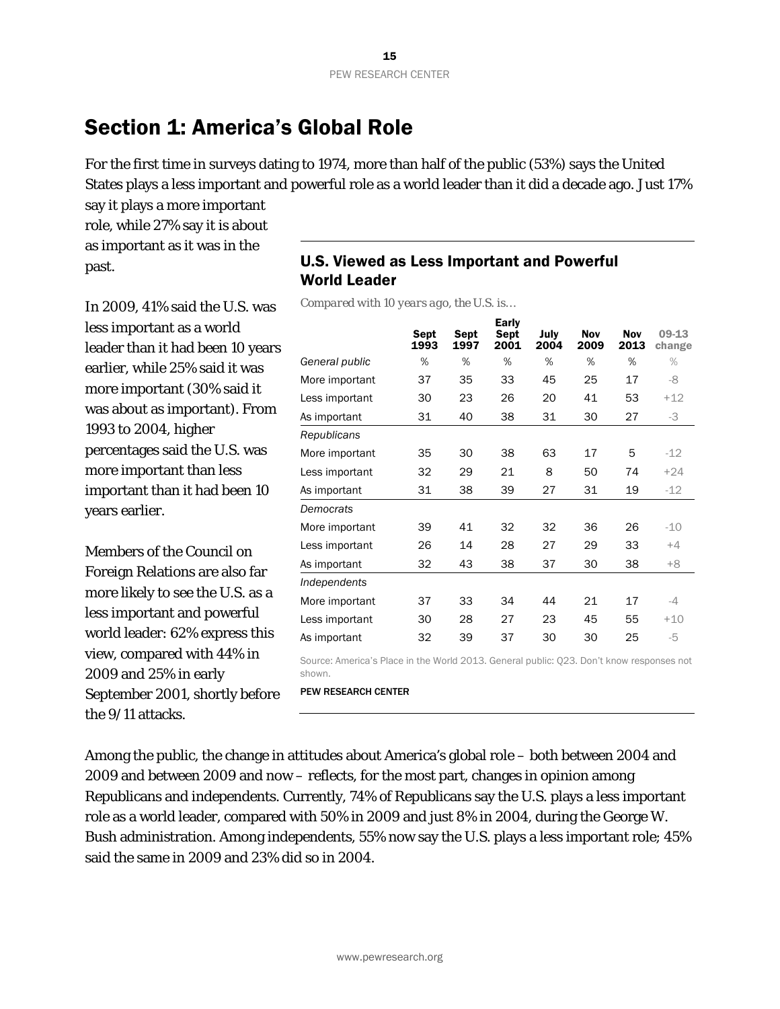# <span id="page-15-0"></span>Section 1: America's Global Role

For the first time in surveys dating to 1974, more than half of the public (53%) says the United States plays a less important and powerful role as a world leader than it did a decade ago. Just 17%

say it plays a more important role, while 27% say it is about as important as it was in the past.

In 2009, 41% said the U.S. was less important as a world leader than it had been 10 years earlier, while 25% said it was more important (30% said it was about as important). From 1993 to 2004, higher percentages said the U.S. was more important than less important than it had been 10 years earlier.

Members of the Council on Foreign Relations are also far more likely to see the U.S. as a less important and powerful world leader: 62% express this view, compared with 44% in 2009 and 25% in early September 2001, shortly before the 9/11 attacks.

# U.S. Viewed as Less Important and Powerful World Leader

*Compared with 10 years ago, the U.S. is…*

|                | <b>Sept</b><br>1993 | <b>Sept</b><br>1997 | <b>Early</b><br><b>Sept</b><br>2001 | July<br>2004 | <b>Nov</b><br>2009 | <b>Nov</b><br>2013 | 09-13<br>change |
|----------------|---------------------|---------------------|-------------------------------------|--------------|--------------------|--------------------|-----------------|
| General public | %                   | %                   | %                                   | %            | %                  | %                  | $\%$            |
| More important | 37                  | 35                  | 33                                  | 45           | 25                 | 17                 | -8              |
| Less important | 30                  | 23                  | 26                                  | 20           | 41                 | 53                 | $+12$           |
| As important   | 31                  | 40                  | 38                                  | 31           | 30                 | 27                 | -3              |
| Republicans    |                     |                     |                                     |              |                    |                    |                 |
| More important | 35                  | 30                  | 38                                  | 63           | 17                 | 5                  | $-12$           |
| Less important | 32                  | 29                  | 21                                  | 8            | 50                 | 74                 | $+24$           |
| As important   | 31                  | 38                  | 39                                  | 27           | 31                 | 19                 | $-12$           |
| Democrats      |                     |                     |                                     |              |                    |                    |                 |
| More important | 39                  | 41                  | 32                                  | 32           | 36                 | 26                 | $-10$           |
| Less important | 26                  | 14                  | 28                                  | 27           | 29                 | 33                 | $+4$            |
| As important   | 32                  | 43                  | 38                                  | 37           | 30                 | 38                 | $+8$            |
| Independents   |                     |                     |                                     |              |                    |                    |                 |
| More important | 37                  | 33                  | 34                                  | 44           | 21                 | 17                 | -4              |
| Less important | 30                  | 28                  | 27                                  | 23           | 45                 | 55                 | $+10$           |
| As important   | 32                  | 39                  | 37                                  | 30           | 30                 | 25                 | -5              |

Source: America's Place in the World 2013. General public: Q23. Don't know responses not shown.

PEW RESEARCH CENTER

Among the public, the change in attitudes about America's global role – both between 2004 and 2009 and between 2009 and now – reflects, for the most part, changes in opinion among Republicans and independents. Currently, 74% of Republicans say the U.S. plays a less important role as a world leader, compared with 50% in 2009 and just 8% in 2004, during the George W. Bush administration. Among independents, 55% now say the U.S. plays a less important role; 45% said the same in 2009 and 23% did so in 2004.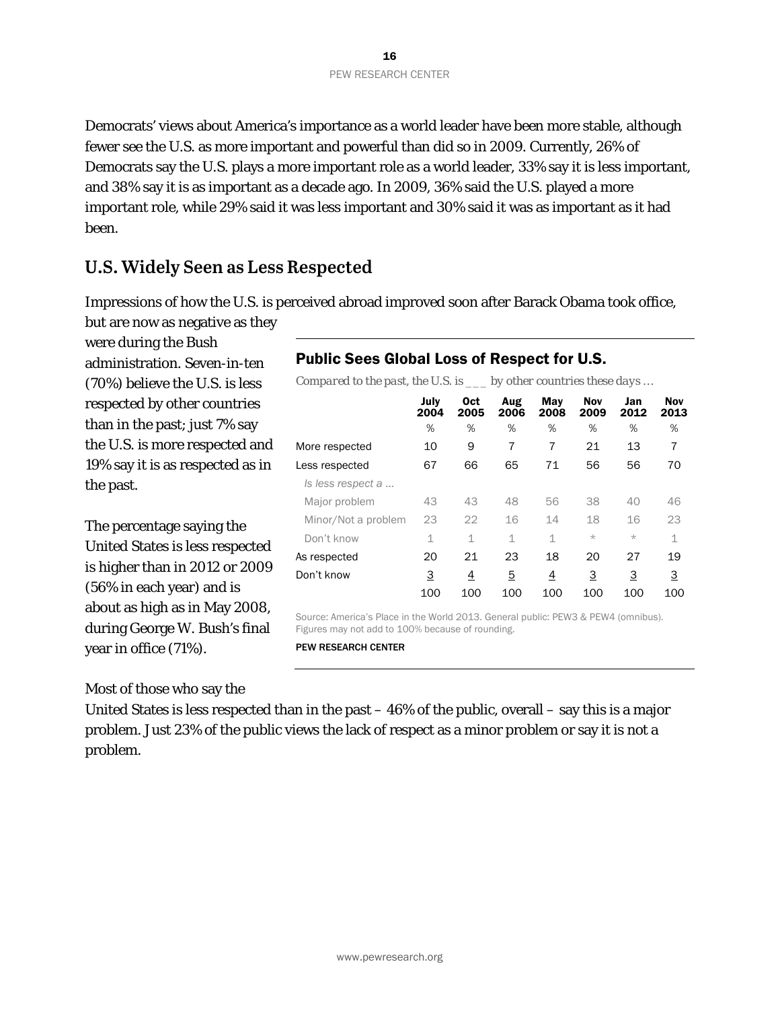Democrats' views about America's importance as a world leader have been more stable, although fewer see the U.S. as more important and powerful than did so in 2009. Currently, 26% of Democrats say the U.S. plays a more important role as a world leader, 33% say it is less important, and 38% say it is as important as a decade ago. In 2009, 36% said the U.S. played a more important role, while 29% said it was less important and 30% said it was as important as it had been.

# **U.S. Widely Seen as Less Respected**

Impressions of how the U.S. is perceived abroad improved soon after Barack Obama took office, but are now as negative as they

were during the Bush administration. Seven-in-ten (70%) believe the U.S. is less respected by other countries than in the past; just 7% say the U.S. is more respected and 19% say it is as respected as in the past.

The percentage saying the United States is less respected is higher than in 2012 or 2009 (56% in each year) and is about as high as in May 2008, during George W. Bush's final year in office (71%).

Most of those who say the

# Public Sees Global Loss of Respect for U.S.

*Compared to the past, the U.S. is \_\_\_ by other countries these days …*

|                     | July<br>2004 | <b>Oct</b><br>2005 | Aug<br>2006 | May<br>2008 | <b>Nov</b><br>2009 | Jan<br>2012 | <b>Nov</b><br>2013 |
|---------------------|--------------|--------------------|-------------|-------------|--------------------|-------------|--------------------|
|                     | %            | %                  | %           | %           | %                  | %           | %                  |
| More respected      | 10           | 9                  | 7           | 7           | 21                 | 13          | 7                  |
| Less respected      | 67           | 66                 | 65          | 71          | 56                 | 56          | 70                 |
| Is less respect a   |              |                    |             |             |                    |             |                    |
| Major problem       | 43           | 43                 | 48          | 56          | 38                 | 40          | 46                 |
| Minor/Not a problem | 23           | 22                 | 16          | 14          | 18                 | 16          | 23                 |
| Don't know          | 1            | 1                  | $\mathbf 1$ | $\mathbf 1$ | $\star$            | $\star$     | 1                  |
| As respected        | 20           | 21                 | 23          | 18          | 20                 | 27          | 19                 |
| Don't know          | 3            | 4                  | 5           | 4           | 3                  | 3           | 3                  |
|                     | 100          | 100                | 100         | 100         | 100                | 100         | 100                |

Source: America's Place in the World 2013. General public: PEW3 & PEW4 (omnibus). Figures may not add to 100% because of rounding.

PEW RESEARCH CENTER

United States is less respected than in the past  $-46\%$  of the public, overall  $-$  say this is a major problem. Just 23% of the public views the lack of respect as a minor problem or say it is not a problem.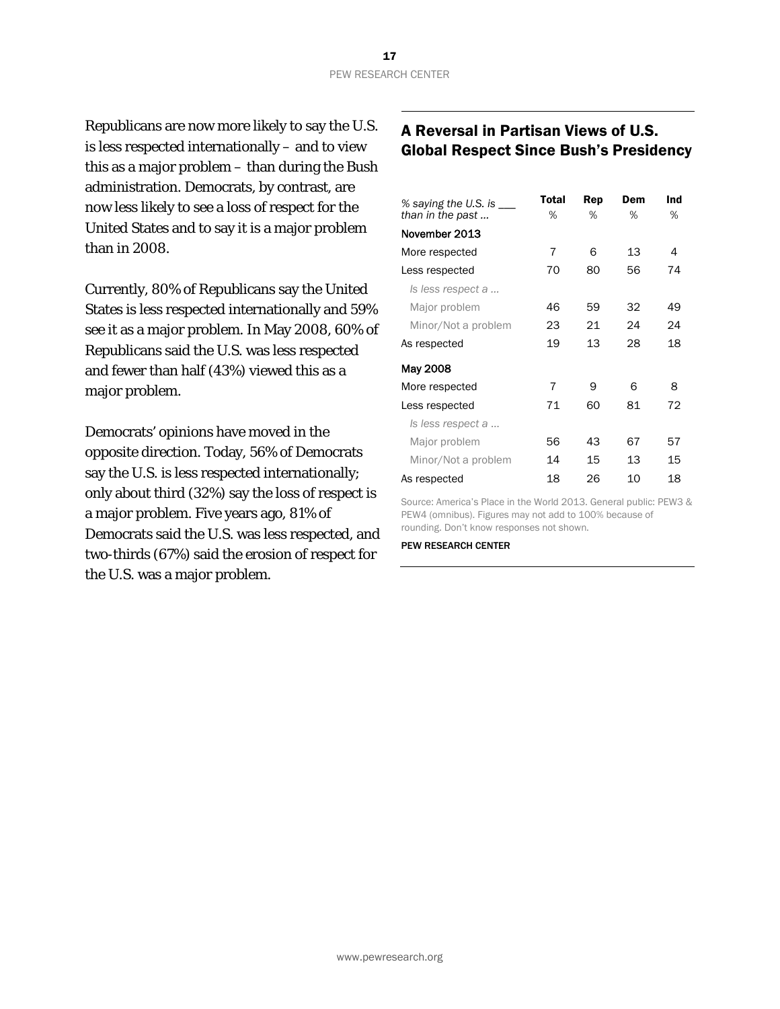Republicans are now more likely to say the U.S. is less respected internationally – and to view this as a major problem – than during the Bush administration. Democrats, by contrast, are now less likely to see a loss of respect for the United States and to say it is a major problem than in 2008.

Currently, 80% of Republicans say the United States is less respected internationally and 59% see it as a major problem. In May 2008, 60% of Republicans said the U.S. was less respected and fewer than half (43%) viewed this as a major problem.

Democrats' opinions have moved in the opposite direction. Today, 56% of Democrats say the U.S. is less respected internationally; only about third (32%) say the loss of respect is a major problem. Five years ago, 81% of Democrats said the U.S. was less respected, and two-thirds (67%) said the erosion of respect for the U.S. was a major problem.

# A Reversal in Partisan Views of U.S. Global Respect Since Bush's Presidency

| % saying the U.S. is $\_\_$ | Total | Rep | Dem | Ind |
|-----------------------------|-------|-----|-----|-----|
| than in the past            | ℅     | ℅   | %   | %   |
| November 2013               |       |     |     |     |
| More respected              | 7     | 6   | 13  | 4   |
| Less respected              | 70    | 80  | 56  | 74  |
| Is less respect a           |       |     |     |     |
| Major problem               | 46    | 59  | 32  | 49  |
| Minor/Not a problem         | 23    | 21  | 24  | 24  |
| As respected                | 19    | 13  | 28  | 18  |
| May 2008                    |       |     |     |     |
| More respected              | 7     | 9   | 6   | 8   |
| Less respected              | 71    | 60  | 81  | 72  |
| Is less respect a           |       |     |     |     |
| Major problem               | 56    | 43  | 67  | 57  |
| Minor/Not a problem         | 14    | 15  | 13  | 15  |
| As respected                | 18    | 26  | 10  | 18  |

Source: America's Place in the World 2013. General public: PEW3 & PEW4 (omnibus). Figures may not add to 100% because of rounding. Don't know responses not shown.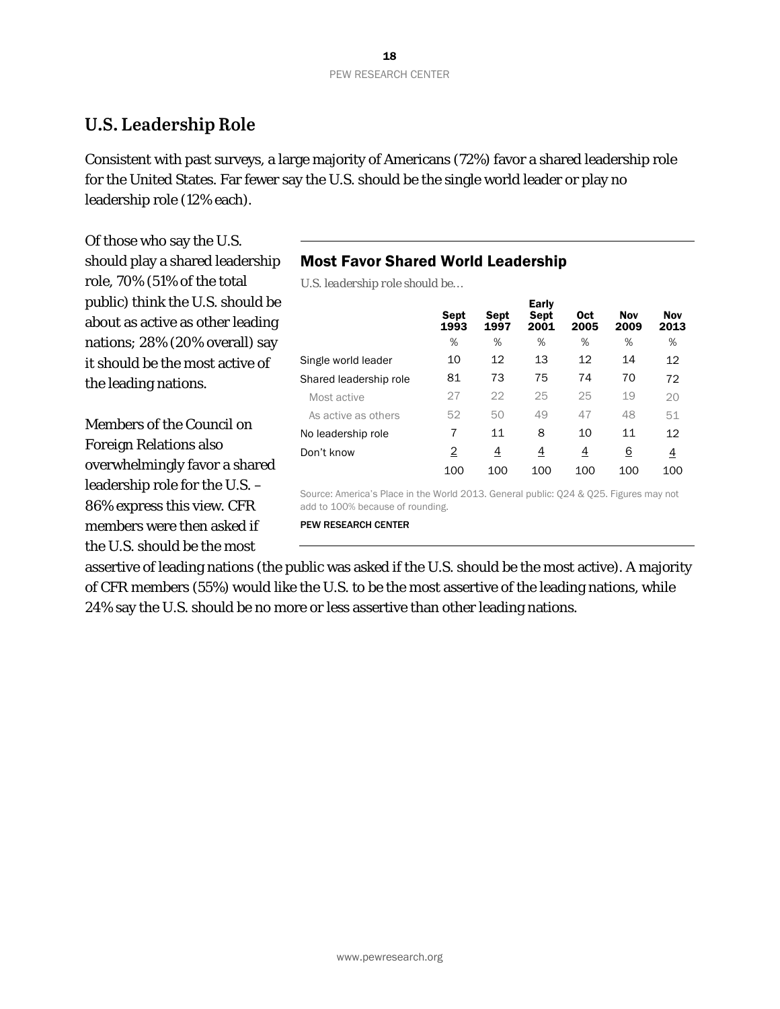# **U.S. Leadership Role**

Consistent with past surveys, a large majority of Americans (72%) favor a shared leadership role for the United States. Far fewer say the U.S. should be the single world leader or play no leadership role (12% each).

Of those who say the U.S. should play a shared leadership role, 70% (51% of the total public) think the U.S. should be about as active as other leading nations; 28% (20% overall) say it should be the most active of the leading nations.

Members of the Council on Foreign Relations also overwhelmingly favor a shared leadership role for the U.S. – 86% express this view. CFR members were then asked if the U.S. should be the most

# Most Favor Shared World Leadership

*U.S. leadership role should be…*

|                        | Sept<br>1993   | Sept<br>1997   | <b>Early</b><br><b>Sept</b><br>2001 | <b>Oct</b><br>2005 | <b>Nov</b><br>2009 | <b>Nov</b><br>2013 |
|------------------------|----------------|----------------|-------------------------------------|--------------------|--------------------|--------------------|
|                        | %              | %              | %                                   | %                  | %                  | %                  |
| Single world leader    | 10             | 12             | 13                                  | 12                 | 14                 | 12                 |
| Shared leadership role | 81             | 73             | 75                                  | 74                 | 70                 | 72                 |
| Most active            | 27             | 22             | 25                                  | 25                 | 19                 | 20                 |
| As active as others    | 52             | 50             | 49                                  | 47                 | 48                 | 51                 |
| No leadership role     | 7              | 11             | 8                                   | 10                 | 11                 | 12                 |
| Don't know             | $\overline{2}$ | $\overline{4}$ | <u>4</u>                            | <u>4</u>           | <u>6</u>           | $\overline{4}$     |
|                        | 100            | 100            | 100                                 | 100                | 100                | 100                |

Source: America's Place in the World 2013. General public: Q24 & Q25. Figures may not add to 100% because of rounding.

PEW RESEARCH CENTER

assertive of leading nations (the public was asked if the U.S. should be the most active). A majority of CFR members (55%) would like the U.S. to be the most assertive of the leading nations, while 24% say the U.S. should be no more or less assertive than other leading nations.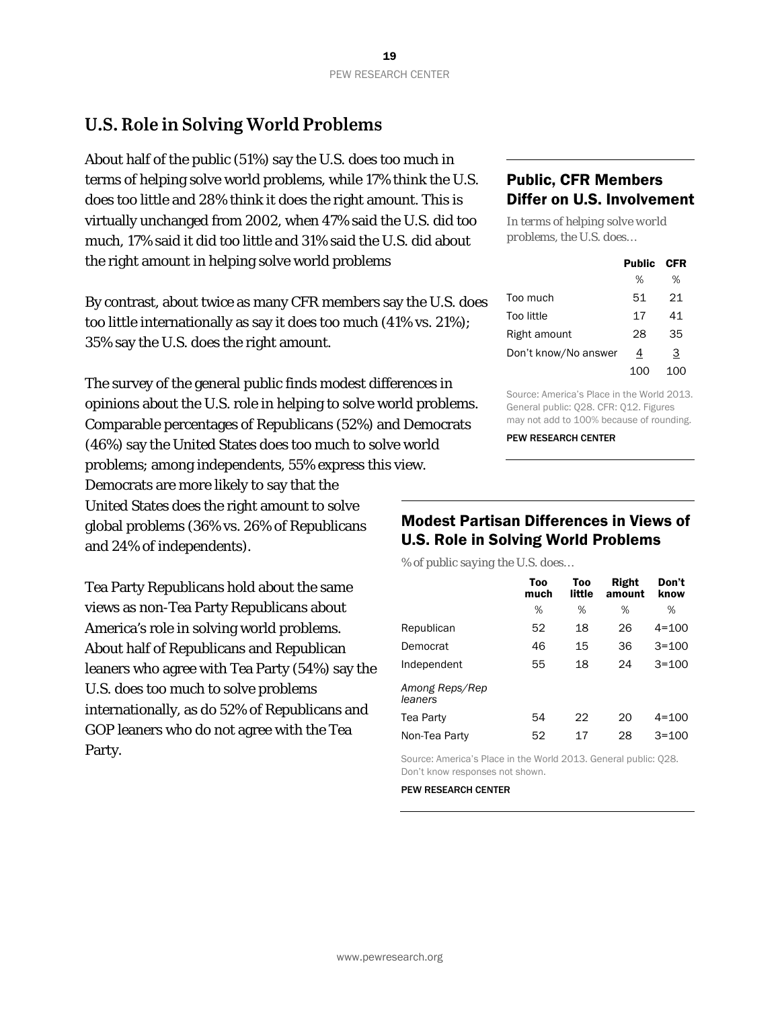# **U.S. Role in Solving World Problems**

About half of the public (51%) say the U.S. does too much in terms of helping solve world problems, while 17% think the U.S. does too little and 28% think it does the right amount. This is virtually unchanged from 2002, when 47% said the U.S. did too much, 17% said it did too little and 31% said the U.S. did about the right amount in helping solve world problems

By contrast, about twice as many CFR members say the U.S. does too little internationally as say it does too much (41% vs. 21%); 35% say the U.S. does the right amount.

The survey of the general public finds modest differences in opinions about the U.S. role in helping to solve world problems. Comparable percentages of Republicans (52%) and Democrats (46%) say the United States does too much to solve world problems; among independents, 55% express this view. Democrats are more likely to say that the United States does the right amount to solve global problems (36% vs. 26% of Republicans and 24% of independents).

Tea Party Republicans hold about the same views as non-Tea Party Republicans about America's role in solving world problems. About half of Republicans and Republican leaners who agree with Tea Party (54%) say the U.S. does too much to solve problems internationally, as do 52% of Republicans and GOP leaners who do not agree with the Tea Party.

### Public, CFR Members Differ on U.S. Involvement

*In terms of helping solve world problems, the U.S. does…*

|                      | <b>Public</b> | <b>CFR</b> |
|----------------------|---------------|------------|
|                      | %             | ℅          |
| Too much             | 51            | 21         |
| Too little           | 17            | 41         |
| Right amount         | 28            | 35         |
| Don't know/No answer | 4             | З          |
|                      | 100           | 100        |

Source: America's Place in the World 2013. General public: Q28. CFR: Q12. Figures may not add to 100% because of rounding.

PEW RESEARCH CENTER

### Modest Partisan Differences in Views of U.S. Role in Solving World Problems

*% of public saying the U.S. does…*

|                           | Too<br>much | Too<br>little | Right<br>amount | Don't<br>know |
|---------------------------|-------------|---------------|-----------------|---------------|
|                           | %           | %             | %               | %             |
| Republican                | 52          | 18            | 26              | $4 = 100$     |
| Democrat                  | 46          | 15            | 36              | $3 = 100$     |
| Independent               | 55          | 18            | 24              | $3 = 100$     |
| Among Reps/Rep<br>leaners |             |               |                 |               |
| Tea Party                 | 54          | 22            | 20              | $4 = 100$     |
| Non-Tea Party             | 52          | 17            | 28              | $3 = 100$     |

Source: America's Place in the World 2013. General public: Q28. Don't know responses not shown.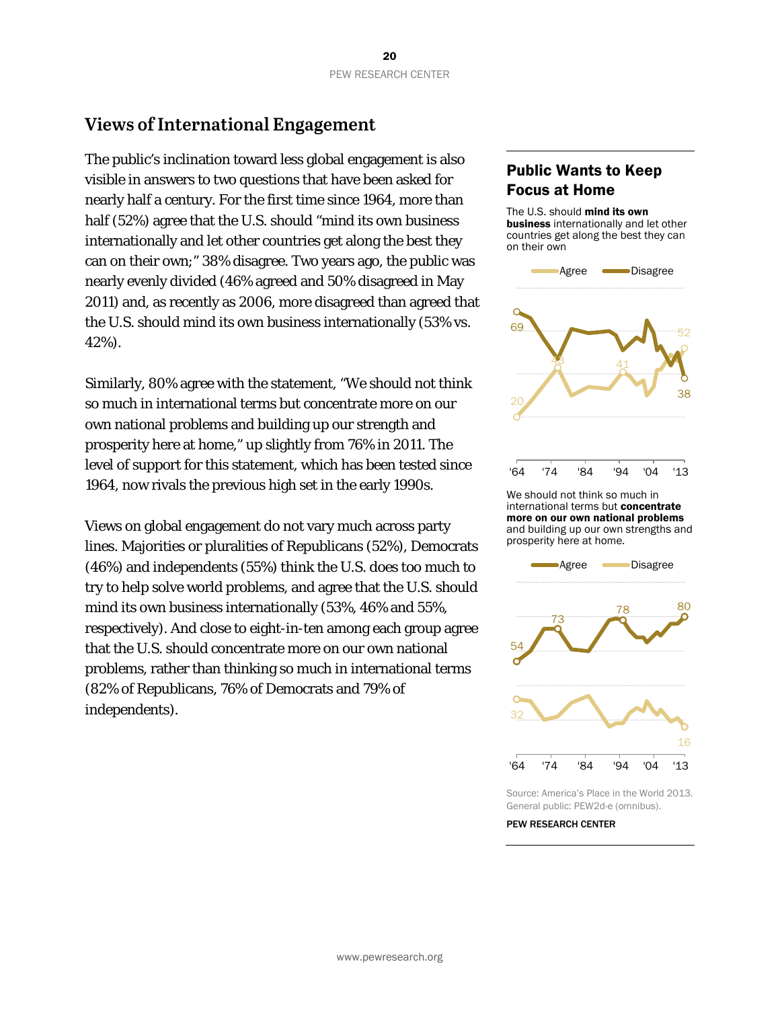# **Views of International Engagement**

The public's inclination toward less global engagement is also visible in answers to two questions that have been asked for nearly half a century. For the first time since 1964, more than half (52%) agree that the U.S. should "mind its own business internationally and let other countries get along the best they can on their own;" 38% disagree. Two years ago, the public was nearly evenly divided (46% agreed and 50% disagreed in May 2011) and, as recently as 2006, more disagreed than agreed that the U.S. should mind its own business internationally (53% vs. 42%).

Similarly, 80% agree with the statement, "We should not think so much in international terms but concentrate more on our own national problems and building up our strength and prosperity here at home," up slightly from 76% in 2011. The level of support for this statement, which has been tested since 1964, now rivals the previous high set in the early 1990s.

Views on global engagement do not vary much across party lines. Majorities or pluralities of Republicans (52%), Democrats (46%) and independents (55%) think the U.S. does too much to try to help solve world problems, and agree that the U.S. should mind its own business internationally (53%, 46% and 55%, respectively). And close to eight-in-ten among each group agree that the U.S. should concentrate more on our own national problems, rather than thinking so much in international terms (82% of Republicans, 76% of Democrats and 79% of independents).

# Public Wants to Keep Focus at Home

The U.S. should mind its own business internationally and let other countries get along the best they can on their own



international terms but **concentrate** more on our own national problems and building up our own strengths and prosperity here at home.



Source: America's Place in the World 2013. General public: PEW2d-e (omnibus).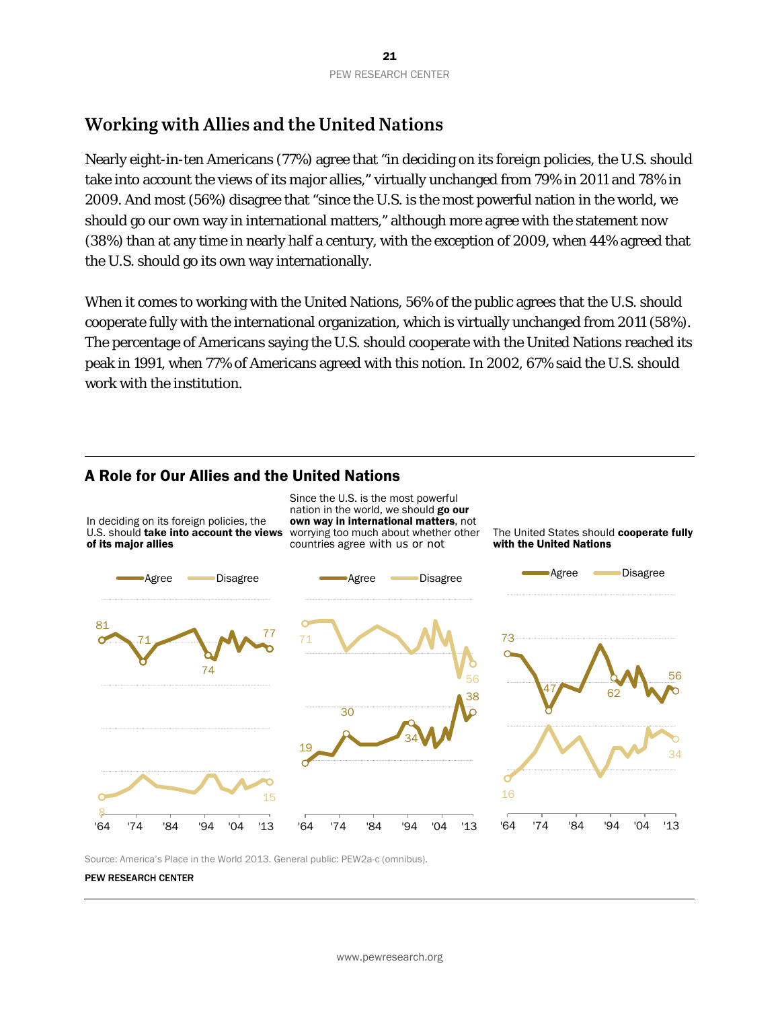# **Working with Allies and the United Nations**

Nearly eight-in-ten Americans (77%) agree that "in deciding on its foreign policies, the U.S. should take into account the views of its major allies," virtually unchanged from 79% in 2011 and 78% in 2009. And most (56%) disagree that "since the U.S. is the most powerful nation in the world, we should go our own way in international matters," although more agree with the statement now (38%) than at any time in nearly half a century, with the exception of 2009, when 44% agreed that the U.S. should go its own way internationally.

When it comes to working with the United Nations, 56% of the public agrees that the U.S. should cooperate fully with the international organization, which is virtually unchanged from 2011 (58%). The percentage of Americans saying the U.S. should cooperate with the United Nations reached its peak in 1991, when 77% of Americans agreed with this notion. In 2002, 67% said the U.S. should work with the institution.

### A Role for Our Allies and the United Nations



Source: America's Place in the World 2013. General public: PEW2a-c (omnibus).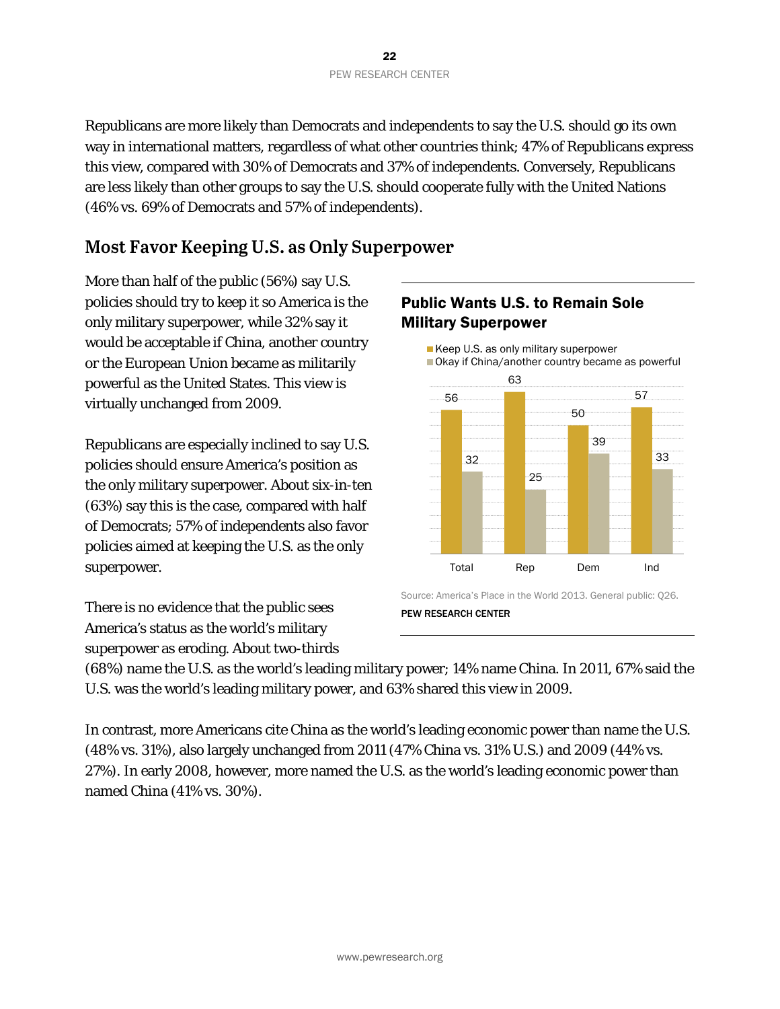Republicans are more likely than Democrats and independents to say the U.S. should go its own way in international matters, regardless of what other countries think; 47% of Republicans express this view, compared with 30% of Democrats and 37% of independents. Conversely, Republicans are less likely than other groups to say the U.S. should cooperate fully with the United Nations (46% vs. 69% of Democrats and 57% of independents).

# **Most Favor Keeping U.S. as Only Superpower**

More than half of the public (56%) say U.S. policies should try to keep it so America is the only military superpower, while 32% say it would be acceptable if China, another country or the European Union became as militarily powerful as the United States. This view is virtually unchanged from 2009.

Republicans are especially inclined to say U.S. policies should ensure America's position as the only military superpower. About six-in-ten (63%) say this is the case, compared with half of Democrats; 57% of independents also favor policies aimed at keeping the U.S. as the only superpower.

There is no evidence that the public sees America's status as the world's military superpower as eroding. About two-thirds

# Public Wants U.S. to Remain Sole Military Superpower



Source: America's Place in the World 2013. General public: Q26. PEW RESEARCH CENTER

(68%) name the U.S. as the world's leading military power; 14% name China. In 2011, 67% said the U.S. was the world's leading military power, and 63% shared this view in 2009.

In contrast, more Americans cite China as the world's leading economic power than name the U.S. (48% vs. 31%), also largely unchanged from 2011 (47% China vs. 31% U.S.) and 2009 (44% vs. 27%). In early 2008, however, more named the U.S. as the world's leading economic power than named China (41% vs. 30%).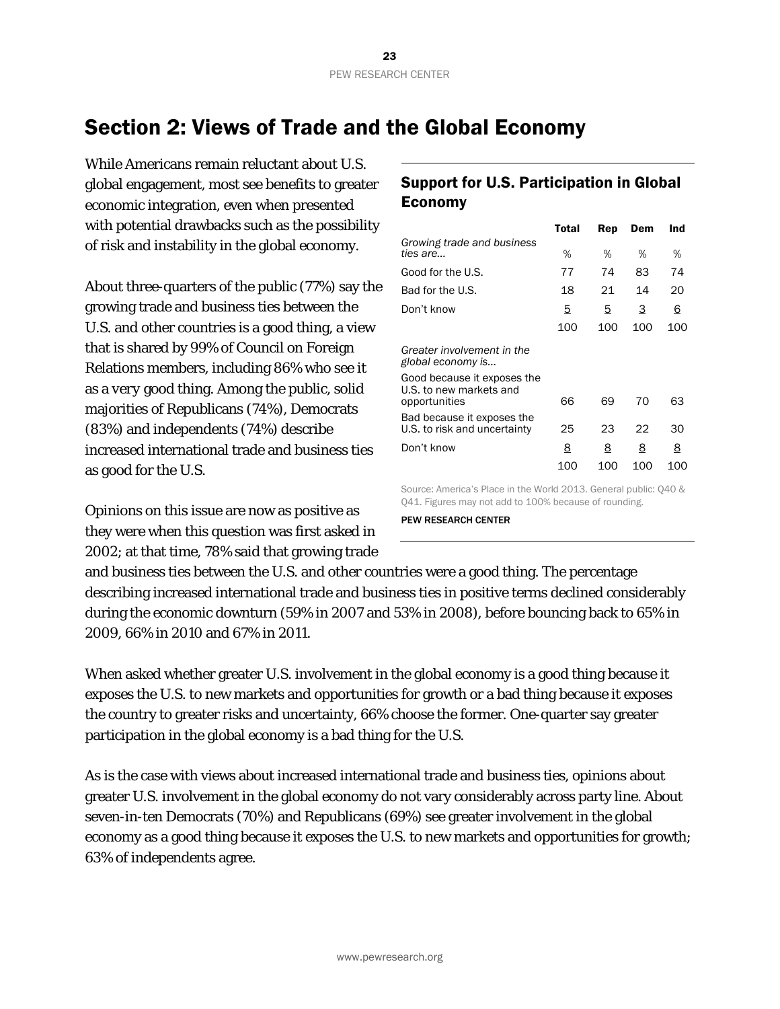# <span id="page-23-0"></span>Section 2: Views of Trade and the Global Economy

While Americans remain reluctant about U.S. global engagement, most see benefits to greater economic integration, even when presented with potential drawbacks such as the possibility of risk and instability in the global economy.

About three-quarters of the public (77%) say the growing trade and business ties between the U.S. and other countries is a good thing, a view that is shared by 99% of Council on Foreign Relations members, including 86% who see it as a *very* good thing. Among the public, solid majorities of Republicans (74%), Democrats (83%) and independents (74%) describe increased international trade and business ties as good for the U.S.

Opinions on this issue are now as positive as they were when this question was first asked in 2002; at that time, 78% said that growing trade

# Support for U.S. Participation in Global Economy

|                                                                         | Total | Rep | Dem | Ind |
|-------------------------------------------------------------------------|-------|-----|-----|-----|
| Growing trade and business<br>ties are                                  | %     | ℅   | %   | ℅   |
| Good for the U.S.                                                       | 77    | 74  | 83  | 74  |
| Bad for the U.S.                                                        | 18    | 21  | 14  | 20  |
| Don't know                                                              | 5     | 5   | 3   | 6   |
|                                                                         | 100   | 100 | 100 | 100 |
| Greater involvement in the<br>global economy is                         |       |     |     |     |
| Good because it exposes the<br>U.S. to new markets and<br>opportunities | 66    | 69  | 70  | 63  |
| Bad because it exposes the<br>U.S. to risk and uncertainty              | 25    | 23  | 22  | 30  |
| Don't know                                                              | 8     | 8   | 8   | 8   |
|                                                                         | 100   | 100 | 100 | 100 |

Source: America's Place in the World 2013. General public: Q40 & Q41. Figures may not add to 100% because of rounding.

PEW RESEARCH CENTER

and business ties between the U.S. and other countries were a good thing. The percentage describing increased international trade and business ties in positive terms declined considerably during the economic downturn (59% in 2007 and 53% in 2008), before bouncing back to 65% in 2009, 66% in 2010 and 67% in 2011.

When asked whether greater U.S. involvement in the global economy is a good thing because it exposes the U.S. to new markets and opportunities for growth or a bad thing because it exposes the country to greater risks and uncertainty, 66% choose the former. One-quarter say greater participation in the global economy is a bad thing for the U.S.

As is the case with views about increased international trade and business ties, opinions about greater U.S. involvement in the global economy do not vary considerably across party line. About seven-in-ten Democrats (70%) and Republicans (69%) see greater involvement in the global economy as a good thing because it exposes the U.S. to new markets and opportunities for growth; 63% of independents agree.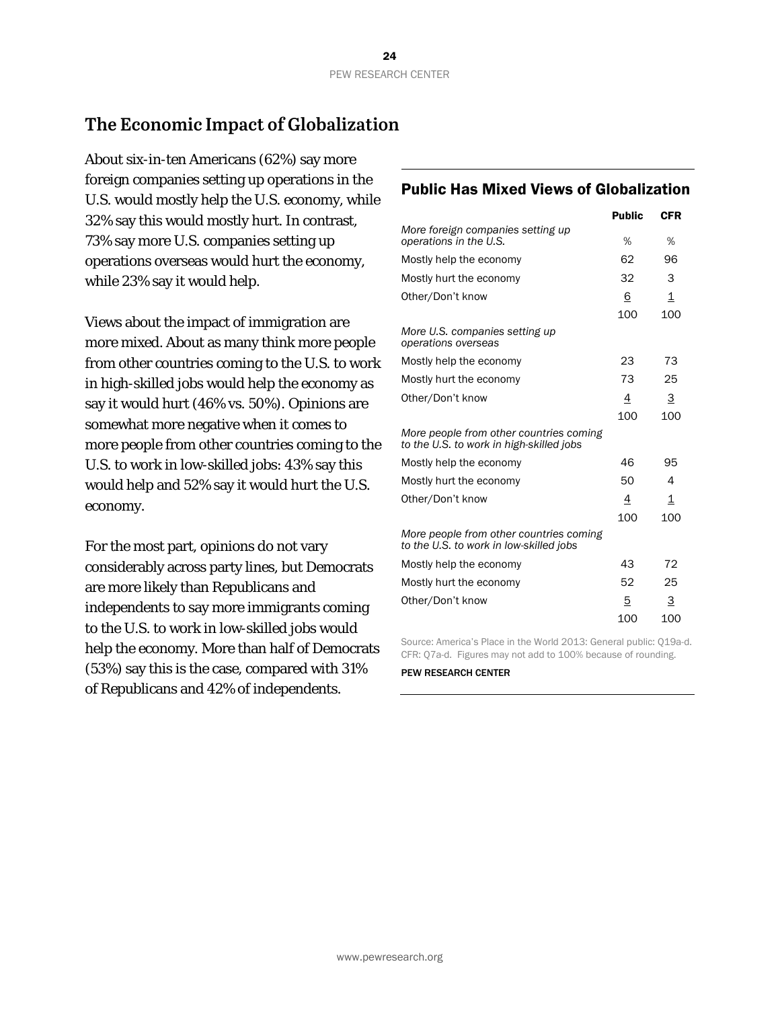# **The Economic Impact of Globalization**

About six-in-ten Americans (62%) say more foreign companies setting up operations in the U.S. would mostly help the U.S. economy, while 32% say this would mostly hurt. In contrast, 73% say more U.S. companies setting up operations overseas would hurt the economy, while 23% say it would help.

Views about the impact of immigration are more mixed. About as many think more people from other countries coming to the U.S. to work in high-skilled jobs would help the economy as say it would hurt (46% vs. 50%). Opinions are somewhat more negative when it comes to more people from other countries coming to the U.S. to work in low-skilled jobs: 43% say this would help and 52% say it would hurt the U.S. economy.

For the most part, opinions do not vary considerably across party lines, but Democrats are more likely than Republicans and independents to say more immigrants coming to the U.S. to work in low-skilled jobs would help the economy. More than half of Democrats (53%) say this is the case, compared with 31% of Republicans and 42% of independents.

# Public Has Mixed Views of Globalization

|                                                                                     | <b>Public</b> | <b>CFR</b>              |
|-------------------------------------------------------------------------------------|---------------|-------------------------|
| More foreign companies setting up<br>operations in the U.S.                         | %             | %                       |
| Mostly help the economy                                                             | 62            | 96                      |
| Mostly hurt the economy                                                             | 32            | 3                       |
| Other/Don't know                                                                    | 6             | $\overline{\mathbf{1}}$ |
|                                                                                     | 100           | 100                     |
| More U.S. companies setting up<br>operations overseas                               |               |                         |
| Mostly help the economy                                                             | 23            | 73                      |
| Mostly hurt the economy                                                             | 73            | 25                      |
| Other/Don't know                                                                    | 4             | 3                       |
|                                                                                     | 100           | 100                     |
| More people from other countries coming<br>to the U.S. to work in high-skilled jobs |               |                         |
| Mostly help the economy                                                             | 46            | 95                      |
| Mostly hurt the economy                                                             | 50            | 4                       |
| Other/Don't know                                                                    | 4             | 1                       |
|                                                                                     | 100           | 100                     |
| More people from other countries coming<br>to the U.S. to work in low-skilled jobs  |               |                         |
| Mostly help the economy                                                             | 43            | 72                      |
| Mostly hurt the economy                                                             | 52            | 25                      |
| Other/Don't know                                                                    | 5             | 3                       |
|                                                                                     | 100           | 100                     |

Source: America's Place in the World 2013: General public: Q19a-d. CFR: Q7a-d. Figures may not add to 100% because of rounding.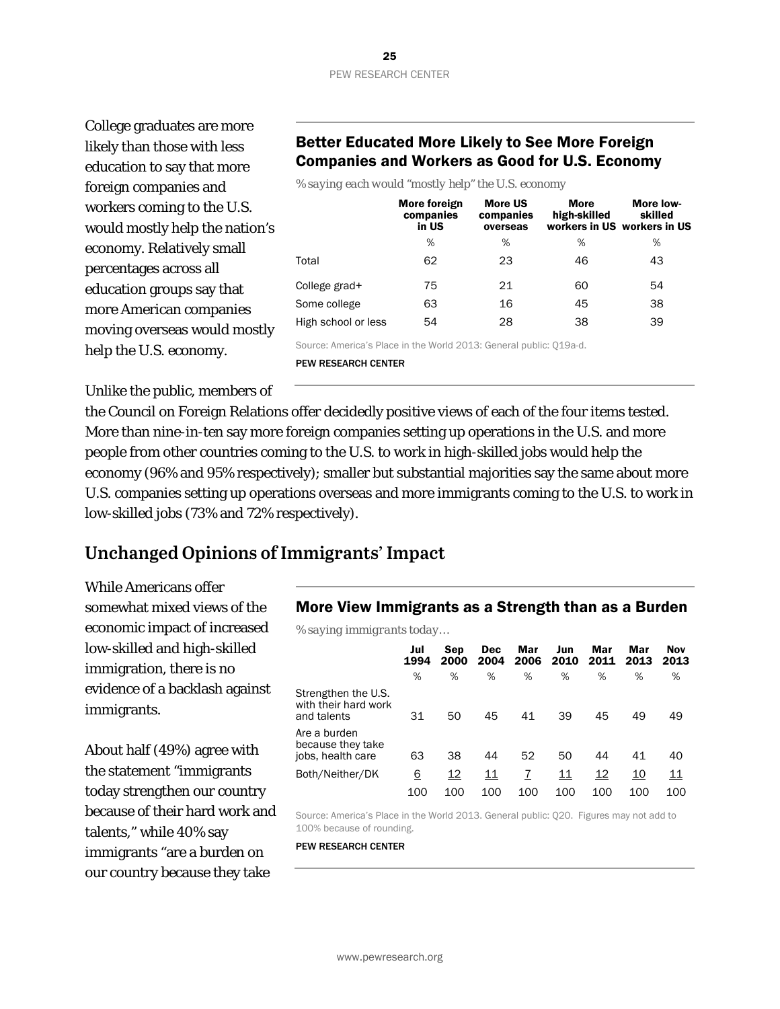College graduates are more likely than those with less education to say that more foreign companies and workers coming to the U.S. would mostly help the nation's economy. Relatively small percentages across all education groups say that more American companies moving overseas would mostly help the U.S. economy.

# Better Educated More Likely to See More Foreign Companies and Workers as Good for U.S. Economy

*% saying each would "mostly help" the U.S. economy*

|                     | More foreign<br>companies<br>in US | <b>More US</b><br>companies<br>overseas | <b>More</b><br>high-skilled | More low-<br>skilled<br>workers in US workers in US |
|---------------------|------------------------------------|-----------------------------------------|-----------------------------|-----------------------------------------------------|
|                     | $\%$                               | %                                       | %                           | %                                                   |
| Total               | 62                                 | 23                                      | 46                          | 43                                                  |
| College grad+       | 75                                 | 21                                      | 60                          | 54                                                  |
| Some college        | 63                                 | 16                                      | 45                          | 38                                                  |
| High school or less | 54                                 | 28                                      | 38                          | 39                                                  |

Source: America's Place in the World 2013: General public: Q19a-d.

PEW RESEARCH CENTER

Unlike the public, members of

the Council on Foreign Relations offer decidedly positive views of each of the four items tested. More than nine-in-ten say more foreign companies setting up operations in the U.S. and more people from other countries coming to the U.S. to work in high-skilled jobs would help the economy (96% and 95% respectively); smaller but substantial majorities say the same about more U.S. companies setting up operations overseas and more immigrants coming to the U.S. to work in low-skilled jobs (73% and 72% respectively).

# **Unchanged Opinions of Immigrants' Impact**

While Americans offer somewhat mixed views of the economic impact of increased low-skilled and high-skilled immigration, there is no evidence of a backlash against immigrants.

About half (49%) agree with the statement "immigrants today strengthen our country because of their hard work and talents," while 40% say immigrants "are a burden on our country because they take

### More View Immigrants as a Strength than as a Burden

*% saying immigrants today…*

|                                                            | Jul<br>1994 | Sep<br>2000 | <b>Dec</b><br>2004 | Mar<br>2006 | Jun<br>2010 | Mar<br>2011 | Mar<br>2013 | Nov<br>2013 |
|------------------------------------------------------------|-------------|-------------|--------------------|-------------|-------------|-------------|-------------|-------------|
|                                                            | %           | %           | %                  | %           | %           | %           | %           | %           |
| Strengthen the U.S.<br>with their hard work<br>and talents | 31          | 50          | 45                 | 41          | 39          | 45          | 49          | 49          |
| Are a burden<br>because they take<br>jobs, health care     | 63          | 38          | 44                 | 52          | 50          | 44          | 41          | 40          |
| Both/Neither/DK                                            | <u>6</u>    | 12          | 11                 |             | 11          | <u> 12</u>  | 10          | <u> 11</u>  |
|                                                            | 100         | 100         | 100                | 100         | 100         | 100         | 100         | 100         |

Source: America's Place in the World 2013. General public: Q20. Figures may not add to 100% because of rounding.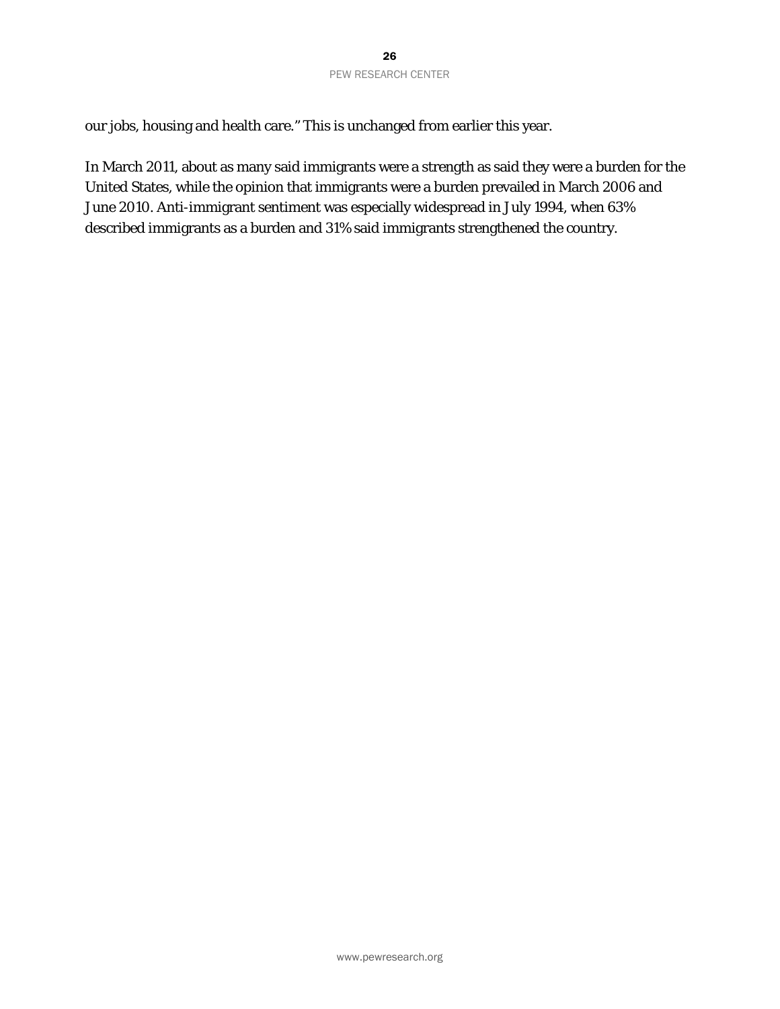our jobs, housing and health care." This is unchanged from earlier this year.

In March 2011, about as many said immigrants were a strength as said they were a burden for the United States, while the opinion that immigrants were a burden prevailed in March 2006 and June 2010. Anti-immigrant sentiment was especially widespread in July 1994, when 63% described immigrants as a burden and 31% said immigrants strengthened the country.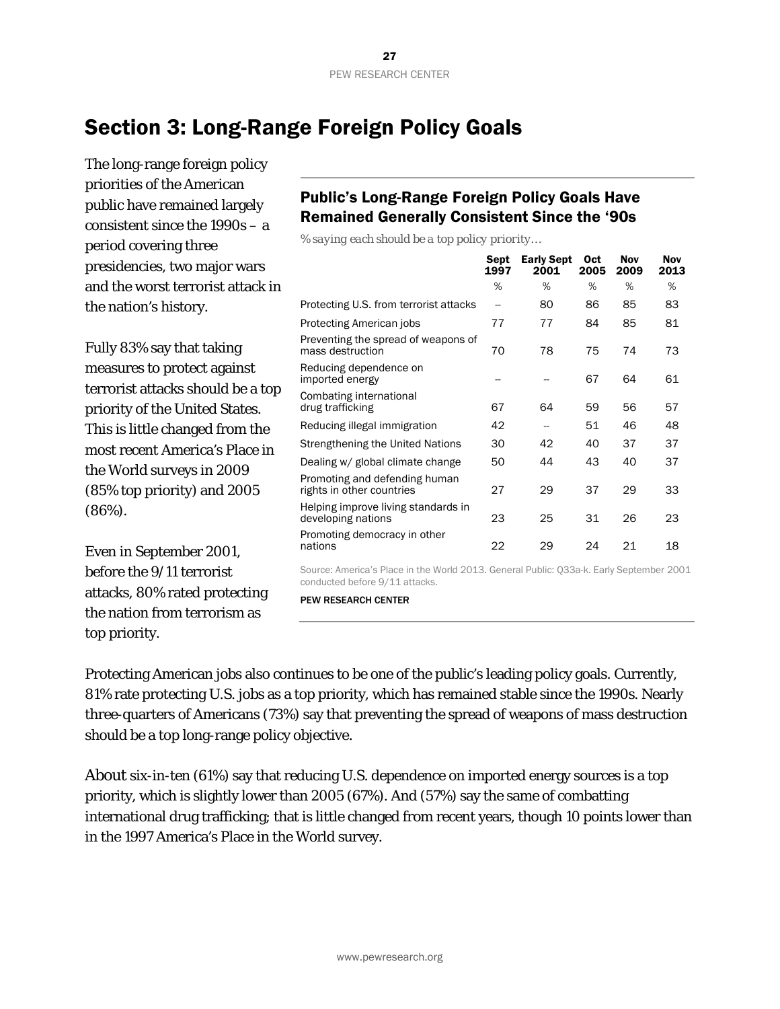# <span id="page-27-0"></span>Section 3: Long-Range Foreign Policy Goals

The long-range foreign policy priorities of the American public have remained largely consistent since the 1990s – a period covering three presidencies, two major wars and the worst terrorist attack in the nation's history.

Fully 83% say that taking measures to protect against terrorist attacks should be a top priority of the United States. This is little changed from the most recent America's Place in the World surveys in 2009 (85% top priority) and 2005 (86%).

Even in September 2001, before the 9/11 terrorist attacks, 80% rated protecting the nation from terrorism as top priority.

# Public's Long-Range Foreign Policy Goals Have Remained Generally Consistent Since the '90s

*% saying each should be a top policy priority…*

|                                                            | Sept<br>1997 | <b>Early Sept</b><br>2001 | <b>Oct</b><br>2005 | Nov<br>2009 | <b>Nov</b><br>2013 |
|------------------------------------------------------------|--------------|---------------------------|--------------------|-------------|--------------------|
|                                                            | %            | %                         | %                  | %           | %                  |
| Protecting U.S. from terrorist attacks                     | --           | 80                        | 86                 | 85          | 83                 |
| Protecting American jobs                                   | 77           | 77                        | 84                 | 85          | 81                 |
| Preventing the spread of weapons of<br>mass destruction    | 70           | 78                        | 75                 | 74          | 73                 |
| Reducing dependence on<br>imported energy                  |              |                           | 67                 | 64          | 61                 |
| Combating international<br>drug trafficking                | 67           | 64                        | 59                 | 56          | 57                 |
| Reducing illegal immigration                               | 42           | --                        | 51                 | 46          | 48                 |
| Strengthening the United Nations                           | 30           | 42                        | 40                 | 37          | 37                 |
| Dealing w/ global climate change                           | 50           | 44                        | 43                 | 40          | 37                 |
| Promoting and defending human<br>rights in other countries | 27           | 29                        | 37                 | 29          | 33                 |
| Helping improve living standards in<br>developing nations  | 23           | 25                        | 31                 | 26          | 23                 |
| Promoting democracy in other<br>nations                    | 22           | 29                        | 24                 | 21          | 18                 |

Source: America's Place in the World 2013. General Public: Q33a-k. Early September 2001 conducted before 9/11 attacks.

PEW RESEARCH CENTER

Protecting American jobs also continues to be one of the public's leading policy goals. Currently, 81% rate protecting U.S. jobs as a top priority, which has remained stable since the 1990s. Nearly three-quarters of Americans (73%) say that preventing the spread of weapons of mass destruction should be a top long-range policy objective.

About six-in-ten (61%) say that reducing U.S. dependence on imported energy sources is a top priority, which is slightly lower than 2005 (67%). And (57%) say the same of combatting international drug trafficking; that is little changed from recent years, though 10 points lower than in the 1997 America's Place in the World survey.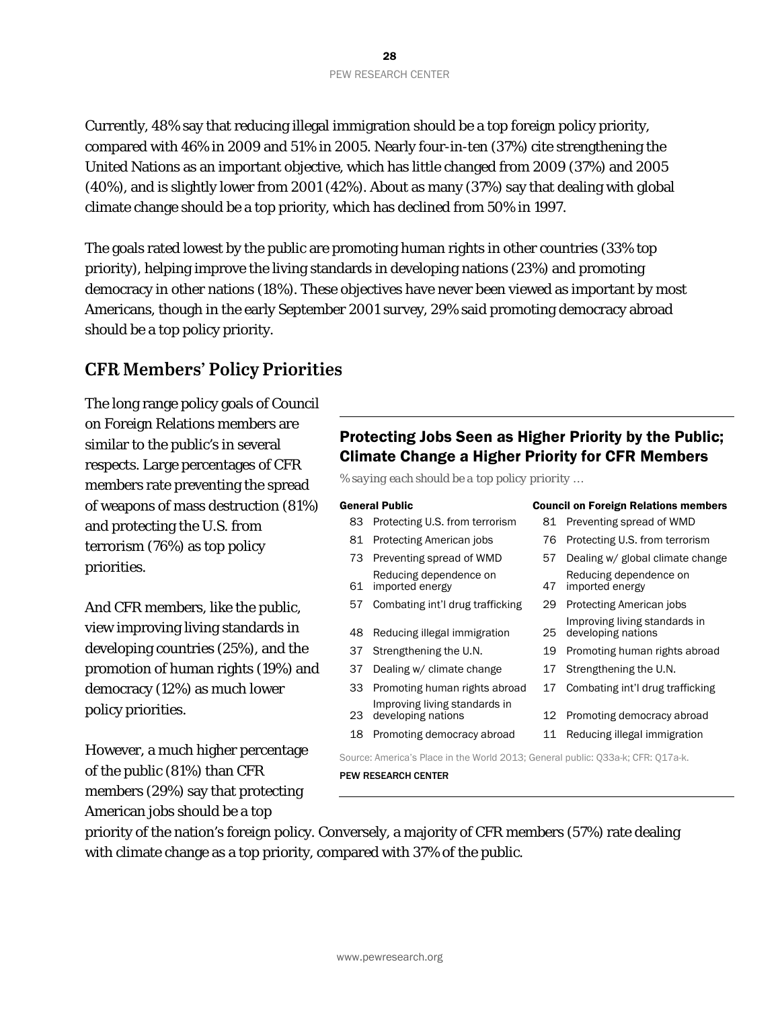Currently, 48% say that reducing illegal immigration should be a top foreign policy priority, compared with 46% in 2009 and 51% in 2005. Nearly four-in-ten (37%) cite strengthening the United Nations as an important objective, which has little changed from 2009 (37%) and 2005 (40%), and is slightly lower from 2001 (42%). About as many (37%) say that dealing with global climate change should be a top priority, which has declined from 50% in 1997.

The goals rated lowest by the public are promoting human rights in other countries (33% top priority), helping improve the living standards in developing nations (23%) and promoting democracy in other nations (18%). These objectives have never been viewed as important by most Americans, though in the early September 2001 survey, 29% said promoting democracy abroad should be a top policy priority.

# **CFR Members' Policy Priorities**

The long range policy goals of Council on Foreign Relations members are similar to the public's in several respects. Large percentages of CFR members rate preventing the spread of weapons of mass destruction (81%) and protecting the U.S. from terrorism (76%) as top policy priorities.

And CFR members, like the public, view improving living standards in developing countries (25%), and the promotion of human rights (19%) and democracy (12%) as much lower policy priorities.

However, a much higher percentage of the public (81%) than CFR members (29%) say that protecting American jobs should be a top

# Protecting Jobs Seen as Higher Priority by the Public; Climate Change a Higher Priority for CFR Members

*% saying each should be a top policy priority …*

#### General Public Council on Foreign Relations members

| 83 | Protecting U.S. from terrorism                                                  |    | 81 Preventing spread of WMD                         |
|----|---------------------------------------------------------------------------------|----|-----------------------------------------------------|
| 81 | Protecting American jobs                                                        | 76 | Protecting U.S. from terrorism                      |
| 73 | Preventing spread of WMD                                                        | 57 | Dealing w/ global climate change                    |
| 61 | Reducing dependence on<br>imported energy                                       | 47 | Reducing dependence on<br>imported energy           |
| 57 | Combating int'l drug trafficking                                                | 29 | Protecting American jobs                            |
| 48 | Reducing illegal immigration                                                    | 25 | Improving living standards in<br>developing nations |
| 37 | Strengthening the U.N.                                                          | 19 | Promoting human rights abroad                       |
| 37 | Dealing w/ climate change                                                       | 17 | Strengthening the U.N.                              |
| 33 | Promoting human rights abroad                                                   | 17 | Combating int'l drug trafficking                    |
| 23 | Improving living standards in<br>developing nations                             |    | 12 Promoting democracy abroad                       |
| 18 | Promoting democracy abroad                                                      | 11 | Reducing illegal immigration                        |
|    | Source: America's Place in the World 2013; General public: Q33a-k; CFR: Q17a-k. |    |                                                     |

PEW RESEARCH CENTER

priority of the nation's foreign policy. Conversely, a majority of CFR members (57%) rate dealing with climate change as a top priority, compared with 37% of the public.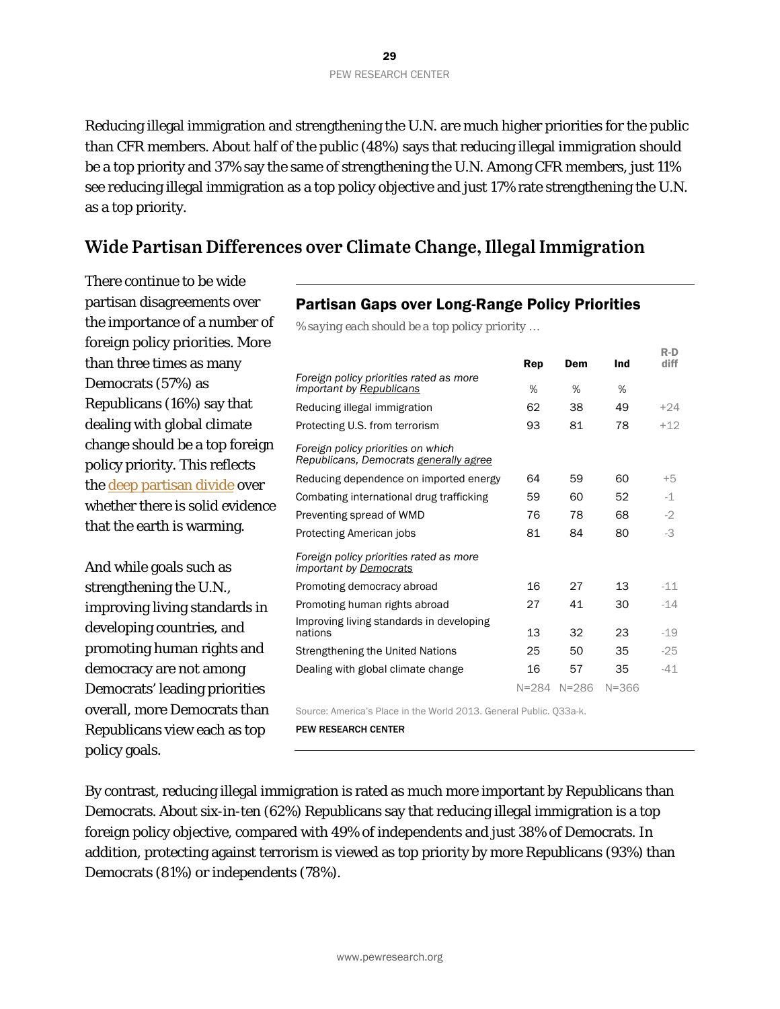Reducing illegal immigration and strengthening the U.N. are much higher priorities for the public than CFR members. About half of the public (48%) says that reducing illegal immigration should be a top priority and 37% say the same of strengthening the U.N. Among CFR members, just 11% see reducing illegal immigration as a top policy objective and just 17% rate strengthening the U.N. as a top priority.

# **Wide Partisan Differences over Climate Change, Illegal Immigration**

There continue to be wide partisan disagreements over the importance of a number of foreign policy priorities. More than three times as many Democrats (57%) as Republicans (16%) say that dealing with global climate change should be a top foreign policy priority. This reflects the [deep partisan divide](http://www.people-press.org/2013/11/01/gop-deeply-divided-over-climate-change/) over whether there is solid evidence that the earth is warming.

And while goals such as strengthening the U.N., improving living standards in developing countries, and promoting human rights and democracy are not among Democrats' leading priorities overall, more Democrats than Republicans view each as top policy goals.

# Partisan Gaps over Long-Range Policy Priorities

*% saying each should be a top policy priority …* 

Rep Dem Ind R-D diff *Foreign policy priorities rated as more important by Republicans* % % % Reducing illegal immigration  $62$   $38$   $49$   $+24$ Protecting U.S. from terrorism 93 81 78 +12 *Foreign policy priorities on which Republicans, Democrats generally agree* Reducing dependence on imported energy 64 59 60 +5 Combating international drug trafficking  $1 - 59$  60 52  $-1$ Preventing spread of WMD 76 78 68 -2 Protecting American jobs 81 84 80 -3 *Foreign policy priorities rated as more important by Democrats* Promoting democracy abroad 16 27 13 -11 Promoting human rights abroad 27 41 30 -14 Improving living standards in developing nations 13 32 23 -19 Strengthening the United Nations 25 50 35 -25 Dealing with global climate change  $16$  57 35  $-41$ N=284 N=286 N=366 Source: America's Place in the World 2013. General Public. Q33a-k.

PEW RESEARCH CENTER

By contrast, reducing illegal immigration is rated as much more important by Republicans than Democrats. About six-in-ten (62%) Republicans say that reducing illegal immigration is a top foreign policy objective, compared with 49% of independents and just 38% of Democrats. In addition, protecting against terrorism is viewed as top priority by more Republicans (93%) than Democrats (81%) or independents (78%).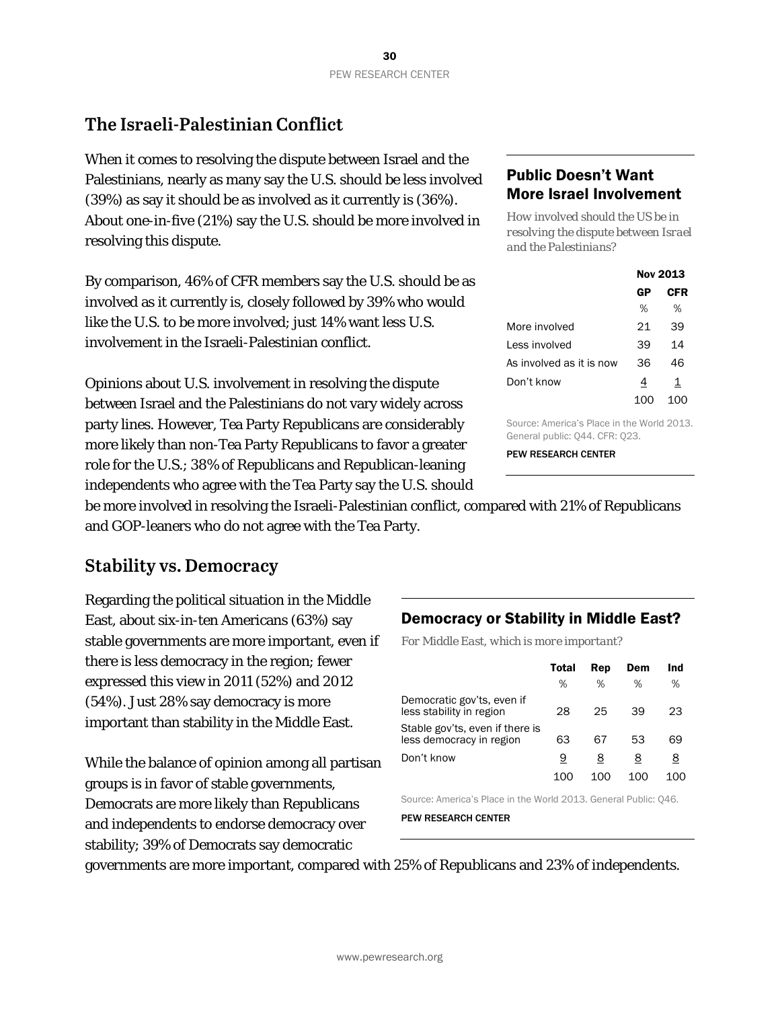# **The Israeli-Palestinian Conflict**

When it comes to resolving the dispute between Israel and the Palestinians, nearly as many say the U.S. should be less involved (39%) as say it should be as involved as it currently is (36%). About one-in-five (21%) say the U.S. should be more involved in resolving this dispute.

By comparison, 46% of CFR members say the U.S. should be as involved as it currently is, closely followed by 39% who would like the U.S. to be more involved; just 14% want less U.S. involvement in the Israeli-Palestinian conflict.

Opinions about U.S. involvement in resolving the dispute between Israel and the Palestinians do not vary widely across party lines. However, Tea Party Republicans are considerably more likely than non-Tea Party Republicans to favor a greater role for the U.S.; 38% of Republicans and Republican-leaning independents who agree with the Tea Party say the U.S. should

# Public Doesn't Want More Israel Involvement

*How involved should the US be in resolving the dispute between Israel and the Palestinians?*

|                          |    | Nov 2013 |
|--------------------------|----|----------|
|                          | GP | CFR      |
|                          | %  | %        |
| More involved            | 21 | 39       |
| Less involved            | 39 | 14       |
| As involved as it is now | 36 | 46       |
| Don't know               | 4  | 1        |
|                          |    |          |

Source: America's Place in the World 2013. General public: Q44. CFR: Q23.

PEW RESEARCH CENTER

be more involved in resolving the Israeli-Palestinian conflict, compared with 21% of Republicans and GOP-leaners who do not agree with the Tea Party.

# **Stability vs. Democracy**

Regarding the political situation in the Middle East, about six-in-ten Americans (63%) say stable governments are more important, even if there is less democracy in the region; fewer expressed this view in 2011 (52%) and 2012 (54%). Just 28% say democracy is more important than stability in the Middle East.

While the balance of opinion among all partisan groups is in favor of stable governments, Democrats are more likely than Republicans and independents to endorse democracy over stability; 39% of Democrats say democratic

# Democracy or Stability in Middle East?

*For Middle East, which is more important?*

|                                                             | Total | Rep | Dem | Ind |
|-------------------------------------------------------------|-------|-----|-----|-----|
|                                                             | %     | %   | %   | %   |
| Democratic gov'ts, even if<br>less stability in region      | 28    | 25  | 39  | 23  |
| Stable gov'ts, even if there is<br>less democracy in region | 63    | 67  | 53  | 69  |
| Don't know                                                  | 9     | 8   | 8   | 8   |
|                                                             | 100   | 100 | 100 | 100 |

Source: America's Place in the World 2013. General Public: Q46.

PEW RESEARCH CENTER

governments are more important, compared with 25% of Republicans and 23% of independents.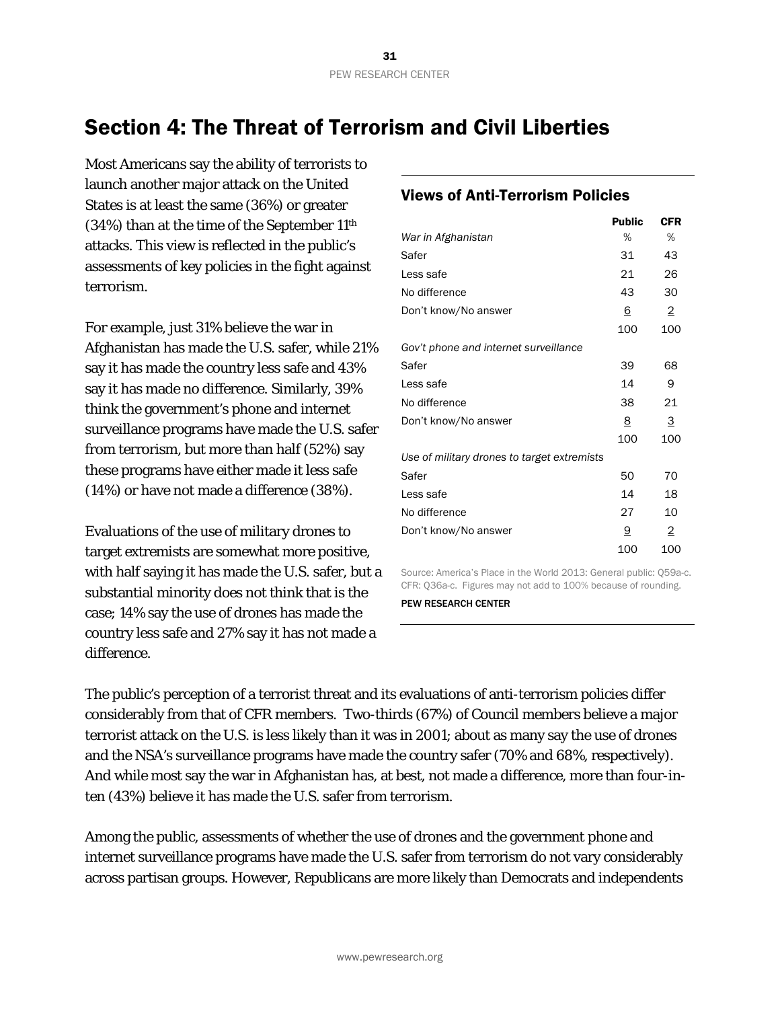# <span id="page-31-0"></span>Section 4: The Threat of Terrorism and Civil Liberties

Most Americans say the ability of terrorists to launch another major attack on the United States is at least the same (36%) or greater (34%) than at the time of the September 11th attacks. This view is reflected in the public's assessments of key policies in the fight against terrorism.

For example, just 31% believe the war in Afghanistan has made the U.S. safer, while 21% say it has made the country less safe and 43% say it has made no difference. Similarly, 39% think the government's phone and internet surveillance programs have made the U.S. safer from terrorism, but more than half (52%) say these programs have either made it less safe (14%) or have not made a difference (38%).

Evaluations of the use of military drones to target extremists are somewhat more positive, with half saying it has made the U.S. safer, but a substantial minority does not think that is the case; 14% say the use of drones has made the country less safe and 27% say it has not made a difference.

# Views of Anti-Terrorism Policies

|                                             | <b>Public</b> | <b>CFR</b>     |
|---------------------------------------------|---------------|----------------|
| War in Afghanistan                          | %             | %              |
| Safer                                       | 31            | 43             |
| Less safe                                   | 21            | 26             |
| No difference                               | 43            | 30             |
| Don't know/No answer                        | 6             | $\overline{2}$ |
|                                             | 100           | 100            |
| Gov't phone and internet surveillance       |               |                |
| Safer                                       | 39            | 68             |
| Less safe                                   | 14            | 9              |
| No difference                               | 38            | 21             |
| Don't know/No answer                        | 8             | 3              |
|                                             | 100           | 100            |
| Use of military drones to target extremists |               |                |
| Safer                                       | 50            | 70             |
| Less safe                                   | 14            | 18             |
| No difference                               | 27            | 10             |
| Don't know/No answer                        | <u>9</u>      | $\overline{2}$ |
|                                             | 100           | 100            |

Source: America's Place in the World 2013: General public: Q59a-c. CFR: Q36a-c. Figures may not add to 100% because of rounding. PEW RESEARCH CENTER

The public's perception of a terrorist threat and its evaluations of anti-terrorism policies differ considerably from that of CFR members. Two-thirds (67%) of Council members believe a major terrorist attack on the U.S. is less likely than it was in 2001; about as many say the use of drones and the NSA's surveillance programs have made the country safer (70% and 68%, respectively). And while most say the war in Afghanistan has, at best, not made a difference, more than four-inten (43%) believe it has made the U.S. safer from terrorism.

Among the public, assessments of whether the use of drones and the government phone and internet surveillance programs have made the U.S. safer from terrorism do not vary considerably across partisan groups. However, Republicans are more likely than Democrats and independents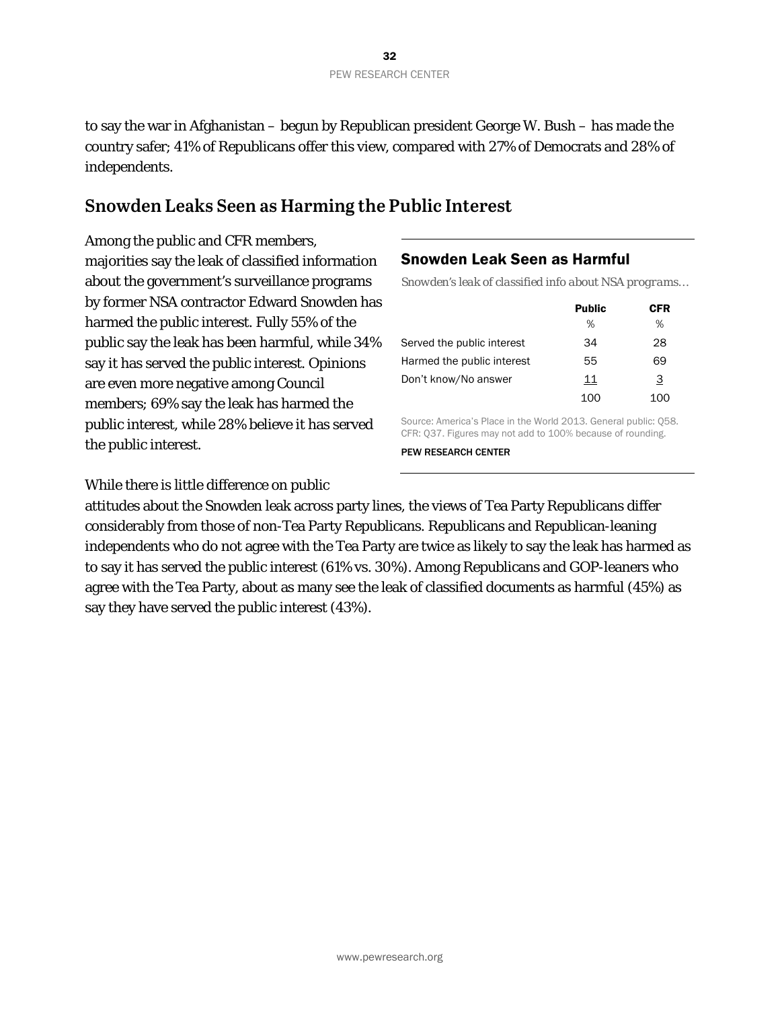to say the war in Afghanistan – begun by Republican president George W. Bush – has made the country safer; 41% of Republicans offer this view, compared with 27% of Democrats and 28% of independents.

# **Snowden Leaks Seen as Harming the Public Interest**

Among the public and CFR members, majorities say the leak of classified information about the government's surveillance programs by former NSA contractor Edward Snowden has harmed the public interest. Fully 55% of the public say the leak has been harmful, while 34% say it has served the public interest. Opinions are even more negative among Council members; 69% say the leak has harmed the public interest, while 28% believe it has served the public interest.

### Snowden Leak Seen as Harmful

*Snowden's leak of classified info about NSA programs…*

|                            | <b>Public</b> | CFR |
|----------------------------|---------------|-----|
|                            | %             | %   |
| Served the public interest | 34            | 28  |
| Harmed the public interest | 55            | 69  |
| Don't know/No answer       | 11            | З   |
|                            | 100           | 100 |

Source: America's Place in the World 2013. General public: Q58. CFR: Q37. Figures may not add to 100% because of rounding.

PEW RESEARCH CENTER

While there is little difference on public

attitudes about the Snowden leak across party lines, the views of Tea Party Republicans differ considerably from those of non-Tea Party Republicans. Republicans and Republican-leaning independents who do not agree with the Tea Party are twice as likely to say the leak has harmed as to say it has served the public interest (61% vs. 30%). Among Republicans and GOP-leaners who agree with the Tea Party, about as many see the leak of classified documents as harmful (45%) as say they have served the public interest (43%).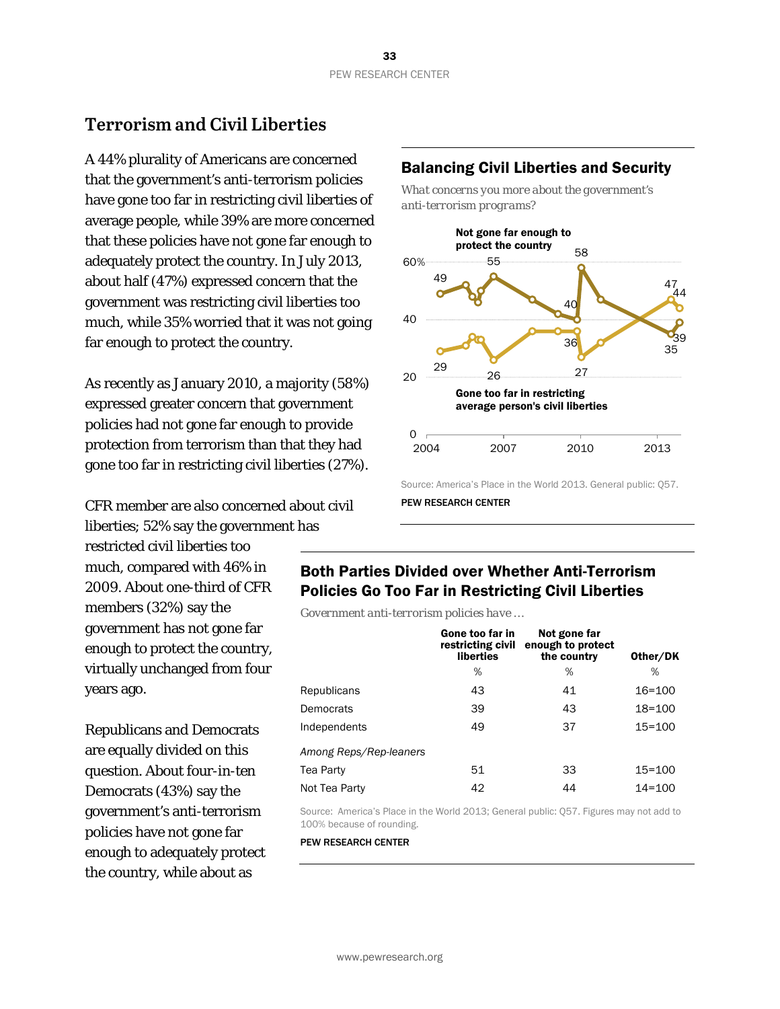# **Terrorism and Civil Liberties**

A 44% plurality of Americans are concerned that the government's anti-terrorism policies have gone too far in restricting civil liberties of average people, while 39% are more concerned that these policies have not gone far enough to adequately protect the country. In July 2013, about half (47%) expressed concern that the government was restricting civil liberties too much, while 35% worried that it was not going far enough to protect the country.

As recently as January 2010, a majority (58%) expressed greater concern that government policies had not gone far enough to provide protection from terrorism than that they had gone too far in restricting civil liberties (27%).

CFR member are also concerned about civil liberties; 52% say the government has

restricted civil liberties too much, compared with 46% in 2009. About one-third of CFR members (32%) say the government has not gone far enough to protect the country, virtually unchanged from four years ago.

Republicans and Democrats are equally divided on this question. About four-in-ten Democrats (43%) say the government's anti-terrorism policies have not gone far enough to adequately protect the country, while about as

### Balancing Civil Liberties and Security

*What concerns you more about the government's anti-terrorism programs?*



Source: America's Place in the World 2013. General public: Q57.

# Both Parties Divided over Whether Anti-Terrorism Policies Go Too Far in Restricting Civil Liberties

*Government anti-terrorism policies have …*

|                        | Gone too far in<br>restricting civil<br>liberties | Not gone far<br>enough to protect<br>the country | Other/DK   |
|------------------------|---------------------------------------------------|--------------------------------------------------|------------|
|                        | %                                                 | %                                                | %          |
| Republicans            | 43                                                | 41                                               | $16 = 100$ |
| Democrats              | 39                                                | 43                                               | $18 = 100$ |
| Independents           | 49                                                | 37                                               | $15 = 100$ |
| Among Reps/Rep-leaners |                                                   |                                                  |            |
| Tea Party              | 51                                                | 33                                               | $15 = 100$ |
| Not Tea Party          | 42                                                | 44                                               | $14 = 100$ |

Source: America's Place in the World 2013; General public: Q57. Figures may not add to 100% because of rounding.

PEW RESEARCH CENTER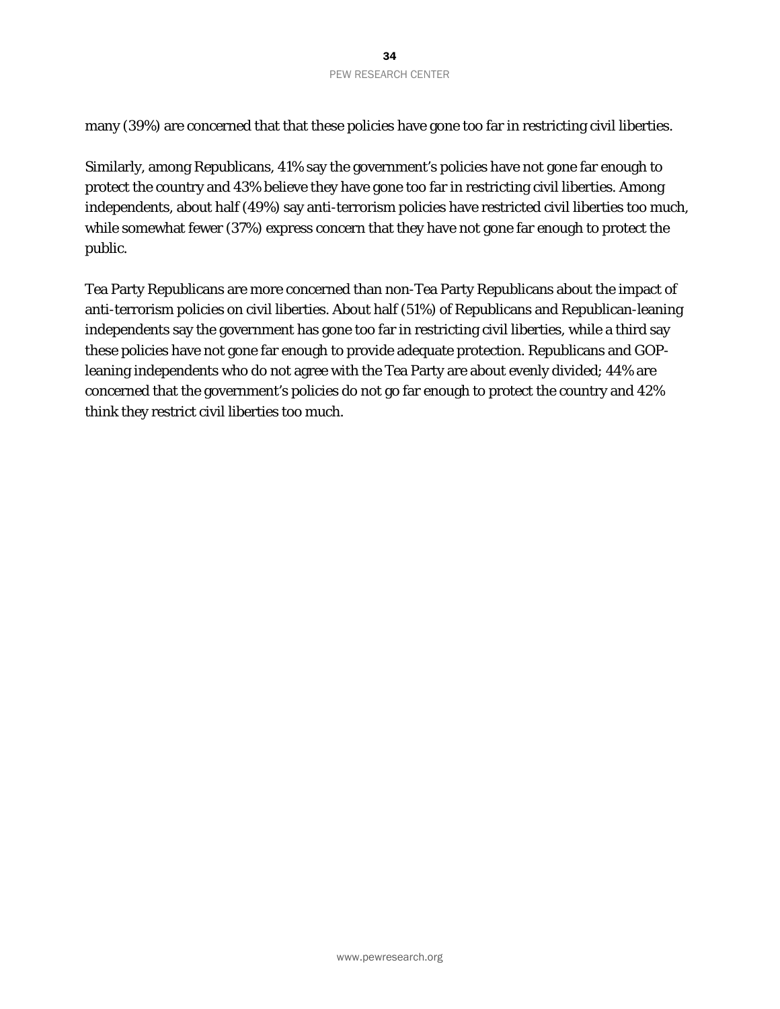many (39%) are concerned that that these policies have gone too far in restricting civil liberties.

Similarly, among Republicans, 41% say the government's policies have not gone far enough to protect the country and 43% believe they have gone too far in restricting civil liberties. Among independents, about half (49%) say anti-terrorism policies have restricted civil liberties too much, while somewhat fewer (37%) express concern that they have not gone far enough to protect the public.

Tea Party Republicans are more concerned than non-Tea Party Republicans about the impact of anti-terrorism policies on civil liberties. About half (51%) of Republicans and Republican-leaning independents say the government has gone too far in restricting civil liberties, while a third say these policies have not gone far enough to provide adequate protection. Republicans and GOPleaning independents who do not agree with the Tea Party are about evenly divided; 44% are concerned that the government's policies do not go far enough to protect the country and 42% think they restrict civil liberties too much.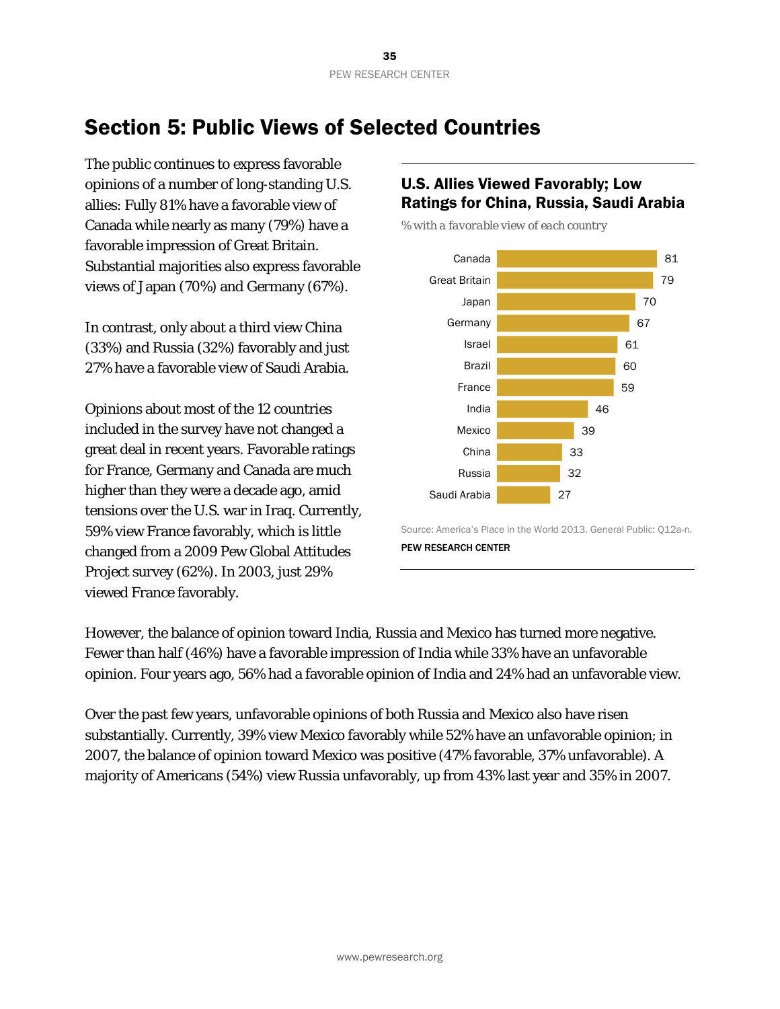# <span id="page-35-0"></span>Section 5: Public Views of Selected Countries

The public continues to express favorable opinions of a number of long-standing U.S. allies: Fully 81% have a favorable view of Canada while nearly as many (79%) have a favorable impression of Great Britain. Substantial majorities also express favorable views of Japan (70%) and Germany (67%).

In contrast, only about a third view China (33%) and Russia (32%) favorably and just 27% have a favorable view of Saudi Arabia.

Opinions about most of the 12 countries included in the survey have not changed a great deal in recent years. Favorable ratings for France, Germany and Canada are much higher than they were a decade ago, amid tensions over the U.S. war in Iraq. Currently, 59% view France favorably, which is little changed from a 2009 Pew Global Attitudes Project survey (62%). In 2003, just 29% viewed France favorably.

# U.S. Allies Viewed Favorably; Low Ratings for China, Russia, Saudi Arabia

*% with a favorable view of each country*



Source: America's Place in the World 2013. General Public: Q12a-n. PEW RESEARCH CENTER

However, the balance of opinion toward India, Russia and Mexico has turned more negative. Fewer than half (46%) have a favorable impression of India while 33% have an unfavorable opinion. Four years ago, 56% had a favorable opinion of India and 24% had an unfavorable view.

Over the past few years, unfavorable opinions of both Russia and Mexico also have risen substantially. Currently, 39% view Mexico favorably while 52% have an unfavorable opinion; in 2007, the balance of opinion toward Mexico was positive (47% favorable, 37% unfavorable). A majority of Americans (54%) view Russia unfavorably, up from 43% last year and 35% in 2007.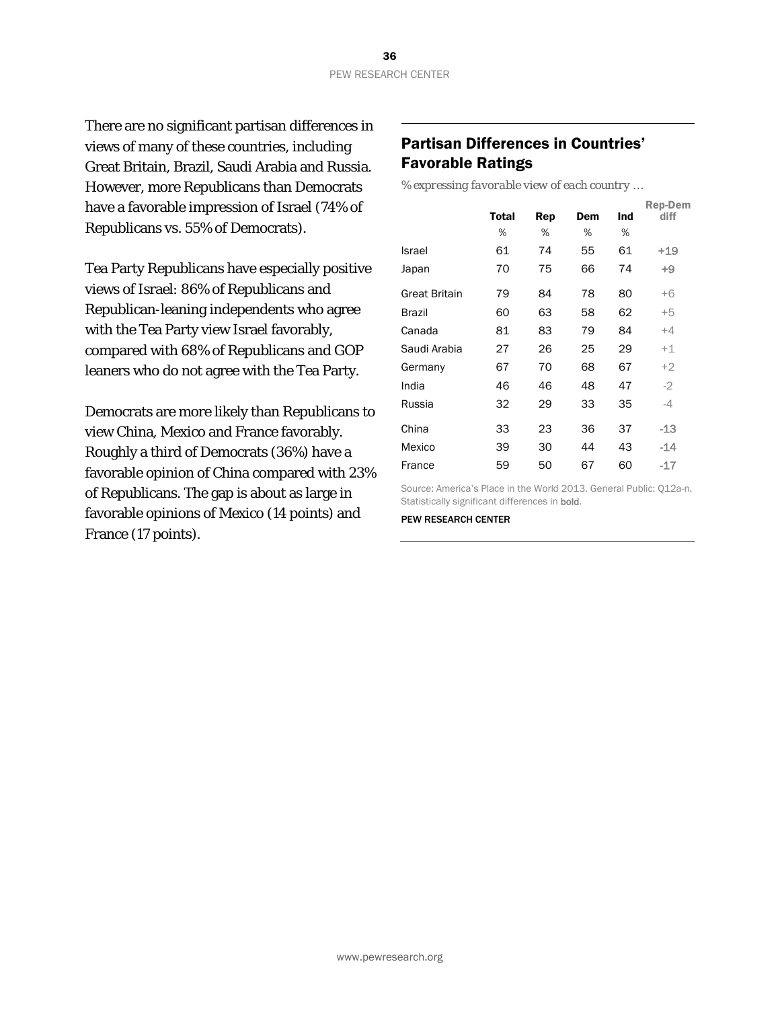There are no significant partisan differences in views of many of these countries, including Great Britain, Brazil, Saudi Arabia and Russia. However, more Republicans than Democrats have a favorable impression of Israel (74% of Republicans vs. 55% of Democrats).

Tea Party Republicans have especially positive views of Israel: 86% of Republicans and Republican-leaning independents who agree with the Tea Party view Israel favorably, compared with 68% of Republicans and GOP leaners who do not agree with the Tea Party.

Democrats are more likely than Republicans to view China, Mexico and France favorably. Roughly a third of Democrats (36%) have a favorable opinion of China compared with 23% of Republicans. The gap is about as large in favorable opinions of Mexico (14 points) and France (17 points).

### Partisan Differences in Countries' Favorable Ratings

*% expressing favorable view of each country …*

|               | Total | Rep | Dem | Ind | <b>Rep-Dem</b><br>diff |
|---------------|-------|-----|-----|-----|------------------------|
|               | %     | ℅   | %   | %   |                        |
| Israel        | 61    | 74  | 55  | 61  | +19                    |
| Japan         | 70    | 75  | 66  | 74  | $+9$                   |
| Great Britain | 79    | 84  | 78  | 80  | $+6$                   |
| Brazil        | 60    | 63  | 58  | 62  | $+5$                   |
| Canada        | 81    | 83  | 79  | 84  | $+4$                   |
| Saudi Arabia  | 27    | 26  | 25  | 29  | $+1$                   |
| Germany       | 67    | 70  | 68  | 67  | $+2$                   |
| India         | 46    | 46  | 48  | 47  | $-2$                   |
| Russia        | 32    | 29  | 33  | 35  | $-4$                   |
| China         | 33    | 23  | 36  | 37  | -13                    |
| Mexico        | 39    | 30  | 44  | 43  | -14                    |
| France        | 59    | 50  | 67  | 60  | -17                    |

Source: America's Place in the World 2013. General Public: Q12a-n. Statistically significant differences in bold.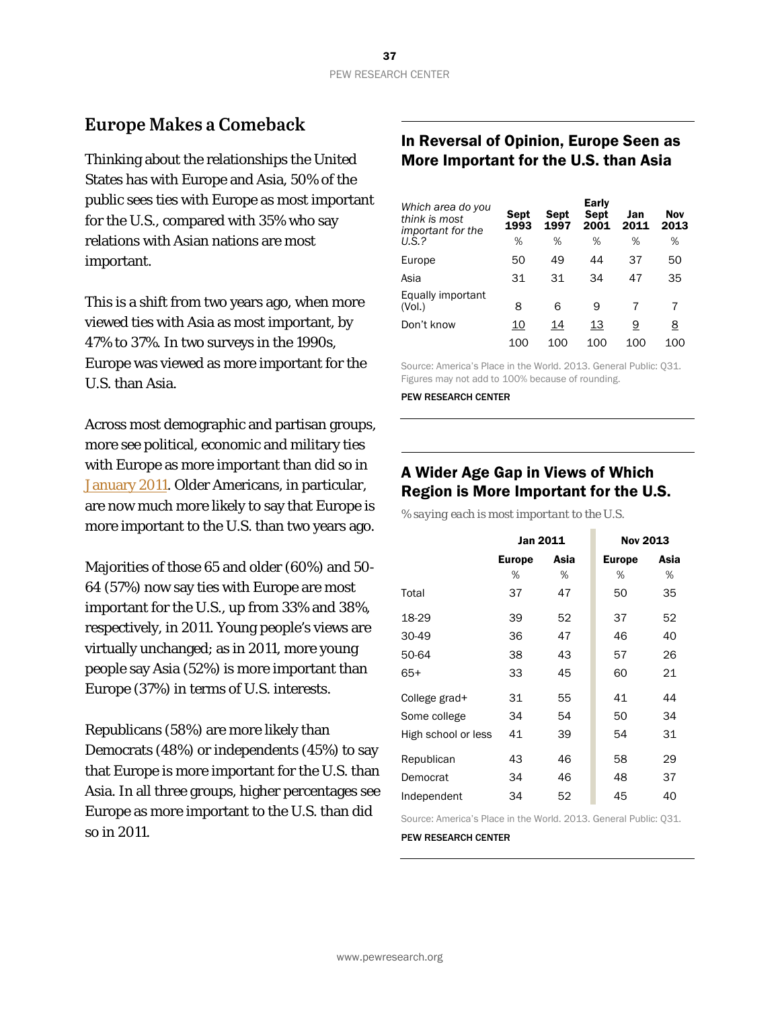### **Europe Makes a Comeback**

Thinking about the relationships the United States has with Europe and Asia, 50% of the public sees ties with Europe as most important for the U.S., compared with 35% who say relations with Asian nations are most important.

This is a shift from two years ago, when more viewed ties with Asia as most important, by 47% to 37%. In two surveys in the 1990s, Europe was viewed as more important for the U.S. than Asia.

Across most demographic and partisan groups, more see political, economic and military ties with Europe as more important than did so in [January 2011.](http://www.people-press.org/2011/01/12/strengthen-ties-with-china-but-get-tough-on-trade/) Older Americans, in particular, are now much more likely to say that Europe is more important to the U.S. than two years ago.

Majorities of those 65 and older (60%) and 50- 64 (57%) now say ties with Europe are most important for the U.S., up from 33% and 38%, respectively, in 2011. Young people's views are virtually unchanged; as in 2011, more young people say Asia (52%) is more important than Europe (37%) in terms of U.S. interests.

Republicans (58%) are more likely than Democrats (48%) or independents (45%) to say that Europe is more important for the U.S. than Asia. In all three groups, higher percentages see Europe as more important to the U.S. than did so in 2011.

### In Reversal of Opinion, Europe Seen as More Important for the U.S. than Asia

| Which area do you<br>think is most<br>important for the | Sept<br>1993 | Sept<br>1997 | <b>Early</b><br>Sept<br>2001 | Jan<br>2011 | Nov<br>2013 |
|---------------------------------------------------------|--------------|--------------|------------------------------|-------------|-------------|
| $U.S.$ ?                                                | %            | %            | %                            | %           | %           |
| Europe                                                  | 50           | 49           | 44                           | 37          | 50          |
| Asia                                                    | 31           | 31           | 34                           | 47          | 35          |
| Equally important<br>(Vol.)                             | 8            | 6            | 9                            |             | 7           |
| Don't know                                              | 10           | 14           | 13                           | 9           | 8           |
|                                                         | 100          | 100          | 100                          | 100         | 100         |

Source: America's Place in the World. 2013. General Public: Q31. Figures may not add to 100% because of rounding.

PEW RESEARCH CENTER

### A Wider Age Gap in Views of Which Region is More Important for the U.S.

*% saying each is most important to the U.S.* 

|                     | Jan 2011      |      | <b>Nov 2013</b> |      |
|---------------------|---------------|------|-----------------|------|
|                     | <b>Europe</b> | Asia | <b>Europe</b>   | Asia |
|                     | ℅             | %    | %               | %    |
| Total               | 37            | 47   | 50              | 35   |
| 18-29               | 39            | 52   | 37              | 52   |
| 30-49               | 36            | 47   | 46              | 40   |
| 50-64               | 38            | 43   | 57              | 26   |
| $65+$               | 33            | 45   | 60              | 21   |
| College grad+       | 31            | 55   | 41              | 44   |
| Some college        | 34            | 54   | 50              | 34   |
| High school or less | 41            | 39   | 54              | 31   |
| Republican          | 43            | 46   | 58              | 29   |
| Democrat            | 34            | 46   | 48              | 37   |
| Independent         | 34            | 52   | 45              | 40   |

Source: America's Place in the World. 2013. General Public: Q31.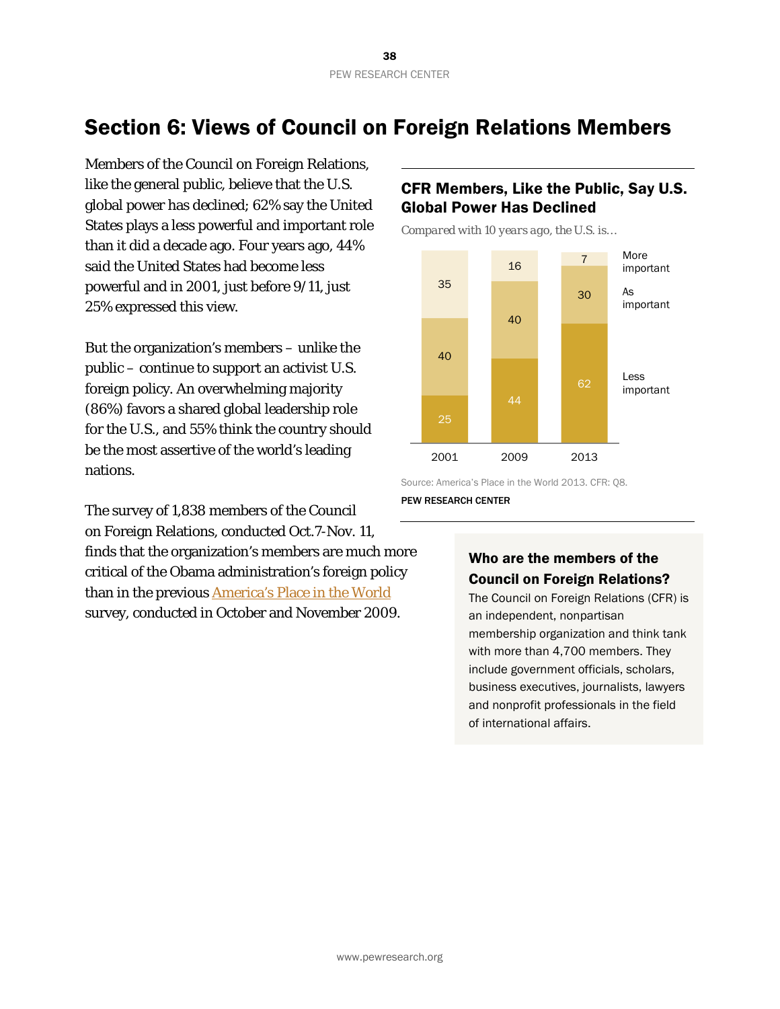## Section 6: Views of Council on Foreign Relations Members

Members of the Council on Foreign Relations, like the general public, believe that the U.S. global power has declined; 62% say the United States plays a less powerful and important role than it did a decade ago. Four years ago, 44% said the United States had become less powerful and in 2001, just before 9/11, just 25% expressed this view.

But the organization's members – unlike the public – continue to support an activist U.S. foreign policy. An overwhelming majority (86%) favors a shared global leadership role for the U.S., and 55% think the country should be the *most* assertive of the world's leading nations.

The survey of 1,838 members of the Council on Foreign Relations, conducted Oct.7-Nov. 11, finds that the organization's members are much more critical of the Obama administration's foreign policy than in the previous [America's Place in the World](http://www.people-press.org/2009/12/03/us-seen-as-less-important-china-as-more-powerful/) survey, conducted in October and November 2009.

### CFR Members, Like the Public, Say U.S. Global Power Has Declined

*Compared with 10 years ago, the U.S. is…*



Source: America's Place in the World 2013. CFR: Q8.

PEW RESEARCH CENTER

### Who are the members of the Council on Foreign Relations?

The Council on Foreign Relations (CFR) is an independent, nonpartisan membership organization and think tank with more than 4,700 members. They include government officials, scholars, business executives, journalists, lawyers and nonprofit professionals in the field of international affairs.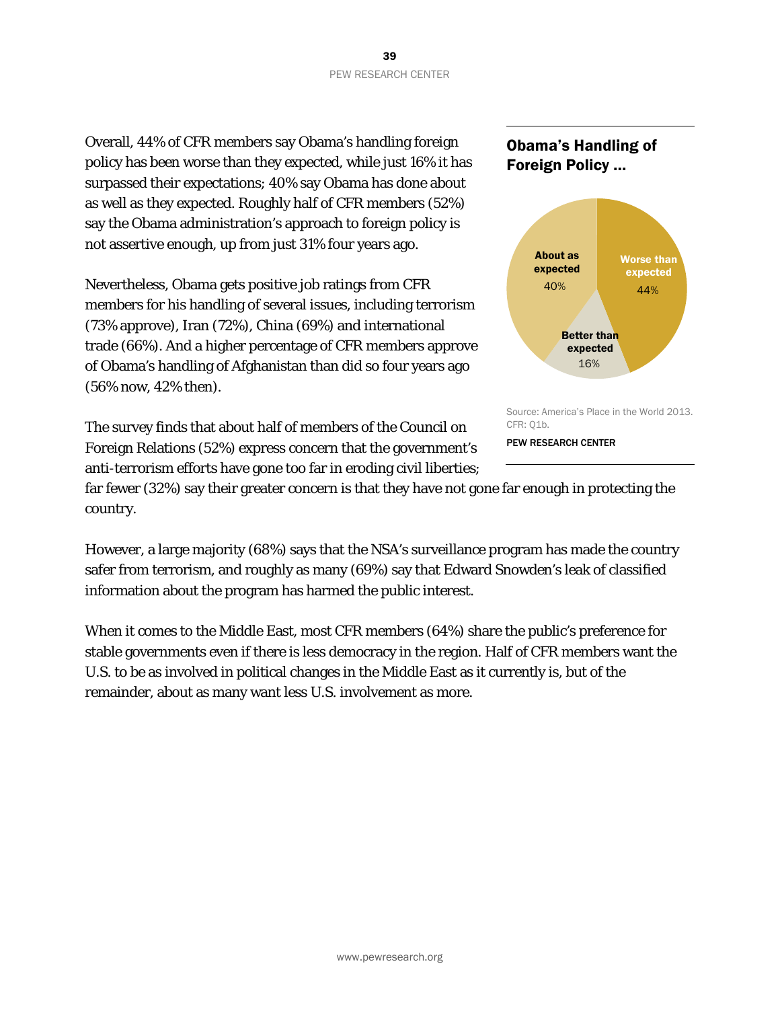Overall, 44% of CFR members say Obama's handling foreign policy has been worse than they expected, while just 16% it has surpassed their expectations; 40% say Obama has done about as well as they expected. Roughly half of CFR members (52%) say the Obama administration's approach to foreign policy is not assertive enough, up from just 31% four years ago.

Nevertheless, Obama gets positive job ratings from CFR members for his handling of several issues, including terrorism (73% approve), Iran (72%), China (69%) and international trade (66%). And a higher percentage of CFR members approve of Obama's handling of Afghanistan than did so four years ago (56% now, 42% then).

The survey finds that about half of members of the Council on Foreign Relations (52%) express concern that the government's anti-terrorism efforts have gone too far in eroding civil liberties;





Source: America's Place in the World 2013. CFR: Q1b.

PEW RESEARCH CENTER

far fewer (32%) say their greater concern is that they have not gone far enough in protecting the country.

However, a large majority (68%) says that the NSA's surveillance program has made the country safer from terrorism, and roughly as many (69%) say that Edward Snowden's leak of classified information about the program has harmed the public interest.

When it comes to the Middle East, most CFR members (64%) share the public's preference for stable governments even if there is less democracy in the region. Half of CFR members want the U.S. to be as involved in political changes in the Middle East as it currently is, but of the remainder, about as many want less U.S. involvement as more.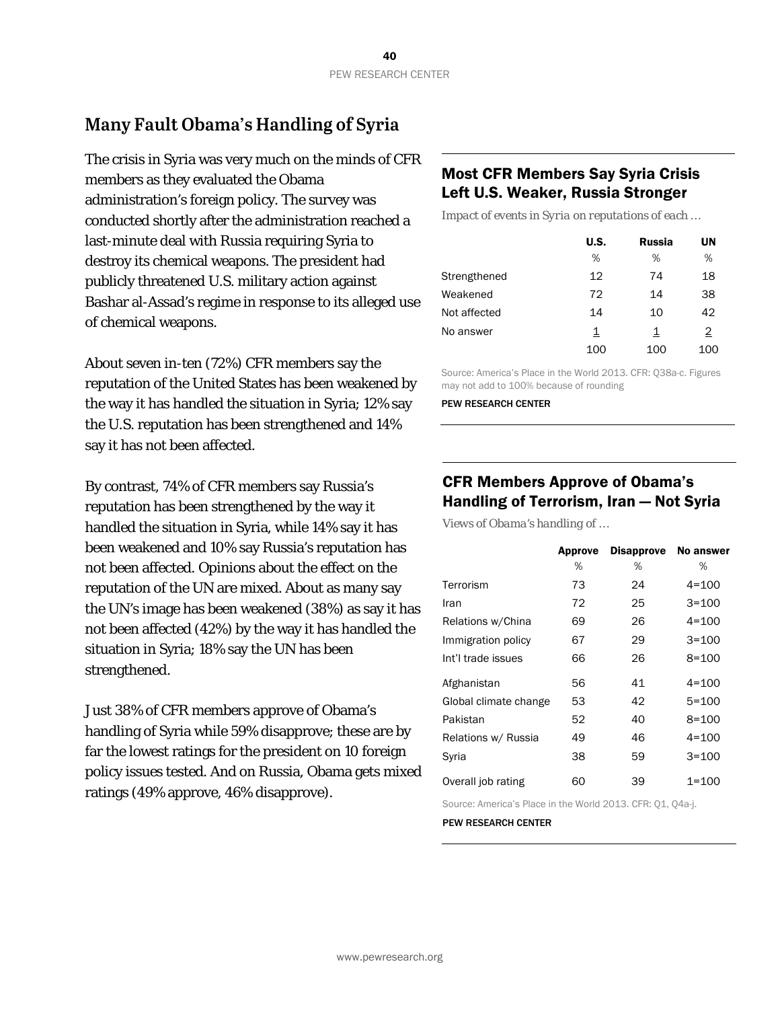## **Many Fault Obama's Handling of Syria**

The crisis in Syria was very much on the minds of CFR members as they evaluated the Obama administration's foreign policy. The survey was conducted shortly after the administration reached a last-minute deal with Russia requiring Syria to destroy its chemical weapons. The president had publicly threatened U.S. military action against Bashar al-Assad's regime in response to its alleged use of chemical weapons.

About seven in-ten (72%) CFR members say the reputation of the United States has been weakened by the way it has handled the situation in Syria; 12% say the U.S. reputation has been strengthened and 14% say it has not been affected.

By contrast, 74% of CFR members say Russia's reputation has been strengthened by the way it handled the situation in Syria, while 14% say it has been weakened and 10% say Russia's reputation has not been affected. Opinions about the effect on the reputation of the UN are mixed. About as many say the UN's image has been weakened (38%) as say it has not been affected (42%) by the way it has handled the situation in Syria; 18% say the UN has been strengthened.

Just 38% of CFR members approve of Obama's handling of Syria while 59% disapprove; these are by far the lowest ratings for the president on 10 foreign policy issues tested. And on Russia, Obama gets mixed ratings (49% approve, 46% disapprove).

### Most CFR Members Say Syria Crisis Left U.S. Weaker, Russia Stronger

*Impact of events in Syria on reputations of each …*

|              | U.S. | Russia | UN             |
|--------------|------|--------|----------------|
|              | %    | %      | %              |
| Strengthened | 12   | 74     | 18             |
| Weakened     | 72   | 14     | 38             |
| Not affected | 14   | 10     | 42             |
| No answer    | 1    | 1      | $\overline{2}$ |
|              | 100  | 100    | 100            |

Source: America's Place in the World 2013. CFR: Q38a-c. Figures may not add to 100% because of rounding

PEW RESEARCH CENTER

### CFR Members Approve of Obama's Handling of Terrorism, Iran — Not Syria

*Views of Obama's handling of …*

|                       | Approve | <b>Disapprove</b> | <b>No answer</b> |
|-----------------------|---------|-------------------|------------------|
|                       | %       | %                 | ℅                |
| Terrorism             | 73      | 24                | $4 = 100$        |
| Iran                  | 72      | 25                | $3 = 100$        |
| Relations w/China     | 69      | 26                | $4 = 100$        |
| Immigration policy    | 67      | 29                | $3 = 100$        |
| Int'l trade issues    | 66      | 26                | $8 = 100$        |
| Afghanistan           | 56      | 41                | $4 = 100$        |
| Global climate change | 53      | 42                | $5 = 100$        |
| Pakistan              | 52      | 40                | $8 = 100$        |
| Relations w/ Russia   | 49      | 46                | $4 = 100$        |
| Syria                 | 38      | 59                | $3 = 100$        |
| Overall job rating    | 60      | 39                | $1 = 100$        |

Source: America's Place in the World 2013. CFR: Q1, Q4a-j.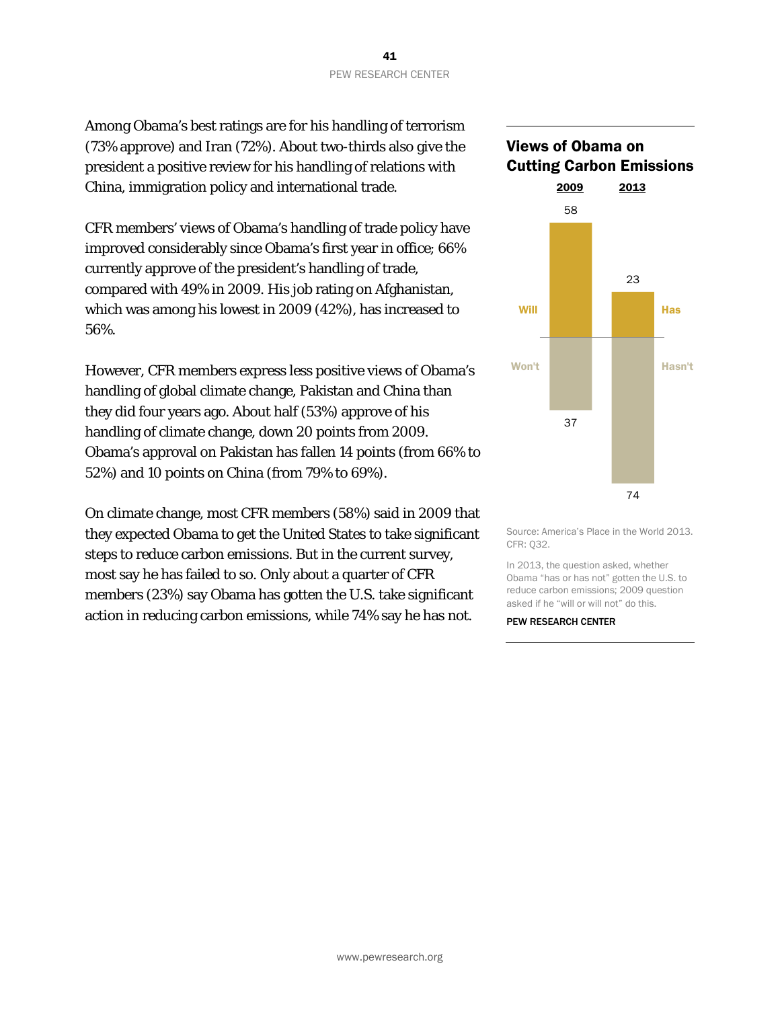Among Obama's best ratings are for his handling of terrorism (73% approve) and Iran (72%). About two-thirds also give the president a positive review for his handling of relations with China, immigration policy and international trade.

CFR members' views of Obama's handling of trade policy have improved considerably since Obama's first year in office; 66% currently approve of the president's handling of trade, compared with 49% in 2009. His job rating on Afghanistan, which was among his lowest in 2009 (42%), has increased to 56%.

However, CFR members express less positive views of Obama's handling of global climate change, Pakistan and China than they did four years ago. About half (53%) approve of his handling of climate change, down 20 points from 2009. Obama's approval on Pakistan has fallen 14 points (from 66% to 52%) and 10 points on China (from 79% to 69%).

On climate change, most CFR members (58%) said in 2009 that they expected Obama to get the United States to take significant steps to reduce carbon emissions. But in the current survey, most say he has failed to so. Only about a quarter of CFR members (23%) say Obama has gotten the U.S. take significant action in reducing carbon emissions, while 74% say he has not.

# Views of Obama on Cutting Carbon Emissions 2009 2013 74 37 23 58 Will **Hassen Communist Communist Principles** Won't **Hasn't**

Source: America's Place in the World 2013. CFR: Q32.

In 2013, the question asked, whether Obama "has or has not" gotten the U.S. to reduce carbon emissions; 2009 question asked if he "will or will not" do this.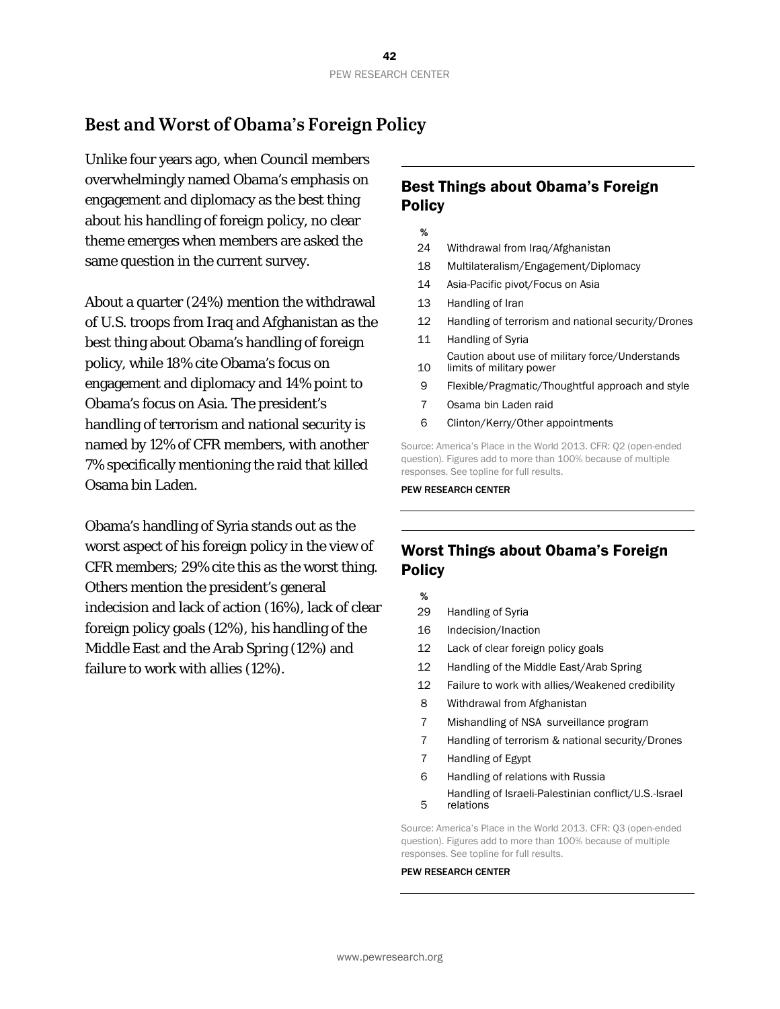### **Best and Worst of Obama's Foreign Policy**

Unlike four years ago, when Council members overwhelmingly named Obama's emphasis on engagement and diplomacy as the best thing about his handling of foreign policy, no clear theme emerges when members are asked the same question in the current survey.

About a quarter (24%) mention the withdrawal of U.S. troops from Iraq and Afghanistan as the best thing about Obama's handling of foreign policy, while 18% cite Obama's focus on engagement and diplomacy and 14% point to Obama's focus on Asia. The president's handling of terrorism and national security is named by 12% of CFR members, with another 7% specifically mentioning the raid that killed Osama bin Laden.

Obama's handling of Syria stands out as the worst aspect of his foreign policy in the view of CFR members; 29% cite this as the worst thing. Others mention the president's general indecision and lack of action (16%), lack of clear foreign policy goals (12%), his handling of the Middle East and the Arab Spring (12%) and failure to work with allies (12%).

### Best Things about Obama's Foreign **Policy**

- %
- 24 Withdrawal from Iraq/Afghanistan
- 18 Multilateralism/Engagement/Diplomacy
- 14 Asia-Pacific pivot/Focus on Asia
- 13 Handling of Iran
- 12 Handling of terrorism and national security/Drones
- 11 Handling of Syria
- 10 Caution about use of military force/Understands limits of military power
- 9 Flexible/Pragmatic/Thoughtful approach and style
- 7 Osama bin Laden raid
- 6 Clinton/Kerry/Other appointments

Source: America's Place in the World 2013. CFR: Q2 (open-ended question). Figures add to more than 100% because of multiple responses. See topline for full results.

#### PEW RESEARCH CENTER

### Worst Things about Obama's Foreign **Policy**

- %
- 29 Handling of Syria
- 16 Indecision/Inaction
- 12 Lack of clear foreign policy goals
- 12 Handling of the Middle East/Arab Spring
- 12 Failure to work with allies/Weakened credibility
- 8 Withdrawal from Afghanistan
- 7 Mishandling of NSA surveillance program
- 7 Handling of terrorism & national security/Drones
- 7 Handling of Egypt
- 6 Handling of relations with Russia 5 Handling of Israeli-Palestinian conflict/U.S.-Israel relations

Source: America's Place in the World 2013. CFR: Q3 (open-ended question). Figures add to more than 100% because of multiple responses. See topline for full results.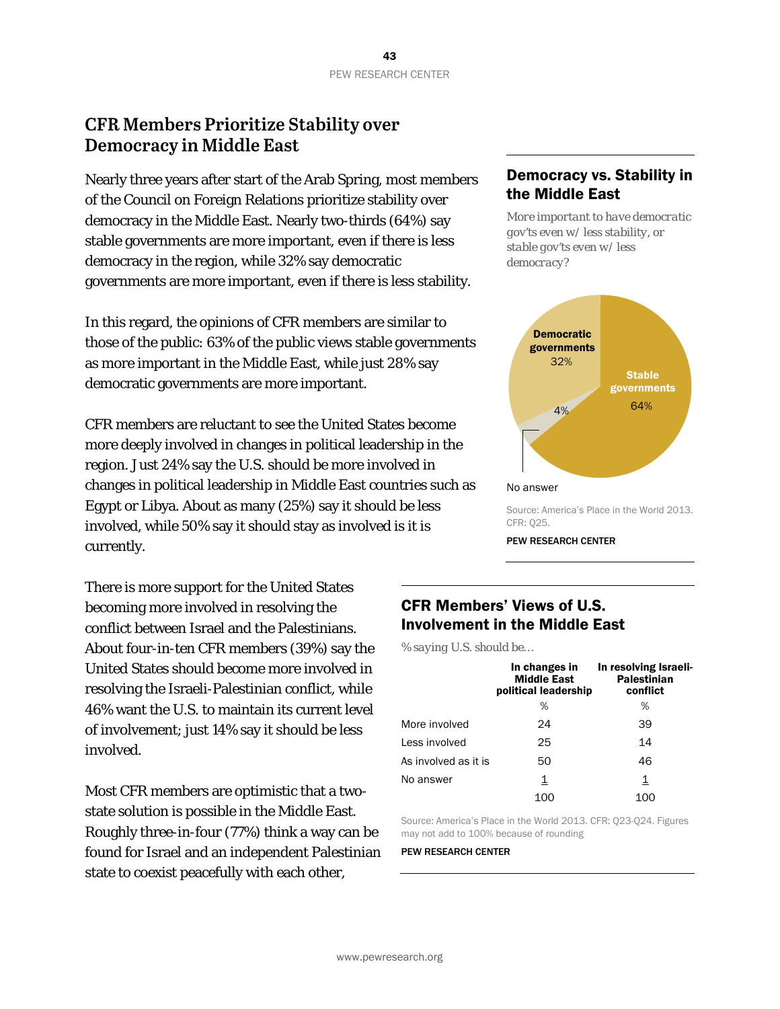### **CFR Members Prioritize Stability over Democracy in Middle East**

Nearly three years after start of the Arab Spring, most members of the Council on Foreign Relations prioritize stability over democracy in the Middle East. Nearly two-thirds (64%) say stable governments are more important, even if there is less democracy in the region, while 32% say democratic governments are more important, even if there is less stability.

In this regard, the opinions of CFR members are similar to those of the public: 63% of the public views stable governments as more important in the Middle East, while just 28% say democratic governments are more important.

CFR members are reluctant to see the United States become more deeply involved in changes in political leadership in the region. Just 24% say the U.S. should be more involved in changes in political leadership in Middle East countries such as Egypt or Libya. About as many (25%) say it should be less involved, while 50% say it should stay as involved is it is currently.

There is more support for the United States becoming more involved in resolving the conflict between Israel and the Palestinians. About four-in-ten CFR members (39%) say the United States should become more involved in resolving the Israeli-Palestinian conflict, while 46% want the U.S. to maintain its current level of involvement; just 14% say it should be less involved.

Most CFR members are optimistic that a twostate solution is possible in the Middle East. Roughly three-in-four (77%) think a way can be found for Israel and an independent Palestinian state to coexist peacefully with each other,

### Democracy vs. Stability in the Middle East

*More important to have democratic gov'ts even w/ less stability, or stable gov'ts even w/ less democracy?*



Source: America's Place in the World 2013. CFR: Q25.

PEW RESEARCH CENTER

### CFR Members' Views of U.S. Involvement in the Middle East

*% saying U.S. should be…*

|                      | In changes in<br><b>Middle East</b><br>political leadership | In resolving Israeli-<br><b>Palestinian</b><br>conflict |
|----------------------|-------------------------------------------------------------|---------------------------------------------------------|
|                      | %                                                           | %                                                       |
| More involved        | 24                                                          | 39                                                      |
| Less involved        | 25                                                          | 14                                                      |
| As involved as it is | 50                                                          | 46                                                      |
| No answer            | 1                                                           | 1                                                       |
|                      |                                                             |                                                         |

Source: America's Place in the World 2013. CFR: Q23-Q24. Figures may not add to 100% because of rounding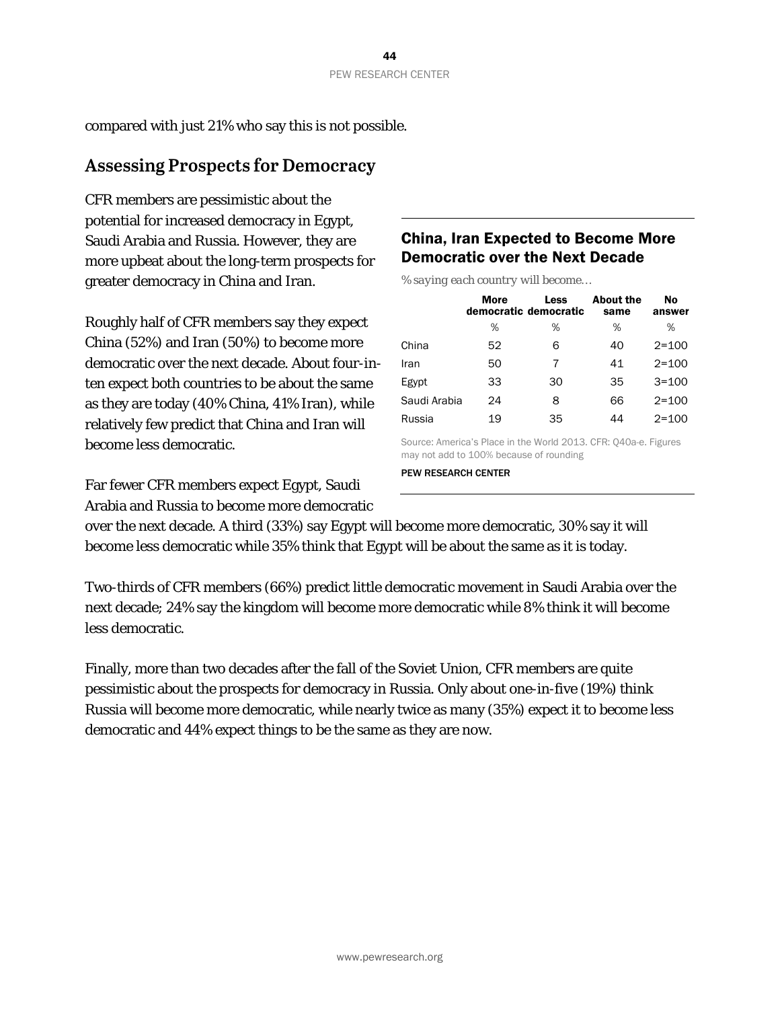compared with just 21% who say this is not possible.

### **Assessing Prospects for Democracy**

CFR members are pessimistic about the potential for increased democracy in Egypt, Saudi Arabia and Russia. However, they are more upbeat about the long-term prospects for greater democracy in China and Iran.

Roughly half of CFR members say they expect China (52%) and Iran (50%) to become more democratic over the next decade. About four-inten expect both countries to be about the same as they are today (40% China, 41% Iran), while relatively few predict that China and Iran will become less democratic.

Far fewer CFR members expect Egypt, Saudi Arabia and Russia to become more democratic

### China, Iran Expected to Become More Democratic over the Next Decade

*% saying each country will become…*

|              | <b>More</b> | Less<br>democratic democratic | <b>About the</b><br>same | No<br>answer |
|--------------|-------------|-------------------------------|--------------------------|--------------|
|              | %           | %                             | %                        | %            |
| China        | 52          | 6                             | 40                       | $2 = 100$    |
| Iran         | 50          | 7                             | 41                       | $2 = 100$    |
| Egypt        | 33          | 30                            | 35                       | $3 = 100$    |
| Saudi Arabia | 24          | 8                             | 66                       | $2 = 100$    |
| Russia       | 19          | 35                            | 44                       | $2 = 100$    |

Source: America's Place in the World 2013. CFR: Q40a-e. Figures may not add to 100% because of rounding

PEW RESEARCH CENTER

over the next decade. A third (33%) say Egypt will become more democratic, 30% say it will become less democratic while 35% think that Egypt will be about the same as it is today.

Two-thirds of CFR members (66%) predict little democratic movement in Saudi Arabia over the next decade; 24% say the kingdom will become more democratic while 8% think it will become less democratic.

Finally, more than two decades after the fall of the Soviet Union, CFR members are quite pessimistic about the prospects for democracy in Russia. Only about one-in-five (19%) think Russia will become more democratic, while nearly twice as many (35%) expect it to become less democratic and 44% expect things to be the same as they are now.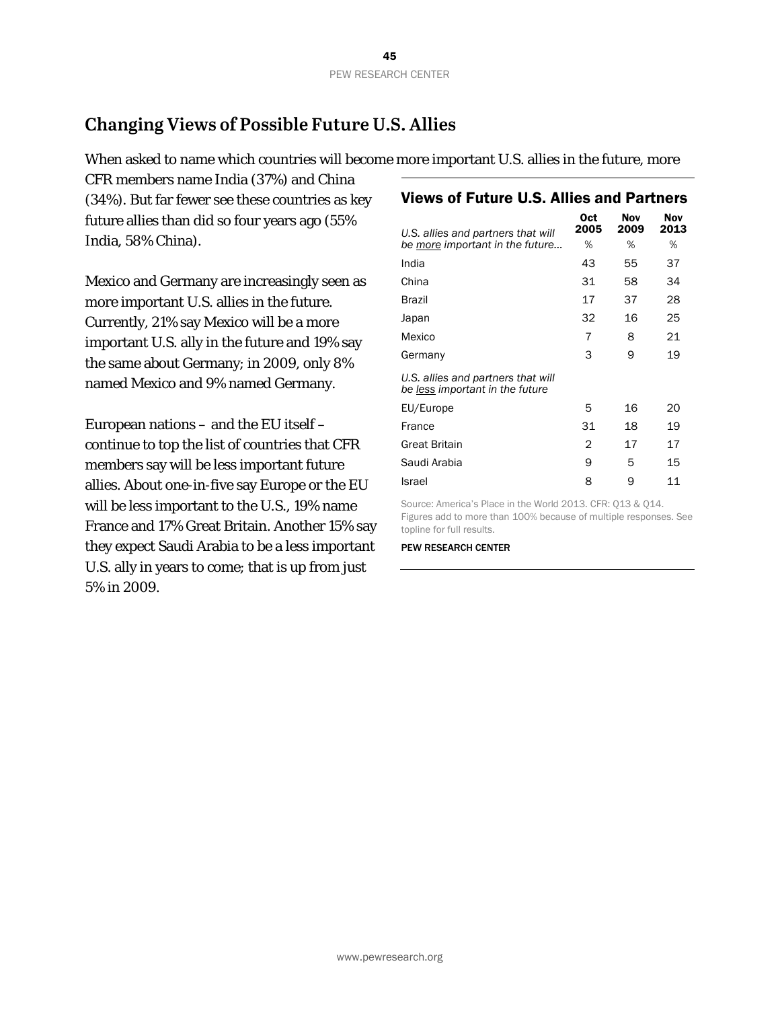## **Changing Views of Possible Future U.S. Allies**

When asked to name which countries will become more important U.S. allies in the future, more

CFR members name India (37%) and China (34%). But far fewer see these countries as key future allies than did so four years ago (55% India, 58% China).

Mexico and Germany are increasingly seen as more important U.S. allies in the future. Currently, 21% say Mexico will be a more important U.S. ally in the future and 19% say the same about Germany; in 2009, only 8% named Mexico and 9% named Germany.

European nations – and the EU itself – continue to top the list of countries that CFR members say will be less important future allies. About one-in-five say Europe or the EU will be less important to the U.S., 19% name France and 17% Great Britain. Another 15% say they expect Saudi Arabia to be a less important U.S. ally in years to come; that is up from just 5% in 2009.

### Views of Future U.S. Allies and Partners

| U.S. allies and partners that will                                    | 0ct<br>2005 | Nov<br>2009 | Nov<br>2013 |
|-----------------------------------------------------------------------|-------------|-------------|-------------|
| be more important in the future                                       | ℅           | ℅           | %           |
| India                                                                 | 43          | 55          | 37          |
| China                                                                 | 31          | 58          | 34          |
| Brazil                                                                | 17          | 37          | 28          |
| Japan                                                                 | 32          | 16          | 25          |
| Mexico                                                                | 7           | 8           | 21          |
| Germany                                                               | 3           | 9           | 19          |
| U.S. allies and partners that will<br>be less important in the future |             |             |             |
| EU/Europe                                                             | 5           | 16          | 20          |
| France                                                                | 31          | 18          | 19          |
| <b>Great Britain</b>                                                  | 2           | 17          | 17          |
| Saudi Arabia                                                          | 9           | 5           | 15          |
| Israel                                                                | 8           | 9           | 11          |

Source: America's Place in the World 2013. CFR: Q13 & Q14. Figures add to more than 100% because of multiple responses. See topline for full results.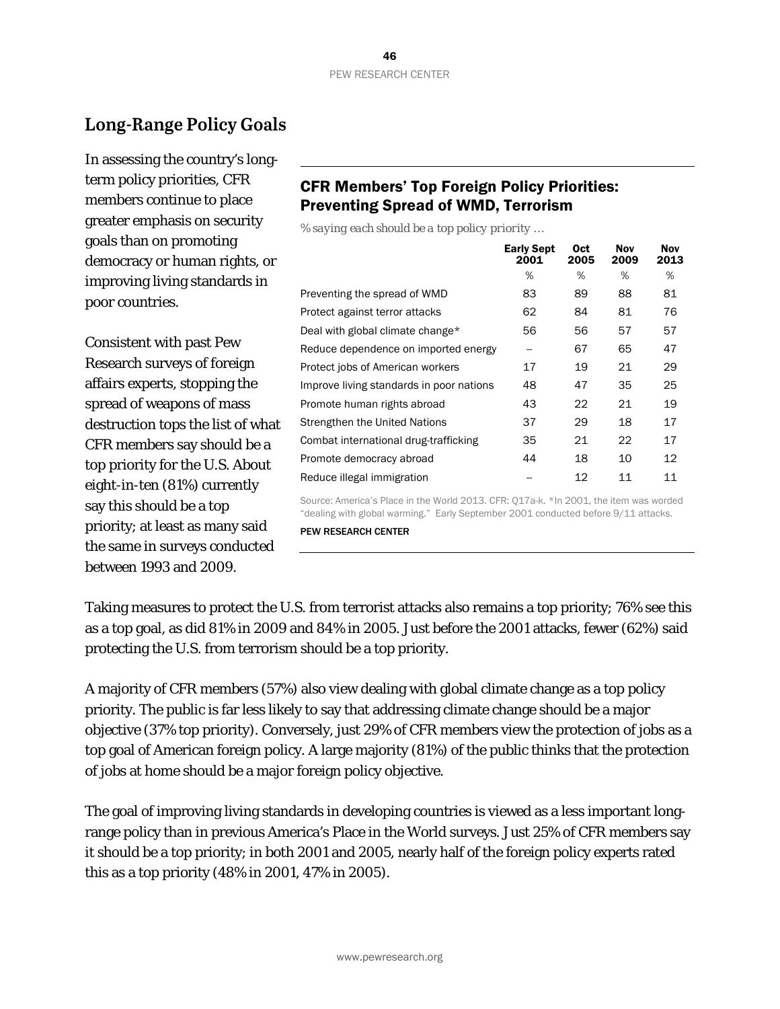## **Long-Range Policy Goals**

In assessing the country's longterm policy priorities, CFR members continue to place greater emphasis on security goals than on promoting democracy or human rights, or improving living standards in poor countries.

Consistent with past Pew Research surveys of foreign affairs experts, stopping the spread of weapons of mass destruction tops the list of what CFR members say should be a top priority for the U.S. About eight-in-ten (81%) currently say this should be a top priority; at least as many said the same in surveys conducted between 1993 and 2009.

### CFR Members' Top Foreign Policy Priorities: Preventing Spread of WMD, Terrorism

*% saying each should be a top policy priority …*

|                                          | <b>Early Sept</b><br>2001 | 0ct<br>2005 | Nov<br>2009 | <b>Nov</b><br>2013 |
|------------------------------------------|---------------------------|-------------|-------------|--------------------|
|                                          | %                         | %           | %           | %                  |
| Preventing the spread of WMD             | 83                        | 89          | 88          | 81                 |
| Protect against terror attacks           | 62                        | 84          | 81          | 76                 |
| Deal with global climate change*         | 56                        | 56          | 57          | 57                 |
| Reduce dependence on imported energy     | --                        | 67          | 65          | 47                 |
| Protect jobs of American workers         | 17                        | 19          | 21          | 29                 |
| Improve living standards in poor nations | 48                        | 47          | 35          | 25                 |
| Promote human rights abroad              | 43                        | 22          | 21          | 19                 |
| Strengthen the United Nations            | 37                        | 29          | 18          | 17                 |
| Combat international drug-trafficking    | 35                        | 21          | 22          | 17                 |
| Promote democracy abroad                 | 44                        | 18          | 10          | 12                 |
| Reduce illegal immigration               |                           | 12          | 11          | 11                 |

Source: America's Place in the World 2013. CFR: Q17a-k. \*In 2001, the item was worded "dealing with global warming." Early September 2001 conducted before 9/11 attacks.

PEW RESEARCH CENTER

Taking measures to protect the U.S. from terrorist attacks also remains a top priority; 76% see this as a top goal, as did 81% in 2009 and 84% in 2005. Just before the 2001 attacks, fewer (62%) said protecting the U.S. from terrorism should be a top priority.

A majority of CFR members (57%) also view dealing with global climate change as a top policy priority. The public is far less likely to say that addressing climate change should be a major objective (37% top priority). Conversely, just 29% of CFR members view the protection of jobs as a top goal of American foreign policy. A large majority (81%) of the public thinks that the protection of jobs at home should be a major foreign policy objective.

The goal of improving living standards in developing countries is viewed as a less important longrange policy than in previous America's Place in the World surveys. Just 25% of CFR members say it should be a top priority; in both 2001 and 2005, nearly half of the foreign policy experts rated this as a top priority (48% in 2001, 47% in 2005).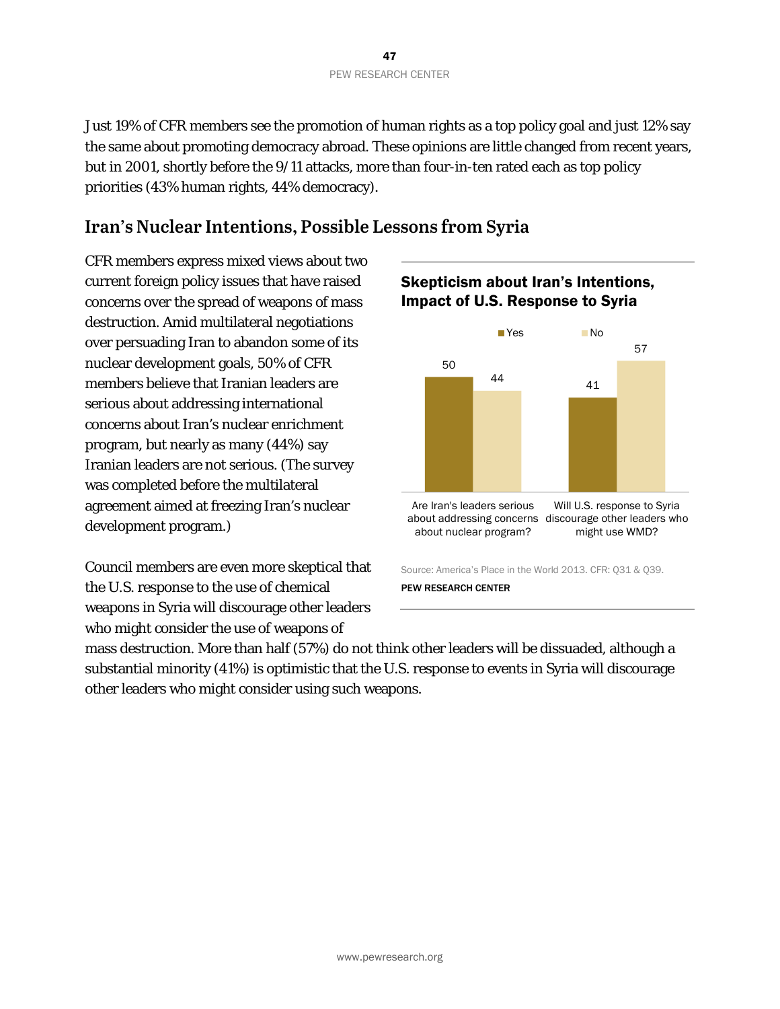Just 19% of CFR members see the promotion of human rights as a top policy goal and just 12% say the same about promoting democracy abroad. These opinions are little changed from recent years, but in 2001, shortly before the 9/11 attacks, more than four-in-ten rated each as top policy priorities (43% human rights, 44% democracy).

### **Iran's Nuclear Intentions, Possible Lessons from Syria**

CFR members express mixed views about two current foreign policy issues that have raised concerns over the spread of weapons of mass destruction. Amid multilateral negotiations over persuading Iran to abandon some of its nuclear development goals, 50% of CFR members believe that Iranian leaders are serious about addressing international concerns about Iran's nuclear enrichment program, but nearly as many (44%) say Iranian leaders are not serious. (The survey was completed before the multilateral agreement aimed at freezing Iran's nuclear development program.)

Council members are even more skeptical that the U.S. response to the use of chemical weapons in Syria will discourage other leaders who might consider the use of weapons of

### Skepticism about Iran's Intentions, Impact of U.S. Response to Syria



mass destruction. More than half (57%) do not think other leaders will be dissuaded, although a substantial minority (41%) is optimistic that the U.S. response to events in Syria will discourage other leaders who might consider using such weapons.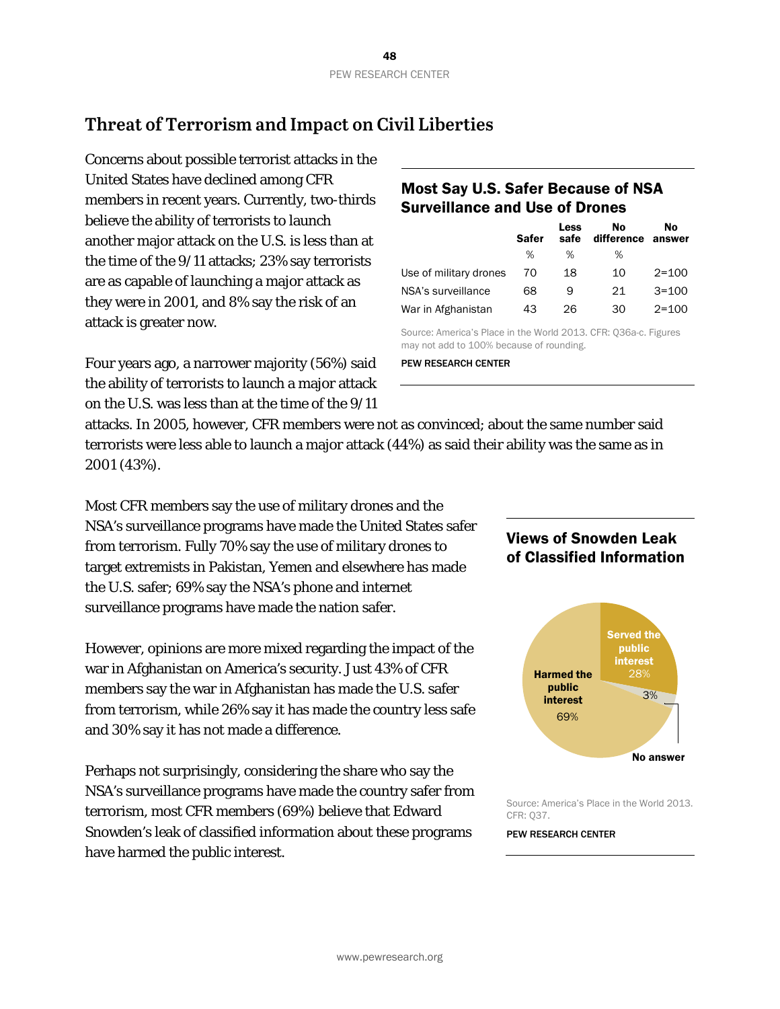## **Threat of Terrorism and Impact on Civil Liberties**

Concerns about possible terrorist attacks in the United States have declined among CFR members in recent years. Currently, two-thirds believe the ability of terrorists to launch another major attack on the U.S. is less than at the time of the 9/11 attacks; 23% say terrorists are as capable of launching a major attack as they were in 2001, and 8% say the risk of an attack is greater now.

Four years ago, a narrower majority (56%) said the ability of terrorists to launch a major attack on the U.S. was less than at the time of the 9/11

### Most Say U.S. Safer Because of NSA Surveillance and Use of Drones

|                        | <b>Safer</b> | Less<br>safe | No<br>difference | No<br>answer |
|------------------------|--------------|--------------|------------------|--------------|
|                        | %            | %            | %                |              |
| Use of military drones | 70           | 18           | 10               | $2 = 100$    |
| NSA's surveillance     | 68           | 9            | 21               | $3 = 100$    |
| War in Afghanistan     | 43           | 26           | 30               | $2 = 100$    |

Source: America's Place in the World 2013. CFR: Q36a-c. Figures may not add to 100% because of rounding.

PEW RESEARCH CENTER

attacks. In 2005, however, CFR members were not as convinced; about the same number said terrorists were less able to launch a major attack (44%) as said their ability was the same as in 2001 (43%).

Most CFR members say the use of military drones and the NSA's surveillance programs have made the United States safer from terrorism. Fully 70% say the use of military drones to target extremists in Pakistan, Yemen and elsewhere has made the U.S. safer; 69% say the NSA's phone and internet surveillance programs have made the nation safer.

However, opinions are more mixed regarding the impact of the war in Afghanistan on America's security. Just 43% of CFR members say the war in Afghanistan has made the U.S. safer from terrorism, while 26% say it has made the country less safe and 30% say it has not made a difference.

Perhaps not surprisingly, considering the share who say the NSA's surveillance programs have made the country safer from terrorism, most CFR members (69%) believe that Edward Snowden's leak of classified information about these programs have harmed the public interest.

### Views of Snowden Leak of Classified Information



Source: America's Place in the World 2013. CFR: Q37.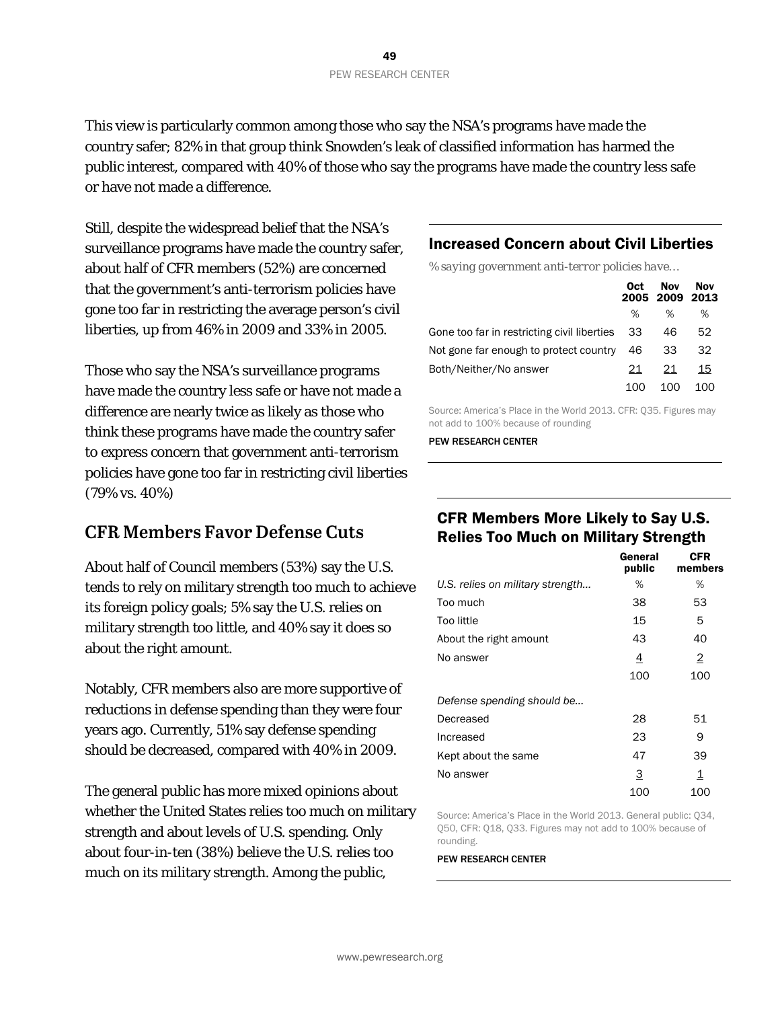This view is particularly common among those who say the NSA's programs have made the country safer; 82% in that group think Snowden's leak of classified information has harmed the public interest, compared with 40% of those who say the programs have made the country less safe or have not made a difference.

Still, despite the widespread belief that the NSA's surveillance programs have made the country safer, about half of CFR members (52%) are concerned that the government's anti-terrorism policies have gone too far in restricting the average person's civil liberties, up from 46% in 2009 and 33% in 2005.

Those who say the NSA's surveillance programs have made the country less safe or have not made a difference are nearly twice as likely as those who think these programs have made the country safer to express concern that government anti-terrorism policies have gone too far in restricting civil liberties (79% vs. 40%)

### **CFR Members Favor Defense Cuts**

About half of Council members (53%) say the U.S. tends to rely on military strength too much to achieve its foreign policy goals; 5% say the U.S. relies on military strength too little, and 40% say it does so about the right amount.

Notably, CFR members also are more supportive of reductions in defense spending than they were four years ago. Currently, 51% say defense spending should be decreased, compared with 40% in 2009.

The general public has more mixed opinions about whether the United States relies too much on military strength and about levels of U.S. spending. Only about four-in-ten (38%) believe the U.S. relies too much on its military strength. Among the public,

### Increased Concern about Civil Liberties

*% saying government anti-terror policies have…*

|                                                | 0ct | <b>Nov</b><br>2005 2009 2013 | Nov |
|------------------------------------------------|-----|------------------------------|-----|
|                                                | ℅   | ℅                            | %   |
| Gone too far in restricting civil liberties 33 |     | 46                           | 52  |
| Not gone far enough to protect country         | 46  | 33                           | 32  |
| Both/Neither/No answer                         | 21  | 21                           | 15  |
|                                                |     | 100                          |     |

Source: America's Place in the World 2013. CFR: Q35. Figures may not add to 100% because of rounding

PEW RESEARCH CENTER

### CFR Members More Likely to Say U.S. Relies Too Much on Military Strength

|                                  | General<br>public | CFR<br>members |
|----------------------------------|-------------------|----------------|
| U.S. relies on military strength | ℅                 | %              |
| Too much                         | 38                | 53             |
| Too little                       | 15                | 5              |
| About the right amount           | 43                | 40             |
| No answer                        | 4                 | 2              |
|                                  | 100               | 100            |
| Defense spending should be       |                   |                |
| Decreased                        | 28                | 51             |
| Increased                        | 23                | 9              |
| Kept about the same              | 47                | 39             |
| No answer                        | <u>3</u>          | 1              |
|                                  | 100               | 100            |

Source: America's Place in the World 2013. General public: Q34, Q50, CFR: Q18, Q33. Figures may not add to 100% because of rounding.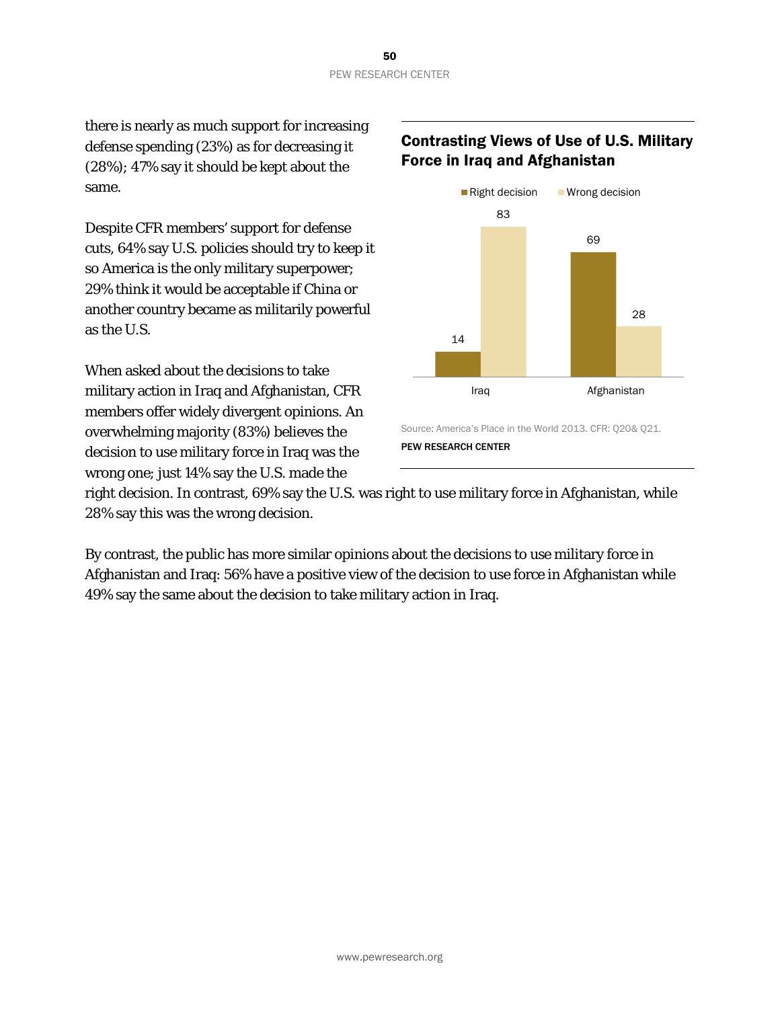there is nearly as much support for increasing defense spending (23%) as for decreasing it (28%); 47% say it should be kept about the same.

Despite CFR members' support for defense cuts, 64% say U.S. policies should try to keep it so America is the only military superpower; 29% think it would be acceptable if China or another country became as militarily powerful as the U.S.

When asked about the decisions to take military action in Iraq and Afghanistan, CFR members offer widely divergent opinions. An overwhelming majority (83%) believes the decision to use military force in Iraq was the wrong one; just 14% say the U.S. made the

### Contrasting Views of Use of U.S. Military Force in Iraq and Afghanistan



right decision. In contrast, 69% say the U.S. was right to use military force in Afghanistan, while 28% say this was the wrong decision.

By contrast, the public has more similar opinions about the decisions to use military force in Afghanistan and Iraq: 56% have a positive view of the decision to use force in Afghanistan while 49% say the same about the decision to take military action in Iraq.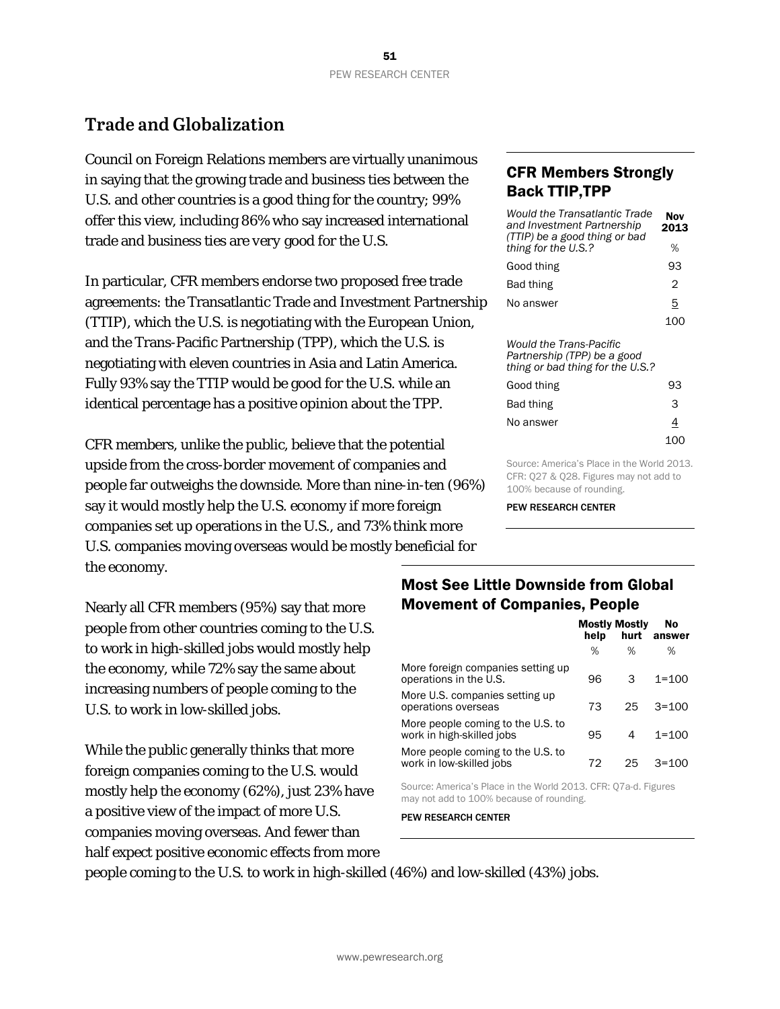## **Trade and Globalization**

Council on Foreign Relations members are virtually unanimous in saying that the growing trade and business ties between the U.S. and other countries is a good thing for the country; 99% offer this view, including 86% who say increased international trade and business ties are *very* good for the U.S.

In particular, CFR members endorse two proposed free trade agreements: the Transatlantic Trade and Investment Partnership (TTIP), which the U.S. is negotiating with the European Union, and the Trans-Pacific Partnership (TPP), which the U.S. is negotiating with eleven countries in Asia and Latin America. Fully 93% say the TTIP would be good for the U.S. while an identical percentage has a positive opinion about the TPP.

CFR members, unlike the public, believe that the potential upside from the cross-border movement of companies and people far outweighs the downside. More than nine-in-ten (96%) say it would mostly help the U.S. economy if more foreign companies set up operations in the U.S., and 73% think more U.S. companies moving overseas would be mostly beneficial for the economy.

Nearly all CFR members (95%) say that more people from other countries coming to the U.S. to work in high-skilled jobs would mostly help the economy, while 72% say the same about increasing numbers of people coming to the U.S. to work in low-skilled jobs.

While the public generally thinks that more foreign companies coming to the U.S. would mostly help the economy (62%), just 23% have a positive view of the impact of more U.S. companies moving overseas. And fewer than half expect positive economic effects from more

### CFR Members Strongly Back TTIP,TPP

| Would the Transatlantic Trade<br>and Investment Partnership<br>(TTIP) be a good thing or bad | Nov<br>2013 |
|----------------------------------------------------------------------------------------------|-------------|
| thing for the U.S.?                                                                          | %           |
| Good thing                                                                                   | 93          |
| Bad thing                                                                                    | 2           |
| No answer                                                                                    | 5           |
|                                                                                              | 100         |
| Would the Trans-Pacific                                                                      |             |

*Partnership (TPP) be a good thing or bad thing for the U.S.?*

| Good thing | 93       |
|------------|----------|
| Bad thing  | 3        |
| No answer  | <u>4</u> |
|            | 100      |

Source: America's Place in the World 2013. CFR: Q27 & Q28. Figures may not add to 100% because of rounding.

PEW RESEARCH CENTER

### Most See Little Downside from Global Movement of Companies, People

|                                                                | help | <b>Mostly Mostly</b><br>hurt | No<br>answer |
|----------------------------------------------------------------|------|------------------------------|--------------|
|                                                                | %    | ℅                            | %            |
| More foreign companies setting up<br>operations in the U.S.    | 96   | 3                            | $1 = 100$    |
| More U.S. companies setting up<br>operations overseas          | 73   | 25                           | $3 = 100$    |
| More people coming to the U.S. to<br>work in high-skilled jobs | 95   | 4                            | $1 = 100$    |
| More people coming to the U.S. to<br>work in low-skilled jobs  | 72   | 25                           | $3 = 100$    |

Source: America's Place in the World 2013. CFR: Q7a-d. Figures may not add to 100% because of rounding.

PEW RESEARCH CENTER

people coming to the U.S. to work in high-skilled (46%) and low-skilled (43%) jobs.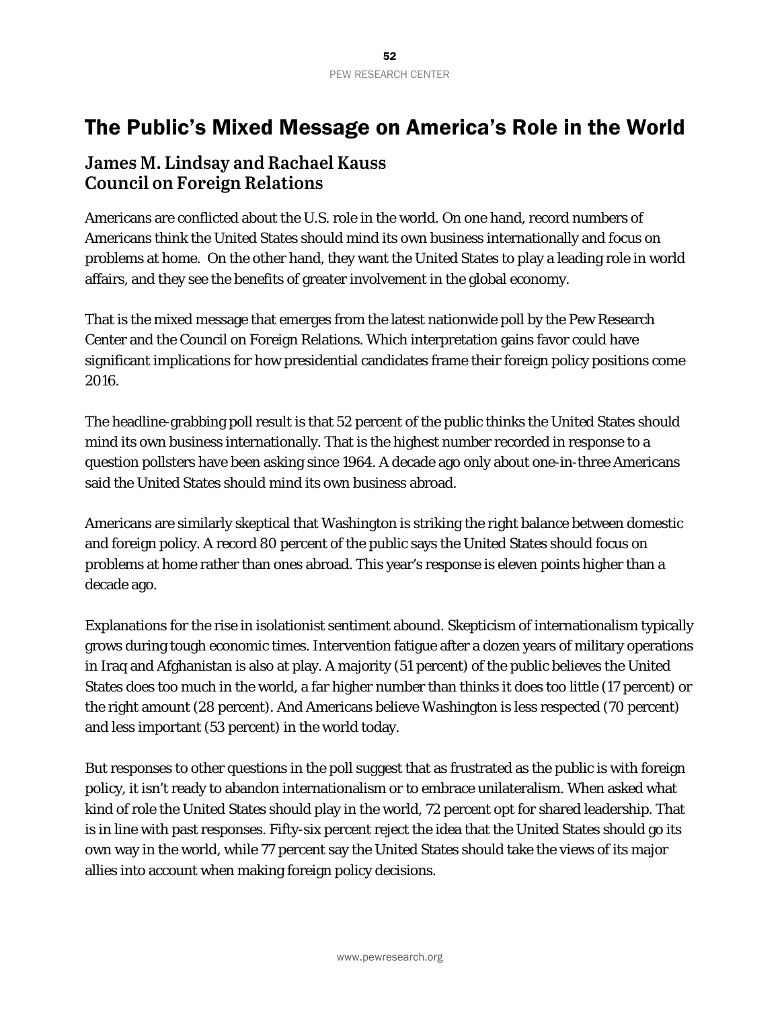## The Public's Mixed Message on America's Role in the World

### **James M. Lindsay and Rachael Kauss Council on Foreign Relations**

Americans are conflicted about the U.S. role in the world. On one hand, record numbers of Americans think the United States should mind its own business internationally and focus on problems at home. On the other hand, they want the United States to play a leading role in world affairs, and they see the benefits of greater involvement in the global economy.

That is the mixed message that emerges from the latest nationwide poll by the Pew Research Center and the Council on Foreign Relations. Which interpretation gains favor could have significant implications for how presidential candidates frame their foreign policy positions come 2016.

The headline-grabbing poll result is that 52 percent of the public thinks the United States should mind its own business internationally. That is the highest number recorded in response to a question pollsters have been asking since 1964. A decade ago only about one-in-three Americans said the United States should mind its own business abroad.

Americans are similarly skeptical that Washington is striking the right balance between domestic and foreign policy. A record 80 percent of the public says the United States should focus on problems at home rather than ones abroad. This year's response is eleven points higher than a decade ago.

Explanations for the rise in isolationist sentiment abound. Skepticism of internationalism typically grows during tough economic times. Intervention fatigue after a dozen years of military operations in Iraq and Afghanistan is also at play. A majority (51 percent) of the public believes the United States does too much in the world, a far higher number than thinks it does too little (17 percent) or the right amount (28 percent). And Americans believe Washington is less respected (70 percent) and less important (53 percent) in the world today.

But responses to other questions in the poll suggest that as frustrated as the public is with foreign policy, it isn't ready to abandon internationalism or to embrace unilateralism. When asked what kind of role the United States should play in the world, 72 percent opt for shared leadership. That is in line with past responses. Fifty-six percent reject the idea that the United States should go its own way in the world, while 77 percent say the United States should take the views of its major allies into account when making foreign policy decisions.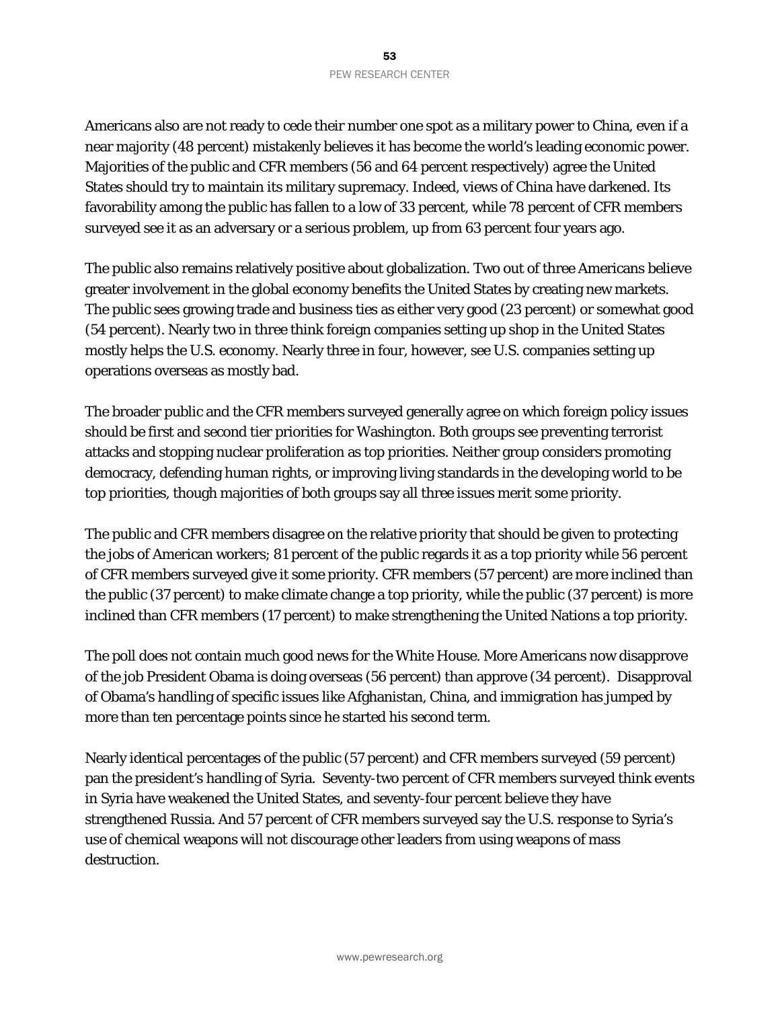Americans also are not ready to cede their number one spot as a military power to China, even if a near majority (48 percent) mistakenly believes it has become the world's leading economic power. Majorities of the public and CFR members (56 and 64 percent respectively) agree the United States should try to maintain its military supremacy. Indeed, views of China have darkened. Its favorability among the public has fallen to a low of 33 percent, while 78 percent of CFR members surveyed see it as an adversary or a serious problem, up from 63 percent four years ago.

The public also remains relatively positive about globalization. Two out of three Americans believe greater involvement in the global economy benefits the United States by creating new markets. The public sees growing trade and business ties as either very good (23 percent) or somewhat good (54 percent). Nearly two in three think foreign companies setting up shop in the United States mostly helps the U.S. economy. Nearly three in four, however, see U.S. companies setting up operations overseas as mostly bad.

The broader public and the CFR members surveyed generally agree on which foreign policy issues should be first and second tier priorities for Washington. Both groups see preventing terrorist attacks and stopping nuclear proliferation as top priorities. Neither group considers promoting democracy, defending human rights, or improving living standards in the developing world to be top priorities, though majorities of both groups say all three issues merit some priority.

The public and CFR members disagree on the relative priority that should be given to protecting the jobs of American workers; 81 percent of the public regards it as a top priority while 56 percent of CFR members surveyed give it some priority. CFR members (57 percent) are more inclined than the public (37 percent) to make climate change a top priority, while the public (37 percent) is more inclined than CFR members (17 percent) to make strengthening the United Nations a top priority.

The poll does not contain much good news for the White House. More Americans now disapprove of the job President Obama is doing overseas (56 percent) than approve (34 percent). Disapproval of Obama's handling of specific issues like Afghanistan, China, and immigration has jumped by more than ten percentage points since he started his second term.

Nearly identical percentages of the public (57 percent) and CFR members surveyed (59 percent) pan the president's handling of Syria. Seventy-two percent of CFR members surveyed think events in Syria have weakened the United States, and seventy-four percent believe they have strengthened Russia. And 57 percent of CFR members surveyed say the U.S. response to Syria's use of chemical weapons will not discourage other leaders from using weapons of mass destruction.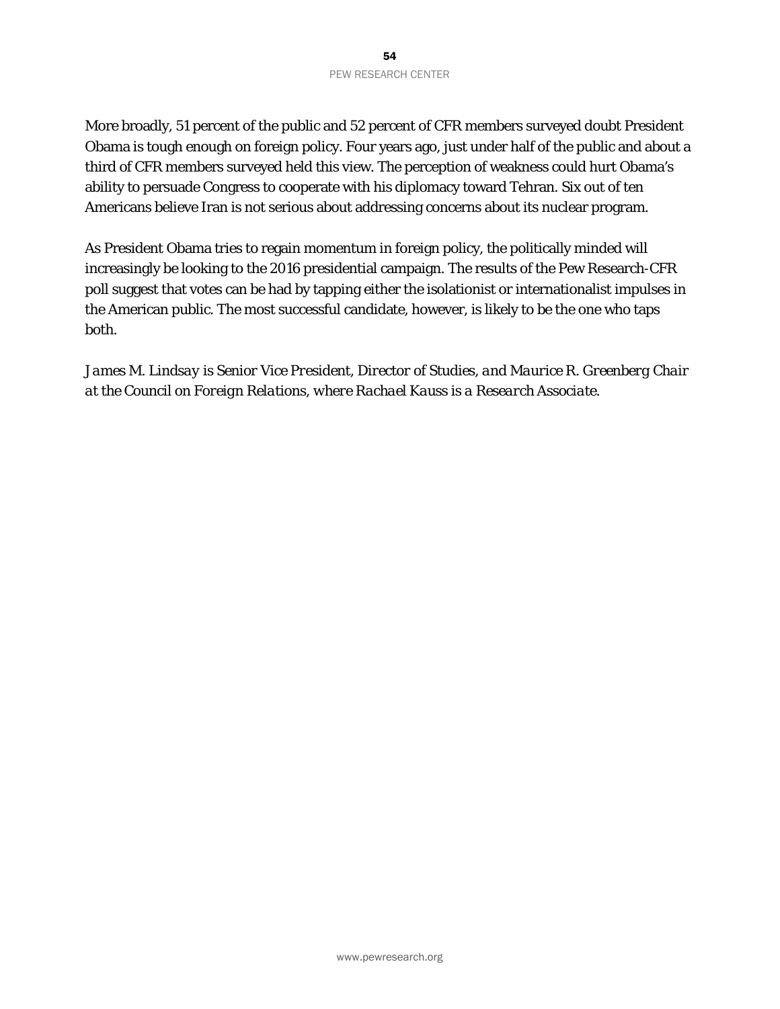More broadly, 51 percent of the public and 52 percent of CFR members surveyed doubt President Obama is tough enough on foreign policy. Four years ago, just under half of the public and about a third of CFR members surveyed held this view. The perception of weakness could hurt Obama's ability to persuade Congress to cooperate with his diplomacy toward Tehran. Six out of ten Americans believe Iran is not serious about addressing concerns about its nuclear program.

As President Obama tries to regain momentum in foreign policy, the politically minded will increasingly be looking to the 2016 presidential campaign. The results of the Pew Research-CFR poll suggest that votes can be had by tapping either the isolationist or internationalist impulses in the American public. The most successful candidate, however, is likely to be the one who taps both.

*James M. Lindsay is Senior Vice President, Director of Studies, and Maurice R. Greenberg Chair at the Council on Foreign Relations, where Rachael Kauss is a Research Associate.*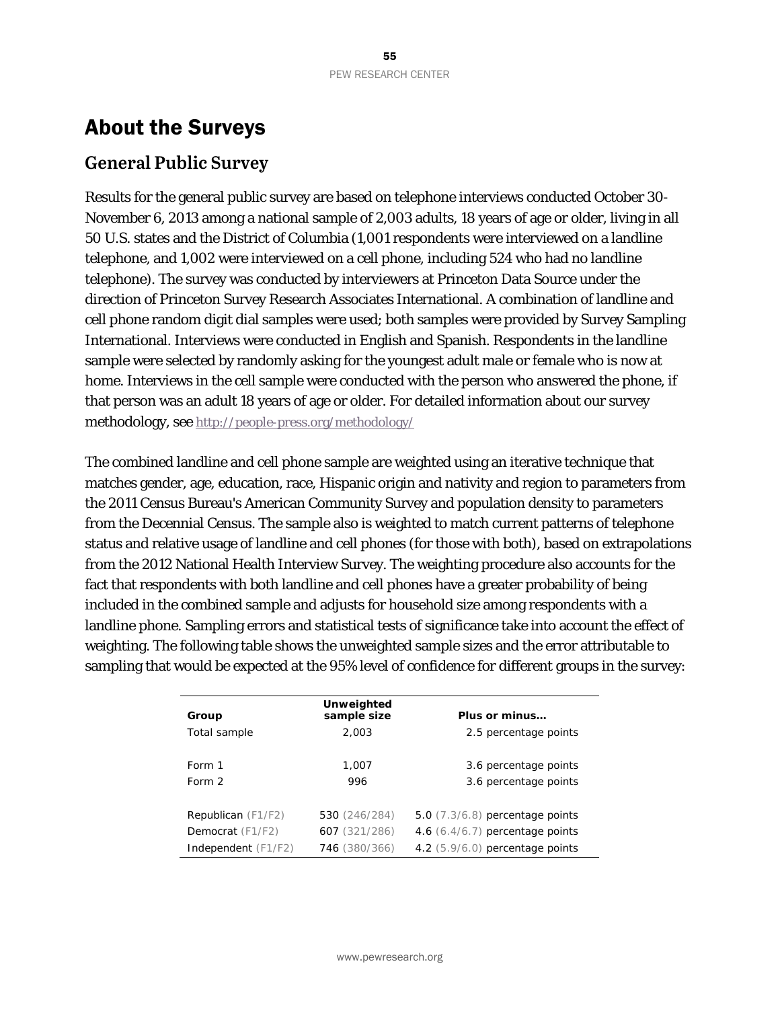## About the Surveys

### **General Public Survey**

Results for the general public survey are based on telephone interviews conducted October 30- November 6, 2013 among a national sample of 2,003 adults, 18 years of age or older, living in all 50 U.S. states and the District of Columbia (1,001 respondents were interviewed on a landline telephone, and 1,002 were interviewed on a cell phone, including 524 who had no landline telephone). The survey was conducted by interviewers at Princeton Data Source under the direction of Princeton Survey Research Associates International. A combination of landline and cell phone random digit dial samples were used; both samples were provided by Survey Sampling International. Interviews were conducted in English and Spanish. Respondents in the landline sample were selected by randomly asking for the youngest adult male or female who is now at home. Interviews in the cell sample were conducted with the person who answered the phone, if that person was an adult 18 years of age or older. For detailed information about our survey methodology, se[e http://people-press.org/methodology/](http://people-press.org/methodology/)

The combined landline and cell phone sample are weighted using an iterative technique that matches gender, age, education, race, Hispanic origin and nativity and region to parameters from the 2011 Census Bureau's American Community Survey and population density to parameters from the Decennial Census. The sample also is weighted to match current patterns of telephone status and relative usage of landline and cell phones (for those with both), based on extrapolations from the 2012 National Health Interview Survey. The weighting procedure also accounts for the fact that respondents with both landline and cell phones have a greater probability of being included in the combined sample and adjusts for household size among respondents with a landline phone. Sampling errors and statistical tests of significance take into account the effect of weighting. The following table shows the unweighted sample sizes and the error attributable to sampling that would be expected at the 95% level of confidence for different groups in the survey:

| Group               | Unweighted<br>sample size | Plus or minus                     |
|---------------------|---------------------------|-----------------------------------|
| Total sample        | 2.003                     | 2.5 percentage points             |
|                     |                           |                                   |
| Form 1              | 1,007                     | 3.6 percentage points             |
| Form 2              | 996                       | 3.6 percentage points             |
|                     |                           |                                   |
| Republican (F1/F2)  | 530 (246/284)             | 5.0 $(7.3/6.8)$ percentage points |
| Democrat (F1/F2)    | 607 (321/286)             | 4.6 $(6.4/6.7)$ percentage points |
| Independent (F1/F2) | 746 (380/366)             | 4.2 (5.9/6.0) percentage points   |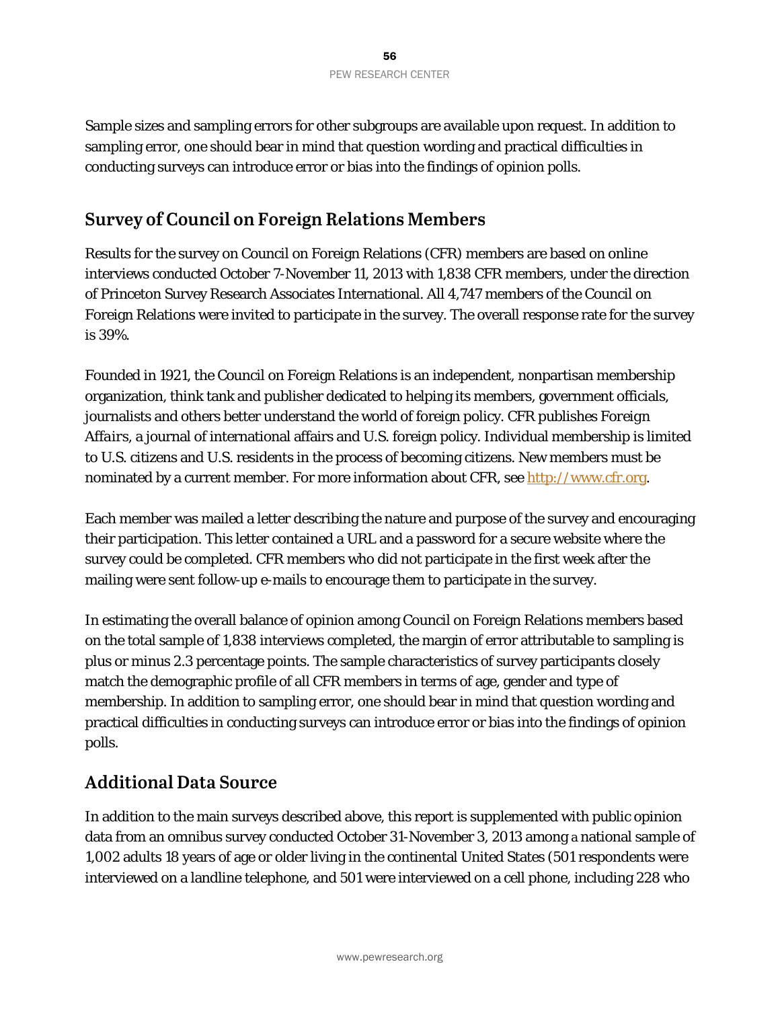Sample sizes and sampling errors for other subgroups are available upon request. In addition to sampling error, one should bear in mind that question wording and practical difficulties in conducting surveys can introduce error or bias into the findings of opinion polls.

### **Survey of Council on Foreign Relations Members**

Results for the survey on Council on Foreign Relations (CFR) members are based on online interviews conducted October 7-November 11, 2013 with 1,838 CFR members, under the direction of Princeton Survey Research Associates International. All 4,747 members of the Council on Foreign Relations were invited to participate in the survey. The overall response rate for the survey is 39%.

Founded in 1921, the Council on Foreign Relations is an independent, nonpartisan membership organization, think tank and publisher dedicated to helping its members, government officials, journalists and others better understand the world of foreign policy. CFR publishes *Foreign Affairs*, a journal of international affairs and U.S. foreign policy. Individual membership is limited to U.S. citizens and U.S. residents in the process of becoming citizens. New members must be nominated by a current member. For more information about CFR, se[e http://www.cfr.org.](http://www.cfr.org/)

Each member was mailed a letter describing the nature and purpose of the survey and encouraging their participation. This letter contained a URL and a password for a secure website where the survey could be completed. CFR members who did not participate in the first week after the mailing were sent follow-up e-mails to encourage them to participate in the survey.

In estimating the overall balance of opinion among Council on Foreign Relations members based on the total sample of 1,838 interviews completed, the margin of error attributable to sampling is plus or minus 2.3 percentage points. The sample characteristics of survey participants closely match the demographic profile of all CFR members in terms of age, gender and type of membership. In addition to sampling error, one should bear in mind that question wording and practical difficulties in conducting surveys can introduce error or bias into the findings of opinion polls.

### **Additional Data Source**

In addition to the main surveys described above, this report is supplemented with public opinion data from an omnibus survey conducted October 31-November 3, 2013 among a national sample of 1,002 adults 18 years of age or older living in the continental United States (501 respondents were interviewed on a landline telephone, and 501 were interviewed on a cell phone, including 228 who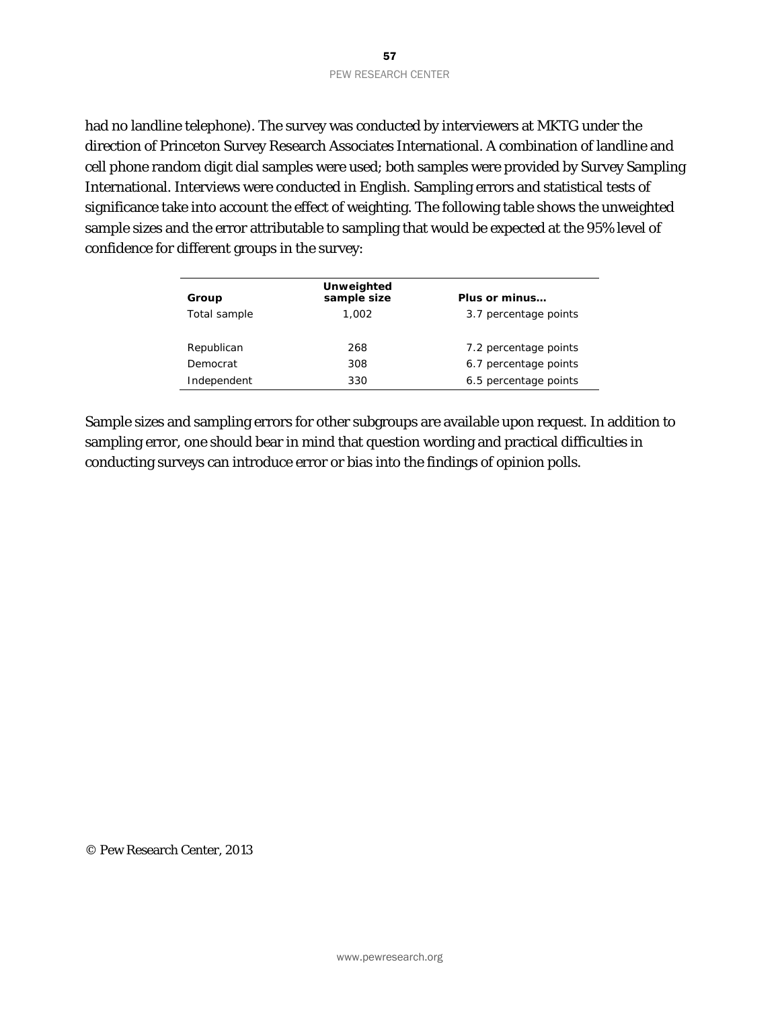had no landline telephone). The survey was conducted by interviewers at MKTG under the direction of Princeton Survey Research Associates International. A combination of landline and cell phone random digit dial samples were used; both samples were provided by Survey Sampling International. Interviews were conducted in English. Sampling errors and statistical tests of significance take into account the effect of weighting. The following table shows the unweighted sample sizes and the error attributable to sampling that would be expected at the 95% level of confidence for different groups in the survey:

| Group        | Unweighted<br>sample size | Plus or minus         |
|--------------|---------------------------|-----------------------|
| Total sample | 1.002                     | 3.7 percentage points |
|              |                           |                       |
| Republican   | 268                       | 7.2 percentage points |
| Democrat     | 308                       | 6.7 percentage points |
| Independent  | 330                       | 6.5 percentage points |

Sample sizes and sampling errors for other subgroups are available upon request. In addition to sampling error, one should bear in mind that question wording and practical difficulties in conducting surveys can introduce error or bias into the findings of opinion polls.

© Pew Research Center, 2013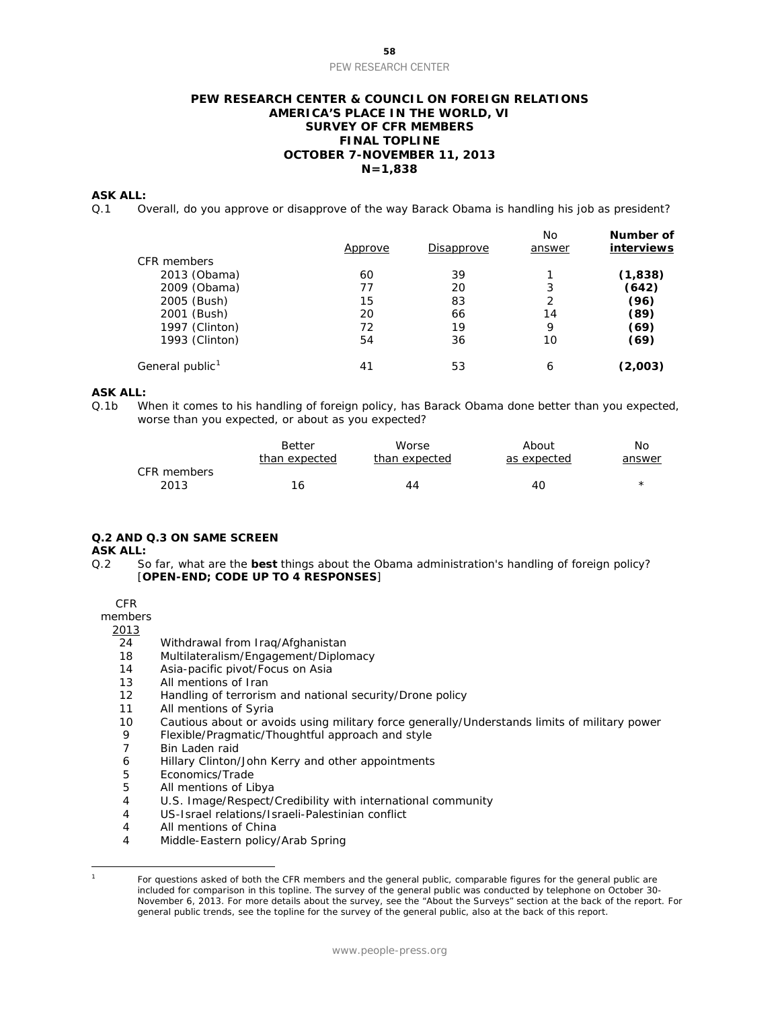#### **PEW RESEARCH CENTER & COUNCIL ON FOREIGN RELATIONS AMERICA'S PLACE IN THE WORLD, VI SURVEY OF CFR MEMBERS FINAL TOPLINE OCTOBER 7-NOVEMBER 11, 2013 N=1,838**

#### **ASK ALL:**

Q.1 Overall, do you approve or disapprove of the way Barack Obama is handling his job as president?

|                             | <u>Approve</u> | Disapprove | No<br>answer | Number of<br>interviews |
|-----------------------------|----------------|------------|--------------|-------------------------|
| CFR members                 |                |            |              |                         |
| 2013 (Obama)                | 60             | 39         |              | (1,838)                 |
| 2009 (Obama)                | 77             | 20         | 3            | (642)                   |
| 2005 (Bush)                 | 15             | 83         | 2            | (96)                    |
| 2001 (Bush)                 | 20             | 66         | 14           | (89)                    |
| 1997 (Clinton)              | 72             | 19         | 9            | (69)                    |
| 1993 (Clinton)              | 54             | 36         | 10           | (69)                    |
| General public <sup>1</sup> | 41             | 53         | 6            | (2,003)                 |

#### **ASK ALL:**

Q.1b When it comes to his handling of foreign policy, has Barack Obama done better than you expected, worse than you expected, or about as you expected?

|             | <b>Better</b> | Worse         | About       | Nο     |
|-------------|---------------|---------------|-------------|--------|
|             | than expected | than expected | as expected | answer |
| CFR members |               |               |             |        |
| 2013        | 16            | 44            | 40          |        |

#### **Q.2 AND Q.3 ON SAME SCREEN**

#### **ASK ALL:**

Q.2 So far, what are the **best** things about the Obama administration's handling of foreign policy? [**OPEN-END; CODE UP TO 4 RESPONSES**]

CFR

members

#### 2013

- 24 Withdrawal from Iraq/Afghanistan
- 18 Multilateralism/Engagement/Diplomacy
- 14 Asia-pacific pivot/Focus on Asia
- 13 All mentions of Iran
- 12 Handling of terrorism and national security/Drone policy
- 11 All mentions of Syria
- 10 Cautious about or avoids using military force generally/Understands limits of military power
- 9 Flexible/Pragmatic/Thoughtful approach and style<br>7 Bin Laden raid
- Bin Laden raid
- 6 Hillary Clinton/John Kerry and other appointments
- 5 Economics/Trade
- 5 All mentions of Libya<br>4 U.S. Image/Respect/
- U.S. Image/Respect/Credibility with international community
- 4 US-Israel relations/Israeli-Palestinian conflict
- 4 All mentions of China
- 4 Middle-Eastern policy/Arab Spring

<span id="page-58-0"></span> $\overline{a}$ 

<sup>1</sup> For questions asked of both the CFR members and the general public, comparable figures for the general public are included for comparison in this topline. The survey of the general public was conducted by telephone on October 30- November 6, 2013. For more details about the survey, see the "About the Surveys" section at the back of the report. For general public trends, see the topline for the survey of the general public, also at the back of this report.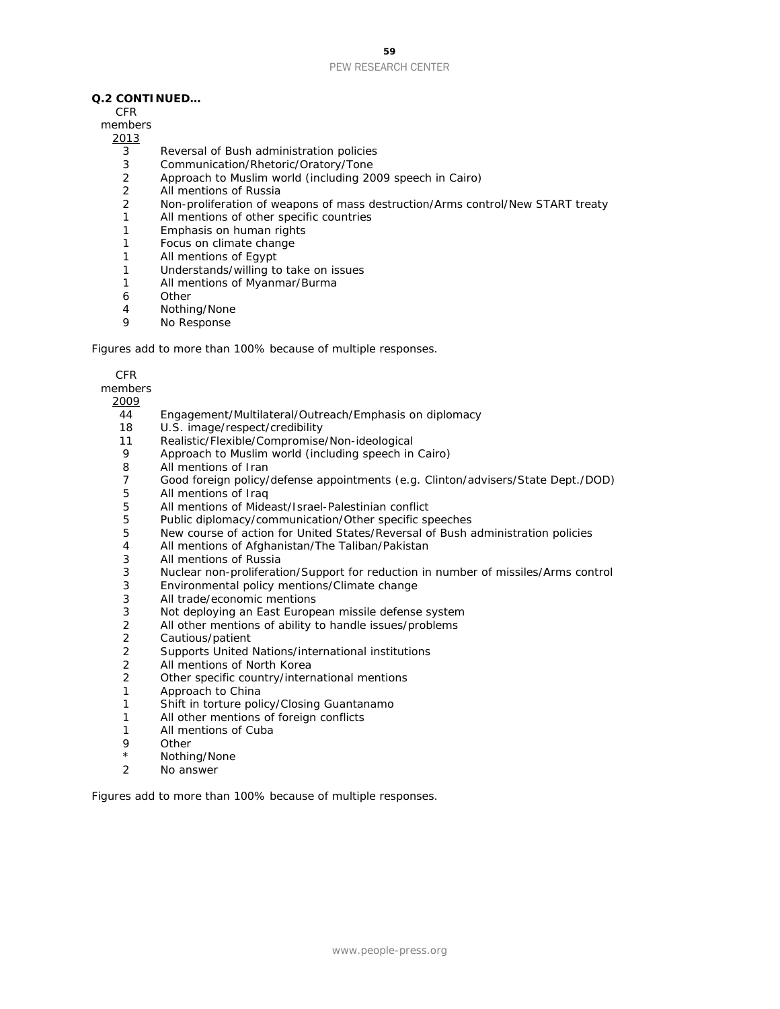#### **Q.2 CONTINUED…**

CFR

members

#### 2013

- 3 Reversal of Bush administration policies
- 3 Communication/Rhetoric/Oratory/Tone
- 2 Approach to Muslim world (including 2009 speech in Cairo)
- 2 All mentions of Russia
- 2 Non-proliferation of weapons of mass destruction/Arms control/New START treaty
- 1 All mentions of other specific countries
- 1 Emphasis on human rights
- 1 Focus on climate change
- 1 All mentions of Egypt
- 1 Understands/willing to take on issues
- 1 All mentions of Myanmar/Burma
- 6 Other
- 4 Nothing/None
- 9 No Response

*Figures add to more than 100% because of multiple responses.*

#### CFR

members

2009

- 44 Engagement/Multilateral/Outreach/Emphasis on diplomacy
- 18 U.S. image/respect/credibility
- 11 Realistic/Flexible/Compromise/Non-ideological
- Approach to Muslim world (including speech in Cairo)
- 8 All mentions of Iran
- 7 Good foreign policy/defense appointments (e.g. Clinton/advisers/State Dept./DOD)
- 5 All mentions of Iraq
- 5 All mentions of Mideast/Israel-Palestinian conflict
- 5 Public diplomacy/communication/Other specific speeches<br>5 New course of action for United States/Reversal of Bush a
- 5 New course of action for United States/Reversal of Bush administration policies<br>4 All mentions of Afghanistan/The Taliban/Pakistan
- 4 All mentions of Afghanistan/The Taliban/Pakistan<br>3 All mentions of Russia
- All mentions of Russia
- 3 Nuclear non-proliferation/Support for reduction in number of missiles/Arms control
- 3 Environmental policy mentions/Climate change
- 3 All trade/economic mentions
- 3 Not deploying an East European missile defense system<br>2 All other mentions of ability to handle issues/problems
- 2 All other mentions of ability to handle issues/problems<br>2 Cautious/patient
- 2 Cautious/patient<br>2 Supports United
- 2 Supports United Nations/international institutions
- All mentions of North Korea
- 2 Other specific country/international mentions<br>1 Approach to China
- Approach to China
- 1 Shift in torture policy/Closing Guantanamo
- 1 All other mentions of foreign conflicts
- 1 All mentions of Cuba<br>9 Other
- **Other**
- \* Nothing/None
- 2 No answer

*Figures add to more than 100% because of multiple responses.*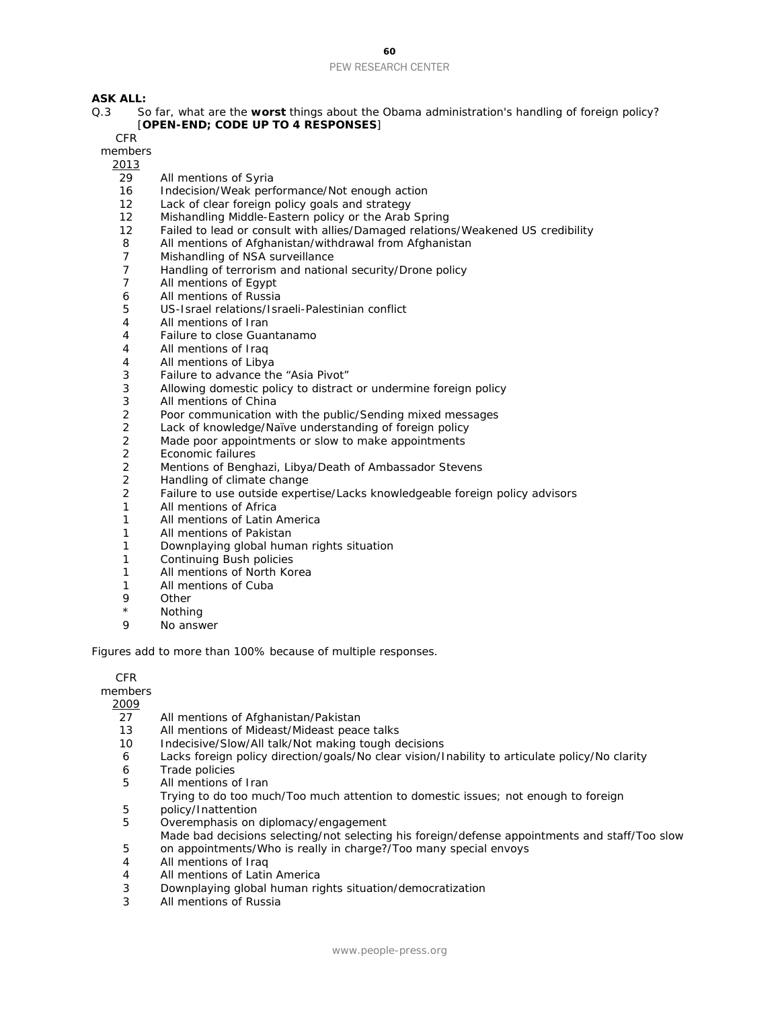**ASK ALL:**<br>0.3 S

So far, what are the worst things about the Obama administration's handling of foreign policy? [**OPEN-END; CODE UP TO 4 RESPONSES**]

CFR

members

2013

- 29 All mentions of Syria
- 16 Indecision/Weak performance/Not enough action
- 12 Lack of clear foreign policy goals and strategy
- 12 Mishandling Middle-Eastern policy or the Arab Spring<br>12 Failed to lead or consult with allies/Damaged relation
- Failed to lead or consult with allies/Damaged relations/Weakened US credibility
- 8 All mentions of Afghanistan/withdrawal from Afghanistan
- 7 Mishandling of NSA surveillance
- 7 Handling of terrorism and national security/Drone policy<br>7 All mentions of Egypt
- All mentions of Egypt
- 6 All mentions of Russia
- 5 US-Israel relations/Israeli-Palestinian conflict
- 4 All mentions of Iran
- 4 Failure to close Guantanamo<br>4 All mentions of Iraq
- All mentions of Iraq
- 4 All mentions of Libya
- 3 Failure to advance the "Asia Pivot"
- 3 Allowing domestic policy to distract or undermine foreign policy<br>3 All mentions of China
- All mentions of China
- 2 Poor communication with the public/Sending mixed messages<br>2 Lack of knowledge/Naïve understanding of foreign policy
- 2 Lack of knowledge/Naïve understanding of foreign policy<br>2 Made poor appointments or slow to make appointments
- 2 Made poor appointments or slow to make appointments<br>2 Economic failures
- 2 Economic failures
- 2 Mentions of Benghazi, Libya/Death of Ambassador Stevens
- 2 Handling of climate change
- 2 Failure to use outside expertise/Lacks knowledgeable foreign policy advisors<br>1 All mentions of Africa
- All mentions of Africa
- 1 All mentions of Latin America
- 1 All mentions of Pakistan
- 1 Downplaying global human rights situation
- 1 Continuing Bush policies
- 1 All mentions of North Korea
- 1 All mentions of Cuba
- 9 Other
- \* Nothing
- No answer

*Figures add to more than 100% because of multiple responses.*

CFR

members

- 2009
- 27 All mentions of Afghanistan/Pakistan
- 13 All mentions of Mideast/Mideast peace talks<br>10 Indecisive/Slow/All talk/Not making tough d
- Indecisive/Slow/All talk/Not making tough decisions
- 6 Lacks foreign policy direction/goals/No clear vision/Inability to articulate policy/No clarity
- 6 Trade policies
- 5 All mentions of Iran
- Trying to do too much/Too much attention to domestic issues; not enough to foreign
- 5 policy/Inattention
- 5 Overemphasis on diplomacy/engagement
- Made bad decisions selecting/not selecting his foreign/defense appointments and staff/Too slow
- 5 on appointments/Who is really in charge?/Too many special envoys<br>4 All mentions of Iraq
- All mentions of Iraq
- 4 All mentions of Latin America
- 3 Downplaying global human rights situation/democratization
- 3 All mentions of Russia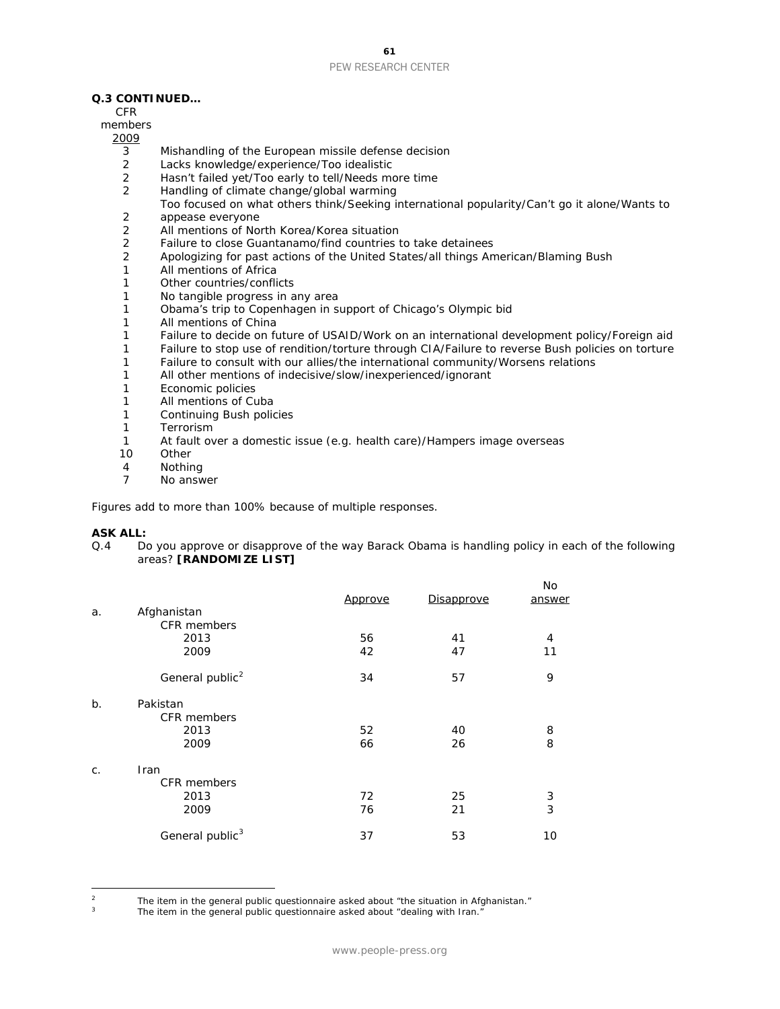#### **Q.3 CONTINUED…**

CFR

#### members

2009

- 3 Mishandling of the European missile defense decision<br>2 Lacks knowledge/experience/Too idealistic
- Lacks knowledge/experience/Too idealistic
- 2 Hasn't failed yet/Too early to tell/Needs more time<br>2 Handling of climate change/global warming
- Handling of climate change/global warming
- Too focused on what others think/Seeking international popularity/Can't go it alone/Wants to
- 2 appease everyone<br>2 All mentions of No
- 2 All mentions of North Korea/Korea situation
- 2 Failure to close Guantanamo/find countries to take detainees
- 2 Apologizing for past actions of the United States/all things American/Blaming Bush
- 1 All mentions of Africa
- 1 Other countries/conflicts
- 1 No tangible progress in any area
- 1 Obama's trip to Copenhagen in support of Chicago's Olympic bid
- 1 All mentions of China
- 1 Failure to decide on future of USAID/Work on an international development policy/Foreign aid<br>1 Failure to stop use of rendition/torture through CIA/Failure to reverse Bush policies on torture
- Failure to stop use of rendition/torture through CIA/Failure to reverse Bush policies on torture
- 1 Failure to consult with our allies/the international community/Worsens relations
- 1 All other mentions of indecisive/slow/inexperienced/ignorant
- 1 Economic policies<br>1 All mentions of Cu
- All mentions of Cuba
- 1 Continuing Bush policies
- 1 Terrorism
- 1 At fault over a domestic issue (e.g. health care)/Hampers image overseas
- **Other**
- 4 Nothing
- 7 No answer

*Figures add to more than 100% because of multiple responses.*

#### **ASK ALL:**

 $\overline{a}$ 

Q.4 Do you approve or disapprove of the way Barack Obama is handling policy in each of the following areas? **[RANDOMIZE LIST]**

|                             | Approve                    | Disapprove | <b>No</b><br>answer |
|-----------------------------|----------------------------|------------|---------------------|
|                             |                            |            |                     |
| 2013                        | 56                         | 41         | 4                   |
| 2009                        | 42                         | 47         | 11                  |
| General public <sup>2</sup> | 34                         | 57         | 9                   |
| Pakistan                    |                            |            |                     |
| <b>CFR</b> members          |                            |            |                     |
| 2013                        | 52                         | 40         | 8                   |
| 2009                        | 66                         | 26         | 8                   |
| Iran                        |                            |            |                     |
| <b>CFR</b> members          |                            |            |                     |
| 2013                        | 72                         | 25         | 3                   |
| 2009                        | 76                         | 21         | 3                   |
| General public <sup>3</sup> | 37                         | 53         | 10                  |
|                             | Afghanistan<br>CFR members |            |                     |

<span id="page-61-1"></span><span id="page-61-0"></span><sup>&</sup>lt;sup>2</sup> The item in the general public questionnaire asked about "the situation in Afghanistan."<br><sup>3</sup> The item in the general public questionnaire asked about "dealing with Iran."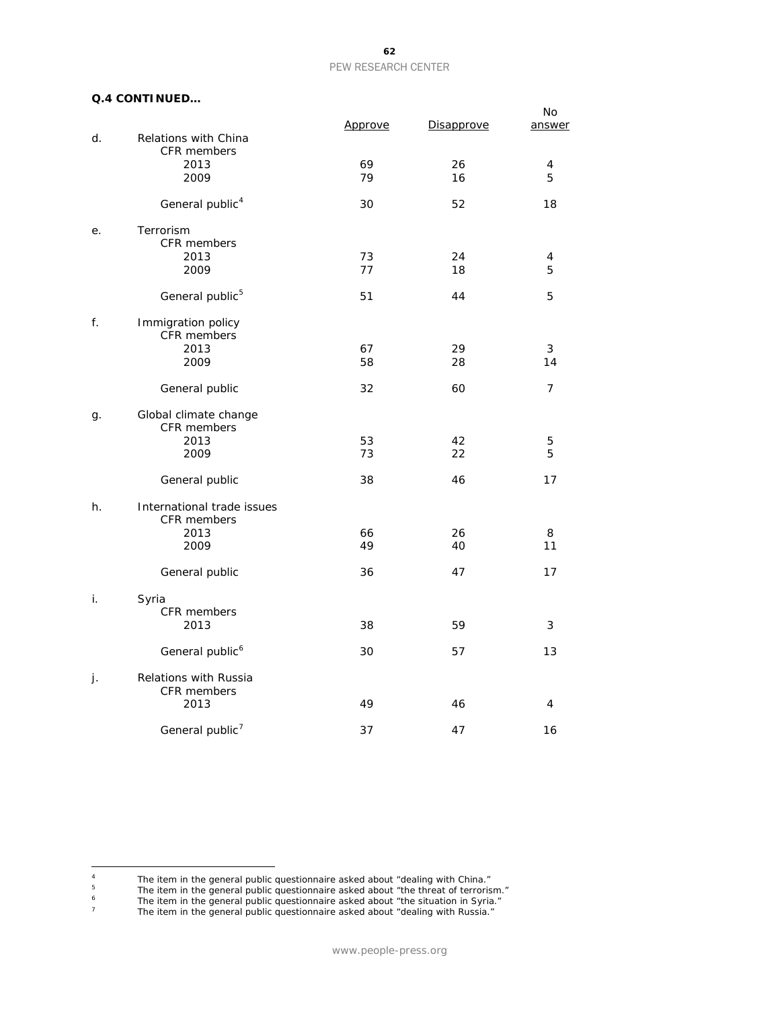#### **Q.4 CONTINUED…**

|    |                                             | Approve  | Disapprove | No<br>answer |
|----|---------------------------------------------|----------|------------|--------------|
| d. | Relations with China<br><b>CFR</b> members  |          |            |              |
|    | 2013<br>2009                                | 69<br>79 | 26<br>16   | 4<br>5       |
|    | General public <sup>4</sup>                 | 30       | 52         | 18           |
| е. | Terrorism<br>CFR members                    |          |            |              |
|    | 2013<br>2009                                | 73<br>77 | 24<br>18   | 4<br>5       |
|    | General public <sup>5</sup>                 | 51       | 44         | 5            |
| f. | Immigration policy<br>CFR members           |          |            |              |
|    | 2013<br>2009                                | 67<br>58 | 29<br>28   | 3<br>14      |
|    | General public                              | 32       | 60         | 7            |
| g. | Global climate change<br>CFR members        |          |            |              |
|    | 2013<br>2009                                | 53<br>73 | 42<br>22   | 5<br>5       |
|    | General public                              | 38       | 46         | 17           |
| h. | International trade issues<br>CFR members   |          |            |              |
|    | 2013<br>2009                                | 66<br>49 | 26<br>40   | 8<br>11      |
|    | General public                              | 36       | 47         | 17           |
| i. | Syria<br>CFR members                        |          |            |              |
|    | 2013                                        | 38       | 59         | 3            |
|    | General public <sup>6</sup>                 | 30       | 57         | 13           |
| j. | <b>Relations with Russia</b><br>CFR members |          |            |              |
|    | 2013                                        | 49       | 46         | 4            |
|    | General public <sup>7</sup>                 | 37       | 47         | 16           |

<span id="page-62-3"></span><span id="page-62-2"></span><sup>6</sup> The item in the general public questionnaire asked about "the situation in Syria."

<span id="page-62-1"></span><span id="page-62-0"></span> $\sqrt{4}$ <sup>4</sup> The item in the general public questionnaire asked about "dealing with China."

<sup>&</sup>lt;sup>5</sup> The item in the general public questionnaire asked about "the threat of terrorism."

<sup>&</sup>lt;sup>7</sup> The item in the general public questionnaire asked about "dealing with Russia."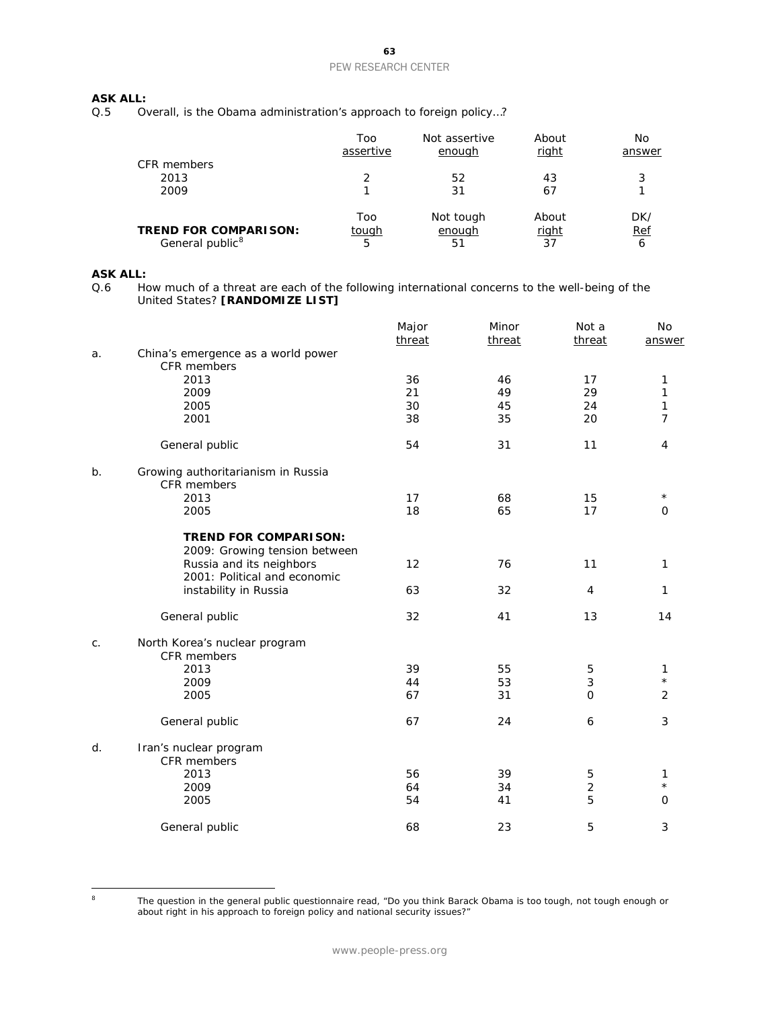## **ASK ALL:**<br>Q.5 0

Overall, is the Obama administration's approach to foreign policy...?

| CFR members                  | Too<br>assertive | Not assertive<br>enough | About<br>right | No<br>answer |
|------------------------------|------------------|-------------------------|----------------|--------------|
|                              |                  |                         |                |              |
| 2013                         |                  | 52                      | 43             | 3            |
| 2009                         |                  | 31                      | 67             |              |
|                              | Too              | Not tough               | About          | DK/          |
| <b>TREND FOR COMPARISON:</b> | <u>tough</u>     | enough                  | <u>right</u>   | Ref          |
| General public <sup>8</sup>  | 5                | 51                      | 37             | 6            |

## **ASK ALL:**<br>Q.6 Ho

How much of a threat are each of the following international concerns to the well-being of the United States? **[RANDOMIZE LIST]**

|    |                                                               | Major<br>threat | Minor<br>threat | Not a<br>threat | No<br>answer   |
|----|---------------------------------------------------------------|-----------------|-----------------|-----------------|----------------|
| a. | China's emergence as a world power<br>CFR members             |                 |                 |                 |                |
|    | 2013                                                          | 36              | 46              | 17              | 1              |
|    | 2009                                                          | 21              | 49              | 29              | 1              |
|    | 2005                                                          | 30              | 45              | 24              | 1              |
|    | 2001                                                          | 38              | 35              | 20              | 7              |
|    | General public                                                | 54              | 31              | 11              | 4              |
| b. | Growing authoritarianism in Russia<br>CFR members             |                 |                 |                 |                |
|    | 2013                                                          | 17              | 68              | 15              | $\star$        |
|    | 2005                                                          | 18              | 65              | 17              | 0              |
|    | <b>TREND FOR COMPARISON:</b><br>2009: Growing tension between |                 |                 |                 |                |
|    | Russia and its neighbors<br>2001: Political and economic      | 12              | 76              | 11              | 1              |
|    | instability in Russia                                         | 63              | 32              | 4               | $\mathbf{1}$   |
|    | General public                                                | 32              | 41              | 13              | 14             |
| C. | North Korea's nuclear program<br>CFR members                  |                 |                 |                 |                |
|    | 2013                                                          | 39              | 55              | 5               | 1              |
|    | 2009                                                          | 44              | 53              | 3               | $\star$        |
|    | 2005                                                          | 67              | 31              | $\mathbf 0$     | $\overline{2}$ |
|    |                                                               |                 |                 |                 |                |
|    | General public                                                | 67              | 24              | 6               | 3              |
| d. | Iran's nuclear program<br>CFR members                         |                 |                 |                 |                |
|    | 2013                                                          | 56              | 39              | 5               | 1              |
|    | 2009                                                          | 64              | 34              | $\overline{2}$  | $\star$        |
|    | 2005                                                          | 54              | 41              | 5               | $\mathbf 0$    |
|    | General public                                                | 68              | 23              | 5               | 3              |

<span id="page-63-0"></span> $\,$  8

The question in the general public questionnaire read, "Do you think Barack Obama is too tough, not tough enough or about right in his approach to foreign policy and national security issues?"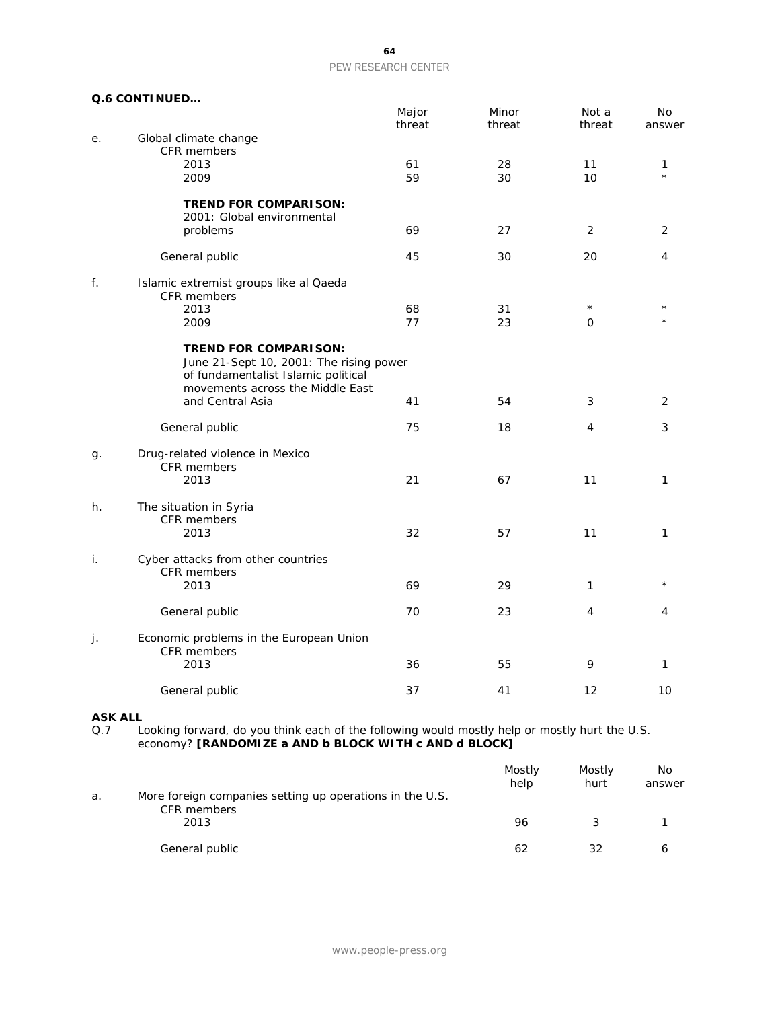#### **Q.6 CONTINUED…**

|    |                                                                                                                                                    | Major<br>threat | Minor<br>threat | Not a<br>threat      | No<br>answer        |
|----|----------------------------------------------------------------------------------------------------------------------------------------------------|-----------------|-----------------|----------------------|---------------------|
| е. | Global climate change<br><b>CFR</b> members                                                                                                        |                 |                 |                      |                     |
|    | 2013                                                                                                                                               | 61              | 28              | 11                   | 1                   |
|    | 2009                                                                                                                                               | 59              | 30              | 10                   | $\star$             |
|    | <b>TREND FOR COMPARISON:</b><br>2001: Global environmental                                                                                         |                 |                 |                      |                     |
|    | problems                                                                                                                                           | 69              | 27              | 2                    | 2                   |
|    | General public                                                                                                                                     | 45              | 30              | 20                   | 4                   |
| f. | Islamic extremist groups like al Qaeda<br>CFR members                                                                                              |                 |                 |                      |                     |
|    | 2013<br>2009                                                                                                                                       | 68<br>77        | 31<br>23        | $^\star$<br>$\Omega$ | $^\star$<br>$\star$ |
|    | <b>TREND FOR COMPARISON:</b><br>June 21-Sept 10, 2001: The rising power<br>of fundamentalist Islamic political<br>movements across the Middle East |                 |                 |                      |                     |
|    | and Central Asia                                                                                                                                   | 41              | 54              | 3                    | 2                   |
|    | General public                                                                                                                                     | 75              | 18              | 4                    | 3                   |
| g. | Drug-related violence in Mexico<br>CFR members<br>2013                                                                                             | 21              | 67              | 11                   | 1                   |
| h. | The situation in Syria<br>CFR members<br>2013                                                                                                      | 32              | 57              | 11                   | 1                   |
| i. | Cyber attacks from other countries<br>CFR members                                                                                                  |                 |                 |                      |                     |
|    | 2013                                                                                                                                               | 69              | 29              | 1                    |                     |
|    | General public                                                                                                                                     | 70              | 23              | 4                    | 4                   |
| j. | Economic problems in the European Union<br>CFR members                                                                                             |                 |                 |                      |                     |
|    | 2013                                                                                                                                               | 36              | 55              | 9                    | 1                   |
|    | General public                                                                                                                                     | 37              | 41              | 12                   | 10                  |

**ASK ALL**<br>Q.7 Lo Q.7 Looking forward, do you think each of the following would mostly help or mostly hurt the U.S. economy? **[RANDOMIZE a AND b BLOCK WITH c AND d BLOCK]**

|    |                                                                         | Mostly<br>help | Mostly<br><u>hurt</u> | No<br>answer |
|----|-------------------------------------------------------------------------|----------------|-----------------------|--------------|
| a. | More foreign companies setting up operations in the U.S.<br>CFR members |                |                       |              |
|    | 2013                                                                    | 96             |                       |              |
|    | General public                                                          | 62             | 32                    | 6            |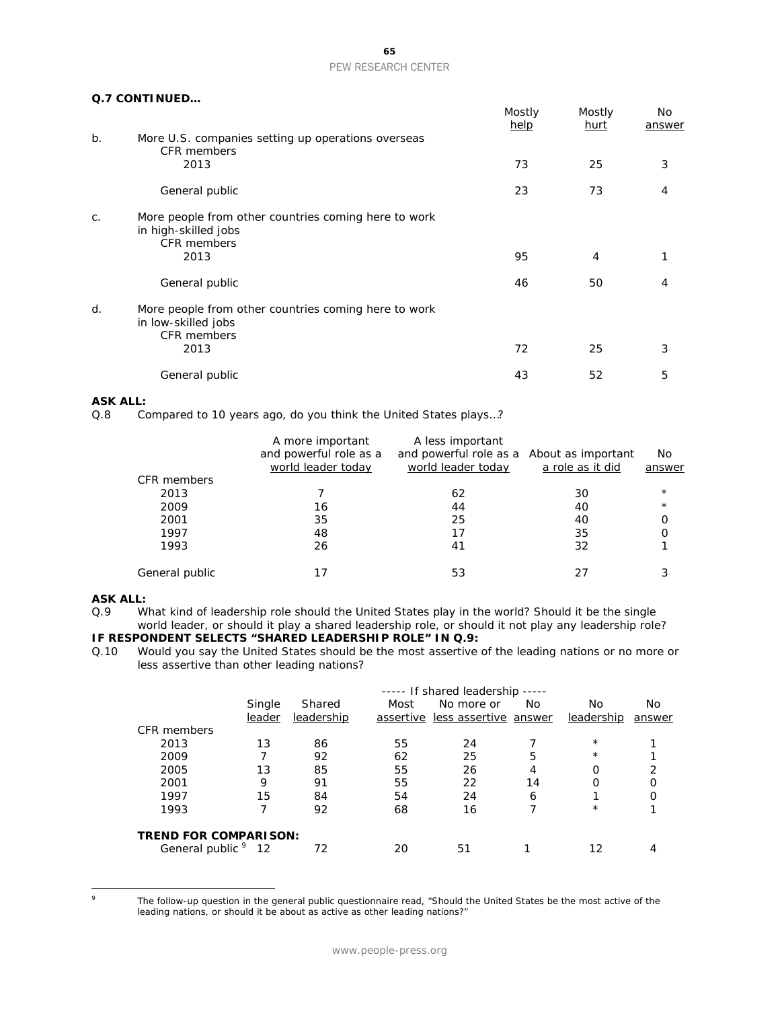#### **Q.7 CONTINUED…**

|       |                                                                                                    | Mostly<br>help | Mostly<br><u>hurt</u> | No<br>answer |
|-------|----------------------------------------------------------------------------------------------------|----------------|-----------------------|--------------|
| b.    | More U.S. companies setting up operations overseas<br><b>CFR</b> members                           |                |                       |              |
|       | 2013                                                                                               | 73             | 25                    | 3            |
|       | General public                                                                                     | 23             | 73                    | 4            |
| $C$ . | More people from other countries coming here to work<br>in high-skilled jobs<br><b>CFR</b> members |                |                       |              |
|       | 2013                                                                                               | 95             | $\overline{4}$        |              |
|       | General public                                                                                     | 46             | 50                    | 4            |
| d.    | More people from other countries coming here to work<br>in low-skilled jobs<br><b>CFR</b> members  |                |                       |              |
|       | 2013                                                                                               | 72             | 25                    | 3            |
|       | General public                                                                                     | 43             | 52                    | 5            |

## **ASK ALL:**<br>Q.8 Co

Compared to 10 years ago, do you think the United States plays...?

|                | A more important       | A less important                          |                  |          |
|----------------|------------------------|-------------------------------------------|------------------|----------|
|                | and powerful role as a | and powerful role as a About as important |                  | No.      |
|                | world leader today     | world leader today                        | a role as it did | answer   |
| CFR members    |                        |                                           |                  |          |
| 2013           |                        | 62                                        | 30               | $^\star$ |
| 2009           | 16                     | 44                                        | 40               | $^\star$ |
| 2001           | 35                     | 25                                        | 40               |          |
| 1997           | 48                     | 17                                        | 35               | 0        |
| 1993           | 26                     | 41                                        | 32               |          |
|                |                        |                                           |                  |          |
| General public |                        | 53                                        |                  |          |

#### **ASK ALL:**

Q.9 What kind of leadership role should the United States play in the world? Should it be the single world leader, or should it play a shared leadership role, or should it not play any leadership role?

## **IF RESPONDENT SELECTS "SHARED LEADERSHIP ROLE" IN Q.9:**<br>Q.10 Would you say the United States should be the most assertive

Would you say the United States should be the most assertive of the leading nations or no more or less assertive than other leading nations?

|                                |        |            |      | ----- If shared leadership ----- |    |            |        |
|--------------------------------|--------|------------|------|----------------------------------|----|------------|--------|
|                                | Single | Shared     | Most | No more or                       | No | No         | No     |
|                                | leader | leadership |      | assertive less assertive answer  |    | leadership | answer |
| CFR members                    |        |            |      |                                  |    |            |        |
| 2013                           | 13     | 86         | 55   | 24                               |    | $\star$    |        |
| 2009                           |        | 92         | 62   | 25                               | 5  | $^\star$   |        |
| 2005                           | 13     | 85         | 55   | 26                               | 4  | Ω          | 2      |
| 2001                           | 9      | 91         | 55   | 22                               | 14 | Ο          | Ο      |
| 1997                           | 15     | 84         | 54   | 24                               | 6  |            |        |
| 1993                           |        | 92         | 68   | 16                               | ⇁  | $\star$    |        |
| <b>TREND FOR COMPARISON:</b>   |        |            |      |                                  |    |            |        |
| General public <sup>9</sup> 12 |        | 72         | 20   | 51                               |    | 12         |        |

<span id="page-65-0"></span> $\circ$ 

The follow-up question in the general public questionnaire read, "Should the United States be the most active of the leading nations, or should it be about as active as other leading nations?"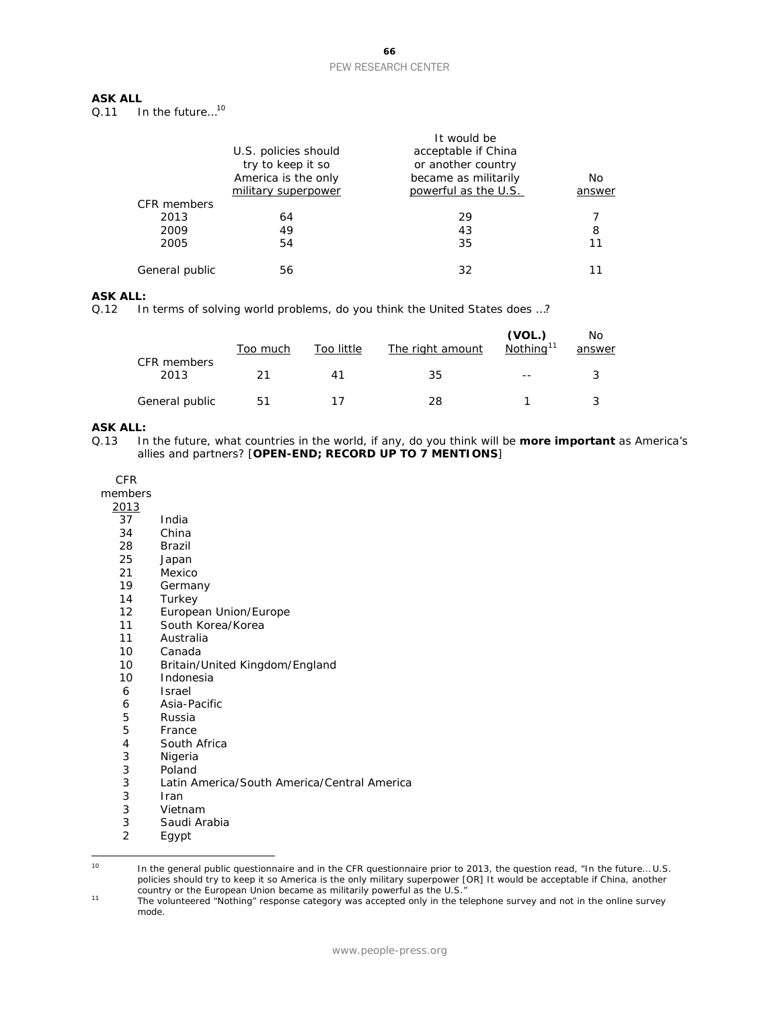## **ASK ALL**<br>0.11 **II**

In the future...<sup>[10](#page-66-0)</sup>

|                |                      | It would be          |        |
|----------------|----------------------|----------------------|--------|
|                | U.S. policies should | acceptable if China  |        |
|                | try to keep it so    | or another country   |        |
|                | America is the only  | became as militarily | No     |
|                | military superpower  | powerful as the U.S. | answer |
| CFR members    |                      |                      |        |
| 2013           | 64                   | 29                   |        |
| 2009           | 49                   | 43                   | 8      |
| 2005           | 54                   | 35                   | 11     |
| General public | 56                   | 32                   |        |

#### **ASK ALL:**

Q.12 In terms of solving world problems, do you think the United States does ...?

| CFR members    | Too much | Too little | The right amount | (VOL.)<br>Nothing <sup>11</sup> | No.<br>answer |
|----------------|----------|------------|------------------|---------------------------------|---------------|
| 2013           | 21       | 41         | 35               | $ -$                            |               |
| General public | 51       |            | 28               |                                 |               |

#### **ASK ALL:**

Q.13 In the future, what countries in the world, if any, do you think will be **more important** as America's allies and partners? [**OPEN-END; RECORD UP TO 7 MENTIONS**]

CFR

members

 $\frac{2013}{37}$ 

- $\overline{\begin{array}{ccc} 37 \\ 34 \end{array}}$  India
- 34 China<br>28 Brazil
- 28 Brazil<br>25 Japan
- 25 Japan<br>21 Mexico
- Mexico
- 19 Germany
- 14 Turkey
- 12 European Union/Europe<br>11 South Korea/Korea
- South Korea/Korea
- 11 Australia<br>10 Canada
- 
- 10 Canada<br>10 Britain/ Britain/United Kingdom/England
- 10 Indonesia<br>6 Israel
- **Israel**
- 6 Asia-Pacific
- 5 Russia<br>5 France
- 
- 5 France<br>4 South / 4 South Africa<br>3 Nigeria
- **Nigeria**
- 3 Poland
- 3 Latin America/South America/Central America
- 
- 3 Iran<br>3 Vietr
- 3 Vietnam<br>3 Saudi Ara 3 Saudi Arabia<br>2 Egypt
- Egypt

<span id="page-66-0"></span><sup>10</sup> <sup>10</sup> In the general public questionnaire and in the CFR questionnaire prior to 2013, the question read, "In the future… U.S. policies should try to keep it so America is the only military superpower [OR] It would be acceptable if China, another country or the European Union became as militarily powerful as the U.S."

<span id="page-66-1"></span><sup>&</sup>lt;sup>11</sup> The volunteered "Nothing" response category was accepted only in the telephone survey and not in the online survey mode.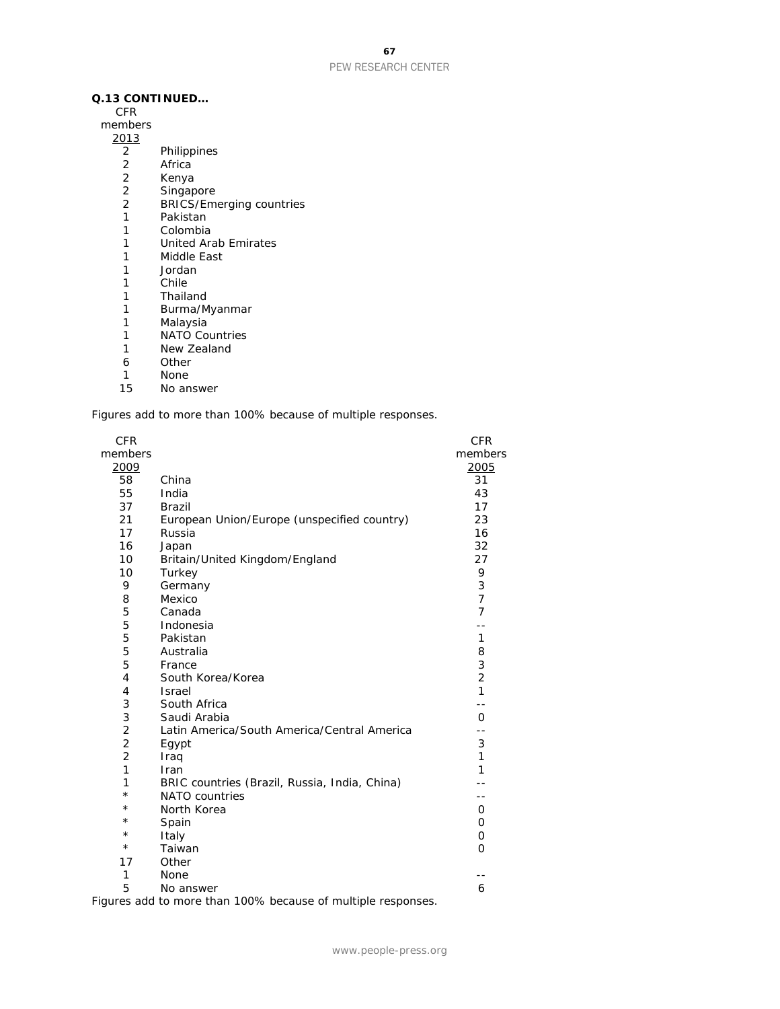#### **Q.13 CONTINUED…**

CFR

members 

- Philippines
- Africa
- 
- 2 Kenya<br>2 Singap
- 2 Singapore<br>2 BRICS/Em 2 BRICS/Emerging countries<br>1 Pakistan
- 
- 1 Pakistan<br>1 Colombia
- 1 Colombia<br>1 United Ara 1 United Arab Emirates<br>1 Middle East
- Middle East
- 
- 1 Jordan<br>1 Chile **Chile**
- Thailand
- Burma/Myanmar
- Malaysia
- NATO Countries
- New Zealand
- Other
- 
- 1 None<br>15 No an No answer

*Figures add to more than 100% because of multiple responses.*

| <b>CFR</b>     |                                                                 | <b>CFR</b>     |
|----------------|-----------------------------------------------------------------|----------------|
| members        |                                                                 | members        |
| 2009           |                                                                 | 2005           |
| 58             | China                                                           | 31             |
| 55             | India                                                           | 43             |
| 37             | <b>Brazil</b>                                                   | 17             |
| 21             | European Union/Europe (unspecified country)                     | 23             |
| 17             | Russia                                                          | 16             |
| 16             | Japan                                                           | 32             |
| 10             | Britain/United Kingdom/England                                  | 27             |
| 10             | Turkey                                                          | 9              |
| 9              | Germany                                                         | 3              |
| 8              | Mexico                                                          | $\overline{7}$ |
| 5              | Canada                                                          | 7              |
| 5              | Indonesia                                                       |                |
| 5              | Pakistan                                                        | 1              |
| 5              | Australia                                                       | 8              |
| 5              | France                                                          | 3              |
| 4              | South Korea/Korea                                               | $\overline{2}$ |
| 4              | <b>Israel</b>                                                   | $\mathbf{1}$   |
| 3              | South Africa                                                    | $-$            |
| 3              | Saudi Arabia                                                    | O              |
| $\overline{c}$ | Latin America/South America/Central America                     | $-1$           |
| $\overline{2}$ | Egypt                                                           | 3              |
| 2              | Iraq                                                            | $\mathbf{1}$   |
| 1              | Iran                                                            | 1              |
| 1              | BRIC countries (Brazil, Russia, India, China)                   |                |
| $^{\star}$     | NATO countries                                                  | - -            |
| $^{\star}$     | North Korea                                                     | O              |
| $\star$        | Spain                                                           | 0              |
| $^\star$       | Italy                                                           | 0              |
| $\star$        | Taiwan                                                          | $\Omega$       |
| 17             | Other                                                           |                |
| 1              | None                                                            |                |
| 5              | No answer                                                       | 6              |
|                | $m_{\text{max}}$ and to means then 1000 hessues of multiple re- |                |

*Figures add to more than 100% because of multiple responses.*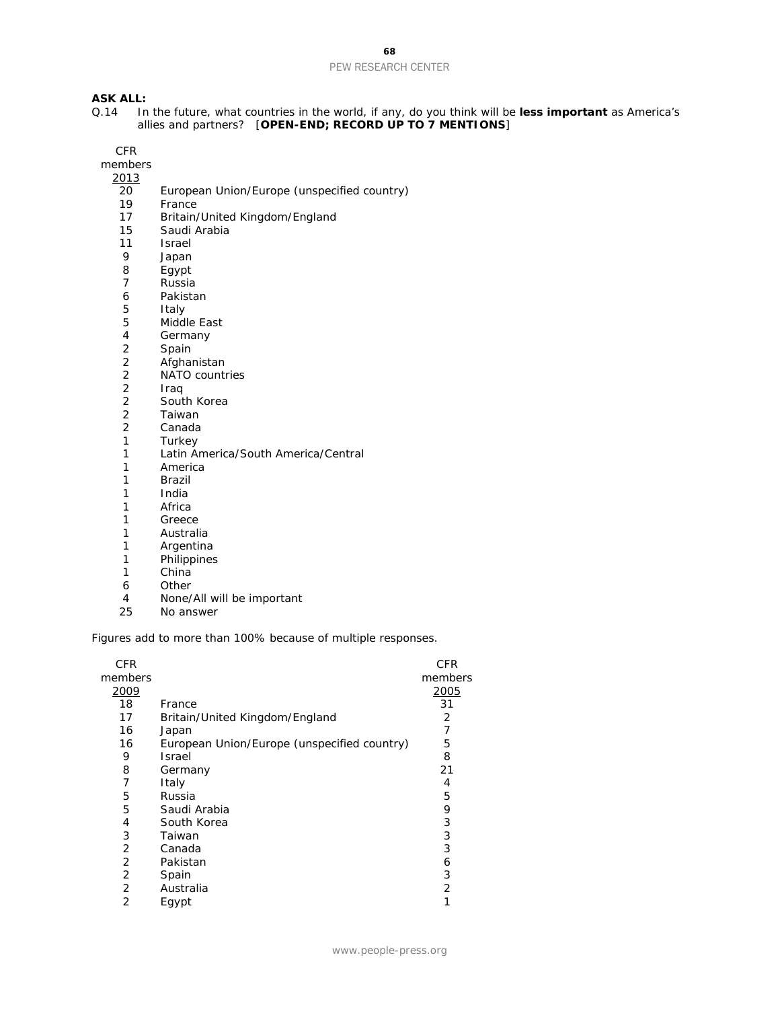## **ASK ALL:**<br>Q.14 In

Q.14 In the future, what countries in the world, if any, do you think will be **less important** as America's allies and partners? [**OPEN-END; RECORD UP TO 7 MENTIONS**]

CFR

members 2013

- 20 European Union/Europe (unspecified country)
- France
- 17 Britain/United Kingdom/England<br>15 Saudi Arabia
- Saudi Arabia
- 11 Israel<br>9 Japan
- 9 Japan<br>8 Egypt
- 8 Egypt<br>7 Russia
- **Russia**
- 6 Pakistan
- 5 Italy
- 5 Middle East<br>4 Germany
- 4 Germany<br>2 Spain
- 2 Spain<br>2 Afghai
- 2 Afghanistan<br>2 NATO countr
- 2 NATO countries<br>2 Iraq
- 2 Iraq
- 2 South Korea<br>2 Taiwan
- 2 Taiwan<br>2 Canada
- 2 Canada<br>1 Turkey
- 1 Turkey<br>1 Latin Ar
- Latin America/South America/Central
- 1 America
- 1 Brazil
- 1 India
- 1 Africa<br>1 Greec
- **Greece**
- 1 Australia<br>1 Argentina
- 1 Argentina<br>1 Philippines
- 1 Philippines<br>1 China
- **China**
- 6 Other
- 4 None/All will be important
- 25 No answer

*Figures add to more than 100% because of multiple responses.*

| CFR<br>members |                                             | CFR<br>members |
|----------------|---------------------------------------------|----------------|
| 2009           |                                             | 2005           |
| 18             | France                                      | 31             |
| 17             | Britain/United Kingdom/England              | 2              |
| 16             | Japan                                       | 7              |
| 16             | European Union/Europe (unspecified country) | 5              |
| 9              | <b>Israel</b>                               | 8              |
| 8              | Germany                                     | 21             |
| 7              | Italy                                       | 4              |
| 5              | Russia                                      | 5              |
| 5              | Saudi Arabia                                | 9              |
| 4              | South Korea                                 | 3              |
| 3              | Taiwan                                      | 3              |
| 2              | Canada                                      | 3              |
| 2              | Pakistan                                    | 6              |
| 2              | Spain                                       | 3              |
| 2              | Australia                                   | $\overline{2}$ |
| 2              | Egypt                                       | 1              |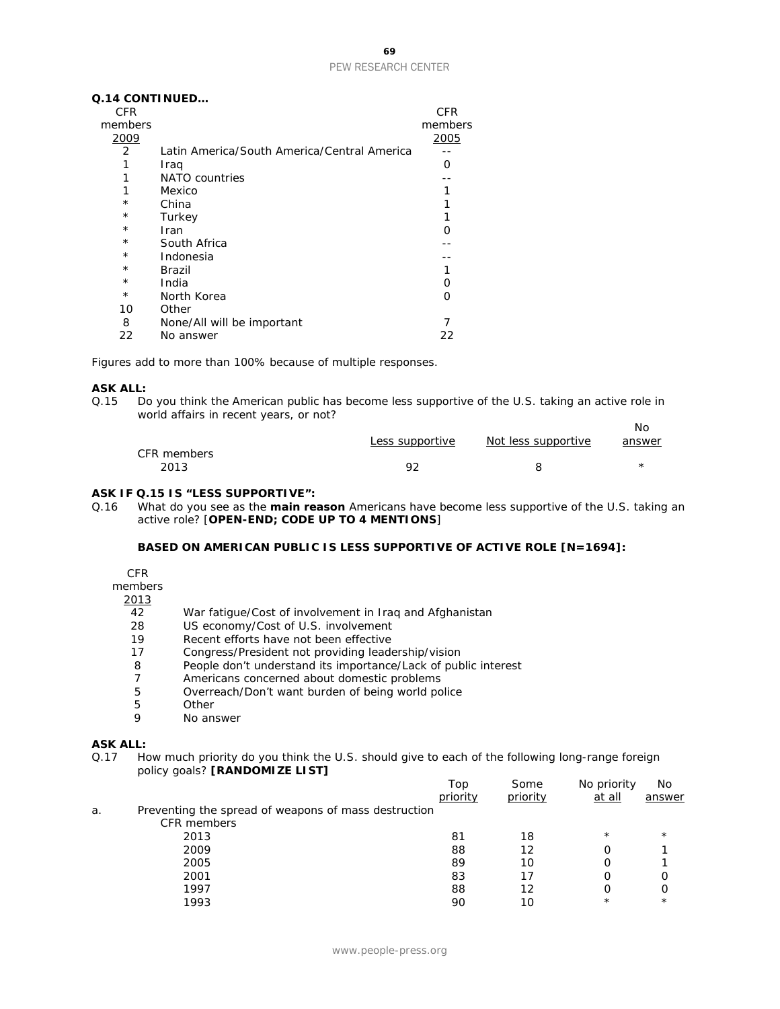#### **Q.14 CONTINUED…**

| <b>CFR</b>     |                                             | CFR     |
|----------------|---------------------------------------------|---------|
| members        |                                             | members |
| 2009           |                                             | 2005    |
| $\overline{2}$ | Latin America/South America/Central America |         |
|                | Iraq                                        | Ω       |
| 1              | NATO countries                              |         |
| 1              | Mexico                                      |         |
| $^{\star}$     | China                                       |         |
| $^\star$       | Turkey                                      | 1       |
| $^\star$       | Iran                                        | ∩       |
| $^\star$       | South Africa                                |         |
| $^\star$       | Indonesia                                   |         |
| $^\star$       | Brazil                                      |         |
| $^\star$       | India                                       | ი       |
| $\star$        | North Korea                                 | ∩       |
| 10             | Other                                       |         |
| 8              | None/All will be important                  |         |
| 22             | No answer                                   | 22      |

*Figures add to more than 100% because of multiple responses.*

## **ASK ALL:**<br>Q.15 Do

Do you think the American public has become less supportive of the U.S. taking an active role in world affairs in recent years, or not? No

|             |                 |                     | IVO    |
|-------------|-----------------|---------------------|--------|
|             | Less supportive | Not less supportive | answer |
| CFR members |                 |                     |        |
| 2013        | ٥ŕ              |                     |        |

#### **ASK IF Q.15 IS "LESS SUPPORTIVE":**

Q.16 What do you see as the **main reason** Americans have become less supportive of the U.S. taking an active role? [**OPEN-END; CODE UP TO 4 MENTIONS**]

#### **BASED ON AMERICAN PUBLIC IS LESS SUPPORTIVE OF ACTIVE ROLE [N=1694]:**

#### CFR

members

## $\frac{2013}{42}$

- War fatigue/Cost of involvement in Irag and Afghanistan
- 28 US economy/Cost of U.S. involvement
- 19 Recent efforts have not been effective
- 17 Congress/President not providing leadership/vision
- 8 People don't understand its importance/Lack of public interest
- 7 Americans concerned about domestic problems
- 5 Overreach/Don't want burden of being world police
- 5 Other<br>9 No.ans
- No answer

#### **ASK ALL:**

Q.17 How much priority do you think the U.S. should give to each of the following long-range foreign policy goals? **[RANDOMIZE LIST]**

|    |                                                      | Top<br>priority | Some<br>priority | No priority<br>at all | No<br>answer |
|----|------------------------------------------------------|-----------------|------------------|-----------------------|--------------|
| a. | Preventing the spread of weapons of mass destruction |                 |                  |                       |              |
|    | CFR members                                          |                 |                  |                       |              |
|    | 2013                                                 | 81              | 18               | $\star$               | $\star$      |
|    | 2009                                                 | 88              | 12               |                       |              |
|    | 2005                                                 | 89              | 10               |                       |              |
|    | 2001                                                 | 83              |                  |                       | O            |
|    | 1997                                                 | 88              | 12               |                       | Ο            |
|    | 1993                                                 | 90              | 10               | $^{\star}$            | $\star$      |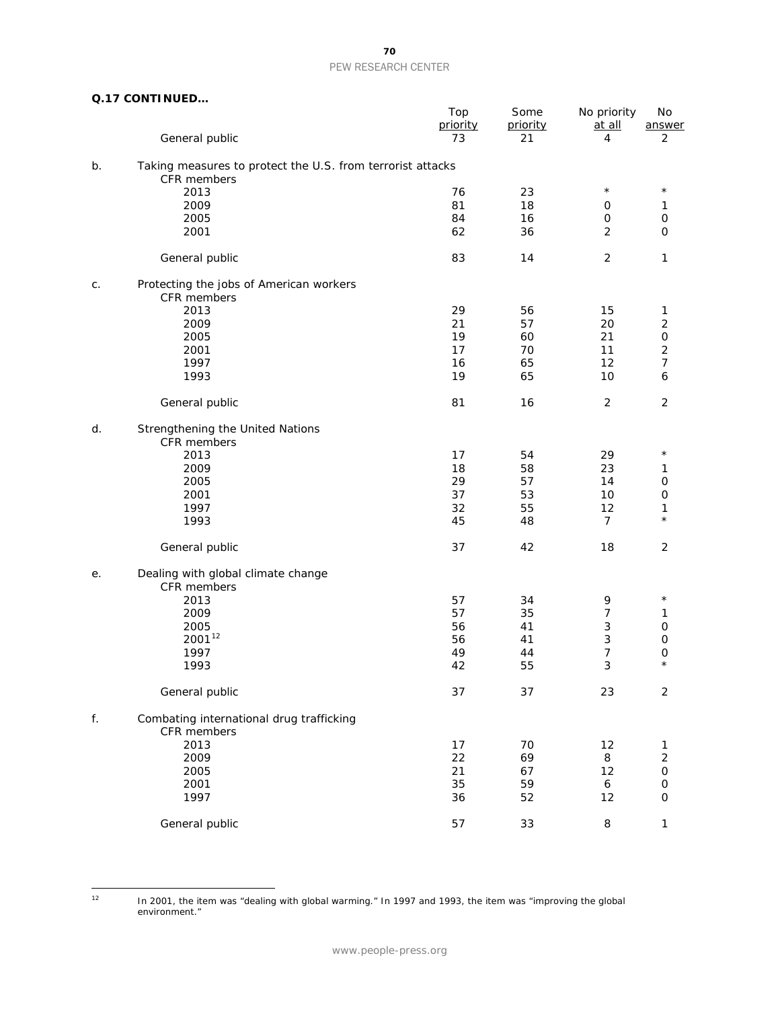|  |  | Q.17 CONTINUED |
|--|--|----------------|
|--|--|----------------|

|    |                                                                           | Top<br>priority | Some<br>priority | No priority<br>at all | No<br>answer             |  |
|----|---------------------------------------------------------------------------|-----------------|------------------|-----------------------|--------------------------|--|
|    | General public                                                            | 73              | 21               | 4                     | 2                        |  |
| b. | Taking measures to protect the U.S. from terrorist attacks<br>CFR members |                 |                  |                       |                          |  |
|    | 2013                                                                      | 76              | 23               | $\star$               | $\star$                  |  |
|    | 2009                                                                      | 81              | 18               | 0                     | 1                        |  |
|    | 2005                                                                      | 84              | 16               | 0                     | $\mathsf O$              |  |
|    | 2001                                                                      | 62              | 36               | $\overline{2}$        | 0                        |  |
|    | General public                                                            | 83              | 14               | $\overline{c}$        | 1                        |  |
|    |                                                                           |                 |                  |                       |                          |  |
| C. | Protecting the jobs of American workers                                   |                 |                  |                       |                          |  |
|    | CFR members                                                               |                 |                  |                       |                          |  |
|    | 2013                                                                      | 29              | 56               | 15                    | $\mathbf{1}$             |  |
|    | 2009                                                                      | 21              | 57               | 20                    | $\mathbf 2$              |  |
|    | 2005                                                                      | 19              | 60               | 21                    | $\mathsf O$              |  |
|    | 2001                                                                      | 17              | 70               | 11                    | $\overline{2}$           |  |
|    | 1997                                                                      | 16              | 65               | 12                    | $\overline{\mathcal{I}}$ |  |
|    | 1993                                                                      | 19              | 65               | 10                    | 6                        |  |
|    | General public                                                            | 81              | 16               | $\overline{2}$        | $\sqrt{2}$               |  |
| d. | Strengthening the United Nations                                          |                 |                  |                       |                          |  |
|    | CFR members                                                               |                 |                  |                       |                          |  |
|    | 2013                                                                      | 17              | 54               | 29                    | $^\star$                 |  |
|    | 2009                                                                      | 18              | 58               | 23                    | 1                        |  |
|    | 2005                                                                      | 29              | 57               | 14                    | $\mathsf O$              |  |
|    | 2001                                                                      | 37              | 53               | 10                    | $\mathsf O$              |  |
|    |                                                                           |                 |                  |                       |                          |  |
|    | 1997                                                                      | 32              | 55               | 12                    | 1<br>$\star$             |  |
|    | 1993                                                                      | 45              | 48               | $\overline{7}$        |                          |  |
|    | General public                                                            | 37              | 42               | 18                    | $\overline{2}$           |  |
| е. | Dealing with global climate change<br>CFR members                         |                 |                  |                       |                          |  |
|    | 2013                                                                      | 57              | 34               | 9                     | $^\star$                 |  |
|    |                                                                           |                 |                  |                       |                          |  |
|    | 2009                                                                      | 57              | 35               | 7                     | 1                        |  |
|    | 2005                                                                      | 56              | 41               | 3                     | $\mathsf O$              |  |
|    | 200112                                                                    | 56              | 41               | 3                     | 0                        |  |
|    | 1997                                                                      | 49              | 44               | 7                     | 0                        |  |
|    | 1993                                                                      | 42              | 55               | 3                     | $\star$                  |  |
|    | General public                                                            | 37              | 37               | 23                    | $\overline{2}$           |  |
| f. | Combating international drug trafficking<br>CFR members                   |                 |                  |                       |                          |  |
|    | 2013                                                                      |                 |                  |                       |                          |  |
|    |                                                                           | 17              | 70               | 12                    | 1                        |  |
|    | 2009                                                                      | 22              | 69               | 8                     | $\overline{\mathbf{c}}$  |  |
|    | 2005                                                                      | 21              | 67               | 12                    | $\mathsf O$              |  |
|    | 2001                                                                      | 35              | 59               | 6                     | 0                        |  |
|    | 1997                                                                      | 36              | 52               | 12                    | 0                        |  |
|    | General public                                                            | 57              | 33               | 8                     | 1                        |  |

<span id="page-70-0"></span> $12$ 

<sup>12</sup> In 2001, the item was "dealing with global warming." In 1997 and 1993, the item was "improving the global environment."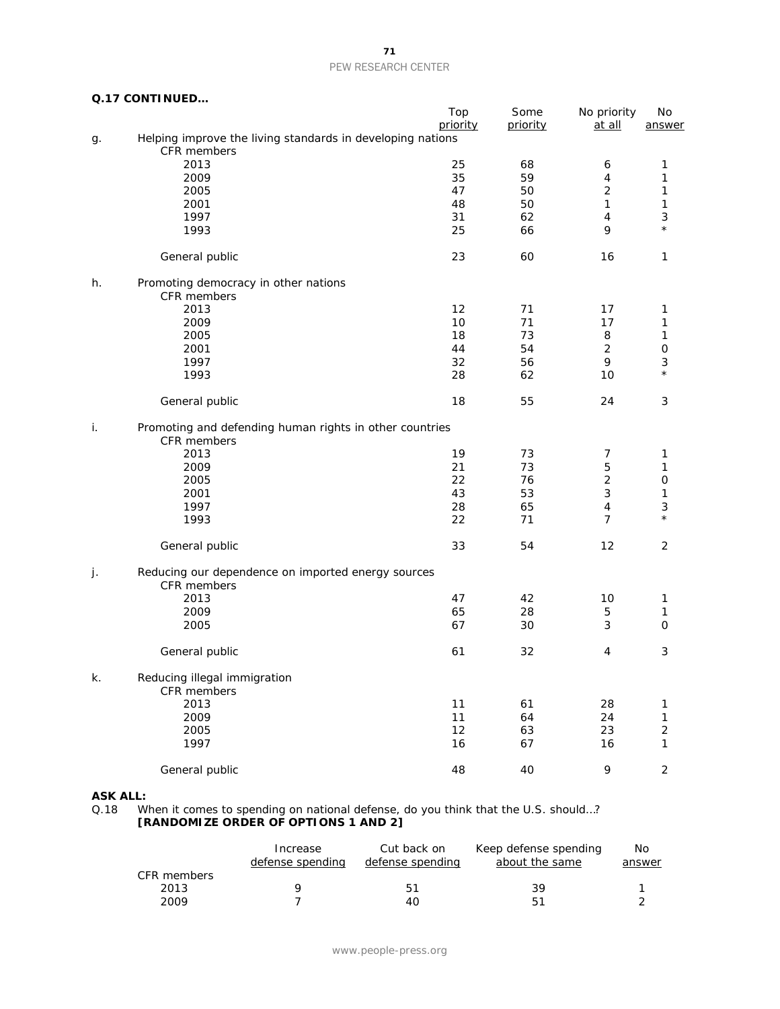#### **Q.17 CONTINUED…**

|    |                                                                           | Top<br>priority | Some     | No priority    | No                  |  |
|----|---------------------------------------------------------------------------|-----------------|----------|----------------|---------------------|--|
|    |                                                                           |                 | priority | at all         | answer              |  |
| g. | Helping improve the living standards in developing nations<br>CFR members |                 |          |                |                     |  |
|    |                                                                           |                 |          |                |                     |  |
|    | 2013                                                                      | 25              | 68       | 6              | 1                   |  |
|    | 2009                                                                      | 35              | 59       | $\overline{4}$ | 1                   |  |
|    | 2005                                                                      | 47              | 50       | $\overline{2}$ | $\mathbf 1$         |  |
|    | 2001                                                                      | 48              | 50       | 1              | 1                   |  |
|    | 1997                                                                      | 31              | 62       | 4              | 3                   |  |
|    | 1993                                                                      | 25              | 66       | 9              | $\star$             |  |
|    | General public                                                            | 23              | 60       | 16             | 1                   |  |
| h. | Promoting democracy in other nations<br>CFR members                       |                 |          |                |                     |  |
|    | 2013                                                                      | 12              | 71       | 17             | 1                   |  |
|    | 2009                                                                      | 10              | 71       | 17             | 1                   |  |
|    |                                                                           |                 |          |                |                     |  |
|    | 2005                                                                      | 18              | 73       | 8              | $\mathbf 1$         |  |
|    | 2001                                                                      | 44              | 54       | $\overline{2}$ | $\mathsf O$         |  |
|    | 1997                                                                      | 32              | 56       | 9              | 3                   |  |
|    | 1993                                                                      | 28              | 62       | 10             | $\star$             |  |
|    | General public                                                            | 18              | 55       | 24             | $\sqrt{3}$          |  |
| i. | Promoting and defending human rights in other countries<br>CFR members    |                 |          |                |                     |  |
|    | 2013                                                                      | 19              | 73       | 7              | 1                   |  |
|    | 2009                                                                      | 21              | 73       | $\mathbf 5$    | 1                   |  |
|    |                                                                           | 22              | 76       | $\overline{c}$ |                     |  |
|    | 2005                                                                      |                 |          |                | $\mathsf O$         |  |
|    | 2001                                                                      | 43              | 53       | 3              | 1                   |  |
|    | 1997                                                                      | 28              | 65       | $\overline{4}$ | 3                   |  |
|    | 1993                                                                      | 22              | 71       | $\overline{7}$ | $\star$             |  |
|    | General public                                                            | 33              | 54       | 12             | $\overline{2}$      |  |
| j. | Reducing our dependence on imported energy sources                        |                 |          |                |                     |  |
|    | CFR members                                                               |                 |          |                |                     |  |
|    | 2013                                                                      | 47              | 42       | 10             | 1                   |  |
|    | 2009                                                                      | 65              | 28       | $\mathbf 5$    | 1                   |  |
|    | 2005                                                                      | 67              | 30       | 3              | $\mathsf{O}\xspace$ |  |
|    | General public                                                            | 61              | 32       | 4              | 3                   |  |
|    | Reducing illegal immigration<br>CFR members                               |                 |          |                |                     |  |
|    | 2013                                                                      | 11              | 61       | 28             |                     |  |
|    |                                                                           |                 |          |                | 1                   |  |
|    | 2009                                                                      | 11              | 64       | 24             | $\mathbf{1}$        |  |
|    | 2005                                                                      | 12              | 63       | 23             | $\overline{c}$      |  |
|    | 1997                                                                      | 16              | 67       | 16             | 1                   |  |
|    | General public                                                            | 48              | 40       | 9              | $\overline{c}$      |  |
|    |                                                                           |                 |          |                |                     |  |

## **ASK ALL:**<br>0.18 W

Q.18 When it comes to spending on national defense, do you think that the U.S. should…? **[RANDOMIZE ORDER OF OPTIONS 1 AND 2]**

|             | Increase<br>defense spending | Cut back on<br>defense spending | Keep defense spending<br>about the same | No.<br>answer |
|-------------|------------------------------|---------------------------------|-----------------------------------------|---------------|
| CFR members |                              |                                 |                                         |               |
| 2013        |                              | 51                              | 39                                      |               |
| 2009        |                              | 40                              | 51                                      |               |

**71**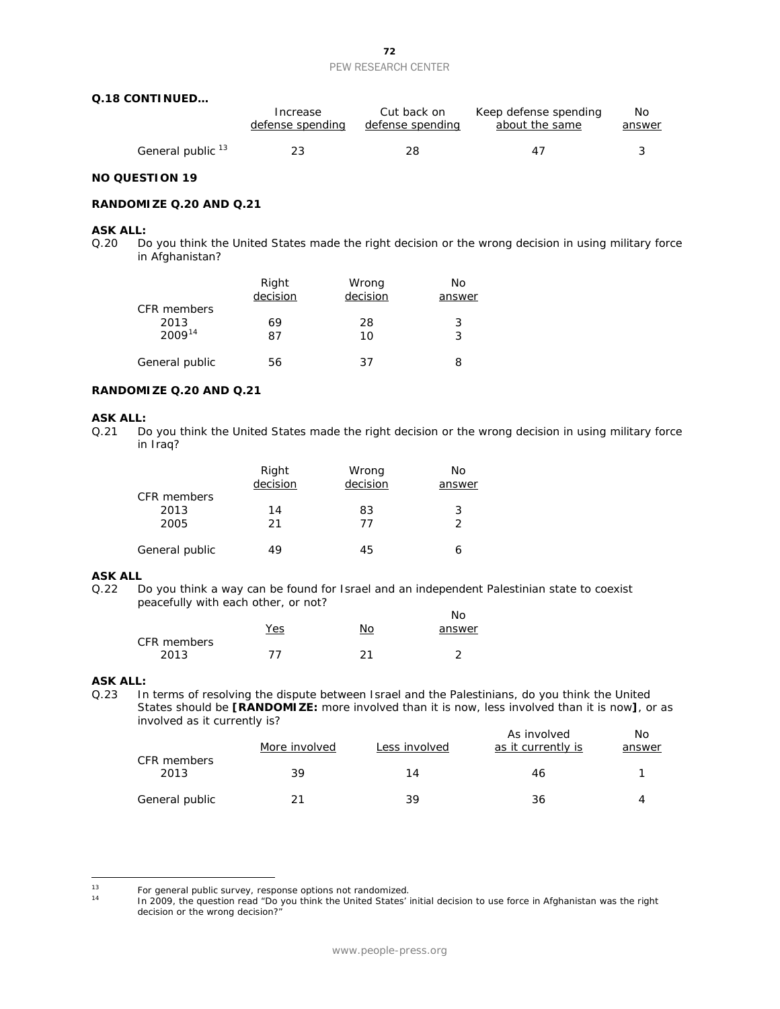|                              | Increase         | Cut back on      | Keep defense spending | No.    |
|------------------------------|------------------|------------------|-----------------------|--------|
|                              | defense spending | defense spending | about the same        | answer |
| General public <sup>13</sup> | 23               | 28               | 47                    |        |

### **NO QUESTION 19**

### **RANDOMIZE Q.20 AND Q.21**

### **ASK ALL:**

Q.20 Do you think the United States made the right decision or the wrong decision in using military force in Afghanistan?

|                | Right<br>decision | Wrong<br>decision | Nο<br>answer |
|----------------|-------------------|-------------------|--------------|
| CFR members    |                   |                   |              |
| 2013           | 69                | 28                | 3            |
| $2009^{14}$    | 87                | 10                | 3            |
|                |                   |                   |              |
| General public | 56                | 37                | 8            |

#### **RANDOMIZE Q.20 AND Q.21**

## **ASK ALL:**<br>0.21 Do

Do you think the United States made the right decision or the wrong decision in using military force in Iraq?

|                | Right<br>decision | Wrong<br>decision | No.<br>answer |
|----------------|-------------------|-------------------|---------------|
| CFR members    |                   |                   |               |
| 2013           | 14                | 83                | 3             |
| 2005           | 21                | 77                | $\mathcal{P}$ |
|                |                   |                   |               |
| General public | 49                | 45                |               |

## **ASK ALL**<br>Q.22 D

Do you think a way can be found for Israel and an independent Palestinian state to coexist peacefully with each other, or not?  $N_{\Omega}$ 

|             | <u>Yes</u> | No   | IVU<br>answer |
|-------------|------------|------|---------------|
| CFR members |            |      |               |
| 2013        | 77         | ົາ 1 | ⌒             |

## **ASK ALL:**<br>0.23 In

In terms of resolving the dispute between Israel and the Palestinians, do you think the United States should be **[RANDOMIZE:** more involved than it is now, less involved than it is now**]**, or as involved as it currently is? As involved No

|                     | More involved | Less involved | As involved<br>as it currently is | NO.<br>answer |
|---------------------|---------------|---------------|-----------------------------------|---------------|
| CFR members<br>2013 | 39            | 14            | 46                                |               |
| General public      |               | 39            | 36                                |               |

<span id="page-72-1"></span><span id="page-72-0"></span> $13$ <sup>13</sup> For general public survey, response options not randomized.<br><sup>14</sup> In 2009, the question read "Do you think the United States"

<sup>14</sup> In 2009, the question read "Do you think the United States' initial decision to use force in Afghanistan was the right decision or the wrong decision?"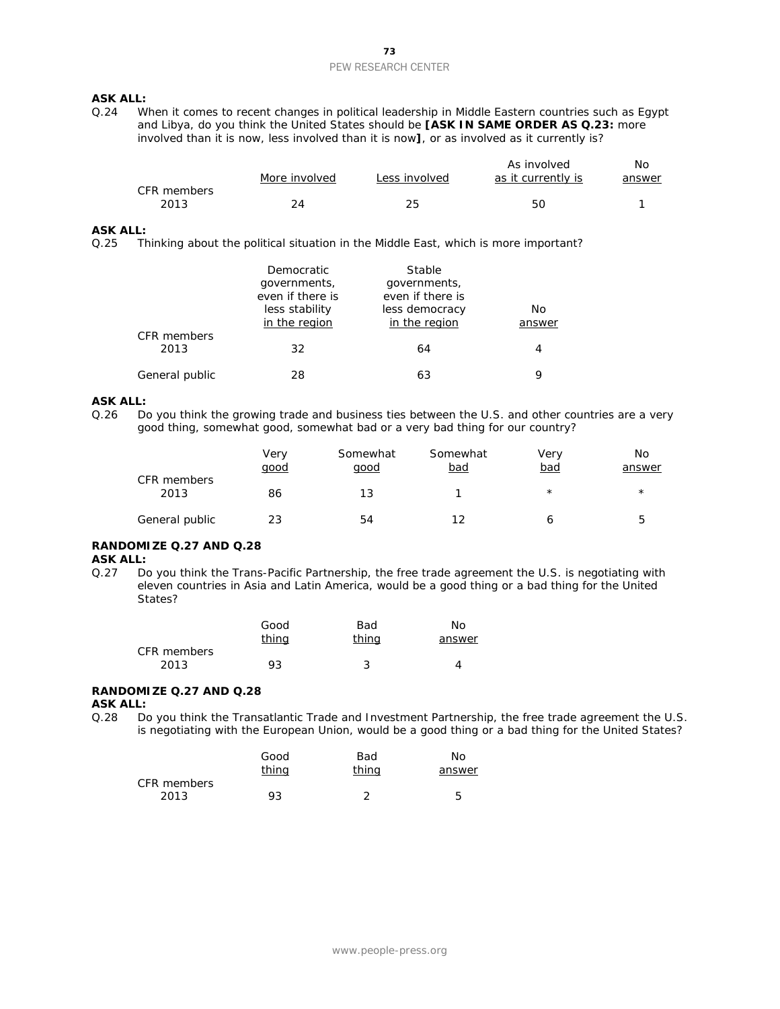## **ASK ALL:**<br>0.24 W

When it comes to recent changes in political leadership in Middle Eastern countries such as Egypt and Libya, do you think the United States should be **[ASK IN SAME ORDER AS Q.23:** more involved than it is now, less involved than it is now**]**, or as involved as it currently is?

|             |               |               | As involved        | No     |
|-------------|---------------|---------------|--------------------|--------|
|             | More involved | Less involved | as it currently is | answer |
| CFR members |               |               |                    |        |
| 2013        |               | つら            | 50                 |        |

#### **ASK ALL:**

Q.25 Thinking about the political situation in the Middle East, which is more important?

|                     | <b>Democratic</b><br>governments,<br>even if there is<br>less stability<br>in the region | Stable<br>governments,<br>even if there is<br>less democracy<br>in the region | No<br>answer |
|---------------------|------------------------------------------------------------------------------------------|-------------------------------------------------------------------------------|--------------|
| CFR members<br>2013 | 32                                                                                       | 64                                                                            | 4            |
| General public      | 28                                                                                       | 63                                                                            | 9            |

#### **ASK ALL:**

Q.26 Do you think the growing trade and business ties between the U.S. and other countries are a very good thing, somewhat good, somewhat bad or a very bad thing for our country?

|                     | Very<br><u>qood</u> | Somewhat<br>qood | Somewhat<br><u>bad</u> | Very<br>bad | No<br>answer |
|---------------------|---------------------|------------------|------------------------|-------------|--------------|
| CFR members<br>2013 | 86                  | 13               |                        | $^\star$    | $^\star$     |
| General public      | 23                  | 54               | 12                     | o           | b            |

## **RANDOMIZE Q.27 AND Q.28**

## **ASK ALL:**<br>0.27 Do

Do you think the Trans-Pacific Partnership, the free trade agreement the U.S. is negotiating with eleven countries in Asia and Latin America, would be a good thing or a bad thing for the United States?

|             | Good         | Bad          | N٥     |
|-------------|--------------|--------------|--------|
|             | <u>thing</u> | <u>thina</u> | answer |
| CFR members |              |              |        |
| 2013        | 93           |              | Δ      |

#### **RANDOMIZE Q.27 AND Q.28 ASK ALL:**

Q.28 Do you think the Transatlantic Trade and Investment Partnership, the free trade agreement the U.S. is negotiating with the European Union, would be a good thing or a bad thing for the United States?

|             | Good         | Bad          | Nο     |
|-------------|--------------|--------------|--------|
|             | <u>thing</u> | <u>thing</u> | answer |
| CFR members |              |              |        |
| 2013        | 93           |              | 5      |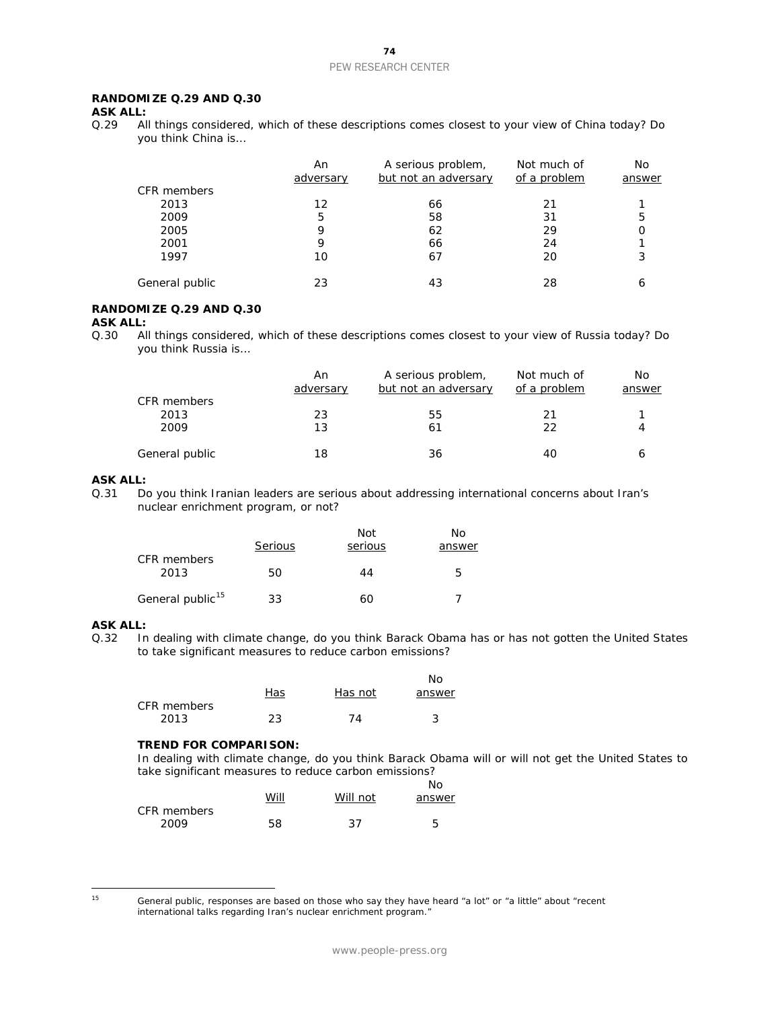### **RANDOMIZE Q.29 AND Q.30**

**ASK ALL:**<br>0.29 Al

All things considered, which of these descriptions comes closest to your view of China today? Do you think China is…

|                | An<br>adversary | A serious problem,<br>but not an adversary | Not much of<br>of a problem | No<br>answer |
|----------------|-----------------|--------------------------------------------|-----------------------------|--------------|
| CFR members    |                 |                                            |                             |              |
| 2013           | 12              | 66                                         | 21                          |              |
| 2009           | 5               | 58                                         | 31                          | 5            |
| 2005           | 9               | 62                                         | 29                          |              |
| 2001           | 9               | 66                                         | 24                          |              |
| 1997           | 10              | 67                                         | 20                          | 3            |
| General public | 23              | 43                                         | 28                          |              |

### **RANDOMIZE Q.29 AND Q.30**

**ASK ALL:**<br>Q.30 Al All things considered, which of these descriptions comes closest to your view of Russia today? Do you think Russia is…

|                | An<br>adversary | A serious problem,<br>but not an adversary | Not much of<br>of a problem | No.<br>answer |
|----------------|-----------------|--------------------------------------------|-----------------------------|---------------|
| CFR members    |                 |                                            |                             |               |
| 2013           | 23              | 55                                         | 21                          |               |
| 2009           | 13              | 61                                         | 22                          |               |
| General public | 18              | 36                                         | 40                          |               |

#### **ASK ALL:**

Q.31 Do you think Iranian leaders are serious about addressing international concerns about Iran's nuclear enrichment program, or not?

|                              | Serious | Not<br>serious | Nο<br>answer |
|------------------------------|---------|----------------|--------------|
| CFR members<br>2013          | 50      | 44             | 5            |
| General public <sup>15</sup> | 33      | 60             |              |

### **ASK ALL:**

Q.32 In dealing with climate change, do you think Barack Obama has or has not gotten the United States to take significant measures to reduce carbon emissions?

|             |     |         | Nο     |
|-------------|-----|---------|--------|
|             | Has | Has not | answer |
| CFR members |     |         |        |
| 2013        | 23  | 74      |        |

#### **TREND FOR COMPARISON:**

*In dealing with climate change, do you think Barack Obama will or will not get the United States to take significant measures to reduce carbon emissions?*

|             |      |          | Nο     |
|-------------|------|----------|--------|
|             | Will | Will not | answer |
| CFR members |      |          |        |
| 2009        | 58   | 37       | 5      |

<span id="page-74-0"></span> $15$ 

General public, responses are based on those who say they have heard "a lot" or "a little" about "recent international talks regarding Iran's nuclear enrichment program."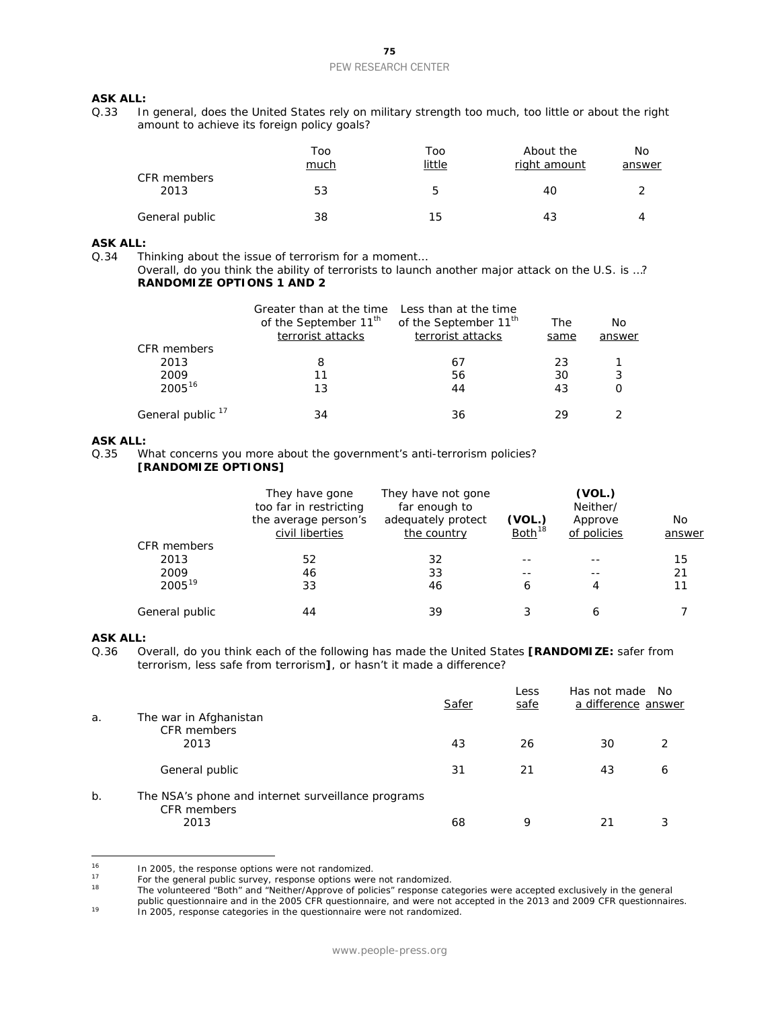## **ASK ALL:**<br>0.33 In

In general, does the United States rely on military strength too much, too little or about the right amount to achieve its foreign policy goals?

|                     | Too<br>much | Too<br>little | About the<br>right amount | No<br>answer |
|---------------------|-------------|---------------|---------------------------|--------------|
| CFR members<br>2013 | 53          | b             | 40                        |              |
| General public      | 38          | 15            | 43                        | 4            |

#### **ASK ALL:**

Q.34 Thinking about the issue of terrorism for a moment…

Overall, do you think the ability of terrorists to launch another major attack on the U.S. is …? **RANDOMIZE OPTIONS 1 AND 2**

|                              | Greater than at the time<br>of the September 11 <sup>th</sup><br>terrorist attacks | Less than at the time<br>of the September 11 <sup>th</sup><br>terrorist attacks | The<br>same | Nο<br>answer |
|------------------------------|------------------------------------------------------------------------------------|---------------------------------------------------------------------------------|-------------|--------------|
| CFR members                  |                                                                                    |                                                                                 |             |              |
| 2013                         | 8                                                                                  | 67                                                                              | 23          |              |
| 2009                         | 11                                                                                 | 56                                                                              | 30          | 3            |
| $2005^{16}$                  | 13                                                                                 | 44                                                                              | 43          | O            |
| General public <sup>17</sup> | 34                                                                                 | 36                                                                              | 29          |              |

## **ASK ALL:**<br>0.35 W

What concerns you more about the government's anti-terrorism policies? **[RANDOMIZE OPTIONS]**

|                | They have gone<br>too far in restricting<br>the average person's<br>civil liberties | They have not gone<br>far enough to<br>adequately protect<br>the country | (VOL.)<br>Both <sup>18</sup> | (VOL.)<br>Neither/<br>Approve<br>of policies | No<br>answer |
|----------------|-------------------------------------------------------------------------------------|--------------------------------------------------------------------------|------------------------------|----------------------------------------------|--------------|
| CFR members    |                                                                                     |                                                                          |                              |                                              |              |
| 2013           | 52                                                                                  | 32                                                                       |                              |                                              | 15           |
| 2009           | 46                                                                                  | 33                                                                       |                              |                                              | 21           |
| $2005^{19}$    | 33                                                                                  | 46                                                                       | 6                            | 4                                            | 11           |
| General public | 44                                                                                  | 39                                                                       |                              | 6                                            |              |

### **ASK ALL:**

Q.36 Overall, do you think each of the following has made the United States **[RANDOMIZE:** safer from terrorism, less safe from terrorism**]**, or hasn't it made a difference?

|    |                                                                   | Safer | Less<br>safe | Has not made<br>a difference answer | No. |
|----|-------------------------------------------------------------------|-------|--------------|-------------------------------------|-----|
| a. | The war in Afghanistan                                            |       |              |                                     |     |
|    | <b>CFR</b> members                                                |       |              |                                     |     |
|    | 2013                                                              | 43    | 26           | 30                                  |     |
|    | General public                                                    | 31    | 21           | 43                                  | 6   |
| b. | The NSA's phone and internet surveillance programs<br>CFR members |       |              |                                     |     |
|    | 2013                                                              | 68    | 9            | 21                                  |     |

<span id="page-75-0"></span><sup>16</sup> <sup>16</sup> In 2005, the response options were not randomized.

<sup>18</sup> The volunteered "Both" and "Neither/Approve of policies" response categories were accepted exclusively in the general public questionnaire and in the 2005 CFR questionnaire, and were not accepted in the 2013 and 2009 CFR questionnaires.

<span id="page-75-3"></span><sup>19</sup> In 2005, response categories in the questionnaire were not randomized.

<span id="page-75-2"></span><span id="page-75-1"></span><sup>&</sup>lt;sup>17</sup> For the general public survey, response options were not randomized.<br><sup>18</sup> The volunteered "Both" and "Neither/Annrove of policies" response can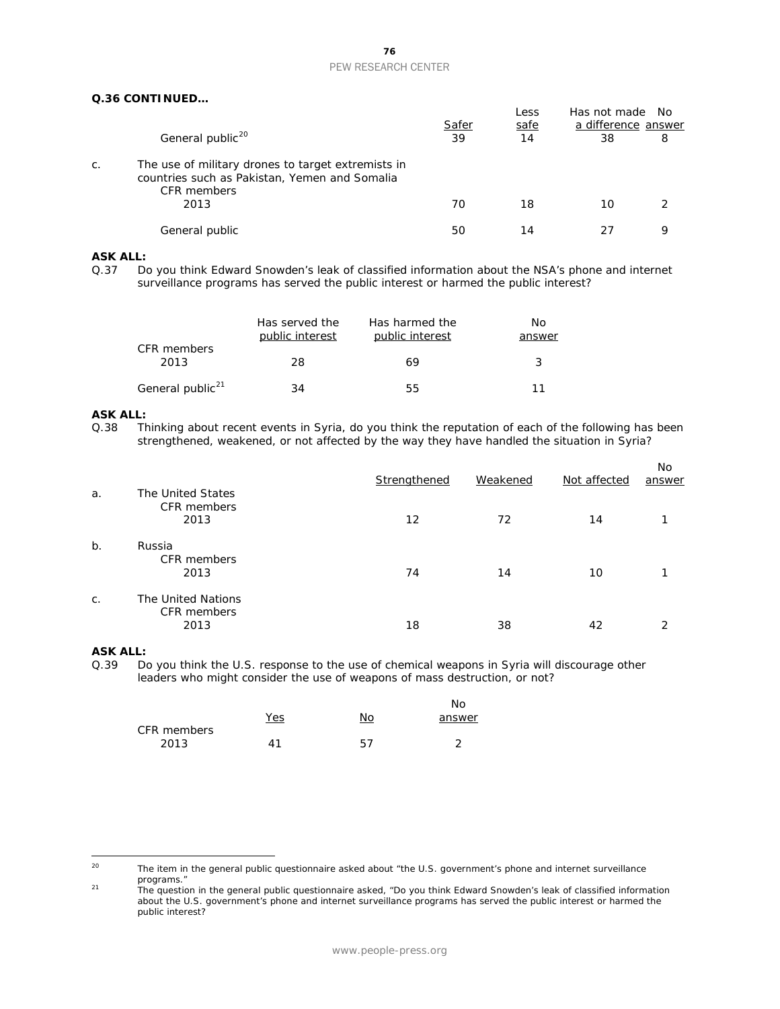|    |                                                                                                                    | Safer | Less<br>safe | Has not made<br>a difference answer | No. |
|----|--------------------------------------------------------------------------------------------------------------------|-------|--------------|-------------------------------------|-----|
|    | General public <sup>20</sup>                                                                                       | 39    | 14           | 38                                  | 8   |
| C. | The use of military drones to target extremists in<br>countries such as Pakistan, Yemen and Somalia<br>CFR members |       |              |                                     |     |
|    | 2013                                                                                                               | 70    | 18           | 10                                  |     |
|    | General public                                                                                                     | 50    | 14           |                                     | q   |

### **ASK ALL:**

Q.37 Do you think Edward Snowden's leak of classified information about the NSA's phone and internet surveillance programs has served the public interest or harmed the public interest?

|                              | Has served the<br>public interest | Has harmed the<br>public interest | No<br>answer |
|------------------------------|-----------------------------------|-----------------------------------|--------------|
| CFR members<br>2013          | -28                               | 69                                | 3            |
| General public <sup>21</sup> | 34                                | 55                                | 11           |

## **ASK ALL:**<br>0.38 Th

Thinking about recent events in Syria, do you think the reputation of each of the following has been strengthened, weakened, or not affected by the way they have handled the situation in Syria?

| a.    | The United States                         | Strengthened | Weakened | Not affected | No.<br>answer |
|-------|-------------------------------------------|--------------|----------|--------------|---------------|
|       | CFR members<br>2013                       | 12           | 72       | 14           | ◀             |
| $b$ . | Russia<br>CFR members<br>2013             | 74           | 14       | 10           |               |
| C.    | The United Nations<br>CFR members<br>2013 | 18           | 38       | 42           | າ             |

### **ASK ALL:**

Q.39 Do you think the U.S. response to the use of chemical weapons in Syria will discourage other leaders who might consider the use of weapons of mass destruction, or not?

|             |            |    | No     |
|-------------|------------|----|--------|
|             | <u>Yes</u> | No | answer |
| CFR members |            |    |        |
| 2013        | 41         | 57 |        |

<span id="page-76-1"></span><sup>21</sup> The question in the general public questionnaire asked, "Do you think Edward Snowden's leak of classified information about the U.S. government's phone and internet surveillance programs has served the public interest or harmed the public interest?

<span id="page-76-0"></span><sup>20</sup> The item in the general public questionnaire asked about "the U.S. government's phone and internet surveillance programs."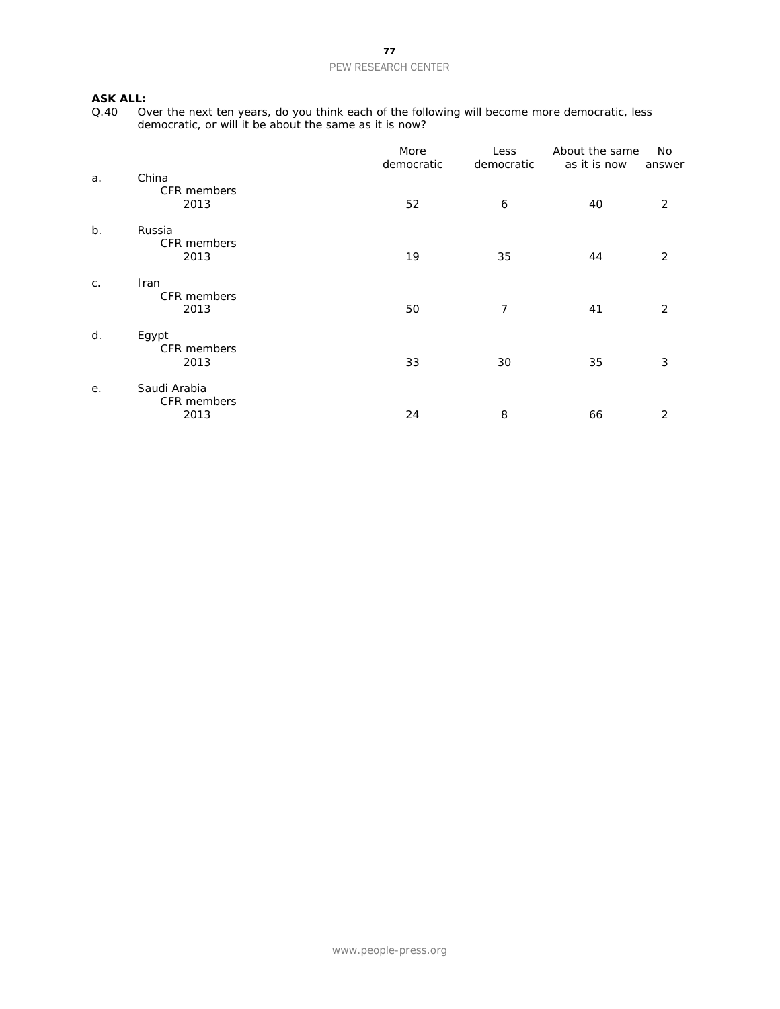## **ASK ALL:**<br>Q.40 0

Q.40 Over the next ten years, do you think each of the following will become more democratic, less democratic, or will it be about the same as it is now?

|       |                                     | More<br>democratic | Less<br>democratic | About the same<br>as it is now | No<br>answer |
|-------|-------------------------------------|--------------------|--------------------|--------------------------------|--------------|
| a.    | China<br>CFR members<br>2013        | 52                 | 6                  | 40                             | 2            |
| $b$ . | Russia<br>CFR members<br>2013       | 19                 | 35                 | 44                             | 2            |
| $C$ . | Iran<br>CFR members<br>2013         | 50                 | 7                  | 41                             | 2            |
| d.    | Egypt<br>CFR members<br>2013        | 33                 | 30                 | 35                             | 3            |
| е.    | Saudi Arabia<br>CFR members<br>2013 | 24                 | 8                  | 66                             | 2            |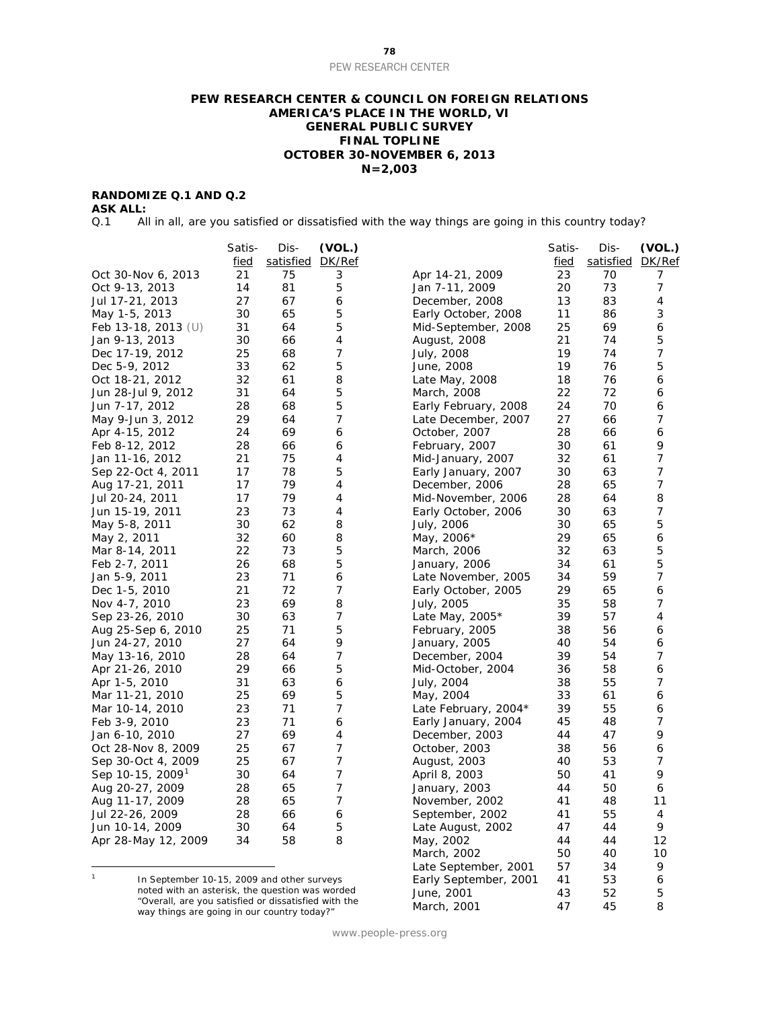#### PEW RESEARCH CENTER

#### **PEW RESEARCH CENTER & COUNCIL ON FOREIGN RELATIONS AMERICA'S PLACE IN THE WORLD, VI GENERAL PUBLIC SURVEY FINAL TOPLINE OCTOBER 30-NOVEMBER 6, 2013 N=2,003**

### **RANDOMIZE Q.1 AND Q.2**

**ASK ALL:**

Q.1 All in all, are you satisfied or dissatisfied with the way things are going in this country today?

|                              | Satis-   | Dis-      | (VOL.)         |                         | Satis- | Dis-      | (VOL.) |
|------------------------------|----------|-----------|----------------|-------------------------|--------|-----------|--------|
|                              | fied     | satisfied | DK/Ref         |                         | fied   | satisfied | DK/Ref |
| Oct 30-Nov 6, 2013           | 21       | 75        | 3              | Apr 14-21, 2009         | 23     | 70        | 7      |
| Oct 9-13, 2013               | 14       | 81        | 5              | Jan 7-11, 2009          | 20     | 73        | 7      |
| Jul 17-21, 2013              | 27       | 67        | 6              | December, 2008          | 13     | 83        | 4      |
| May 1-5, 2013                | 30       | 65        | 5              | Early October, 2008     | 11     | 86        | 3      |
| Feb 13-18, 2013 $(U)$        | 31       | 64        | 5              | Mid-September, 2008     | 25     | 69        | 6      |
| Jan 9-13, 2013               | 30       | 66        | 4              | August, 2008            | 21     | 74        | 5      |
| Dec 17-19, 2012              | 25       | 68        | 7              | July, 2008              | 19     | 74        | 7      |
| Dec 5-9, 2012                | 33       | 62        | 5              | June, 2008              | 19     | 76        | 5      |
| Oct 18-21, 2012              | 32       | 61        | 8              | Late May, 2008          | 18     | 76        | 6      |
| Jun 28-Jul 9, 2012           | 31       | 64        | 5              | March, 2008             | 22     | 72        | 6      |
| Jun 7-17, 2012               | 28       | 68        | 5              | Early February, 2008    | 24     | 70        | 6      |
| May 9-Jun 3, 2012            | 29       | 64        | 7              | Late December, 2007     | 27     | 66        | 7      |
| Apr 4-15, 2012               | 24       | 69        | 6              | October, 2007           | 28     | 66        | 6      |
| Feb 8-12, 2012               | 28       | 66        | 6              | February, 2007          | 30     | 61        | 9      |
| Jan 11-16, 2012              | 21       | 75        | 4              | Mid-January, 2007       | 32     | 61        | 7      |
| Sep 22-Oct 4, 2011           | 17       | 78        | 5              | Early January, 2007     | 30     | 63        | 7      |
| Aug 17-21, 2011              | 17       | 79        | 4              | December, 2006          | 28     | 65        | 7      |
| Jul 20-24, 2011              | 17       | 79        | 4              | Mid-November, 2006      | 28     | 64        | 8      |
| Jun 15-19, 2011              | 23       | 73        | 4              | Early October, 2006     | 30     | 63        | 7      |
| May 5-8, 2011                | 30       | 62        | 8              | July, 2006              | 30     | 65        | 5      |
| May 2, 2011                  | 32       | 60        | 8              | May, 2006*              | 29     | 65        | 6      |
| Mar 8-14, 2011               | 22       | 73        | 5              | March, 2006             | 32     | 63        | 5      |
| Feb 2-7, 2011                | 26       | 68        | 5              | January, 2006           | 34     | 61        | 5      |
| Jan 5-9, 2011                | 23       | 71        | 6              | Late November, 2005     | 34     | 59        | 7      |
| Dec 1-5, 2010                | 21       | 72        | 7              | Early October, 2005     | 29     | 65        | 6      |
| Nov 4-7, 2010                | 23       | 69        | 8              | July, 2005              | 35     | 58        | 7      |
| Sep 23-26, 2010              | 30       | 63        | 7              | Late May, $2005*$       | 39     | 57        | 4      |
|                              | 25       | 71        | 5              |                         | 38     | 56        | 6      |
| Aug 25-Sep 6, 2010           | 27       | 64        | 9              | February, 2005          | 40     | 54        | 6      |
| Jun 24-27, 2010              |          |           | 7              | January, 2005           | 39     |           | 7      |
| May 13-16, 2010              | 28<br>29 | 64<br>66  | 5              | December, 2004          |        | 54<br>58  | 6      |
| Apr 21-26, 2010              |          |           |                | Mid-October, 2004       | 36     |           | 7      |
| Apr 1-5, 2010                | 31       | 63        | 6              | July, 2004              | 38     | 55<br>61  | 6      |
| Mar 11-21, 2010              | 25       | 69        | 5              | May, 2004               | 33     |           |        |
| Mar 10-14, 2010              | 23       | 71        | 7              | Late February, 2004 $*$ | 39     | 55        | 6      |
| Feb 3-9, 2010                | 23       | 71        | 6              | Early January, 2004     | 45     | 48        | 7      |
| Jan 6-10, 2010               | 27       | 69        | 4              | December, 2003          | 44     | 47        | 9      |
| Oct 28-Nov 8, 2009           | 25       | 67        | 7              | October, 2003           | 38     | 56        | 6      |
| Sep 30-Oct 4, 2009           | 25       | 67        | $\overline{7}$ | August, 2003            | 40     | 53        | 7      |
| Sep 10-15, 2009 <sup>1</sup> | 30       | 64        | 7              | April 8, 2003           | 50     | 41        | 9      |
| Aug 20-27, 2009              | 28       | 65        | 7              | January, 2003           | 44     | 50        | 6      |
| Aug 11-17, 2009              | 28       | 65        | 7              | November, 2002          | 41     | 48        | 11     |
| Jul 22-26, 2009              | 28       | 66        | 6              | September, 2002         | 41     | 55        | 4      |
| Jun 10-14, 2009              | 30       | 64        | 5              | Late August, 2002       | 47     | 44        | 9      |
| Apr 28-May 12, 2009          | 34       | 58        | 8              | May, 2002               | 44     | 44        | 12     |
|                              |          |           |                | March, 2002             | 50     | 40        | 10     |
|                              |          |           |                | Late September, 2001    | 57     | 34        | 9      |

<span id="page-78-0"></span> $\mathbf{1}$ In September 10-15, 2009 and other surveys noted with an asterisk, the question was worded "Overall, are you satisfied or dissatisfied with the way things are going in our country today?"

www.people-press.org

Early September, 2001 41 53 6 June, 2001 43 52 5 March, 2001 **47** 45 8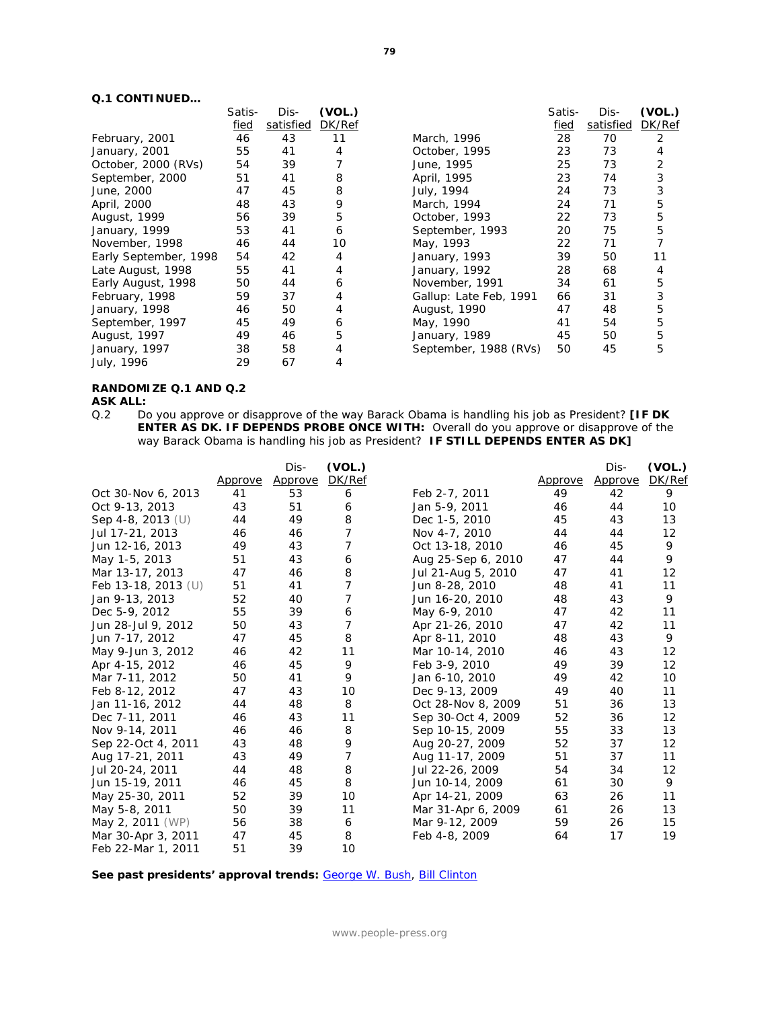|                       | Satis- | Dis-      | (VOL.) |                        | Satis- | Dis-      | (VOL.) |
|-----------------------|--------|-----------|--------|------------------------|--------|-----------|--------|
|                       | fied   | satisfied | DK/Ref |                        | fied   | satisfied | DK/Ref |
| February, 2001        | 46     | 43        | 11     | March, 1996            | 28     | 70        | 2      |
| January, 2001         | 55     | 41        | 4      | October, 1995          | 23     | 73        | 4      |
| October, 2000 (RVs)   | 54     | 39        |        | June, 1995             | 25     | 73        | 2      |
| September, 2000       | 51     | 41        | 8      | April, 1995            | 23     | 74        | 3      |
| June, 2000            | 47     | 45        | 8      | July, 1994             | 24     | 73        | 3      |
| April, 2000           | 48     | 43        | 9      | March, 1994            | 24     | 71        | 5      |
| August, 1999          | 56     | 39        | 5      | October, 1993          | 22     | 73        | 5      |
| January, 1999         | 53     | 41        | 6      | September, 1993        | 20     | 75        | 5      |
| November, 1998        | 46     | 44        | 10     | May, 1993              | 22     | 71        |        |
| Early September, 1998 | 54     | 42        | 4      | January, 1993          | 39     | 50        | 11     |
| Late August, 1998     | 55     | 41        | 4      | January, 1992          | 28     | 68        | 4      |
| Early August, 1998    | 50     | 44        | 6      | November, 1991         | 34     | 61        | 5      |
| February, 1998        | 59     | 37        | 4      | Gallup: Late Feb, 1991 | 66     | 31        | 3      |
| January, 1998         | 46     | 50        | 4      | August, 1990           | 47     | 48        | 5      |
| September, 1997       | 45     | 49        | 6      | May, 1990              | 41     | 54        | 5      |
| August, 1997          | 49     | 46        | 5      | January, 1989          | 45     | 50        | 5      |
| January, 1997         | 38     | 58        | 4      | September, 1988 (RVs)  | 50     | 45        | 5      |
| July, 1996            | 29     | 67        | 4      |                        |        |           |        |
|                       |        |           |        |                        |        |           |        |

### **RANDOMIZE Q.1 AND Q.2**

**ASK ALL:**<br>Q.2 Do Do you approve or disapprove of the way Barack Obama is handling his job as President? **[IF DK ENTER AS DK. IF DEPENDS PROBE ONCE WITH:** Overall do you approve or disapprove of the way Barack Obama is handling his job as President? **IF STILL DEPENDS ENTER AS DK]**

|                       |         | Dis-    | (VOL.)         |                    |         | Dis-    | (VOL.) |
|-----------------------|---------|---------|----------------|--------------------|---------|---------|--------|
|                       | Approve | Approve | DK/Ref         |                    | Approve | Approve | DK/Ref |
| Oct 30-Nov 6, 2013    | 41      | 53      | 6              | Feb 2-7, 2011      | 49      | 42      | 9      |
| Oct 9-13, 2013        | 43      | 51      | 6              | Jan 5-9, 2011      | 46      | 44      | 10     |
| Sep 4-8, 2013 $(U)$   | 44      | 49      | 8              | Dec 1-5, 2010      | 45      | 43      | 13     |
| Jul 17-21, 2013       | 46      | 46      | 7              | Nov 4-7, 2010      | 44      | 44      | 12     |
| Jun 12-16, 2013       | 49      | 43      | 7              | Oct 13-18, 2010    | 46      | 45      | 9      |
| May 1-5, 2013         | 51      | 43      | 6              | Aug 25-Sep 6, 2010 | 47      | 44      | 9      |
| Mar 13-17, 2013       | 47      | 46      | 8              | Jul 21-Aug 5, 2010 | 47      | 41      | 12     |
| Feb 13-18, 2013 $(U)$ | 51      | 41      | 7              | Jun 8-28, 2010     | 48      | 41      | 11     |
| Jan 9-13, 2013        | 52      | 40      | 7              | Jun 16-20, 2010    | 48      | 43      | 9      |
| Dec 5-9, 2012         | 55      | 39      | 6              | May 6-9, 2010      | 47      | 42      | 11     |
| Jun 28-Jul 9, 2012    | 50      | 43      | 7              | Apr 21-26, 2010    | 47      | 42      | 11     |
| Jun 7-17, 2012        | 47      | 45      | 8              | Apr 8-11, 2010     | 48      | 43      | 9      |
| May 9-Jun 3, 2012     | 46      | 42      | 11             | Mar 10-14, 2010    | 46      | 43      | 12     |
| Apr 4-15, 2012        | 46      | 45      | 9              | Feb 3-9, 2010      | 49      | 39      | 12     |
| Mar 7-11, 2012        | 50      | 41      | 9              | Jan 6-10, 2010     | 49      | 42      | 10     |
| Feb 8-12, 2012        | 47      | 43      | 10             | Dec 9-13, 2009     | 49      | 40      | 11     |
| Jan 11-16, 2012       | 44      | 48      | 8              | Oct 28-Nov 8, 2009 | 51      | 36      | 13     |
| Dec 7-11, 2011        | 46      | 43      | 11             | Sep 30-Oct 4, 2009 | 52      | 36      | 12     |
| Nov 9-14, 2011        | 46      | 46      | 8              | Sep 10-15, 2009    | 55      | 33      | 13     |
| Sep 22-Oct 4, 2011    | 43      | 48      | 9              | Aug 20-27, 2009    | 52      | 37      | 12     |
| Aug 17-21, 2011       | 43      | 49      | $\overline{7}$ | Aug 11-17, 2009    | 51      | 37      | 11     |
| Jul 20-24, 2011       | 44      | 48      | 8              | Jul 22-26, 2009    | 54      | 34      | 12     |
| Jun 15-19, 2011       | 46      | 45      | 8              | Jun 10-14, 2009    | 61      | 30      | 9      |
| May 25-30, 2011       | 52      | 39      | 10             | Apr 14-21, 2009    | 63      | 26      | 11     |
| May 5-8, 2011         | 50      | 39      | 11             | Mar 31-Apr 6, 2009 | 61      | 26      | 13     |
| May 2, 2011 (WP)      | 56      | 38      | 6              | Mar 9-12, 2009     | 59      | 26      | 15     |
| Mar 30-Apr 3, 2011    | 47      | 45      | 8              | Feb 4-8, 2009      | 64      | 17      | 19     |
| Feb 22-Mar 1, 2011    | 51      | 39      | 10             |                    |         |         |        |

See past presidents' approval trends: [George W. Bush,](http://www.people-press.org/files/legacy-questionnaires/483.pdf) [Bill Clinton](http://www.people-press.org/files/legacy-questionnaires/18.pdf)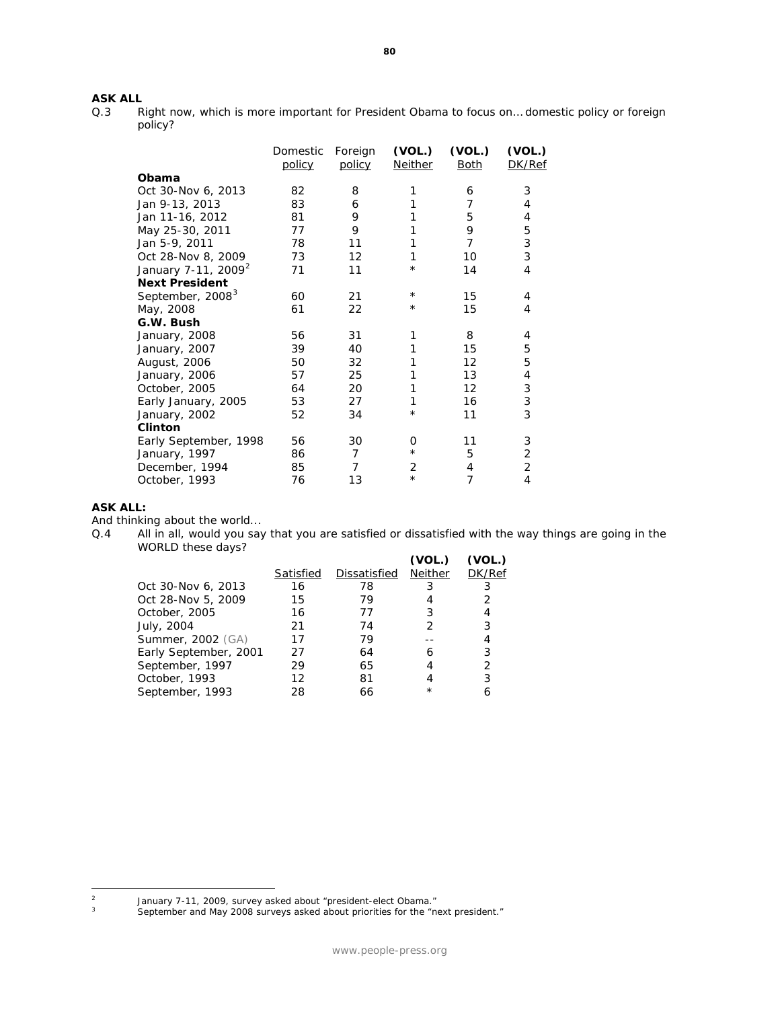# **ASK ALL**<br>Q.3 R

Right now, which is more important for President Obama to focus on... domestic policy or foreign policy?

|                                 | Domestic<br>policy | Foreign<br>policy | (VOL.)<br><b>Neither</b> | (VOL.)<br><u>Both</u> | (VOL.)<br>DK/Ref |
|---------------------------------|--------------------|-------------------|--------------------------|-----------------------|------------------|
| Obama                           |                    |                   |                          |                       |                  |
| Oct 30-Nov 6, 2013              | 82                 | 8                 | 1                        | 6                     | 3                |
| Jan 9-13, 2013                  | 83                 | 6                 | 1                        | 7                     | 4                |
| Jan 11-16, 2012                 | 81                 | 9                 | 1                        | 5                     | 4                |
| May 25-30, 2011                 | 77                 | 9                 | 1                        | 9                     | 5                |
| Jan 5-9, 2011                   | 78                 | 11                | 1                        | 7                     | 3                |
| Oct 28-Nov 8, 2009              | 73                 | 12                | 1                        | 10                    | 3                |
| January 7-11, 2009 <sup>2</sup> | 71                 | 11                | $\star$                  | 14                    | 4                |
| <b>Next President</b>           |                    |                   |                          |                       |                  |
| September, 2008 <sup>3</sup>    | 60                 | 21                | $^\star$                 | 15                    | 4                |
| May, 2008                       | 61                 | 22                | $^\star$                 | 15                    | 4                |
| G.W. Bush                       |                    |                   |                          |                       |                  |
| January, 2008                   | 56                 | 31                | 1                        | 8                     | 4                |
| January, 2007                   | 39                 | 40                | 1                        | 15                    | 5                |
| August, 2006                    | 50                 | 32                | 1                        | 12                    | 5                |
| January, 2006                   | 57                 | 25                | 1                        | 13                    | 4                |
| October, 2005                   | 64                 | 20                | 1                        | 12                    | 3                |
| Early January, 2005             | 53                 | 27                | 1                        | 16                    | 3                |
| January, 2002                   | 52                 | 34                | $^\star$                 | 11                    | 3                |
| <b>Clinton</b>                  |                    |                   |                          |                       |                  |
| Early September, 1998           | 56                 | 30                | O                        | 11                    | 3                |
| January, 1997                   | 86                 | $\overline{7}$    | $^\star$                 | 5                     | 2                |
| December, 1994                  | 85                 | 7                 | 2                        | 4                     | 2                |
| October, 1993                   | 76                 | 13                | $\star$                  | 7                     | $\overline{4}$   |

#### **ASK ALL:**

And thinking about the world...<br>Q.4 All in all, would you say All in all, would you say that you are satisfied or dissatisfied with the way things are going in the WORLD these days? **(VOL.) (VOL.)**

|                       |           |              | (VOL.)  | (VOL.) |
|-----------------------|-----------|--------------|---------|--------|
|                       | Satisfied | Dissatisfied | Neither | DK/Ref |
| Oct 30-Nov 6, 2013    | 16        | 78           | 3       |        |
| Oct 28-Nov 5, 2009    | 15        | 79           |         |        |
| October, 2005         | 16        | 77           | 3       | 4      |
| July, 2004            | 21        | 74           |         | 3      |
| Summer, 2002 (GA)     | 17        | 79           |         | 4      |
| Early September, 2001 | 27        | 64           | 6       | 3      |
| September, 1997       | 29        | 65           |         | 2      |
| October, 1993         | 12        | 81           |         | 3      |
| September, 1993       | 28        | 66           | $\star$ |        |

<span id="page-80-1"></span><span id="page-80-0"></span> $\sqrt{2}$ <sup>2</sup> January 7-11, 2009, survey asked about "president-elect Obama."

 $3$  September and May 2008 surveys asked about priorities for the "next president."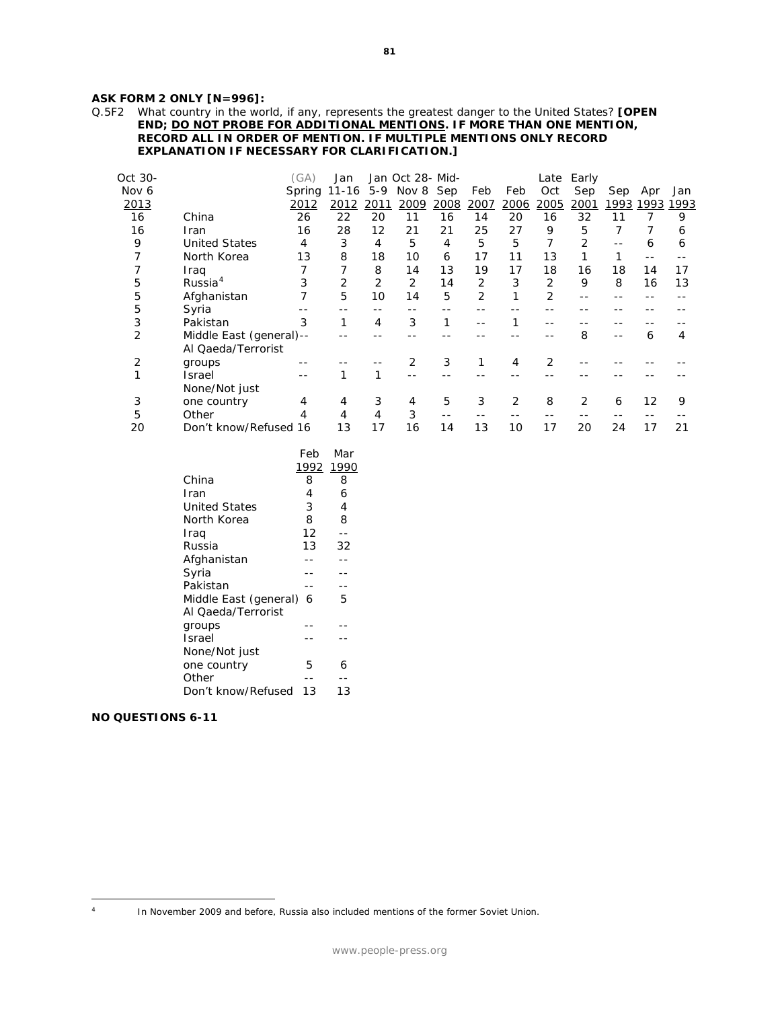#### **ASK FORM 2 ONLY [N=996]:**

Q.5F2 What country in the world, if any, represents the greatest danger to the United States? **[OPEN END; DO NOT PROBE FOR ADDITIONAL MENTIONS. IF MORE THAN ONE MENTION, RECORD ALL IN ORDER OF MENTION. IF MULTIPLE MENTIONS ONLY RECORD EXPLANATION IF NECESSARY FOR CLARIFICATION.]** 

| Oct 30- |                         | (GA)   | Jan          |      | Jan Oct 28- Mid- |      |                |      | Late | Early |      |      |      |
|---------|-------------------------|--------|--------------|------|------------------|------|----------------|------|------|-------|------|------|------|
| Nov 6   |                         | Spring | 11-16        | 5-9  | Nov 8 Sep        |      | Feb            | Feb  | Oct  | Sep   | Sep  | Apr  | Jan  |
| 2013    |                         | 2012   | 2012         | 2011 | 2009             | 2008 | 2007           | 2006 | 2005 | 2001  | 1993 | 1993 | 1993 |
| 16      | China                   | 26     | 22           | 20   | 11               | 16   | 14             | 20   | 16   | 32    | 11   |      | 9    |
| 16      | Iran                    | 16     | 28           | 12   | 21               | 21   | 25             | 27   | 9    | 5     |      |      | 6    |
| 9       | <b>United States</b>    | 4      | 3            | 4    | 5                | 4    | 5              | 5    |      | 2     |      | 6    | 6    |
| 7       | North Korea             | 13     | 8            | 18   | 10               | 6    | 17             | 11   | 13   |       |      |      |      |
|         | Iraq                    |        |              | 8    | 14               | 13   | 19             | 17   | 18   | 16    | 18   | 14   | 17   |
| 5       | Russia <sup>4</sup>     | 3      | 2            | 2    | 2                | 14   | 2              | 3    | 2    | 9     | 8    | 16   | 13   |
| 5       | Afghanistan             |        | 5            | 10   | 14               | 5    | $\overline{2}$ |      | 2    |       |      |      |      |
| 5       | Syria                   |        |              |      |                  |      |                |      |      |       |      |      |      |
| 3       | Pakistan                | 3      | $\mathbf{1}$ | 4    | 3                | 1    |                |      |      |       |      |      |      |
| 2       | Middle East (general)-- |        |              |      |                  |      |                |      |      | 8     |      | 6    | 4    |
|         | Al Qaeda/Terrorist      |        |              |      |                  |      |                |      |      |       |      |      |      |
| 2       | groups                  |        |              |      | 2                | 3    |                | 4    | 2    |       |      |      |      |
|         | Israel                  |        |              |      |                  |      |                |      |      |       |      |      |      |
|         | None/Not just           |        |              |      |                  |      |                |      |      |       |      |      |      |
| 3       | one country             | 4      | 4            | 3    | 4                | 5    | 3              | 2    | 8    | 2     | 6    | 12   | 9    |
| 5       | Other                   |        | 4            | 4    | 3                |      |                |      |      |       |      |      |      |
| 20      | Don't know/Refused 16   |        | 13           | 17   | 16               | 14   | 13             | 10   | 17   | 20    | 24   | 17   | 21   |

|                       | Feb       | Mar |
|-----------------------|-----------|-----|
|                       | 1992 1990 |     |
| China                 | 8         | 8   |
| Iran                  | 4         | 6   |
| United States         | 3         | 4   |
| North Korea           | 8         | 8   |
| Iraq                  | 12        |     |
| Russia                | 13        | 32  |
| Afghanistan           |           |     |
| Syria                 |           |     |
| Pakistan              |           |     |
| Middle East (general) | 6         | 5   |
| Al Qaeda/Terrorist    |           |     |
| groups                |           |     |
| Israel                |           |     |
| None/Not just         |           |     |
| one country           | 5         | 6   |
| Other                 |           |     |
| Don't know/Refused    | 13        | 13  |

#### **NO QUESTIONS 6-11**

<span id="page-81-0"></span> $\overline{A}$ 

In November 2009 and before, Russia also included mentions of the former Soviet Union.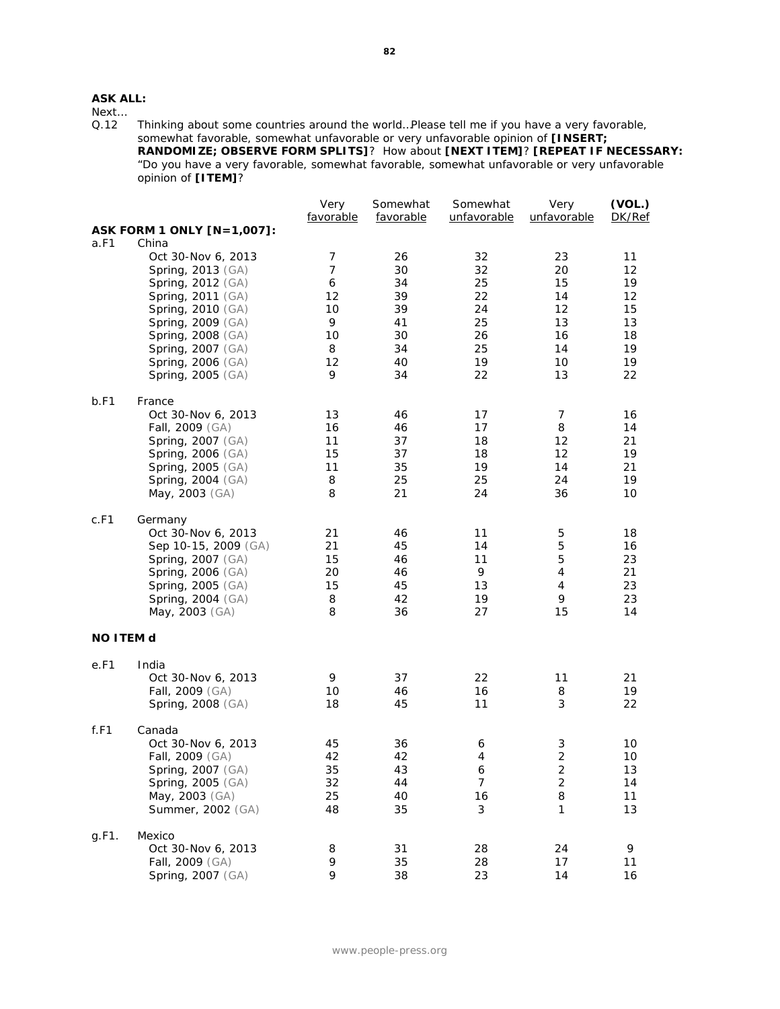### **ASK ALL:**

Next...<br>Q.12

Thinking about some countries around the world...Please tell me if you have a very favorable, somewhat favorable, somewhat unfavorable or very unfavorable opinion of **[INSERT; RANDOMIZE; OBSERVE FORM SPLITS]**? How about **[NEXT ITEM]**? **[REPEAT IF NECESSARY:** "Do you have a very favorable, somewhat favorable, somewhat unfavorable or very unfavorable opinion of **[ITEM]**?

|                  |                            | Very<br>favorable | Somewhat<br>favorable | Somewhat<br>unfavorable | Very<br>unfavorable | (VOL.)<br>DK/Ref  |
|------------------|----------------------------|-------------------|-----------------------|-------------------------|---------------------|-------------------|
|                  | ASK FORM 1 ONLY [N=1,007]: |                   |                       |                         |                     |                   |
| a.F1             | China                      |                   |                       |                         |                     |                   |
|                  | Oct 30-Nov 6, 2013         | $\overline{7}$    | 26                    | 32                      | 23                  | 11                |
|                  | Spring, 2013 (GA)          | 7                 | 30                    | 32                      | 20                  | 12                |
|                  | Spring, 2012 (GA)          | 6                 | 34                    | 25                      | 15                  | 19                |
|                  | Spring, 2011 (GA)          | 12                | 39                    | 22                      | 14                  | $12 \overline{ }$ |
|                  | Spring, 2010 (GA)          | 10                | 39                    | 24                      | 12                  | 15                |
|                  | Spring, 2009 (GA)          | 9                 | 41                    | 25                      | 13                  | 13                |
|                  | <b>Spring, 2008 (GA)</b>   | 10                | 30                    | 26                      | 16                  | 18                |
|                  | Spring, 2007 (GA)          | 8                 | 34                    | 25                      | 14                  | 19                |
|                  | <b>Spring, 2006 (GA)</b>   | 12                | 40                    | 19                      | 10                  | 19                |
|                  | Spring, 2005 (GA)          | 9                 | 34                    | 22                      | 13                  | 22                |
| b.F1             | France                     |                   |                       |                         |                     |                   |
|                  | Oct 30-Nov 6, 2013         | 13                | 46                    | 17                      | 7                   | 16                |
|                  | Fall, 2009 (GA)            | 16                | 46                    | 17                      | 8                   | 14                |
|                  | Spring, 2007 (GA)          | 11                | 37                    | 18                      | 12                  | 21                |
|                  | Spring, 2006 (GA)          | 15                | 37                    | 18                      | 12                  | 19                |
|                  | Spring, 2005 (GA)          | 11                | 35                    | 19                      | 14                  | 21                |
|                  | Spring, 2004 (GA)          | 8                 | 25                    | 25                      | 24                  | 19                |
|                  | May, 2003 (GA)             | 8                 | 21                    | 24                      | 36                  | 10                |
| c.F1             | Germany                    |                   |                       |                         |                     |                   |
|                  | Oct 30-Nov 6, 2013         | 21                | 46                    | 11                      | 5                   | 18                |
|                  | Sep 10-15, 2009 (GA)       | 21                | 45                    | 14                      | 5                   | 16                |
|                  | <b>Spring, 2007 (GA)</b>   | 15                | 46                    | 11                      | 5                   | 23                |
|                  | Spring, 2006 (GA)          | 20                | 46                    | 9                       | 4                   | 21                |
|                  | Spring, 2005 (GA)          | 15                | 45                    | 13                      | 4                   | 23                |
|                  | <b>Spring, 2004 (GA)</b>   | 8                 | 42                    | 19                      | 9                   | 23                |
|                  | May, 2003 (GA)             | 8                 | 36                    | 27                      | 15                  | 14                |
| <b>NO ITEM d</b> |                            |                   |                       |                         |                     |                   |
| e.F1             | India                      |                   |                       |                         |                     |                   |
|                  | Oct 30-Nov 6, 2013         | 9                 | 37                    | 22                      | 11                  | 21                |
|                  | Fall, 2009 (GA)            | 10                | 46                    | 16                      | 8                   | 19                |
|                  | Spring, 2008 (GA)          | 18                | 45                    | 11                      | 3                   | 22                |
| f.F1             | Canada                     |                   |                       |                         |                     |                   |
|                  | Oct 30-Nov 6, 2013         | 45                | 36                    | 6                       | 3                   | 10                |
|                  | Fall, 2009 (GA)            | 42                | 42                    | $\overline{4}$          | $\overline{2}$      | 10                |
|                  | Spring, 2007 (GA)          | 35                | 43                    | 6                       | $\overline{c}$      | 13                |
|                  | Spring, 2005 (GA)          | 32                | 44                    | $\overline{7}$          | 2                   | 14                |
|                  | May, 2003 (GA)             | 25                | 40                    | 16                      | 8                   | 11                |
|                  | Summer, 2002 (GA)          | 48                | 35                    | 3                       | 1                   | 13                |
| g.F1.            | Mexico                     |                   |                       |                         |                     |                   |
|                  | Oct 30-Nov 6, 2013         | 8                 | 31                    | 28                      | 24                  | 9                 |
|                  | Fall, 2009 (GA)            | 9                 | 35                    | 28                      | 17                  | 11                |
|                  | Spring, 2007 (GA)          | 9                 | 38                    | 23                      | 14                  | 16                |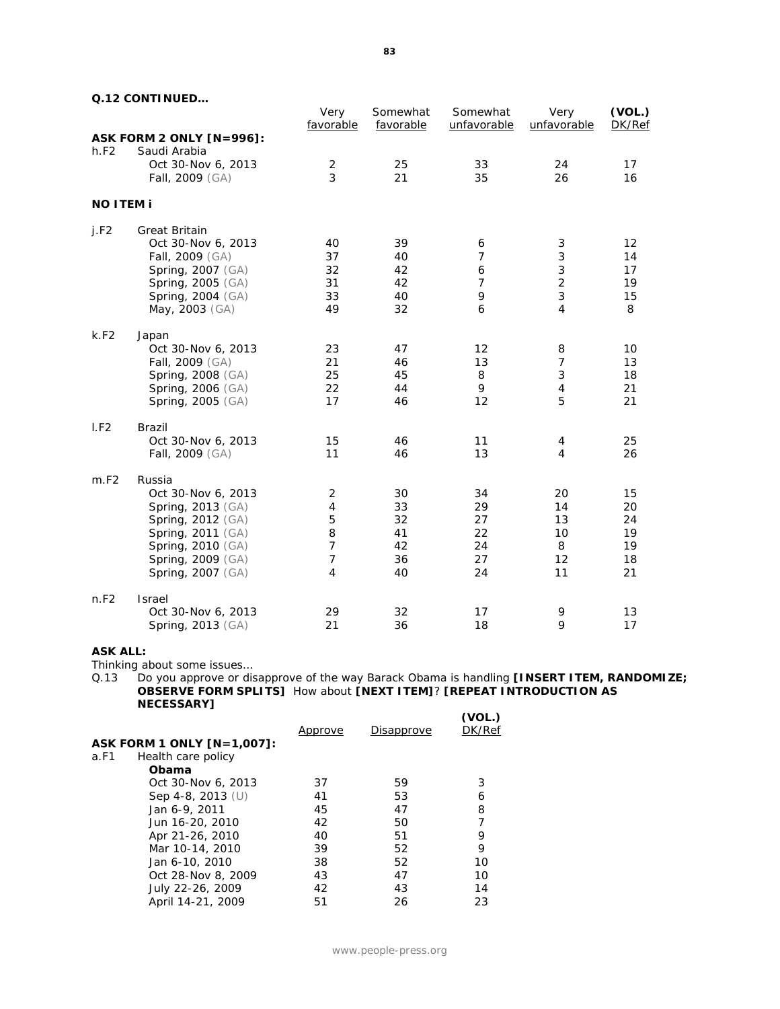|                  | <u>U. IZ CONTINUED</u>   | Very<br>favorable | Somewhat<br>favorable | Somewhat<br>unfavorable | Very<br>unfavorable | (VOL.)<br>DK/Ref |
|------------------|--------------------------|-------------------|-----------------------|-------------------------|---------------------|------------------|
|                  | ASK FORM 2 ONLY [N=996]: |                   |                       |                         |                     |                  |
| h.F2             | Saudi Arabia             |                   |                       |                         |                     |                  |
|                  | Oct 30-Nov 6, 2013       | 2                 | 25                    | 33                      | 24                  | 17               |
|                  | Fall, 2009 (GA)          | 3                 | 21                    | 35                      | 26                  | 16               |
| <b>NO ITEM i</b> |                          |                   |                       |                         |                     |                  |
| j.F2             | <b>Great Britain</b>     |                   |                       |                         |                     |                  |
|                  | Oct 30-Nov 6, 2013       | 40                | 39                    | 6                       | 3                   | 12               |
|                  | Fall, 2009 (GA)          | 37                | 40                    | $\overline{7}$          | 3                   | 14               |
|                  | Spring, 2007 (GA)        | 32                | 42                    | 6                       | 3                   | 17               |
|                  | Spring, 2005 (GA)        | 31                | 42                    | 7                       | $\overline{c}$      | 19               |
|                  | Spring, 2004 (GA)        | 33                | 40                    | 9                       | 3                   | 15               |
|                  | May, 2003 (GA)           | 49                | 32                    | 6                       | 4                   | 8                |
| k.F2             | Japan                    |                   |                       |                         |                     |                  |
|                  | Oct 30-Nov 6, 2013       | 23                | 47                    | 12                      | 8                   | 10               |
|                  | Fall, 2009 (GA)          | 21                | 46                    | 13                      | $\overline{7}$      | 13               |
|                  | Spring, 2008 (GA)        | 25                | 45                    | 8                       | 3                   | 18               |
|                  | Spring, 2006 (GA)        | 22                | 44                    | 9                       | $\overline{4}$      | 21               |
|                  | Spring, 2005 (GA)        | 17                | 46                    | 12                      | 5                   | 21               |
| I.F2             | Brazil                   |                   |                       |                         |                     |                  |
|                  | Oct 30-Nov 6, 2013       | 15                | 46                    | 11                      | 4                   | 25               |
|                  | Fall, 2009 (GA)          | 11                | 46                    | 13                      | $\overline{4}$      | 26               |
| m.F2             | Russia                   |                   |                       |                         |                     |                  |
|                  | Oct 30-Nov 6, 2013       | 2                 | 30                    | 34                      | 20                  | 15               |
|                  | Spring, 2013 (GA)        | 4                 | 33                    | 29                      | 14                  | 20               |
|                  | Spring, 2012 (GA)        | 5                 | 32                    | 27                      | 13                  | 24               |
|                  | Spring, 2011 (GA)        | 8                 | 41                    | 22                      | 10                  | 19               |
|                  | Spring, 2010 (GA)        | $\overline{7}$    | 42                    | 24                      | 8                   | 19               |
|                  | Spring, 2009 (GA)        | $\overline{7}$    | 36                    | 27                      | 12                  | 18               |
|                  | Spring, 2007 (GA)        | 4                 | 40                    | 24                      | 11                  | 21               |
| n.F2             | Israel                   |                   |                       |                         |                     |                  |
|                  | Oct 30-Nov 6, 2013       | 29                | 32                    | 17                      | 9                   | 13               |
|                  | Spring, 2013 (GA)        | 21                | 36                    | 18                      | 9                   | 17               |

### **ASK ALL:**

Thinking about some issues…

Q.13 Do you approve or disapprove of the way Barack Obama is handling **[INSERT ITEM, RANDOMIZE; OBSERVE FORM SPLITS]** How about **[NEXT ITEM]**? **[REPEAT INTRODUCTION AS NECESSARY] (VOL.)**

|                            | Approve | Disapprove | ( VOL. )<br>DK/Ref |
|----------------------------|---------|------------|--------------------|
| ASK FORM 1 ONLY [N=1,007]: |         |            |                    |
| Health care policy<br>a.F1 |         |            |                    |
| Obama                      |         |            |                    |
| Oct 30-Nov 6, 2013         | 37      | 59         | 3                  |
| Sep 4-8, 2013 $(U)$        | 41      | 53         | 6                  |
| Jan 6-9, 2011              | 45      | 47         | 8                  |
| Jun 16-20, 2010            | 42      | 50         |                    |
| Apr 21-26, 2010            | 40      | 51         | 9                  |
| Mar 10-14, 2010            | 39      | 52         | 9                  |
| Jan 6-10, 2010             | 38      | 52         | 10                 |
| Oct 28-Nov 8, 2009         | 43      | 47         | 10                 |
| July 22-26, 2009           | 42      | 43         | 14                 |
| April 14-21, 2009          | 51      | 26         | 23                 |
|                            |         |            |                    |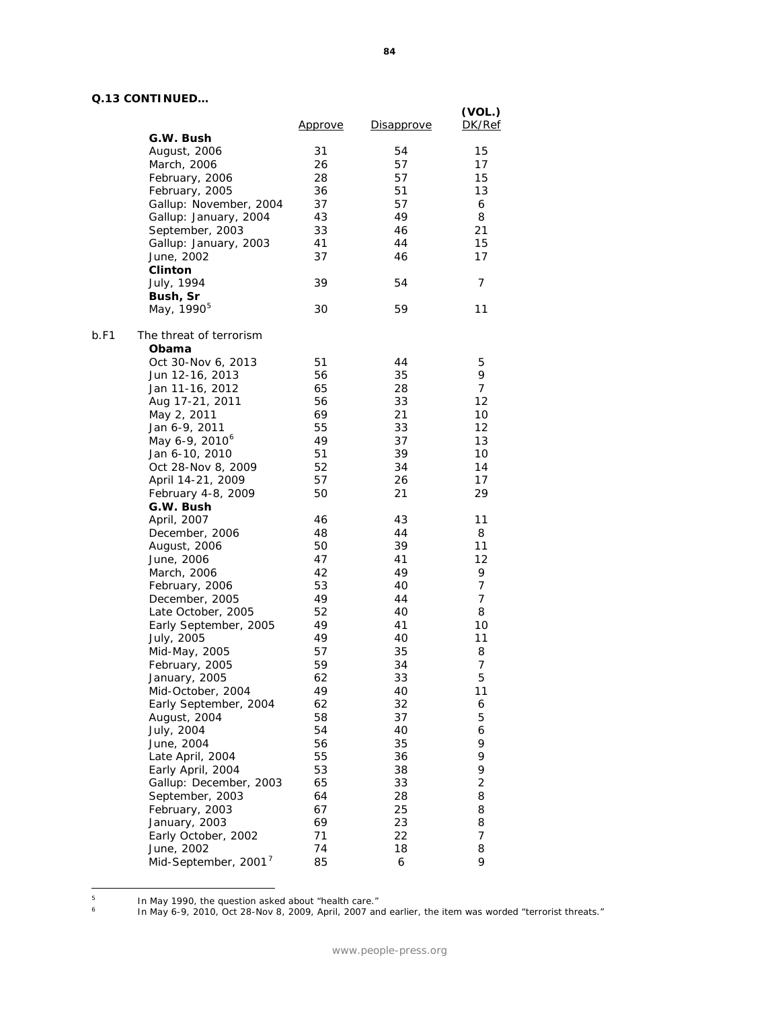| <u>U. IS CUNTINUED</u>                   | <u>Approve</u> | <b>Disapprove</b> | (VOL.)<br>DK/Ref |
|------------------------------------------|----------------|-------------------|------------------|
| G.W. Bush                                |                |                   |                  |
| August, 2006                             | 31             | 54                | 15               |
| March, 2006                              | 26             | 57                | 17               |
| February, 2006                           | 28             | 57                | 15               |
| February, 2005                           | 36             | 51                | 13               |
| Gallup: November, 2004                   | 37             | 57                | 6                |
| Gallup: January, 2004                    | 43             | 49                | 8                |
| September, 2003                          | 33             | 46                | 21               |
| Gallup: January, 2003                    | 41             | 44                | 15               |
| June, 2002                               | 37             | 46                | 17               |
| <b>Clinton</b>                           |                |                   |                  |
| July, 1994                               | 39             | 54                | 7                |
| Bush, Sr                                 |                |                   |                  |
| May, 1990 <sup>5</sup>                   | 30             | 59                | 11               |
| b.F1<br>The threat of terrorism<br>Obama |                |                   |                  |
| Oct 30-Nov 6, 2013                       | 51             | 44                | 5                |
| Jun 12-16, 2013                          | 56             | 35                | 9                |
| Jan 11-16, 2012                          | 65             | 28                | $\overline{7}$   |
|                                          | 56             |                   |                  |
| Aug 17-21, 2011                          | 69             | 33                | 12               |
| May 2, 2011                              |                | 21                | 10               |
| Jan 6-9, 2011                            | 55             | 33                | 12               |
| May 6-9, 2010 <sup>6</sup>               | 49             | 37                | 13               |
| Jan 6-10, 2010                           | 51             | 39                | 10               |
| Oct 28-Nov 8, 2009                       | 52             | 34                | 14               |
| April 14-21, 2009                        | 57             | 26                | 17               |
| February 4-8, 2009<br>G.W. Bush          | 50             | 21                | 29               |
| April, 2007                              | 46             | 43                | 11               |
| December, 2006                           | 48             | 44                | 8                |
| August, 2006                             | 50             | 39                | 11               |
| June, 2006                               | 47             | 41                | 12               |
| March, 2006                              | 42             | 49                | 9                |
| February, 2006                           | 53             | 40                | $\overline{7}$   |
| December, 2005                           | 49             | 44                | 7                |
| Late October, 2005                       | 52             | 40                | 8                |
| Early September, 2005                    | 49             | 41                | 10               |
| July, 2005                               | 49             | 40                | 11               |
| Mid-May, 2005                            | 57             | 35                | 8                |
| February, 2005                           | 59             | 34                | $\overline{7}$   |
| January, 2005                            | 62             | 33                | 5                |
| Mid-October, 2004                        | 49             | 40                | 11               |
| Early September, 2004                    | 62             | 32                | 6                |
| August, 2004                             | 58             | 37                | 5                |
| July, 2004                               | 54             | 40                | 6                |
| June, 2004                               | 56             | 35                | 9                |
| Late April, 2004                         | 55             | 36                | 9                |
| Early April, 2004                        | 53             | 38                | 9                |
| Gallup: December, 2003                   | 65             | 33                | 2                |
| September, 2003                          | 64             | 28                | 8                |
|                                          | 67             | 25                | 8                |
| February, 2003                           |                |                   |                  |
| January, 2003                            | 69             | 23                | 8                |
| Early October, 2002                      | 71             | 22                | 7                |
| June, 2002                               | 74             | 18                | 8                |
| Mid-September, 2001 <sup>7</sup>         | 85             | 6                 | 9                |

<span id="page-84-2"></span><span id="page-84-1"></span><span id="page-84-0"></span> $\sf 5$ <sup>5</sup> In May 1990, the question asked about "health care."

<sup>&</sup>lt;sup>6</sup> In May 6-9, 2010, Oct 28-Nov 8, 2009, April, 2007 and earlier, the item was worded "terrorist threats."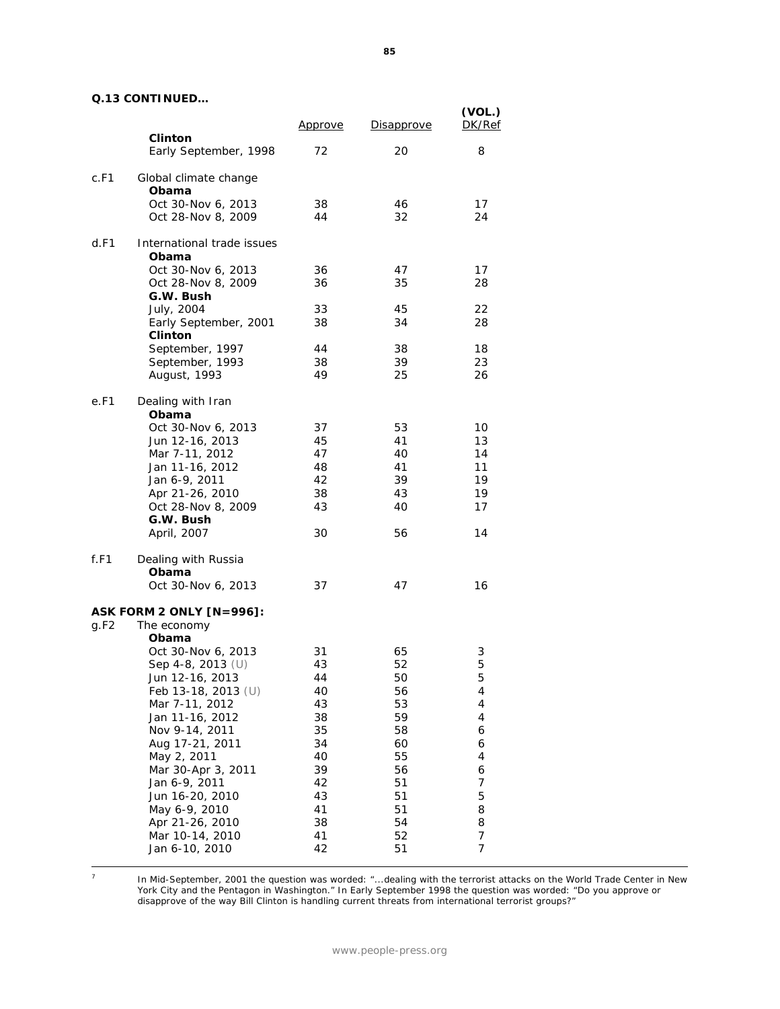|                                                 | <u>Approve</u> | <b>Disapprove</b> | (VOL.)<br>DK/Ref |
|-------------------------------------------------|----------------|-------------------|------------------|
| <b>Clinton</b><br>Early September, 1998         | 72             | 20                | 8                |
| c.F1<br>Global climate change<br>Obama          |                |                   |                  |
| Oct 30-Nov 6, 2013<br>Oct 28-Nov 8, 2009        | 38<br>44       | 46<br>32          | 17<br>24         |
| d.F1<br>International trade issues<br>Obama     |                |                   |                  |
| Oct 30-Nov 6, 2013                              | 36             | 47                | 17               |
| Oct 28-Nov 8, 2009<br>G.W. Bush                 | 36             | 35                | 28               |
| July, 2004                                      | 33             | 45                | 22               |
| Early September, 2001<br><b>Clinton</b>         | 38             | 34                | 28               |
| September, 1997                                 | 44             | 38                | 18               |
| September, 1993                                 | 38             | 39                | 23               |
| August, 1993                                    | 49             | 25                | 26               |
| e.F1<br>Dealing with Iran<br>Obama              |                |                   |                  |
| Oct 30-Nov 6, 2013                              | 37             | 53                | 10               |
| Jun 12-16, 2013                                 | 45             | 41                | 13               |
| Mar 7-11, 2012                                  | 47             | 40                | 14               |
| Jan 11-16, 2012                                 | 48             | 41                | 11               |
| Jan 6-9, 2011                                   | 42             | 39                | 19               |
| Apr 21-26, 2010                                 | 38             | 43                | 19               |
| Oct 28-Nov 8, 2009                              | 43             | 40                | 17               |
| G.W. Bush<br>April, 2007                        | 30             | 56                | 14               |
| Dealing with Russia<br>f.F1                     |                |                   |                  |
| Obama                                           | 37             | 47                | 16               |
| Oct 30-Nov 6, 2013                              |                |                   |                  |
| ASK FORM 2 ONLY [N=996]:<br>g.F2<br>The economy |                |                   |                  |
| Obama                                           |                |                   |                  |
| Oct 30-Nov 6, 2013                              | 31             | 65                | 3                |
| Sep 4-8, 2013 (U)                               | 43             | 52                | 5                |
| Jun 12-16, 2013                                 | 44             | 50                | 5                |
| Feb 13-18, 2013 (U)                             | 40             | 56                | 4                |
| Mar 7-11, 2012                                  | 43             | 53                | 4                |
| Jan 11-16, 2012                                 | 38             | 59                | 4                |
| Nov 9-14, 2011                                  | 35             | 58                | 6                |
| Aug 17-21, 2011                                 | 34             | 60                | 6                |
| May 2, 2011<br>Mar 30-Apr 3, 2011               | 40<br>39       | 55<br>56          | 4                |
| Jan 6-9, 2011                                   | 42             | 51                | 6<br>7           |
| Jun 16-20, 2010                                 | 43             | 51                | 5                |
| May 6-9, 2010                                   | 41             | 51                | 8                |
| Apr 21-26, 2010                                 | 38             | 54                | 8                |
| Mar 10-14, 2010                                 | 41             | 52                | 7                |
| Jan 6-10, 2010                                  | 42             | 51                | 7                |

 $\overline{7}$ 

In Mid-September, 2001 the question was worded: "...dealing with the terrorist attacks on the World Trade Center in New York City and the Pentagon in Washington." In Early September 1998 the question was worded: "Do you approve or disapprove of the way Bill Clinton is handling current threats from international terrorist groups?"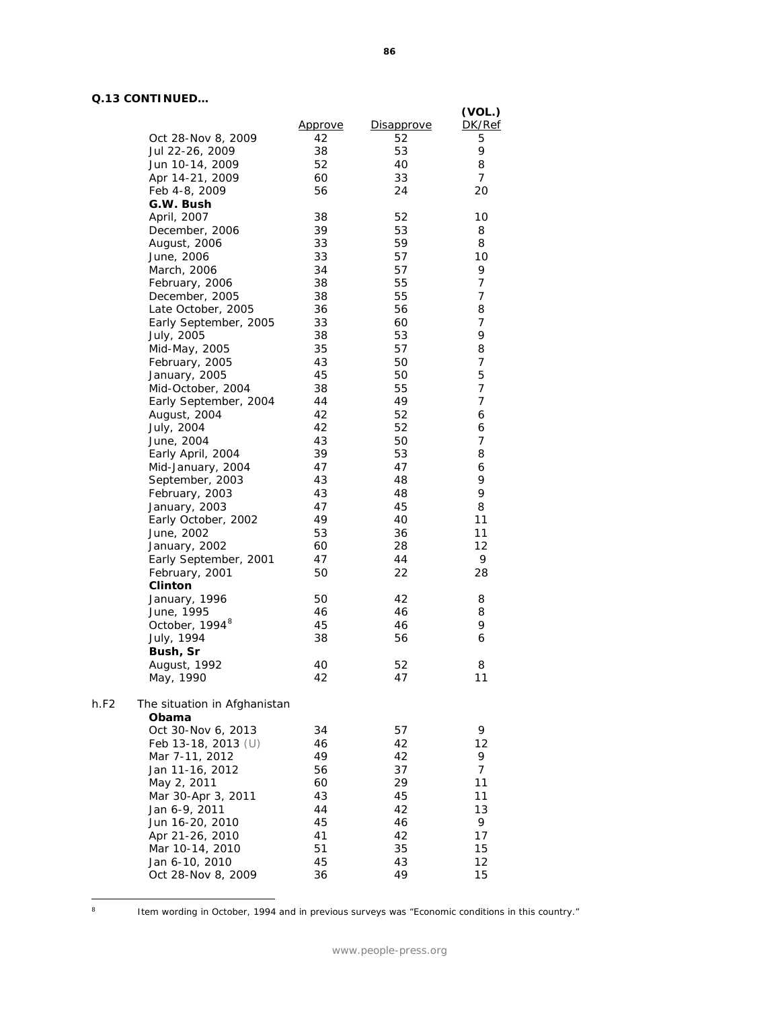| <u> UNITINULD</u>            |                |                   |                  |
|------------------------------|----------------|-------------------|------------------|
|                              | <u>Approve</u> | <b>Disapprove</b> | (VOL.)<br>DK/Ref |
| Oct 28-Nov 8, 2009           | 42             | 52                | 5                |
| Jul 22-26, 2009              | 38             | 53                | 9                |
| Jun 10-14, 2009              | 52             | 40                | 8                |
| Apr 14-21, 2009              | 60             | 33                | 7                |
| Feb 4-8, 2009                | 56             | 24                | 20               |
| G.W. Bush                    |                |                   |                  |
| April, 2007                  | 38             | 52                | 10               |
| December, 2006               | 39             | 53                | 8                |
| August, 2006                 | 33             | 59                | 8                |
| June, 2006                   | 33             | 57                | 10               |
| March, 2006                  | 34             | 57                | 9                |
| February, 2006               | 38             | 55                | 7                |
| December, 2005               | 38             | 55                | 7                |
| Late October, 2005           | 36             | 56                | 8                |
| Early September, 2005        | 33             | 60                | 7                |
| July, 2005                   | 38             | 53                | 9                |
| Mid-May, 2005                | 35             | 57                | 8                |
| February, 2005               | 43             | 50                | 7                |
| January, 2005                | 45             | 50                | 5                |
| Mid-October, 2004            | 38             | 55                | 7                |
| Early September, 2004        | 44             | 49                | 7                |
| August, 2004                 | 42             | 52                | 6                |
| July, 2004                   | 42             | 52                | 6                |
| June, 2004                   | 43             | 50                | 7                |
| Early April, 2004            | 39             | 53                | 8                |
| Mid-January, 2004            | 47             | 47                | 6                |
| September, 2003              | 43             | 48                | 9                |
| February, 2003               | 43             | 48                | 9                |
| January, 2003                | 47             | 45                | 8                |
| Early October, 2002          | 49             | 40                | 11               |
| June, 2002                   | 53             | 36                | 11               |
| January, 2002                | 60             | 28                | 12               |
| Early September, 2001        | 47             | 44                | 9                |
| February, 2001               | 50             | 22                | 28               |
| <b>Clinton</b>               |                |                   |                  |
| January, 1996                | 50             | 42                | 8                |
| June, 1995                   | 46             | 46                | 8                |
| October, 1994 <sup>8</sup>   | 45             | 46                | 9                |
| July, 1994                   | 38             | 56                | 6                |
| Bush, Sr                     |                |                   |                  |
| August, 1992                 | 40             | 52                | 8                |
| May, 1990                    | 42             | 47                | 11               |
|                              |                |                   |                  |
| The situation in Afghanistan |                |                   |                  |
| Obama                        |                |                   |                  |
| Oct 30-Nov 6, 2013           | 34             | 57                | 9                |
| Feb 13-18, 2013 (U)          | 46             | 42                | 12               |
| Mar 7-11, 2012               | 49             | 42                | 9                |
| Jan 11-16, 2012              | 56             | 37                | 7                |
| May 2, 2011                  | 60             | 29                | 11               |
| Mar 30-Apr 3, 2011           | 43             | 45                | 11               |
| Jan 6-9, 2011                | 44             | 42                | 13               |
| Jun 16-20, 2010              | 45             | 46                | 9                |
| Apr 21-26, 2010              | 41             | 42                | 17               |
| Mar 10-14, 2010              | 51             | 35                | 15               |
| Jan 6-10, 2010               | 45             | 43                | 12               |
| Oct 28-Nov 8, 2009           | 36             | 49                | 15               |

<span id="page-86-0"></span> $\,$  8  $\,$ 

 $h.F2$ 

Item wording in October, 1994 and in previous surveys was "Economic conditions in this country."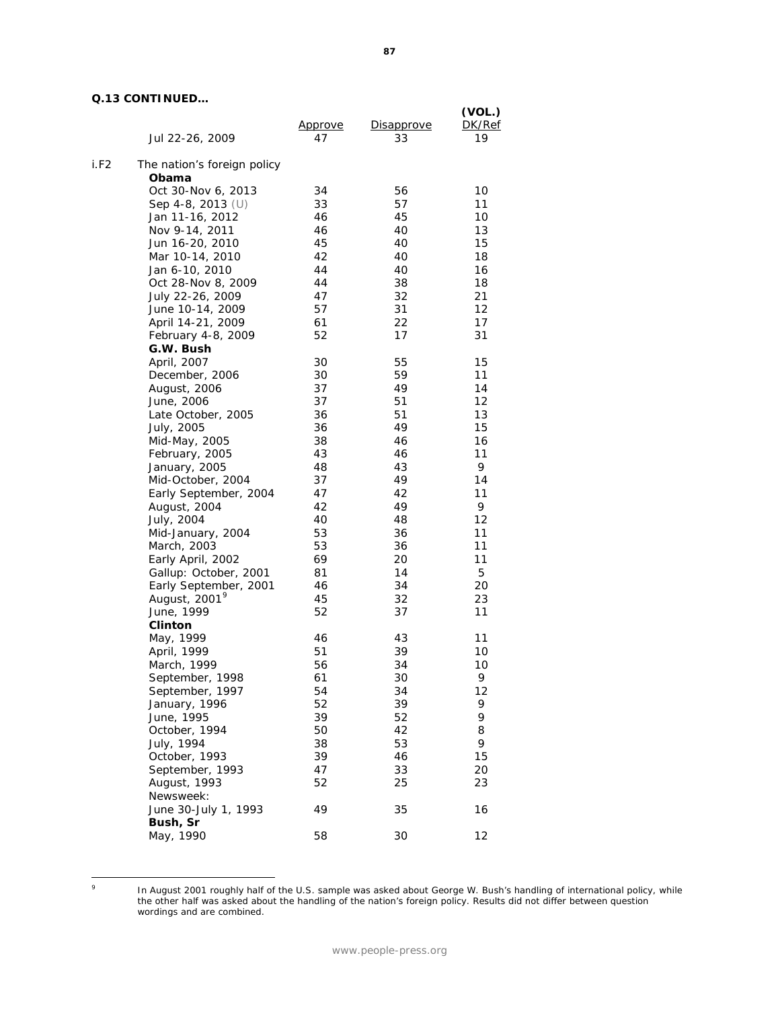|      | Jul 22-26, 2009                 | Approve<br>47 | Disapprove<br>33 | (VOL.)<br>DK/Ref<br>19 |
|------|---------------------------------|---------------|------------------|------------------------|
| i.F2 | The nation's foreign policy     |               |                  |                        |
|      | Obama                           |               |                  |                        |
|      | Oct 30-Nov 6, 2013              | 34            | 56               | 10                     |
|      | Sep 4-8, 2013 (U)               | 33            | 57               | 11                     |
|      | Jan 11-16, 2012                 | 46            | 45               | 10                     |
|      | Nov 9-14, 2011                  | 46            | 40               | 13                     |
|      | Jun 16-20, 2010                 | 45            | 40               | 15                     |
|      | Mar 10-14, 2010                 | 42            | 40               | 18                     |
|      | Jan 6-10, 2010                  | 44            | 40               | 16                     |
|      | Oct 28-Nov 8, 2009              | 44            | 38               | 18                     |
|      | July 22-26, 2009                | 47            | 32               | 21                     |
|      | June 10-14, 2009                | 57            | 31               | 12                     |
|      | April 14-21, 2009               | 61            | 22               | 17                     |
|      | February 4-8, 2009              | 52            | 17               | 31                     |
|      | G.W. Bush                       |               |                  |                        |
|      | April, 2007                     | 30            | 55               | 15                     |
|      | December, 2006                  | 30            | 59               | 11                     |
|      | August, 2006                    | 37            | 49               | 14                     |
|      | June, 2006                      | 37            | 51               | 12                     |
|      | Late October, 2005              | 36            | 51               | 13                     |
|      | July, 2005                      | 36            | 49               | 15                     |
|      | Mid-May, 2005                   | 38            | 46               | 16                     |
|      | February, 2005                  | 43            | 46               | 11                     |
|      | January, 2005                   | 48            | 43               | 9                      |
|      | Mid-October, 2004               | 37            | 49               | 14                     |
|      | Early September, 2004           | 47            | 42               | 11                     |
|      | August, 2004                    | 42<br>40      | 49<br>48         | 9<br>12                |
|      | July, 2004<br>Mid-January, 2004 | 53            | 36               | 11                     |
|      | March, 2003                     | 53            | 36               | 11                     |
|      | Early April, 2002               | 69            | 20               | 11                     |
|      | Gallup: October, 2001           | 81            | 14               | 5                      |
|      | Early September, 2001           | 46            | 34               | 20                     |
|      | August, 2001 <sup>9</sup>       | 45            | 32               | 23                     |
|      | June, 1999                      | 52            | 37               | 11                     |
|      | <b>Clinton</b>                  |               |                  |                        |
|      | May, 1999                       | 46            | 43               | 11                     |
|      | April, 1999                     | 51            | 39               | 10                     |
|      | March, 1999                     | 56            | 34               | 10                     |
|      | September, 1998                 | 61            | 30               | 9                      |
|      | September, 1997                 | 54            | 34               | 12                     |
|      | January, 1996                   | 52            | 39               | 9                      |
|      | June, 1995                      | 39            | 52               | 9                      |
|      | October, 1994                   | 50            | 42               | 8                      |
|      | July, 1994                      | 38            | 53               | 9                      |
|      | October, 1993                   | 39            | 46               | 15                     |
|      | September, 1993                 | 47            | 33               | 20                     |
|      | August, 1993                    | 52            | 25               | 23                     |
|      | Newsweek:                       |               |                  |                        |
|      | June 30-July 1, 1993            | 49            | 35               | 16                     |
|      | Bush, Sr                        |               |                  |                        |
|      | May, 1990                       | 58            | 30               | 12                     |

<span id="page-87-0"></span> $\circ$ 

<sup>&</sup>lt;sup>9</sup> In August 2001 roughly half of the U.S. sample was asked about George W. Bush's handling of international policy, while the other half was asked about the handling of the nation's foreign policy. Results did not differ between question wordings and are combined.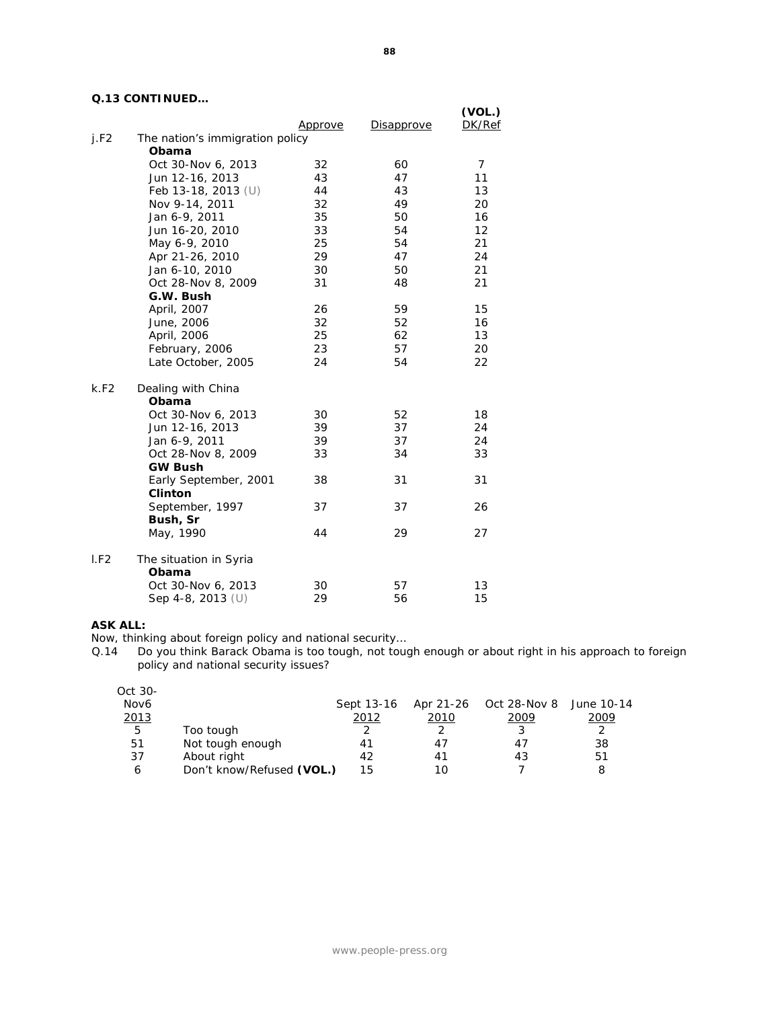|      |                                 | <u>Approve</u> | Disapprove | (VOL.)<br>DK/Ref |
|------|---------------------------------|----------------|------------|------------------|
| i.F2 | The nation's immigration policy |                |            |                  |
|      | Obama                           |                |            |                  |
|      | Oct 30-Nov 6, 2013              | 32             | 60         | 7                |
|      | Jun 12-16, 2013                 | 43             | 47         | 11               |
|      | Feb 13-18, 2013 $(U)$           | 44             | 43         | 13               |
|      | Nov 9-14, 2011                  | 32             | 49         | 20               |
|      | Jan 6-9, 2011                   | 35             | 50         | 16               |
|      | Jun 16-20, 2010                 | 33             | 54         | 12               |
|      | May 6-9, 2010                   | 25             | 54         | 21               |
|      | Apr 21-26, 2010                 | 29             | 47         | 24               |
|      | Jan 6-10, 2010                  | 30             | 50         | 21               |
|      | Oct 28-Nov 8, 2009              | 31             | 48         | 21               |
|      | G.W. Bush                       |                |            |                  |
|      | April, 2007                     | 26             | 59         | 15               |
|      | June, 2006                      | 32             | 52         | 16               |
|      | April, 2006                     | 25             | 62         | 13               |
|      | February, 2006                  | 23             | 57         | 20               |
|      | Late October, 2005              | 24             | 54         | 22               |
| k.F2 | Dealing with China              |                |            |                  |
|      | Obama                           |                |            |                  |
|      | Oct 30-Nov 6, 2013              | 30             | 52         | 18               |
|      | Jun 12-16, 2013                 | 39             | 37         | 24               |
|      | Jan 6-9, 2011                   | 39             | 37         | 24               |
|      | Oct 28-Nov 8, 2009              | 33             | 34         | 33               |
|      | <b>GW Bush</b>                  |                |            |                  |
|      | Early September, 2001           | 38             | 31         | 31               |
|      | <b>Clinton</b>                  |                |            |                  |
|      | September, 1997<br>Bush, Sr     | 37             | 37         | 26               |
|      | May, 1990                       | 44             | 29         | 27               |
| I.F2 | The situation in Syria          |                |            |                  |
|      | Obama                           |                |            |                  |
|      | Oct 30-Nov 6, 2013              | 30             | 57         | 13               |
|      | Sep 4-8, 2013 (U)               | 29             | 56         | 15               |
|      |                                 |                |            |                  |

### **ASK ALL:**

Now, thinking about foreign policy and national security…

Q.14 Do you think Barack Obama is too tough, not tough enough or about right in his approach to foreign policy and national security issues?

| Oct 30- |                           |            |      |      |      |
|---------|---------------------------|------------|------|------|------|
| Nov6    |                           | Sept 13-16 |      |      |      |
| 2013    |                           | 2012       | 2010 | 2009 | 2009 |
| 5       | Too tough                 |            |      |      |      |
| 51      | Not tough enough          | 41         |      | 47   | 38   |
| 37      | About right               | 42         | 41   | 43   | 51   |
| 6       | Don't know/Refused (VOL.) | 15         | 1ດ   |      |      |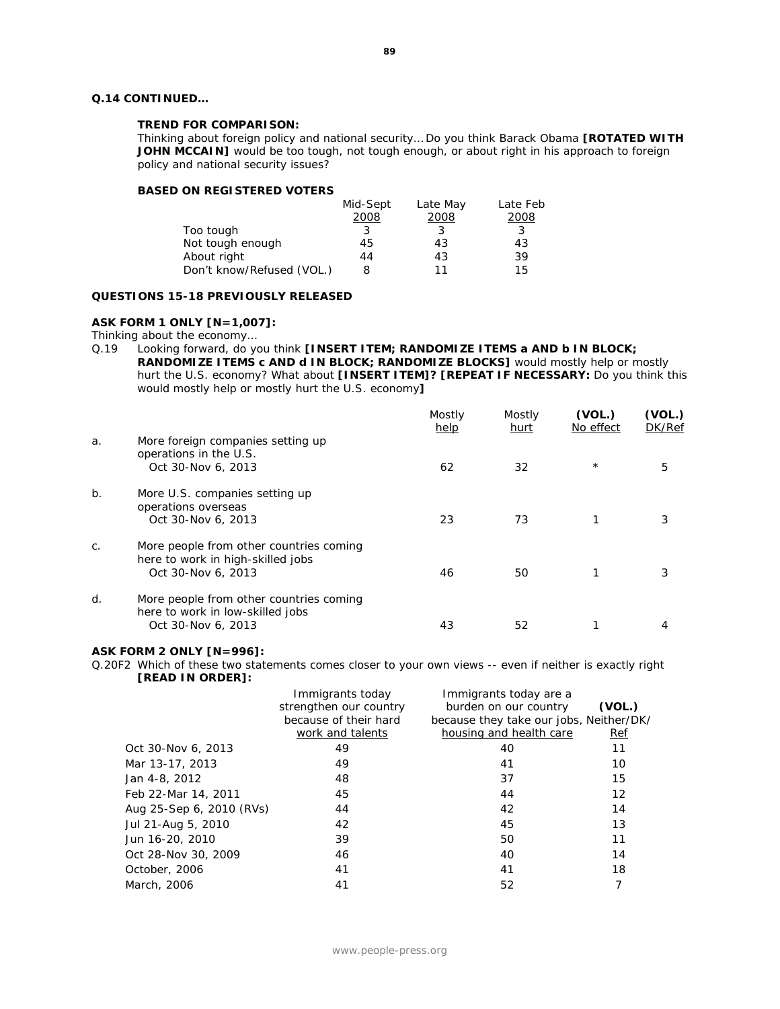#### **TREND FOR COMPARISON:**

*Thinking about foreign policy and national security… Do you think Barack Obama [ROTATED WITH JOHN MCCAIN] would be too tough, not tough enough, or about right in his approach to foreign policy and national security issues?* 

#### **BASED ON REGISTERED VOTERS**

|                           | Mid-Sept | Late May | Late Feb |
|---------------------------|----------|----------|----------|
|                           | 2008     | 2008     | 2008     |
| Too tough                 | 3        |          | 3        |
| Not tough enough          | 45       | 43       | 43       |
| About right               | 44       | 43       | 39       |
| Don't know/Refused (VOL.) | 8        | 11       | 15       |

#### **QUESTIONS 15-18 PREVIOUSLY RELEASED**

#### **ASK FORM 1 ONLY [N=1,007]:**

Thinking about the economy...<br>Q.19 Looking forward, do y

Looking forward, do you think **[INSERT ITEM; RANDOMIZE ITEMS a AND b IN BLOCK; RANDOMIZE ITEMS c AND d IN BLOCK; RANDOMIZE BLOCKS]** would mostly help or mostly hurt the U.S. economy? What about **[INSERT ITEM]? [REPEAT IF NECESSARY:** Do you think this would mostly help or mostly hurt the U.S. economy**]**

|                |                                                                                                    | Mostly<br>help | Mostly<br>hurt | (VOL.)<br>No effect | (VOL.)<br>DK/Ref |
|----------------|----------------------------------------------------------------------------------------------------|----------------|----------------|---------------------|------------------|
| a.             | More foreign companies setting up<br>operations in the U.S.<br>Oct 30-Nov 6, 2013                  | 62             | 32             | $^{\star}$          | 5                |
| $b$ .          | More U.S. companies setting up<br>operations overseas<br>Oct 30-Nov 6, 2013                        | 23             | 73             |                     | 3                |
| $\mathsf{C}$ . | More people from other countries coming<br>here to work in high-skilled jobs<br>Oct 30-Nov 6, 2013 | 46             | 50             |                     |                  |
| d.             | More people from other countries coming<br>here to work in low-skilled jobs<br>Oct 30-Nov 6, 2013  | 43             | 52             |                     |                  |

#### **ASK FORM 2 ONLY [N=996]:**

Q.20F2 Which of these two statements comes closer to your own views -- even if neither is exactly right **[READ IN ORDER]:**

|                          | Immigrants today       | Immigrants today are a                  |        |
|--------------------------|------------------------|-----------------------------------------|--------|
|                          | strengthen our country | burden on our country                   | (VOL.) |
|                          | because of their hard  | because they take our jobs, Neither/DK/ |        |
|                          | work and talents       | housing and health care                 | Ref    |
| Oct 30-Nov 6, 2013       | 49                     | 40                                      | 11     |
| Mar 13-17, 2013          | 49                     | 41                                      | 10     |
| Jan 4-8, 2012            | 48                     | 37                                      | 15     |
| Feb 22-Mar 14, 2011      | 45                     | 44                                      | 12     |
| Aug 25-Sep 6, 2010 (RVs) | 44                     | 42                                      | 14     |
| Jul 21-Aug 5, 2010       | 42                     | 45                                      | 13     |
| Jun 16-20, 2010          | 39                     | 50                                      | 11     |
| Oct 28-Nov 30, 2009      | 46                     | 40                                      | 14     |
| October, 2006            | 41                     | 41                                      | 18     |
| March, 2006              | 41                     | 52                                      | 7      |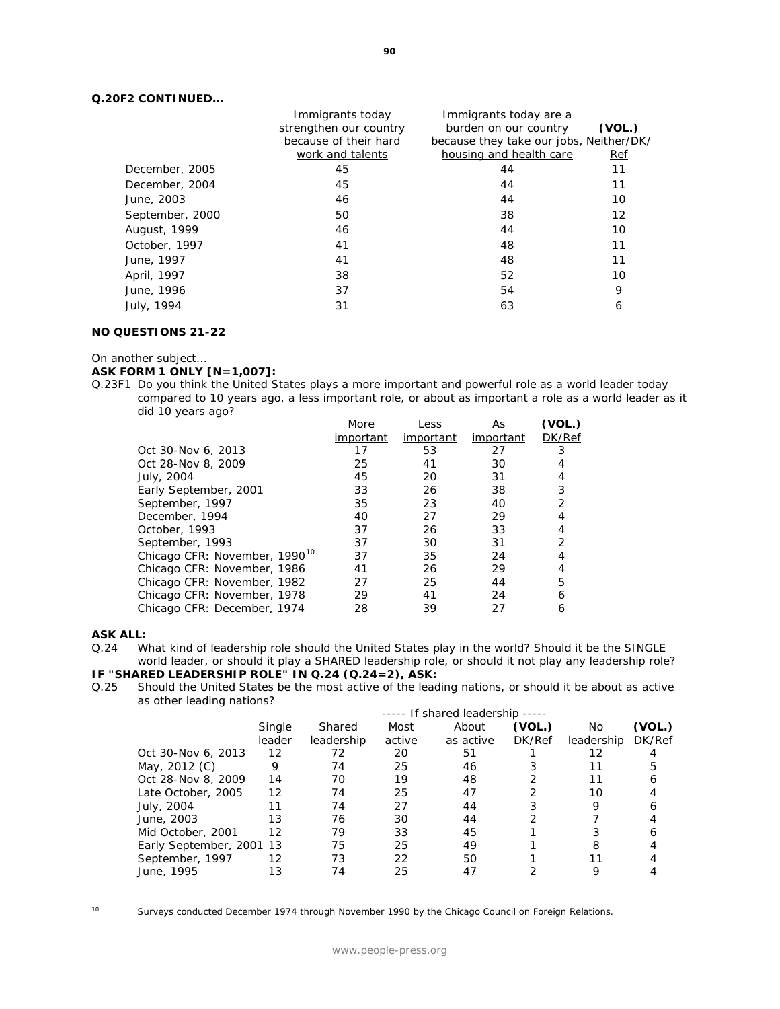### **Q.20F2 CONTINUED…**

| Immigrants today       | Immigrants today are a  |                                         |
|------------------------|-------------------------|-----------------------------------------|
| strengthen our country | burden on our country   | (VOL.)                                  |
| because of their hard  |                         |                                         |
| work and talents       | housing and health care | Ref                                     |
| 45                     | 44                      | 11                                      |
| 45                     | 44                      | 11                                      |
| 46                     | 44                      | 10                                      |
| 50                     | 38                      | 12                                      |
| 46                     | 44                      | 10                                      |
| 41                     | 48                      | 11                                      |
| 41                     | 48                      | 11                                      |
| 38                     | 52                      | 10                                      |
| 37                     | 54                      | 9                                       |
| 31                     | 63                      | 6                                       |
|                        |                         | because they take our jobs, Neither/DK/ |

#### **NO QUESTIONS 21-22**

#### On another subject…

### **ASK FORM 1 ONLY [N=1,007]:**

Q.23F1 Do you think the United States plays a more important and powerful role as a world leader today compared to 10 years ago, a less important role, or about as important a role as a world leader as it did 10 years ago?

|                                           | More      | Less      | As        | (VOL.)         |
|-------------------------------------------|-----------|-----------|-----------|----------------|
|                                           | important | important | important | DK/Ref         |
| Oct 30-Nov 6, 2013                        | 17        | 53        | 27        | 3              |
| Oct 28-Nov 8, 2009                        | 25        | 41        | 30        | 4              |
| July, 2004                                | 45        | 20        | 31        | 4              |
| Early September, 2001                     | 33        | 26        | 38        | 3              |
| September, 1997                           | 35        | 23        | 40        | $\overline{2}$ |
| December, 1994                            | 40        | 27        | 29        | 4              |
| October, 1993                             | 37        | 26        | 33        | 4              |
| September, 1993                           | 37        | 30        | 31        | $\overline{2}$ |
| Chicago CFR: November, 1990 <sup>10</sup> | 37        | 35        | 24        | 4              |
| Chicago CFR: November, 1986               | 41        | 26        | 29        | 4              |
| Chicago CFR: November, 1982               | 27        | 25        | 44        | 5              |
| Chicago CFR: November, 1978               | 29        | 41        | 24        | 6              |
| Chicago CFR: December, 1974               | 28        | 39        | 27        | 6              |

### **ASK ALL:**

Q.24 What kind of leadership role should the United States play in the world? Should it be the SINGLE world leader, or should it play a SHARED leadership role, or should it not play any leadership role?

## **IF "SHARED LEADERSHIP ROLE" IN Q.24 (Q.24=2), ASK:**

Q.25 Should the United States be the most active of the leading nations, or should it be about as active as other leading nations?

|                          | ----- If shared leadership ----- |            |        |           |               |            |        |
|--------------------------|----------------------------------|------------|--------|-----------|---------------|------------|--------|
|                          | Single                           | Shared     | Most   | About     | (VOL.)        | No         | (VOL.) |
|                          | leader                           | leadership | active | as active | <b>DK/Ref</b> | leadership | DK/Ref |
| Oct 30-Nov 6, 2013       | 12                               | 72         | 20     | 51        |               | 12         |        |
| May, 2012 (C)            | 9                                | 74         | 25     | 46        |               | 11         | 5      |
| Oct 28-Nov 8, 2009       | 14                               | 70         | 19     | 48        |               | 11         | 6      |
| Late October, 2005       | 12                               | 74         | 25     | 47        |               | 10         |        |
| July, 2004               | 11                               | 74         | 27     | 44        |               | 9          |        |
| June, 2003               | 13                               | 76         | 30     | 44        |               |            |        |
| Mid October, 2001        | 12                               | 79         | 33     | 45        |               |            |        |
| Early September, 2001 13 |                                  | 75         | 25     | 49        |               | 8          |        |
| September, 1997          | 12                               | 73         | 22     | 50        |               | 11         |        |
| June, 1995               | 13                               | 74         | 25     | 47        |               |            |        |
|                          |                                  |            |        |           |               |            |        |

<span id="page-90-0"></span>Surveys conducted December 1974 through November 1990 by the Chicago Council on Foreign Relations.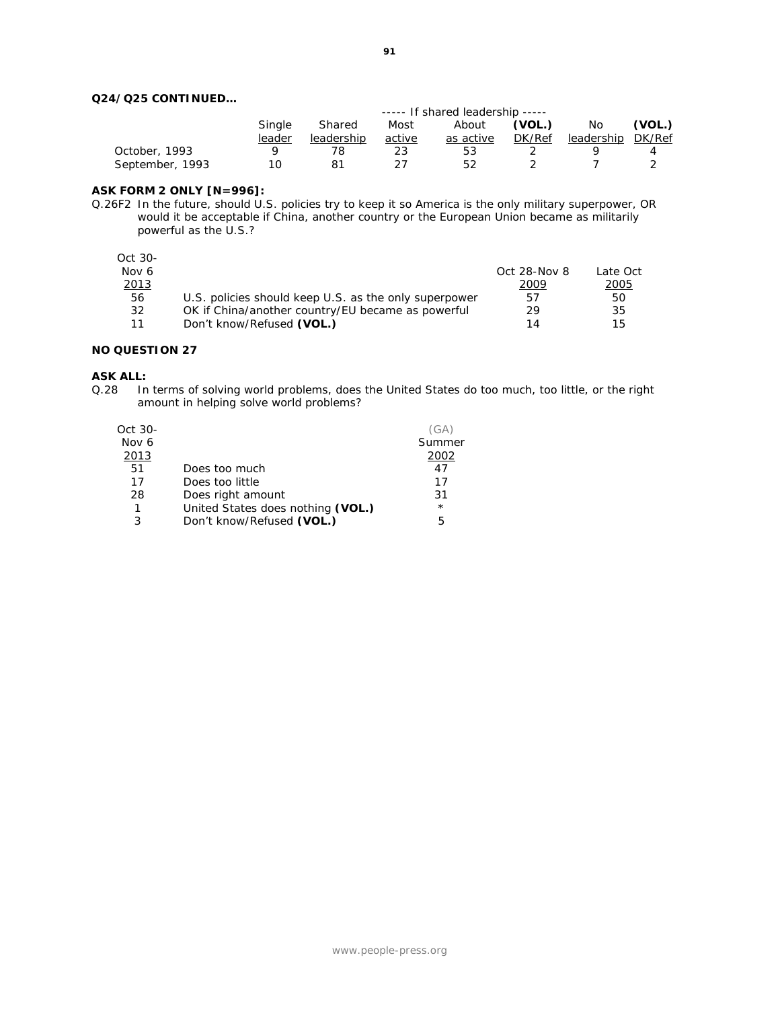### **Q24/Q25 CONTINUED…**

|                 | ----- If shared leadership ----- |            |        |           |               |                   |        |
|-----------------|----------------------------------|------------|--------|-----------|---------------|-------------------|--------|
|                 | Single                           | Shared     | Most   | About     | (VOL.)        | No.               | (VOL.) |
|                 | leader                           | leadership | active | as active | <i>DK/Ref</i> | leadership DK/Ref |        |
| October, 1993   |                                  |            |        | 53        |               |                   |        |
| September, 1993 |                                  |            |        | 52        |               |                   |        |

#### **ASK FORM 2 ONLY [N=996]:**

Q.26F2 In the future, should U.S. policies try to keep it so America is the only military superpower, OR would it be acceptable if China, another country or the European Union became as militarily powerful as the U.S.?

Oct 30-

| Nov 6 |                                                       | Oct $28$ -Nov $8$ | Late Oct      |
|-------|-------------------------------------------------------|-------------------|---------------|
| 2013  |                                                       | 2009              | <u> 2005 </u> |
| 56    | U.S. policies should keep U.S. as the only superpower | 57                | 50            |
| 32    | OK if China/another country/EU became as powerful     | 29                | 35            |
|       | Don't know/Refused (VOL.)                             | 14                | 15            |

#### **NO QUESTION 27**

#### **ASK ALL:**

Q.28 In terms of solving world problems, does the United States do too much, too little, or the right amount in helping solve world problems?

| Oct 30- |                                   | (GA)    |
|---------|-----------------------------------|---------|
| Nov 6   |                                   | Summer  |
| 2013    |                                   | 2002    |
| 51      | Does too much                     | 47      |
| 17      | Does too little                   | 17      |
| 28      | Does right amount                 | 31      |
|         | United States does nothing (VOL.) | $\star$ |
| 3       | Don't know/Refused (VOL.)         | 5       |
|         |                                   |         |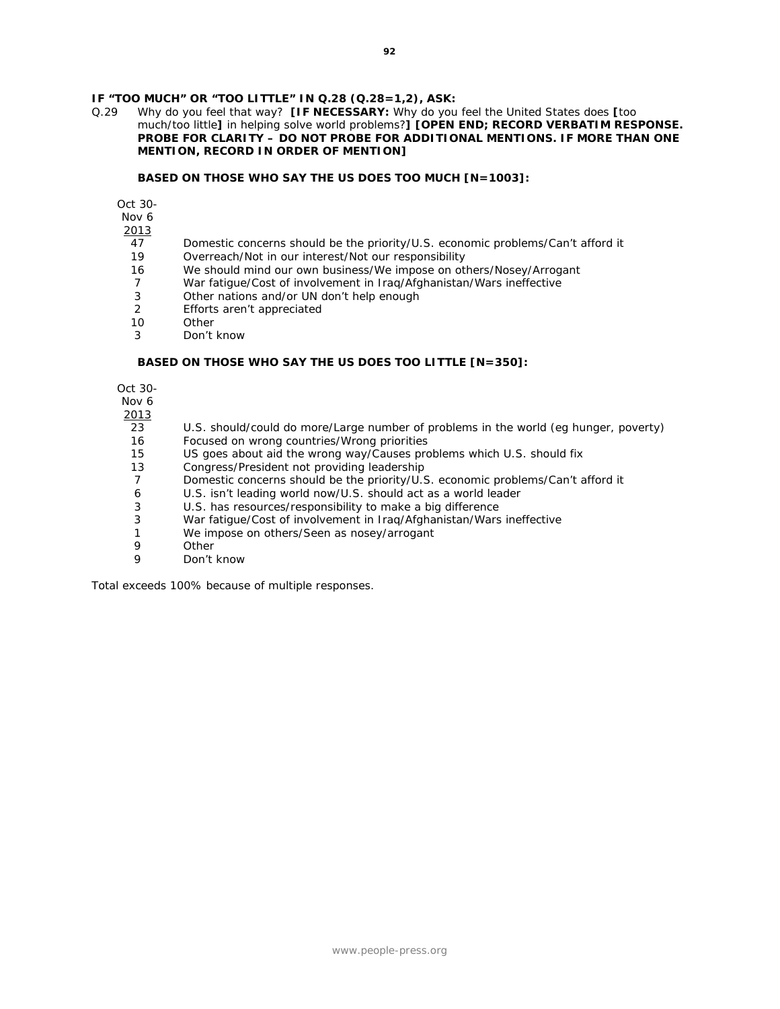## **IF "TOO MUCH" OR "TOO LITTLE" IN Q.28 (Q.28=1,2), ASK:**<br>Q.29 Why do you feel that way? **IIF NECESSARY:** Why do you

Q.29 Why do you feel that way? **[IF NECESSARY:** Why do you feel the United States does **[**too much/too little**]** in helping solve world problems?**] [OPEN END; RECORD VERBATIM RESPONSE. PROBE FOR CLARITY – DO NOT PROBE FOR ADDITIONAL MENTIONS. IF MORE THAN ONE MENTION, RECORD IN ORDER OF MENTION]**

#### **BASED ON THOSE WHO SAY THE US DOES TOO MUCH [N=1003]:**

Oct 30-

Nov 6

2013

- 47 Domestic concerns should be the priority/U.S. economic problems/Can't afford it
- 19 Overreach/Not in our interest/Not our responsibility
- 16 We should mind our own business/We impose on others/Nosey/Arrogant
- 7 War fatigue/Cost of involvement in Iraq/Afghanistan/Wars ineffective
- 3 Other nations and/or UN don't help enough
- 2 Efforts aren't appreciated
- 10 Other
- 3 Don't know

#### **BASED ON THOSE WHO SAY THE US DOES TOO LITTLE [N=350]:**

Oct 30-

Nov 6

 $\frac{2013}{23}$ 

- U.S. should/could do more/Large number of problems in the world (eg hunger, poverty)
- 16 Focused on wrong countries/Wrong priorities<br>15 US goes about aid the wrong way/Causes pro
- US goes about aid the wrong way/Causes problems which U.S. should fix
- 13 Congress/President not providing leadership
- 7 Domestic concerns should be the priority/U.S. economic problems/Can't afford it
- 6 U.S. isn't leading world now/U.S. should act as a world leader
- 3 U.S. has resources/responsibility to make a big difference<br>3 War fatigue/Cost of involvement in Iraq/Afghanistan/Wars
- War fatigue/Cost of involvement in Iraq/Afghanistan/Wars ineffective
- 1 We impose on others/Seen as nosey/arrogant<br>9 Other
- 9 Other<br>9 Don't
- Don't know

*Total exceeds 100% because of multiple responses.*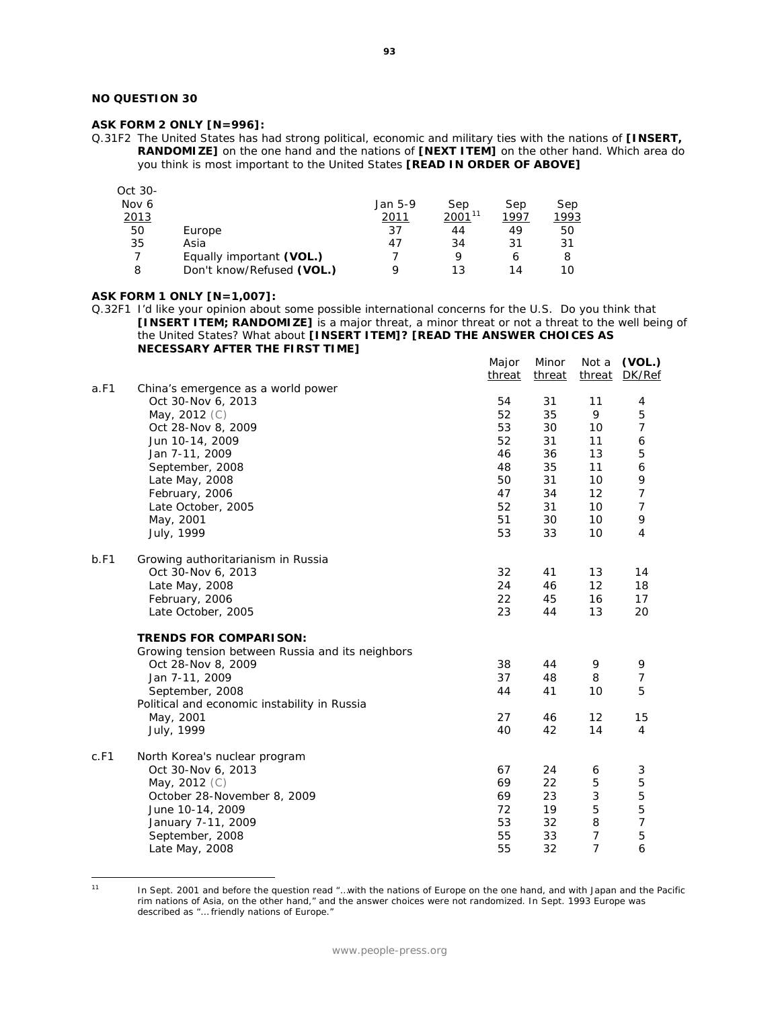### **NO QUESTION 30**

### **ASK FORM 2 ONLY [N=996]:**

Q.31F2 The United States has had strong political, economic and military ties with the nations of **[INSERT, RANDOMIZE]** on the one hand and the nations of **[NEXT ITEM]** on the other hand. Which area do you think is most important to the United States **[READ IN ORDER OF ABOVE]**

| Oct 30-      |                           |         |             |      |      |
|--------------|---------------------------|---------|-------------|------|------|
| Nov 6        |                           | Jan 5-9 | Sep         | Sep  | Sep  |
| <u> 2013</u> |                           | 2011    | $2001^{11}$ | 1997 | 1993 |
| 50           | Europe                    | 37      | 44          | 49   | 50   |
| 35           | Asia                      | 47      | 34          | 31   | 31   |
|              | Equally important (VOL.)  |         | Q           | 6    | 8    |
| 8            | Don't know/Refused (VOL.) | a       | 13          | 14   | 10   |

#### **ASK FORM 1 ONLY [N=1,007]:**

Q.32F1 I'd like your opinion about some possible international concerns for the U.S. Do you think that **[INSERT ITEM; RANDOMIZE]** is a major threat, a minor threat or not a threat to the well being of the United States? What about **[INSERT ITEM]? [READ THE ANSWER CHOICES AS NECESSARY AFTER THE FIRST TIME]**

|      |                                                  | Major<br>threat | Minor<br>threat | Not a<br>threat | (VOL.)<br>DK/Ref |
|------|--------------------------------------------------|-----------------|-----------------|-----------------|------------------|
| a.F1 | China's emergence as a world power               |                 |                 |                 |                  |
|      | Oct 30-Nov 6, 2013                               | 54              | 31              | 11              | $\overline{4}$   |
|      | May, 2012 (C)                                    | 52              | 35              | 9               | 5                |
|      | Oct 28-Nov 8, 2009                               | 53              | 30              | 10              | 7                |
|      | Jun 10-14, 2009                                  | 52              | 31              | 11              | 6                |
|      | Jan 7-11, 2009                                   | 46              | 36              | 13              | 5                |
|      | September, 2008                                  | 48              | 35              | 11              | 6                |
|      | Late May, 2008                                   | 50              | 31              | 10              | 9                |
|      | February, 2006                                   | 47              | 34              | 12              | $\overline{7}$   |
|      | Late October, 2005                               | 52              | 31              | 10              | $\overline{7}$   |
|      | May, 2001                                        | 51              | 30              | 10              | 9                |
|      | July, 1999                                       | 53              | 33              | 10              | 4                |
|      |                                                  |                 |                 |                 |                  |
| b.F1 | Growing authoritarianism in Russia               |                 |                 |                 |                  |
|      | Oct 30-Nov 6, 2013                               | 32              | 41              | 13              | 14               |
|      | Late May, 2008                                   | 24              | 46              | 12              | 18               |
|      | February, 2006                                   | 22              | 45              | 16              | 17               |
|      | Late October, 2005                               | 23              | 44              | 13              | 20               |
|      | <b>TRENDS FOR COMPARISON:</b>                    |                 |                 |                 |                  |
|      | Growing tension between Russia and its neighbors |                 |                 |                 |                  |
|      | Oct 28-Nov 8, 2009                               | 38              | 44              | 9               | 9                |
|      | Jan 7-11, 2009                                   | 37              | 48              | 8               | 7                |
|      | September, 2008                                  | 44              | 41              | 10              | 5                |
|      | Political and economic instability in Russia     |                 |                 |                 |                  |
|      | May, 2001                                        | 27              | 46              | 12              | 15               |
|      | July, 1999                                       | 40              | 42              | 14              | 4                |
| c.F1 |                                                  |                 |                 |                 |                  |
|      | North Korea's nuclear program                    | 67              | 24              |                 |                  |
|      | Oct 30-Nov 6, 2013                               | 69              | 22              | 6<br>5          | 3<br>5           |
|      | May, 2012 (C)                                    |                 |                 |                 |                  |
|      | October 28-November 8, 2009                      | 69              | 23              | 3               | 5                |
|      | June 10-14, 2009                                 | 72              | 19              | 5               | 5                |
|      | January 7-11, 2009                               | 53              | 32              | 8               | $\overline{7}$   |
|      | September, 2008                                  | 55              | 33              | 7               | 5                |
|      | Late May, 2008                                   | 55              | 32              | $\overline{7}$  | 6                |

<span id="page-93-0"></span> $11$ 

<sup>11</sup> In Sept. 2001 and before the question read "…with the nations of Europe on the one hand, and with Japan and the Pacific rim nations of Asia, on the other hand," and the answer choices were not randomized. In Sept. 1993 Europe was described as "… friendly nations of Europe."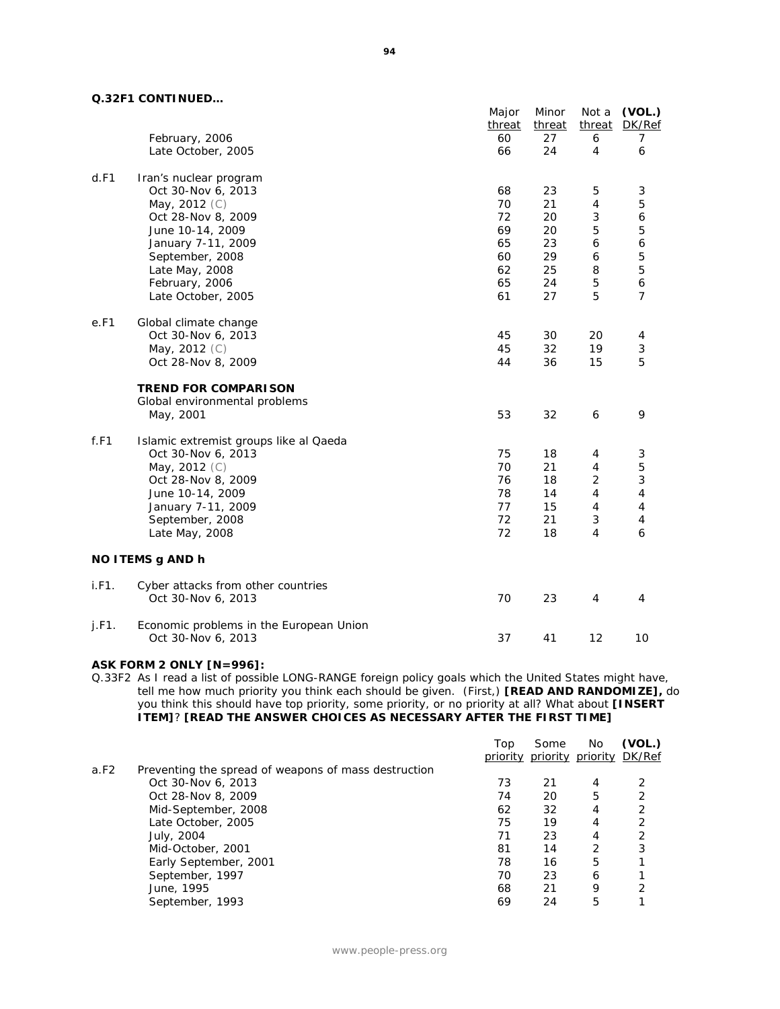### **Q.32F1 CONTINUED…**

|       | JAI I VUNIINULD…                                              | Major  | Minor  | Not a                     | (VOL.)                  |
|-------|---------------------------------------------------------------|--------|--------|---------------------------|-------------------------|
|       |                                                               | threat | threat |                           | threat DK/Ref           |
|       | February, 2006                                                | 60     | 27     | 6                         | 7                       |
|       | Late October, 2005                                            | 66     | 24     | $\overline{4}$            | 6                       |
| d.F1  | Iran's nuclear program                                        |        |        |                           |                         |
|       | Oct 30-Nov 6, 2013                                            | 68     | 23     | 5                         | 3                       |
|       | May, 2012 (C)                                                 | 70     | 21     | $\overline{4}$            | 5                       |
|       | Oct 28-Nov 8, 2009                                            | 72     | 20     | $\ensuremath{\mathsf{3}}$ | 6                       |
|       | June 10-14, 2009                                              | 69     | 20     | 5                         | 5                       |
|       | January 7-11, 2009                                            | 65     | 23     | 6                         | 6                       |
|       | September, 2008                                               | 60     | 29     | 6                         | 5                       |
|       | Late May, 2008                                                | 62     | 25     | 8                         | 5                       |
|       | February, 2006                                                | 65     | 24     | $\mathbf 5$               | 6                       |
|       | Late October, 2005                                            | 61     | 27     | 5                         | $\overline{7}$          |
| e.F1  | Global climate change                                         |        |        |                           |                         |
|       | Oct 30-Nov 6, 2013                                            | 45     | 30     | 20                        | 4                       |
|       | May, 2012 (C)                                                 | 45     | 32     | 19                        | 3                       |
|       | Oct 28-Nov 8, 2009                                            | 44     | 36     | 15                        | 5                       |
|       | <b>TREND FOR COMPARISON</b>                                   |        |        |                           |                         |
|       | Global environmental problems                                 |        |        |                           |                         |
|       | May, 2001                                                     | 53     | 32     | 6                         | 9                       |
| f.F1  | Islamic extremist groups like al Qaeda                        |        |        |                           |                         |
|       | Oct 30-Nov 6, 2013                                            | 75     | 18     | 4                         | 3                       |
|       | May, 2012 (C)                                                 | 70     | 21     | $\overline{4}$            | 5                       |
|       | Oct 28-Nov 8, 2009                                            | 76     | 18     | $\overline{2}$            | 3                       |
|       | June 10-14, 2009                                              | 78     | 14     | $\overline{4}$            | $\overline{\mathbf{4}}$ |
|       | January 7-11, 2009                                            | 77     | 15     | 4                         | 4                       |
|       | September, 2008                                               | 72     | 21     | 3                         | $\overline{4}$          |
|       | Late May, 2008                                                | 72     | 18     | $\overline{4}$            | 6                       |
|       | NO ITEMS g AND h                                              |        |        |                           |                         |
| i.F1. | Cyber attacks from other countries                            |        |        |                           |                         |
|       | Oct 30-Nov 6, 2013                                            | 70     | 23     | $\overline{4}$            | 4                       |
| j.F1. | Economic problems in the European Union<br>Oct 30-Nov 6, 2013 | 37     | 41     | 12                        | 10                      |
|       |                                                               |        |        |                           |                         |

#### **ASK FORM 2 ONLY [N=996]:**

Q.33F2 As I read a list of possible LONG-RANGE foreign policy goals which the United States might have, tell me how much priority you think each should be given. (First,) **[READ AND RANDOMIZE],** do you think this should have top priority, some priority, or no priority at all? What about **[INSERT ITEM]**? **[READ THE ANSWER CHOICES AS NECESSARY AFTER THE FIRST TIME]**

|      |                                                      | Top | Some<br>priority priority priority DK/Ref | No. | (VOL.)         |
|------|------------------------------------------------------|-----|-------------------------------------------|-----|----------------|
| a.F2 | Preventing the spread of weapons of mass destruction |     |                                           |     |                |
|      | Oct 30-Nov 6, 2013                                   | 73  | 21                                        | 4   |                |
|      | Oct 28-Nov 8, 2009                                   | 74  | 20                                        | 5   | 2              |
|      | Mid-September, 2008                                  | 62  | 32                                        | 4   | 2              |
|      | Late October, 2005                                   | 75  | 19                                        | 4   | $\overline{2}$ |
|      | July, 2004                                           | 71  | 23                                        | 4   | 2              |
|      | Mid-October, 2001                                    | 81  | 14                                        | 2   | 3              |
|      | Early September, 2001                                | 78  | 16                                        | 5   |                |
|      | September, 1997                                      | 70  | 23                                        | 6   |                |
|      | June, 1995                                           | 68  | 21                                        | 9   | っ              |
|      | September, 1993                                      | 69  | 24                                        | 5   |                |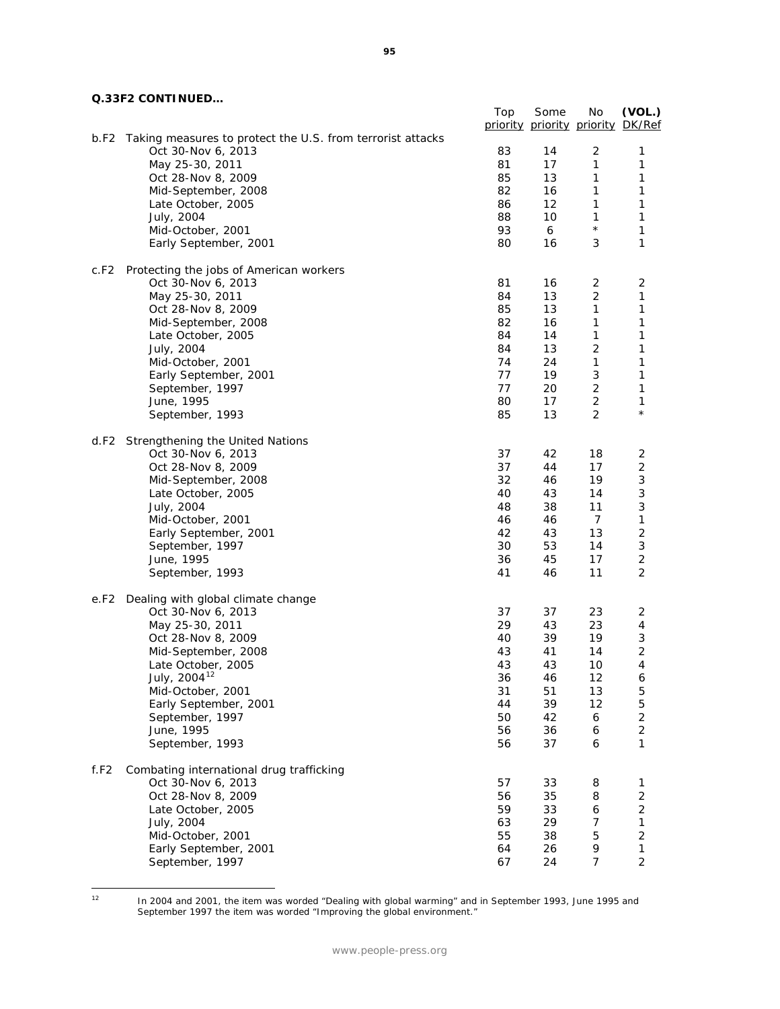|  | Q.33F2 CONTINUED |
|--|------------------|
|  |                  |

|                                                                    | Top      | Some<br>priority priority priority | No                | (VOL.)<br>DK/Ref             |
|--------------------------------------------------------------------|----------|------------------------------------|-------------------|------------------------------|
| b.F2<br>Taking measures to protect the U.S. from terrorist attacks |          |                                    |                   |                              |
| Oct 30-Nov 6, 2013                                                 | 83       | 14                                 | 2                 | 1                            |
| May 25-30, 2011                                                    | 81       | 17                                 | 1                 | 1                            |
| Oct 28-Nov 8, 2009                                                 | 85       | 13                                 | 1                 | 1                            |
| Mid-September, 2008                                                | 82       | 16                                 | 1                 | 1                            |
| Late October, 2005                                                 | 86       | 12                                 | 1                 | 1                            |
| July, 2004                                                         | 88       | 10                                 | 1<br>$\star$      | 1                            |
| Mid-October, 2001                                                  | 93       | 6                                  |                   | 1                            |
| Early September, 2001                                              | 80       | 16                                 | 3                 | 1                            |
| c.F2<br>Protecting the jobs of American workers                    |          |                                    |                   |                              |
| Oct 30-Nov 6, 2013                                                 | 81       | 16                                 | 2                 | $\overline{2}$               |
| May 25-30, 2011                                                    | 84       | 13                                 | 2                 | 1                            |
| Oct 28-Nov 8, 2009                                                 | 85       | 13                                 | 1                 | 1                            |
| Mid-September, 2008                                                | 82       | 16                                 | 1                 | 1                            |
| Late October, 2005                                                 | 84<br>84 | 14                                 | 1                 | 1<br>1                       |
| July, 2004                                                         | 74       | 13<br>24                           | 2<br>$\mathbf{1}$ | 1                            |
| Mid-October, 2001<br>Early September, 2001                         | 77       | 19                                 | 3                 | 1                            |
| September, 1997                                                    | 77       | 20                                 | 2                 | 1                            |
| June, 1995                                                         | 80       | 17                                 | 2                 | 1                            |
| September, 1993                                                    | 85       | 13                                 | $\overline{c}$    | $^\star$                     |
| Strengthening the United Nations<br>d.F2                           |          |                                    |                   |                              |
| Oct 30-Nov 6, 2013                                                 | 37       | 42                                 | 18                | 2                            |
| Oct 28-Nov 8, 2009                                                 | 37       | 44                                 | 17                | $\overline{\mathbf{c}}$      |
| Mid-September, 2008                                                | 32       | 46                                 | 19                | 3                            |
| Late October, 2005                                                 | 40       | 43                                 | 14                | 3                            |
| July, 2004                                                         | 48       | 38                                 | 11                | 3                            |
| Mid-October, 2001                                                  | 46       | 46                                 | $\overline{7}$    | 1                            |
| Early September, 2001                                              | 42       | 43                                 | 13                | $\mathbf 2$                  |
| September, 1997                                                    | 30       | 53                                 | 14                | $\ensuremath{\mathsf{3}}$    |
| June, 1995                                                         | 36       | 45                                 | 17                | $\overline{c}$               |
| September, 1993                                                    | 41       | 46                                 | 11                | $\overline{2}$               |
| Dealing with global climate change<br>e.F2                         |          |                                    |                   |                              |
| Oct 30-Nov 6, 2013                                                 | 37       | 37                                 | 23                | $\overline{2}$               |
| May 25-30, 2011                                                    | 29       | 43                                 | 23                | 4                            |
| Oct 28-Nov 8, 2009                                                 | 40       | 39                                 | 19                | 3<br>$\overline{\mathbf{c}}$ |
| Mid-September, 2008<br>Late October, 2005                          | 43<br>43 | 41<br>43                           | 14<br>10          | 4                            |
| July, 2004 <sup>12</sup>                                           | 36       | 46                                 | 12                |                              |
| Mid-October, 2001                                                  | 31       | 51                                 | 13                | 6<br>5                       |
| Early September, 2001                                              | 44       | 39                                 | 12                | 5                            |
| September, 1997                                                    | 50       | 42                                 | 6                 | $\overline{c}$               |
| June, 1995                                                         | 56       | 36                                 | 6                 | $\overline{\mathbf{c}}$      |
| September, 1993                                                    | 56       | 37                                 | 6                 | 1                            |
|                                                                    |          |                                    |                   |                              |
| f.F2<br>Combating international drug trafficking                   |          |                                    |                   |                              |
| Oct 30-Nov 6, 2013                                                 | 57       | 33                                 | 8                 | 1<br>$\mathbf 2$             |
| Oct 28-Nov 8, 2009<br>Late October, 2005                           | 56       | 35                                 | 8                 | $\mathbf 2$                  |
| July, 2004                                                         | 59<br>63 | 33<br>29                           | 6<br>7            | 1                            |
| Mid-October, 2001                                                  | 55       | 38                                 | 5                 | $\mathbf 2$                  |
| Early September, 2001                                              | 64       | 26                                 | 9                 | 1                            |
| September, 1997                                                    | 67       | 24                                 | 7                 | $\overline{c}$               |

<span id="page-95-0"></span> $12$ 

<sup>12</sup> In 2004 and 2001, the item was worded "Dealing with global warming" and in September 1993, June 1995 and September 1997 the item was worded "Improving the global environment."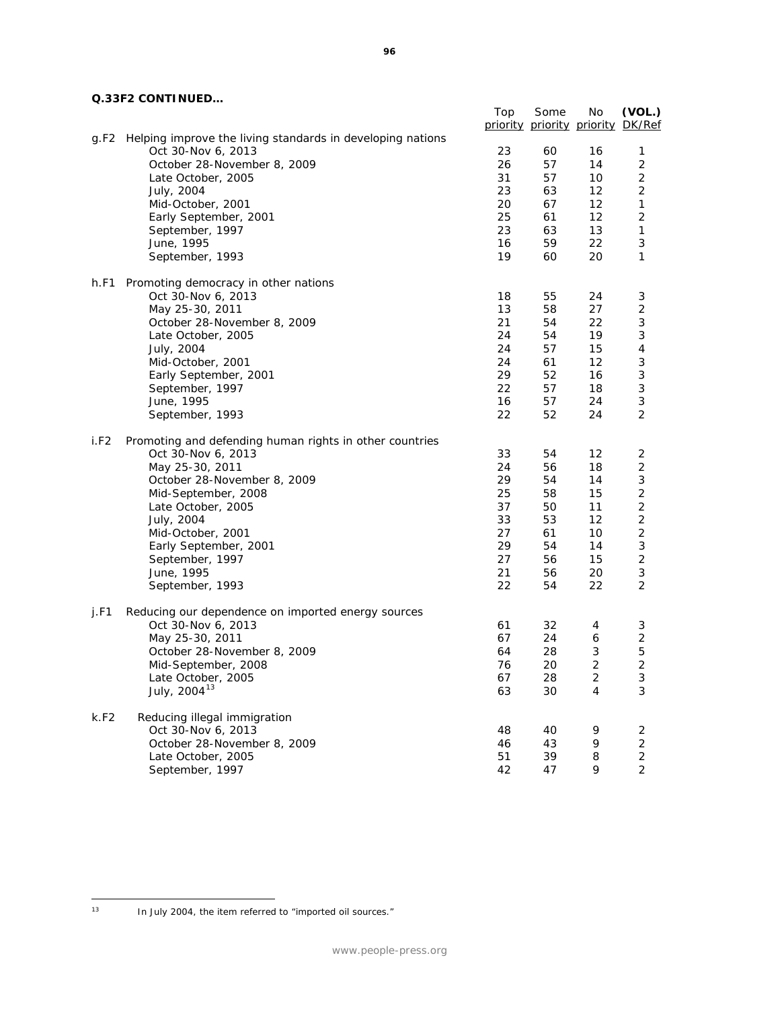### **Q.33F2 CONTINUED…**

|      | <u>JI 4 JUNITINULD</u>                                     |     |                                   |                |                |
|------|------------------------------------------------------------|-----|-----------------------------------|----------------|----------------|
|      |                                                            | Top | Some                              | No             | (VOL.)         |
|      |                                                            |     | priority priority priority DK/Ref |                |                |
| g.F2 | Helping improve the living standards in developing nations |     |                                   |                |                |
|      | Oct 30-Nov 6, 2013                                         | 23  | 60                                | 16             | 1              |
|      | October 28-November 8, 2009                                | 26  | 57                                | 14             | $\overline{2}$ |
|      | Late October, 2005                                         | 31  | 57                                | 10             | $\overline{2}$ |
|      | July, 2004                                                 | 23  | 63                                | 12             | 2              |
|      | Mid-October, 2001                                          | 20  | 67                                | 12             | 1              |
|      | Early September, 2001                                      | 25  | 61                                | 12             | 2              |
|      | September, 1997                                            | 23  | 63                                | 13             | 1              |
|      | June, 1995                                                 | 16  | 59                                | 22             | 3              |
|      | September, 1993                                            | 19  | 60                                | 20             | 1              |
|      |                                                            |     |                                   |                |                |
| h.F1 | Promoting democracy in other nations                       |     |                                   |                |                |
|      | Oct 30-Nov 6, 2013                                         | 18  | 55                                | 24             | 3              |
|      | May 25-30, 2011                                            | 13  | 58                                | 27             | $\overline{2}$ |
|      | October 28-November 8, 2009                                | 21  | 54                                | 22             | 3              |
|      | Late October, 2005                                         | 24  | 54                                | 19             | 3              |
|      | July, 2004                                                 | 24  | 57                                | 15             | $\overline{4}$ |
|      | Mid-October, 2001                                          | 24  | 61                                | 12             | 3              |
|      | Early September, 2001                                      | 29  | 52                                | 16             | 3              |
|      |                                                            | 22  |                                   |                | 3              |
|      | September, 1997                                            |     | 57                                | 18             |                |
|      | June, 1995                                                 | 16  | 57                                | 24             | 3              |
|      | September, 1993                                            | 22  | 52                                | 24             | $\overline{2}$ |
| i.F2 | Promoting and defending human rights in other countries    |     |                                   |                |                |
|      | Oct 30-Nov 6, 2013                                         | 33  | 54                                | 12             | $\overline{2}$ |
|      | May 25-30, 2011                                            | 24  | 56                                | 18             | $\overline{2}$ |
|      |                                                            | 29  | 54                                | 14             | 3              |
|      | October 28-November 8, 2009                                | 25  |                                   |                | $\mathbf 2$    |
|      | Mid-September, 2008                                        |     | 58                                | 15             |                |
|      | Late October, 2005                                         | 37  | 50                                | 11             | $\overline{c}$ |
|      | July, 2004                                                 | 33  | 53                                | 12             | $\mathbf 2$    |
|      | Mid-October, 2001                                          | 27  | 61                                | 10             | $\overline{c}$ |
|      | Early September, 2001                                      | 29  | 54                                | 14             | 3              |
|      | September, 1997                                            | 27  | 56                                | 15             | $\overline{c}$ |
|      | June, 1995                                                 | 21  | 56                                | 20             | 3              |
|      | September, 1993                                            | 22  | 54                                | 22             | $\overline{2}$ |
| j.F1 | Reducing our dependence on imported energy sources         |     |                                   |                |                |
|      |                                                            |     |                                   |                |                |
|      | Oct 30-Nov 6, 2013                                         | 61  | 32                                | 4              | 3              |
|      | May 25-30, 2011                                            | 67  | 24                                | 6              | $\mathbf 2$    |
|      | October 28-November 8, 2009                                | 64  | 28                                | $\sqrt{3}$     | 5              |
|      | Mid-September, 2008                                        | 76  | 20                                | $\overline{2}$ | $\overline{2}$ |
|      | Late October, 2005                                         | 67  | 28                                | $\overline{c}$ | 3              |
|      | July, 2004 <sup>13</sup>                                   | 63  | 30                                | 4              | 3              |
| k.F2 | Reducing illegal immigration                               |     |                                   |                |                |
|      | Oct 30-Nov 6, 2013                                         | 48  | 40                                | 9              | 2              |
|      | October 28-November 8, 2009                                | 46  | 43                                | 9              | $\overline{2}$ |
|      | Late October, 2005                                         | 51  | 39                                | 8              | $\sqrt{2}$     |
|      | September, 1997                                            | 42  | 47                                | 9              | $\overline{2}$ |
|      |                                                            |     |                                   |                |                |

<span id="page-96-0"></span> $13$ In July 2004, the item referred to "imported oil sources."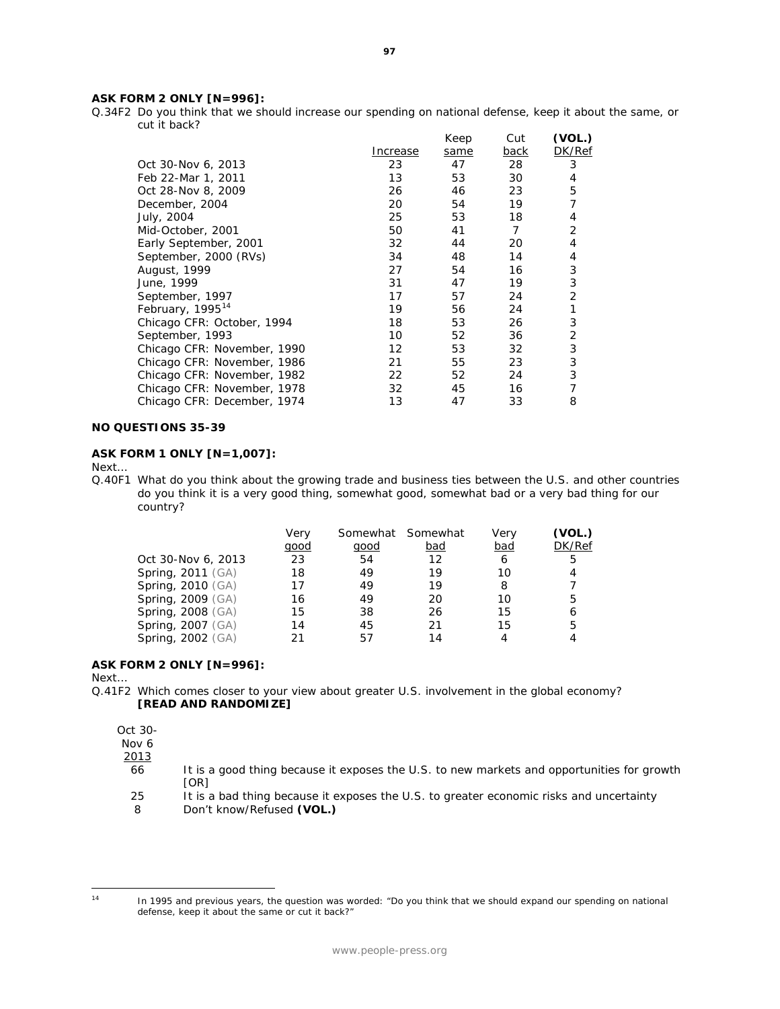#### **ASK FORM 2 ONLY [N=996]:**

Q.34F2 Do you think that we should increase our spending on national defense, keep it about the same, or cut it back?

|                             |          | Keep | Cut         | (VOL.) |
|-----------------------------|----------|------|-------------|--------|
|                             | Increase | same | <u>back</u> | DK/Ref |
| Oct 30-Nov 6, 2013          | 23       | 47   | 28          | 3      |
| Feb 22-Mar 1, 2011          | 13       | 53   | 30          | 4      |
| Oct 28-Nov 8, 2009          | 26       | 46   | 23          | 5      |
| December, 2004              | 20       | 54   | 19          | 7      |
| July, 2004                  | 25       | 53   | 18          | 4      |
| Mid-October, 2001           | 50       | 41   | 7           | 2      |
| Early September, 2001       | 32       | 44   | 20          | 4      |
| September, 2000 (RVs)       | 34       | 48   | 14          | 4      |
| August, 1999                | 27       | 54   | 16          | 3      |
| June, 1999                  | 31       | 47   | 19          | 3      |
| September, 1997             | 17       | 57   | 24          | 2      |
| February, $1995^{14}$       | 19       | 56   | 24          |        |
| Chicago CFR: October, 1994  | 18       | 53   | 26          | 3      |
| September, 1993             | 10       | 52   | 36          | 2      |
| Chicago CFR: November, 1990 | 12       | 53   | 32          | 3      |
| Chicago CFR: November, 1986 | 21       | 55   | 23          | 3      |
| Chicago CFR: November, 1982 | 22       | 52   | 24          | 3      |
| Chicago CFR: November, 1978 | 32       | 45   | 16          | 7      |
| Chicago CFR: December, 1974 | 13       | 47   | 33          | 8      |
|                             |          |      |             |        |

#### **NO QUESTIONS 35-39**

### **ASK FORM 1 ONLY [N=1,007]:**

Next…

Q.40F1 What do you think about the growing trade and business ties between the U.S. and other countries do you think it is a very good thing, somewhat good, somewhat bad or a very bad thing for our country?

|                          | Very<br><u>good</u> | <u>qood</u> | Somewhat Somewhat<br><u>bad</u> | Very<br>bad | (VOL.)<br>DK/Ref |
|--------------------------|---------------------|-------------|---------------------------------|-------------|------------------|
| Oct 30-Nov 6, 2013       | 23                  | 54          | 12                              | 6           | 5                |
| <b>Spring, 2011 (GA)</b> | 18                  | 49          | 19                              | 10          | 4                |
| <b>Spring, 2010 (GA)</b> | 17                  | 49          | 19                              | 8           |                  |
| <b>Spring, 2009 (GA)</b> | 16                  | 49          | 20                              | 10          | 5                |
| <b>Spring, 2008 (GA)</b> | 15                  | 38          | 26                              | 15          | 6                |
| <b>Spring, 2007</b> (GA) | 14                  | 45          | 21                              | 15          | 5                |
| <b>Spring, 2002</b> (GA) | 21                  | 57          | 14                              | 4           |                  |

### **ASK FORM 2 ONLY [N=996]:**

Next…

Q.41F2 Which comes closer to your view about greater U.S. involvement in the global economy? **[READ AND RANDOMIZE]**

Oct 30-

Nov 6

2013

- 66 It is a good thing because it exposes the U.S. to new markets and opportunities for growth [OR]
- 25 It is a bad thing because it exposes the U.S. to greater economic risks and uncertainty

8 Don't know/Refused **(VOL.)**

<span id="page-97-0"></span> $14$ 

<sup>14</sup> In 1995 and previous years, the question was worded: "Do you think that we should expand our spending on national defense, keep it about the same or cut it back?"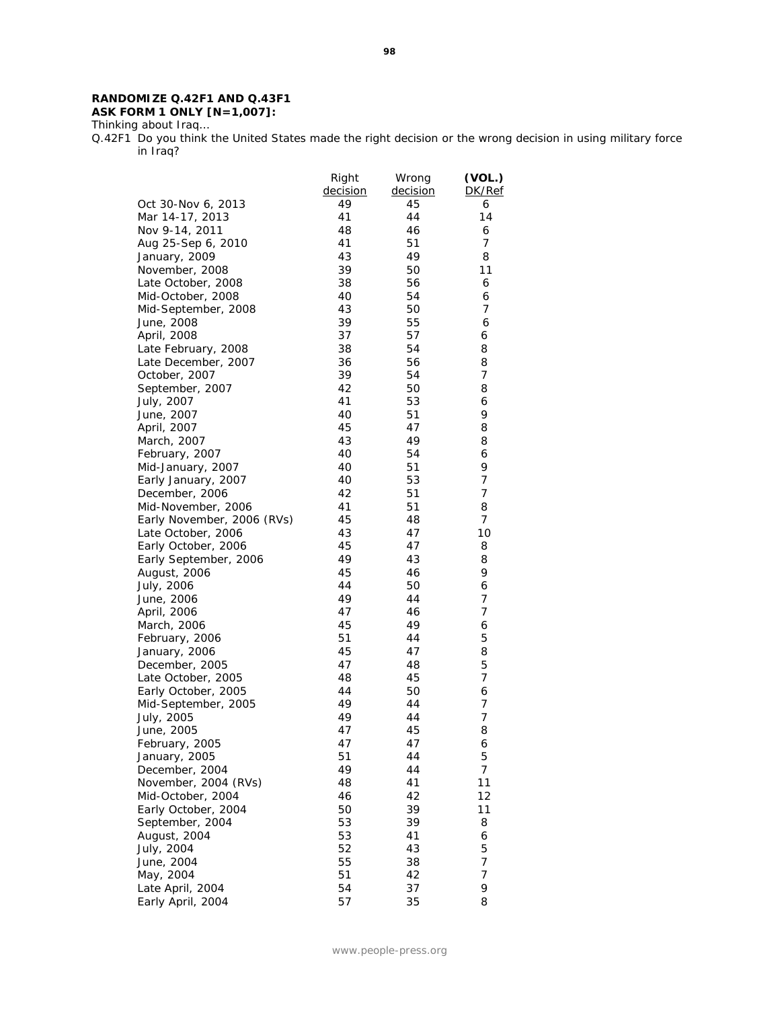### **RANDOMIZE Q.42F1 AND Q.43F1 ASK FORM 1 ONLY [N=1,007]:**

Thinking about Iraq…

Q.42F1 Do you think the United States made the right decision or the wrong decision in using military force in Iraq?

|                            | Right    | Wrong    | (VOL.)         |
|----------------------------|----------|----------|----------------|
|                            | decision | decision | DK/Ref         |
| Oct 30-Nov 6, 2013         | 49       | 45       | 6              |
| Mar 14-17, 2013            | 41       | 44       | 14             |
| Nov 9-14, 2011             | 48       | 46       | 6              |
| Aug 25-Sep 6, 2010         | 41       | 51       | 7              |
| January, 2009              | 43       | 49       | 8              |
| November, 2008             | 39       | 50       | 11             |
| Late October, 2008         | 38       | 56       | 6              |
| Mid-October, 2008          | 40       | 54       | 6              |
| Mid-September, 2008        | 43       | 50       | 7              |
| June, 2008                 | 39       | 55       | 6              |
| April, 2008                | 37       | 57       | 6              |
| Late February, 2008        | 38       | 54       | 8              |
| Late December, 2007        | 36       | 56       | 8              |
| October, 2007              | 39       | 54       | 7              |
| September, 2007            | 42       | 50       | 8              |
| July, 2007                 | 41       | 53       | 6              |
| June, 2007                 | 40       | 51       | 9              |
| April, 2007                | 45       | 47       | 8              |
| March, 2007                | 43       | 49       | 8              |
| February, 2007             | 40       | 54       | 6              |
| Mid-January, 2007          | 40       | 51       | 9              |
| Early January, 2007        | 40       | 53       | 7              |
| December, 2006             | 42       | 51       | 7              |
| Mid-November, 2006         | 41       | 51       | 8              |
| Early November, 2006 (RVs) | 45       | 48       | 7              |
| Late October, 2006         | 43       | 47       | 10             |
| Early October, 2006        | 45       | 47       | 8              |
| Early September, 2006      | 49       | 43       | 8              |
| August, 2006               | 45       | 46       | 9              |
| July, 2006                 | 44       | 50       | 6              |
| June, 2006                 | 49       | 44       | 7              |
| April, 2006                | 47       | 46       | 7              |
| March, 2006                | 45       | 49       | 6              |
| February, 2006             | 51       | 44       | 5              |
| January, 2006              | 45       | 47       | 8              |
| December, 2005             | 47       | 48       | 5              |
| Late October, 2005         | 48       | 45       | 7              |
| Early October, 2005        | 44       | 50       | 6              |
| Mid-September, 2005        | 49       | 44       | 7              |
| July, 2005                 | 49       | 44       | 7              |
| June, 2005                 | 47       | 45       | 8              |
| February, 2005             | 47       | 47       | 6              |
| January, 2005              | 51       | 44       | 5              |
| December, 2004             | 49       | 44       | $\overline{7}$ |
| November, 2004 (RVs)       | 48       | 41       | 11             |
| Mid-October, 2004          | 46       | 42       | 12             |
| Early October, 2004        | 50       | 39       | 11             |
| September, 2004            | 53       | 39       | 8              |
| August, 2004               | 53       | 41       | 6              |
| July, 2004                 | 52       | 43       | 5              |
| June, 2004                 | 55       | 38       | 7              |
| May, 2004                  | 51       | 42       | 7              |
| Late April, 2004           | 54       | 37       | 9              |
| Early April, 2004          | 57       | 35       | 8              |
|                            |          |          |                |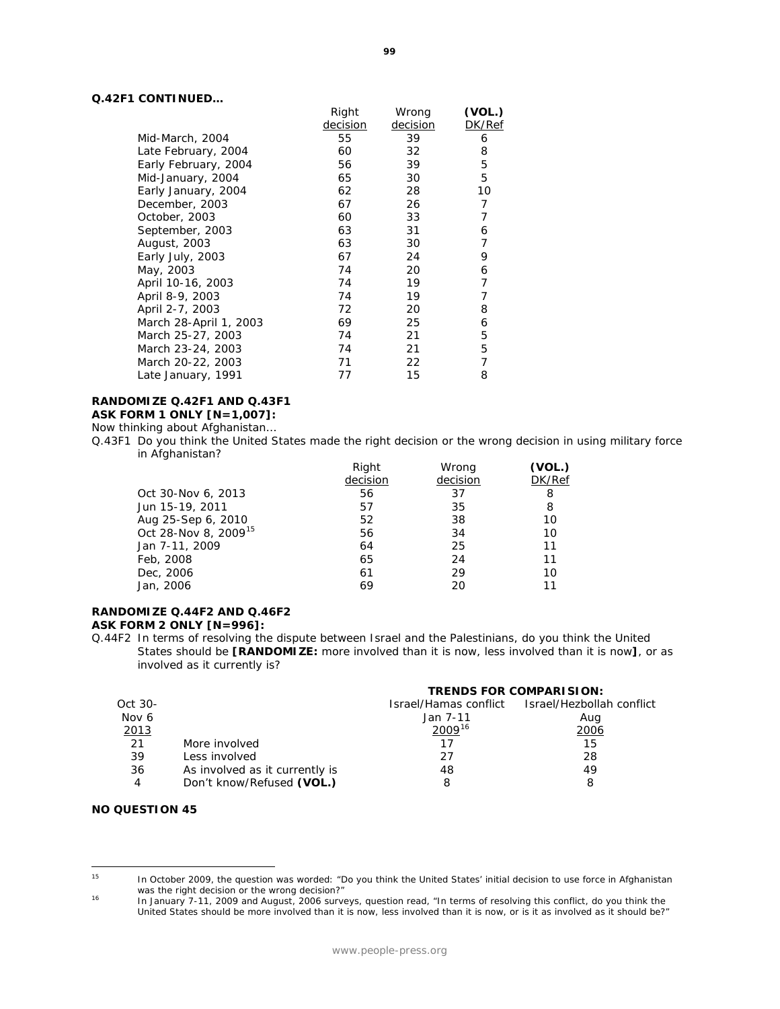#### **Q.42F1 CONTINUED…**

|                        | Right    | Wrong    | (VOL.) |
|------------------------|----------|----------|--------|
|                        | decision | decision | DK/Ref |
| Mid-March, 2004        | 55       | 39       | 6      |
| Late February, 2004    | 60       | 32       | 8      |
| Early February, 2004   | 56       | 39       | 5      |
| Mid-January, 2004      | 65       | 30       | 5      |
| Early January, 2004    | 62       | 28       | 10     |
| December, 2003         | 67       | 26       | 7      |
| October, 2003          | 60       | 33       | 7      |
| September, 2003        | 63       | 31       | 6      |
| August, 2003           | 63       | 30       | 7      |
| Early July, 2003       | 67       | 24       | 9      |
| May, 2003              | 74       | 20       | 6      |
| April 10-16, 2003      | 74       | 19       | 7      |
| April 8-9, 2003        | 74       | 19       | 7      |
| April 2-7, 2003        | 72       | 20       | 8      |
| March 28-April 1, 2003 | 69       | 25       | 6      |
| March 25-27, 2003      | 74       | 21       | 5      |
| March 23-24, 2003      | 74       | 21       | 5      |
| March 20-22, 2003      | 71       | 22       | 7      |
| Late January, 1991     | 77       | 15       | 8      |

### **RANDOMIZE Q.42F1 AND Q.43F1**

**ASK FORM 1 ONLY [N=1,007]:**

Now thinking about Afghanistan…

Q.43F1 Do you think the United States made the right decision or the wrong decision in using military force in Afghanistan?

| Right    | Wrong    | (VOL.) |
|----------|----------|--------|
| decision | decision | DK/Ref |
| 56       | 37       | 8      |
| 57       | 35       | 8      |
| 52       | 38       | 10     |
| 56       | 34       | 10     |
| 64       | 25       | 11     |
| 65       | 24       | 11     |
| 61       | 29       | 10     |
| 69       | 20       | 11     |
|          |          |        |

#### **RANDOMIZE Q.44F2 AND Q.46F2 ASK FORM 2 ONLY [N=996]:**

Q.44F2 In terms of resolving the dispute between Israel and the Palestinians, do you think the United States should be **[RANDOMIZE:** more involved than it is now, less involved than it is now**]**, or as involved as it currently is?

|         |                                |                    | <b>TRENDS FOR COMPARISION:</b>                  |  |  |
|---------|--------------------------------|--------------------|-------------------------------------------------|--|--|
| Oct 30- |                                |                    | Israel/Hamas conflict Israel/Hezbollah conflict |  |  |
| Nov 6   |                                | Jan 7-11           | Aug                                             |  |  |
| 2013    |                                | 2009 <sup>16</sup> | 2006                                            |  |  |
| 21      | More involved                  | 17                 | 15                                              |  |  |
| 39      | Less involved                  | 27                 | 28                                              |  |  |
| 36      | As involved as it currently is | 48                 | 49                                              |  |  |
| 4       | Don't know/Refused (VOL.)      |                    | 8                                               |  |  |

#### **NO QUESTION 45**

<span id="page-99-1"></span><span id="page-99-0"></span><sup>15</sup> 

In October 2009, the question was worded: "Do you think the United States' initial decision to use force in Afghanistan was the right decision or the wrong decision?"

<sup>16</sup> In January 7-11, 2009 and August, 2006 surveys, question read, "In terms of resolving this conflict, do you think the United States should be more involved than it is now, less involved than it is now, or is it as involved as it should be?"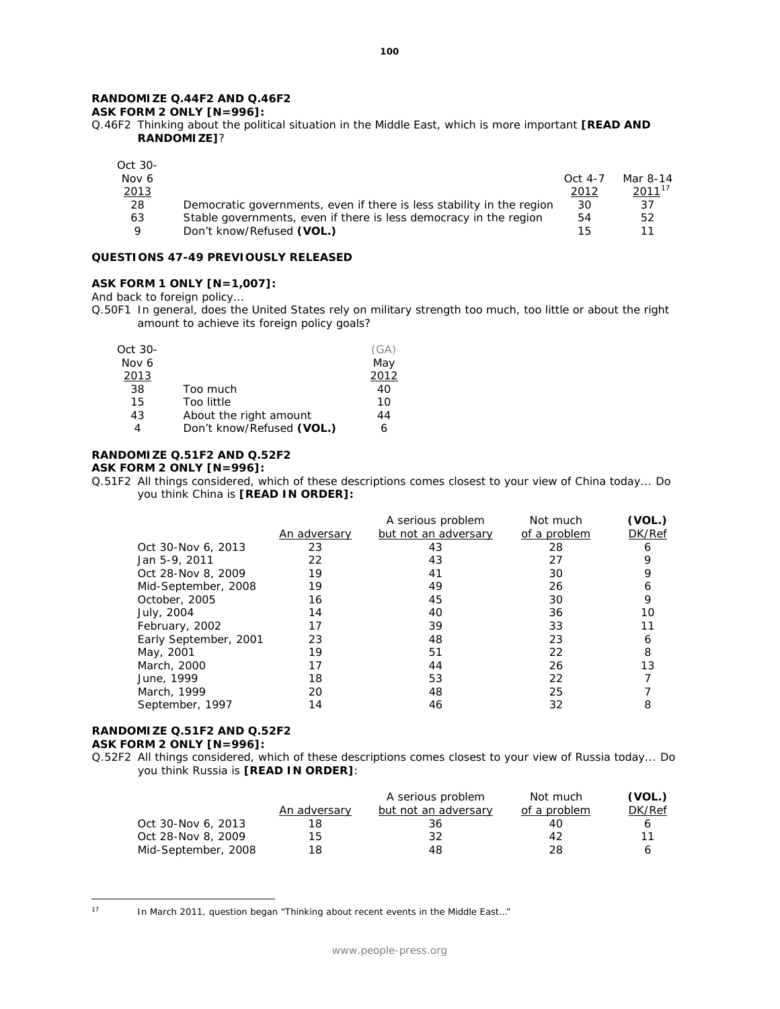### **RANDOMIZE Q.44F2 AND Q.46F2**

### **ASK FORM 2 ONLY [N=996]:**

Q.46F2 Thinking about the political situation in the Middle East, which is more important **[READ AND RANDOMIZE]**?

| Oct 30- |                                                                       |           |             |
|---------|-----------------------------------------------------------------------|-----------|-------------|
| Nov 6   |                                                                       | $Oct$ 4-7 | Mar 8-14    |
| 2013    |                                                                       | 2012      | $2011^{17}$ |
| 28      | Democratic governments, even if there is less stability in the region | 30        | 37          |
| 63      | Stable governments, even if there is less democracy in the region     | 54        | 52          |
| Q       | Don't know/Refused (VOL.)                                             | 15        |             |

#### **QUESTIONS 47-49 PREVIOUSLY RELEASED**

#### **ASK FORM 1 ONLY [N=1,007]:**

And back to foreign policy…

Q.50F1 In general, does the United States rely on military strength too much, too little or about the right amount to achieve its foreign policy goals?

| Oct 30- |                           | (GA) |
|---------|---------------------------|------|
| Nov 6   |                           | May  |
| 2013    |                           | 2012 |
| 38      | Too much                  | 40   |
| 15      | Too little                | 10   |
| 43      | About the right amount    | 44   |
| 4       | Don't know/Refused (VOL.) |      |

#### **RANDOMIZE Q.51F2 AND Q.52F2**

#### **ASK FORM 2 ONLY [N=996]:**

Q.51F2 All things considered, which of these descriptions comes closest to your view of China today... Do you think China is **[READ IN ORDER]:**

|                       |              | A serious problem    | Not much     | (VOL.) |
|-----------------------|--------------|----------------------|--------------|--------|
|                       | An adversary | but not an adversary | of a problem | DK/Ref |
| Oct 30-Nov 6, 2013    | 23           | 43                   | 28           | 6      |
| Jan 5-9, 2011         | 22           | 43                   | 27           | 9      |
| Oct 28-Nov 8, 2009    | 19           | 41                   | 30           | 9      |
| Mid-September, 2008   | 19           | 49                   | 26           | 6      |
| October, 2005         | 16           | 45                   | 30           | 9      |
| July, 2004            | 14           | 40                   | 36           | 10     |
| February, 2002        | 17           | 39                   | 33           | 11     |
| Early September, 2001 | 23           | 48                   | 23           | 6      |
| May, 2001             | 19           | 51                   | 22           | 8      |
| March, 2000           | 17           | 44                   | 26           | 13     |
| June, 1999            | 18           | 53                   | 22           |        |
| March, 1999           | 20           | 48                   | 25           |        |
| September, 1997       | 14           | 46                   | 32           | 8      |

### **RANDOMIZE Q.51F2 AND Q.52F2**

#### **ASK FORM 2 ONLY [N=996]:**

Q.52F2 All things considered, which of these descriptions comes closest to your view of Russia today... Do you think Russia is **[READ IN ORDER]**:

|                     |              | A serious problem    | Not much     | (VOL.) |
|---------------------|--------------|----------------------|--------------|--------|
|                     | An adversary | but not an adversary | of a problem | DK/Ref |
| Oct 30-Nov 6, 2013  | 18           | 36.                  | 40           | b      |
| Oct 28-Nov 8, 2009  | 15.          | 32                   | 42           | 11     |
| Mid-September, 2008 | 18           | 48                   | 28           |        |

<span id="page-100-0"></span> $17$ 

In March 2011, question began "Thinking about recent events in the Middle East..."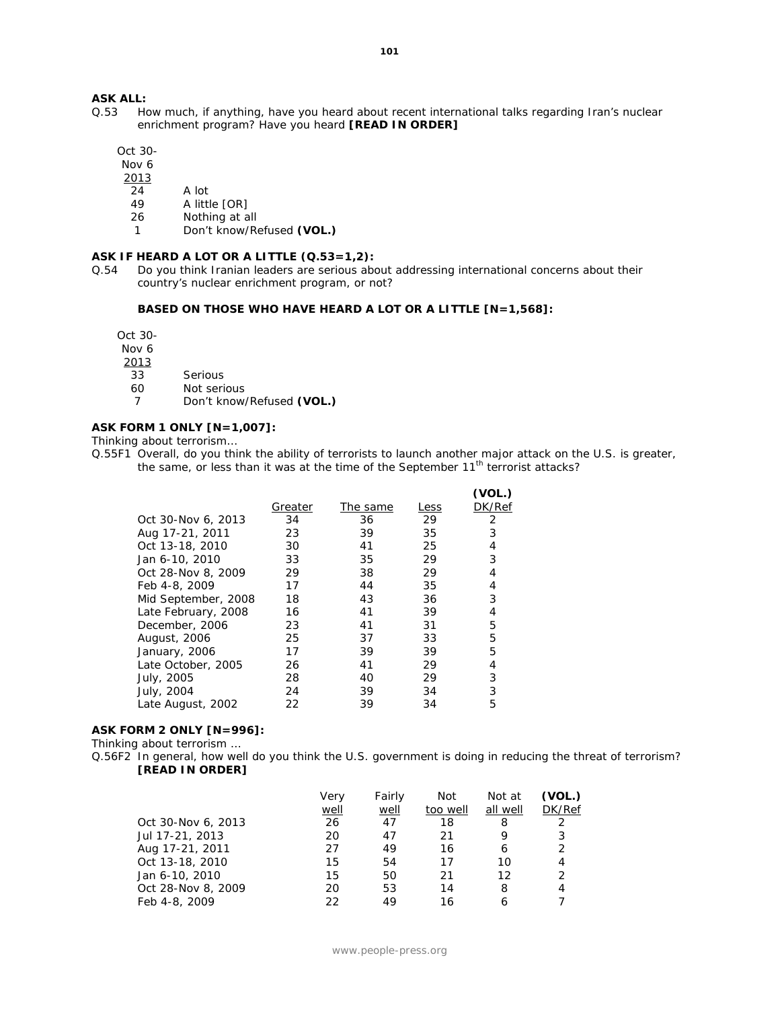## **ASK ALL:**<br>Q.53 Ho

How much, if anything, have you heard about recent international talks regarding Iran's nuclear enrichment program? Have you heard **[READ IN ORDER]**

Oct 30-

Nov 6

- 2013
- 24 A lot
- 49 A little [OR]
- 26 Nothing at all
- 1 Don't know/Refused **(VOL.)**

#### **ASK IF HEARD A LOT OR A LITTLE (Q.53=1,2):**

Q.54 Do you think Iranian leaders are serious about addressing international concerns about their country's nuclear enrichment program, or not?

#### **BASED ON THOSE WHO HAVE HEARD A LOT OR A LITTLE [N=1,568]:**

Oct 30-

Nov 6

2013

- 33 Serious
- 60 Not serious
- 7 Don't know/Refused **(VOL.)**

### **ASK FORM 1 ONLY [N=1,007]:**

Thinking about terrorism…

**(VOL.)**

|                     |         |          |      | ( VUL. ) |
|---------------------|---------|----------|------|----------|
|                     | Greater | The same | Less | DK/Ref   |
| Oct 30-Nov 6, 2013  | 34      | 36       | 29   | 2        |
| Aug 17-21, 2011     | 23      | 39       | 35   | 3        |
| Oct 13-18, 2010     | 30      | 41       | 25   | 4        |
| Jan 6-10, 2010      | 33      | 35       | 29   | 3        |
| Oct 28-Nov 8, 2009  | 29      | 38       | 29   | 4        |
| Feb 4-8, 2009       | 17      | 44       | 35   | 4        |
| Mid September, 2008 | 18      | 43       | 36   | 3        |
| Late February, 2008 | 16      | 41       | 39   | 4        |
| December, 2006      | 23      | 41       | 31   | 5        |
| August, 2006        | 25      | 37       | 33   | 5        |
| January, 2006       | 17      | 39       | 39   | 5        |
| Late October, 2005  | 26      | 41       | 29   | 4        |
| July, 2005          | 28      | 40       | 29   | 3        |
| July, 2004          | 24      | 39       | 34   | 3        |
| Late August, 2002   | 22      | 39       | 34   | 5        |
|                     |         |          |      |          |

#### **ASK FORM 2 ONLY [N=996]:**

Thinking about terrorism …

Q.56F2 In general, how well do you think the U.S. government is doing in reducing the threat of terrorism? **[READ IN ORDER]**

|                    | Verv | Fairly | Not      | Not at   | (VOL.)        |
|--------------------|------|--------|----------|----------|---------------|
|                    | well | well   | too well | all well | DK/Ref        |
| Oct 30-Nov 6, 2013 | 26   | 47     | 18       | 8        | 2             |
| Jul 17-21, 2013    | 20   | 47     | 21       | 9        | 3             |
| Aug 17-21, 2011    | 27   | 49     | 16       | 6        | $\mathcal{P}$ |
| Oct 13-18, 2010    | 15   | 54     | 17       | 10       | 4             |
| Jan 6-10, 2010     | 15   | 50     | 21       | 12       |               |
| Oct 28-Nov 8, 2009 | 20   | 53     | 14       | 8        | 4             |
| Feb 4-8, 2009      | 22   | 49     | 16       |          |               |
|                    |      |        |          |          |               |

Q.55F1 Overall, do you think the ability of terrorists to launch another major attack on the U.S. is greater, the same, or less than it was at the time of the September  $11<sup>th</sup>$  terrorist attacks?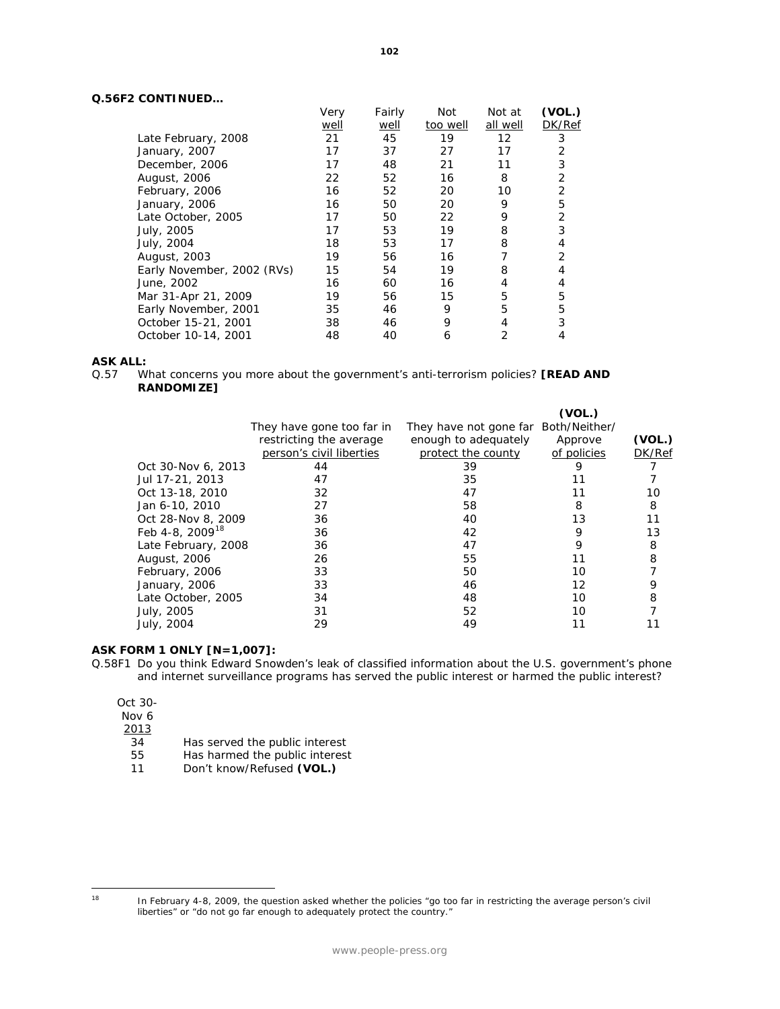### **Q.56F2 CONTINUED…**

|                            | Very | Fairly | Not      | Not at   | (VOL.) |
|----------------------------|------|--------|----------|----------|--------|
|                            | well | well   | too well | all well | DK/Ref |
| Late February, 2008        | 21   | 45     | 19       | 12       | 3      |
| January, 2007              | 17   | 37     | 27       | 17       | 2      |
| December, 2006             | 17   | 48     | 21       | 11       | 3      |
| August, 2006               | 22   | 52     | 16       | 8        | 2      |
| February, 2006             | 16   | 52     | 20       | 10       | 2      |
| January, 2006              | 16   | 50     | 20       | 9        | 5      |
| Late October, 2005         | 17   | 50     | 22       | 9        | 2      |
| July, 2005                 | 17   | 53     | 19       | 8        | 3      |
| July, 2004                 | 18   | 53     | 17       | 8        | 4      |
| August, 2003               | 19   | 56     | 16       |          | 2      |
| Early November, 2002 (RVs) | 15   | 54     | 19       | 8        | 4      |
| June, 2002                 | 16   | 60     | 16       | 4        | 4      |
| Mar 31-Apr 21, 2009        | 19   | 56     | 15       | 5        | 5      |
| Early November, 2001       | 35   | 46     | 9        | 5        | 5      |
| October 15-21, 2001        | 38   | 46     | 9        | 4        | 3      |
| October 10-14, 2001        | 48   | 40     | 6        | 2        | 4      |

## **ASK ALL:**<br>0.57 W

What concerns you more about the government's anti-terrorism policies? **[READ AND RANDOMIZE]**

|                             |                           |                                      | (VOL.)      |        |
|-----------------------------|---------------------------|--------------------------------------|-------------|--------|
|                             | They have gone too far in | They have not gone far Both/Neither/ |             |        |
|                             | restricting the average   | enough to adequately                 | Approve     | (VOL.) |
|                             | person's civil liberties  | protect the county                   | of policies | DK/Ref |
| Oct 30-Nov 6, 2013          | 44                        | 39                                   | 9           |        |
| Jul 17-21, 2013             | 47                        | 35                                   | 11          |        |
| Oct 13-18, 2010             | 32                        | 47                                   | 11          | 10     |
| Jan 6-10, 2010              | 27                        | 58                                   | 8           | 8      |
| Oct 28-Nov 8, 2009          | 36                        | 40                                   | 13          | 11     |
| Feb 4-8, 2009 <sup>18</sup> | 36                        | 42                                   | 9           | 13     |
| Late February, 2008         | 36                        | 47                                   | 9           | 8      |
| August, 2006                | 26                        | 55                                   | 11          | 8      |
| February, 2006              | 33                        | 50                                   | 10          |        |
| January, 2006               | 33                        | 46                                   | 12          | 9      |
| Late October, 2005          | 34                        | 48                                   | 10          | 8      |
| July, 2005                  | 31                        | 52                                   | 10          |        |
| July, 2004                  | 29                        | 49                                   | 11          |        |
|                             |                           |                                      |             |        |

#### **ASK FORM 1 ONLY [N=1,007]:**

Q.58F1 Do you think Edward Snowden's leak of classified information about the U.S. government's phone and internet surveillance programs has served the public interest or harmed the public interest?

| Oct 30- |  |
|---------|--|
| Nov 6   |  |
| 2013    |  |
| 34      |  |
| 55      |  |
|         |  |

Has served the public interest Has harmed the public interest

11 Don't know/Refused **(VOL.)**

<span id="page-102-0"></span> $18\,$ 

<sup>18</sup> In February 4-8, 2009, the question asked whether the policies "go too far in restricting the average person's civil liberties" or "do not go far enough to adequately protect the country."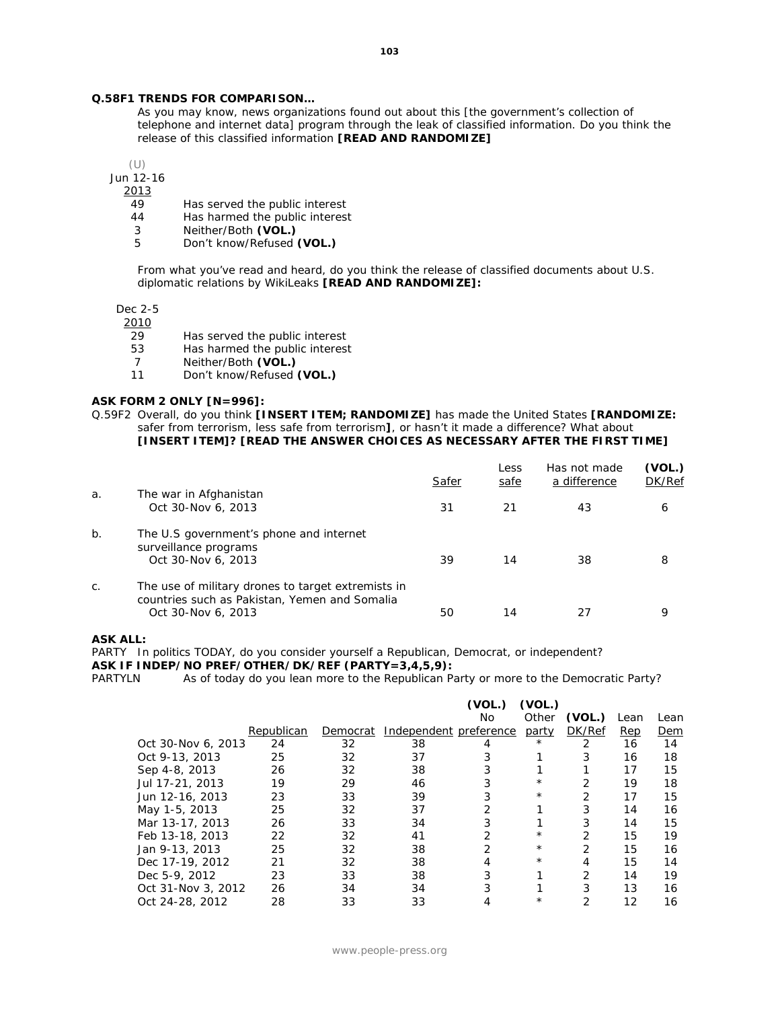#### **Q.58F1 TRENDS FOR COMPARISON…**

*As you may know, news organizations found out about this [the government's collection of telephone and internet data] program through the leak of classified information. Do you think the release of this classified information [READ AND RANDOMIZE]*

(U)

Jun 12-16

2013

- 49 Has served the public interest<br>44 Has harmed the public interes
- 44 Has harmed the public interest<br>3 Neither/Both (VOL.)
- 3 Neither/Both **(VOL.)**
- 5 Don't know/Refused **(VOL.)**

*From what you've read and heard, do you think the release of classified documents about U.S. diplomatic relations by WikiLeaks [READ AND RANDOMIZE]:* 

Dec 2-5

2010

- 29 Has served the public interest<br>53 Has harmed the public interest
- Has harmed the public interest
- 7 Neither/Both **(VOL.)**
- 11 Don't know/Refused **(VOL.)**

#### **ASK FORM 2 ONLY [N=996]:**

Q.59F2 Overall, do you think **[INSERT ITEM; RANDOMIZE]** has made the United States **[RANDOMIZE:**  safer from terrorism, less safe from terrorism**]**, or hasn't it made a difference? What about **[INSERT ITEM]? [READ THE ANSWER CHOICES AS NECESSARY AFTER THE FIRST TIME]**

|       |                                                                                                                           | Safer | Less<br>safe | Has not made<br>a difference | (VOL.)<br>DK/Ref |
|-------|---------------------------------------------------------------------------------------------------------------------------|-------|--------------|------------------------------|------------------|
| a.    | The war in Afghanistan<br>Oct 30-Nov 6, 2013                                                                              | 31    | 21           | 43                           | 6                |
| b.    | The U.S government's phone and internet<br>surveillance programs<br>Oct 30-Nov 6, 2013                                    | 39    | 14           | 38                           | 8                |
| $C$ . | The use of military drones to target extremists in<br>countries such as Pakistan, Yemen and Somalia<br>Oct 30-Nov 6, 2013 | 50    | 14           | 27                           | q                |

#### **ASK ALL:**

PARTY In politics TODAY, do you consider yourself a Republican, Democrat, or independent?

**ASK IF INDEP/NO PREF/OTHER/DK/REF (PARTY=3,4,5,9):**

PARTYLN As of today do you lean more to the Republican Party or more to the Democratic Party?

|                    |            |          |                        | (VOL.) | (VOL.)       |               |      |      |
|--------------------|------------|----------|------------------------|--------|--------------|---------------|------|------|
|                    |            |          |                        | No.    | Other        | (VOL.)        | Lean | Lean |
|                    | Republican | Democrat | Independent preference |        | <u>party</u> | DK/Ref        | Rep  | Dem  |
| Oct 30-Nov 6, 2013 | 24         | 32       | 38                     | 4      | $^\star$     | 2             | 16   | 14   |
| Oct 9-13, 2013     | 25         | 32       | 37                     | 3      |              | 3             | 16   | 18   |
| Sep 4-8, 2013      | 26         | 32       | 38                     | 3      |              |               | 17   | 15   |
| Jul 17-21, 2013    | 19         | 29       | 46                     | 3      | $^\star$     | 2             | 19   | 18   |
| Jun 12-16, 2013    | 23         | 33       | 39                     | 3      | $^\star$     | 2             | 17   | 15   |
| May 1-5, 2013      | 25         | 32       | 37                     | 2      |              | 3             | 14   | 16   |
| Mar 13-17, 2013    | 26         | 33       | 34                     | 3      |              | 3             | 14   | 15   |
| Feb 13-18, 2013    | 22         | 32       | 41                     | 2      | $^\star$     | 2             | 15   | 19   |
| Jan 9-13, 2013     | 25         | 32       | 38                     | 2      | $^\star$     | 2             | 15   | 16   |
| Dec 17-19, 2012    | 21         | 32       | 38                     | 4      | $^\star$     | 4             | 15   | 14   |
| Dec 5-9, 2012      | 23         | 33       | 38                     | 3      |              | $\mathcal{P}$ | 14   | 19   |
| Oct 31-Nov 3, 2012 | 26         | 34       | 34                     | 3      |              | 3             | 13   | 16   |
| Oct 24-28, 2012    | 28         | 33       | 33                     | 4      | $^{\star}$   | 2             | 12   | 16   |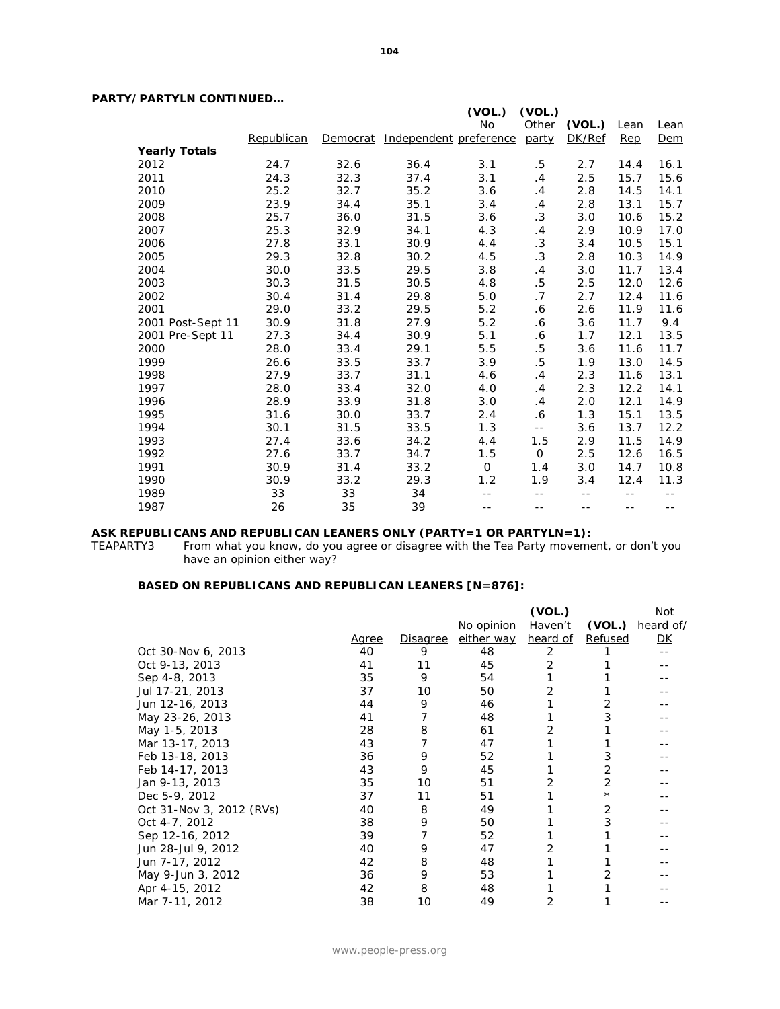### **PARTY/PARTYLN CONTINUED…**

|                      |            |      |                                 | (VOL.) | (VOL.)      |        |       |       |
|----------------------|------------|------|---------------------------------|--------|-------------|--------|-------|-------|
|                      |            |      |                                 | No     | Other       | (VOL.) | Lean  | Lean  |
|                      | Republican |      | Democrat Independent preference |        | party       | DK/Ref | Rep   | Dem   |
| <b>Yearly Totals</b> |            |      |                                 |        |             |        |       |       |
| 2012                 | 24.7       | 32.6 | 36.4                            | 3.1    | .5          | 2.7    | 14.4  | 16.1  |
| 2011                 | 24.3       | 32.3 | 37.4                            | 3.1    | .4          | 2.5    | 15.7  | 15.6  |
| 2010                 | 25.2       | 32.7 | 35.2                            | 3.6    | .4          | 2.8    | 14.5  | 14.1  |
| 2009                 | 23.9       | 34.4 | 35.1                            | 3.4    | $\cdot$     | 2.8    | 13.1  | 15.7  |
| 2008                 | 25.7       | 36.0 | 31.5                            | 3.6    | .3          | 3.0    | 10.6  | 15.2  |
| 2007                 | 25.3       | 32.9 | 34.1                            | 4.3    | $\cdot$     | 2.9    | 10.9  | 17.0  |
| 2006                 | 27.8       | 33.1 | 30.9                            | 4.4    | .3          | 3.4    | 10.5  | 15.1  |
| 2005                 | 29.3       | 32.8 | 30.2                            | 4.5    | .3          | 2.8    | 10.3  | 14.9  |
| 2004                 | 30.0       | 33.5 | 29.5                            | 3.8    | .4          | 3.0    | 11.7  | 13.4  |
| 2003                 | 30.3       | 31.5 | 30.5                            | 4.8    | .5          | 2.5    | 12.0  | 12.6  |
| 2002                 | 30.4       | 31.4 | 29.8                            | 5.0    | .7          | 2.7    | 12.4  | 11.6  |
| 2001                 | 29.0       | 33.2 | 29.5                            | 5.2    | .6          | 2.6    | 11.9  | 11.6  |
| 2001 Post-Sept 11    | 30.9       | 31.8 | 27.9                            | 5.2    | . 6         | 3.6    | 11.7  | 9.4   |
| 2001 Pre-Sept 11     | 27.3       | 34.4 | 30.9                            | 5.1    | .6          | 1.7    | 12.1  | 13.5  |
| 2000                 | 28.0       | 33.4 | 29.1                            | $5.5$  | $.5\,$      | 3.6    | 11.6  | 11.7  |
| 1999                 | 26.6       | 33.5 | 33.7                            | 3.9    | .5          | 1.9    | 13.0  | 14.5  |
| 1998                 | 27.9       | 33.7 | 31.1                            | 4.6    | $\cdot$ 4   | 2.3    | 11.6  | 13.1  |
| 1997                 | 28.0       | 33.4 | 32.0                            | 4.0    | $\cdot$ 4   | 2.3    | 12.2  | 14.1  |
| 1996                 | 28.9       | 33.9 | 31.8                            | 3.0    | $\cdot$ 4   | 2.0    | 12.1  | 14.9  |
| 1995                 | 31.6       | 30.0 | 33.7                            | 2.4    | .6          | 1.3    | 15.1  | 13.5  |
| 1994                 | 30.1       | 31.5 | 33.5                            | 1.3    | $- -$       | 3.6    | 13.7  | 12.2  |
| 1993                 | 27.4       | 33.6 | 34.2                            | 4.4    | 1.5         | 2.9    | 11.5  | 14.9  |
| 1992                 | 27.6       | 33.7 | 34.7                            | 1.5    | $\mathbf 0$ | 2.5    | 12.6  | 16.5  |
| 1991                 | 30.9       | 31.4 | 33.2                            | 0      | 1.4         | 3.0    | 14.7  | 10.8  |
| 1990                 | 30.9       | 33.2 | 29.3                            | 1.2    | 1.9         | 3.4    | 12.4  | 11.3  |
| 1989                 | 33         | 33   | 34                              |        |             | --     |       | --    |
| 1987                 | 26         | 35   | 39                              | $- -$  | $- -$       | $- -$  | $- -$ | $- -$ |

# **ASK REPUBLICANS AND REPUBLICAN LEANERS ONLY (PARTY=1 OR PARTYLN=1):**<br>TEAPARTY3 From what you know, do you agree or disagree with the Tea Party moveme

From what you know, do you agree or disagree with the Tea Party movement, or don't you have an opinion either way?

#### **BASED ON REPUBLICANS AND REPUBLICAN LEANERS [N=876]:**

|              |                 |            | (VOL.)   |            | Not       |
|--------------|-----------------|------------|----------|------------|-----------|
|              |                 | No opinion | Haven't  | (VOL.)     | heard of/ |
| <u>Agree</u> | <b>Disagree</b> |            | heard of | Refused    | <u>DК</u> |
| 40           | 9               | 48         | 2        |            |           |
| 41           | 11              | 45         | 2        |            |           |
| 35           | 9               | 54         |          |            |           |
| 37           | 10              | 50         | 2        |            |           |
| 44           | 9               | 46         |          |            |           |
| 41           |                 | 48         |          |            |           |
| 28           | 8               | 61         | 2        |            |           |
| 43           |                 | 47         |          |            |           |
| 36           | 9               | 52         |          |            |           |
| 43           | 9               | 45         |          | 2          |           |
| 35           | 10              | 51         |          | 2          |           |
| 37           | 11              | 51         |          |            |           |
| 40           | 8               | 49         |          | 2          |           |
| 38           | 9               | 50         |          |            |           |
| 39           | 7               | 52         |          |            |           |
| 40           | 9               | 47         |          |            |           |
| 42           | 8               | 48         |          |            |           |
| 36           | 9               | 53         |          |            |           |
| 42           | 8               | 48         |          |            |           |
| 38           | 10              | 49         | 2        |            |           |
|              |                 |            |          | either way |           |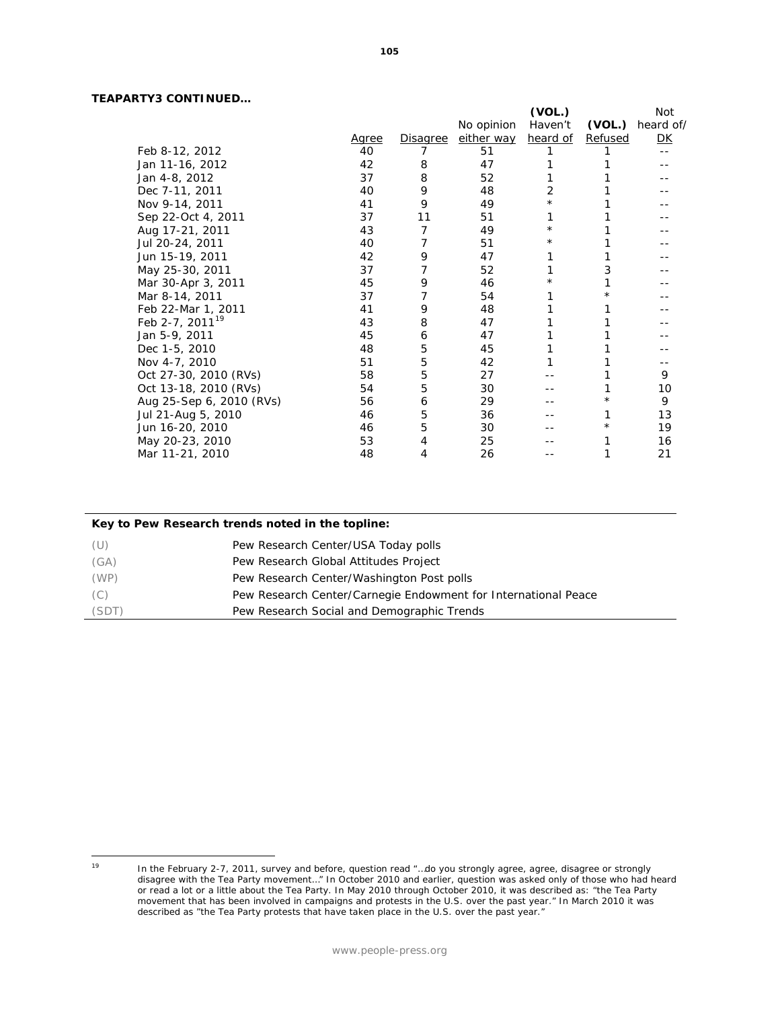### **TEAPARTY3 CONTINUED…**

|                             |              |                 |            | (VOL.)   |          | Not       |
|-----------------------------|--------------|-----------------|------------|----------|----------|-----------|
|                             |              |                 | No opinion | Haven't  | (VOL.)   | heard of/ |
|                             | <u>Agree</u> | <u>Disagree</u> | either way | heard of | Refused  | <u>DК</u> |
| Feb 8-12, 2012              | 40           | 7               | 51         |          |          | --        |
| Jan 11-16, 2012             | 42           | 8               | 47         |          |          |           |
| Jan 4-8, 2012               | 37           | 8               | 52         |          |          |           |
| Dec 7-11, 2011              | 40           | 9               | 48         | 2        |          |           |
| Nov 9-14, 2011              | 41           | 9               | 49         | $^\star$ |          |           |
| Sep 22-Oct 4, 2011          | 37           | 11              | 51         | 1        |          |           |
| Aug 17-21, 2011             | 43           | 7               | 49         | $^\star$ |          |           |
| Jul 20-24, 2011             | 40           | 7               | 51         | $^\star$ |          |           |
| Jun 15-19, 2011             | 42           | 9               | 47         | 1        |          |           |
| May 25-30, 2011             | 37           | 7               | 52         | 1        | 3        |           |
| Mar 30-Apr 3, 2011          | 45           | 9               | 46         | $^\star$ |          |           |
| Mar 8-14, 2011              | 37           | 7               | 54         | 1        | $^\star$ |           |
| Feb 22-Mar 1, 2011          | 41           | 9               | 48         | 1        |          |           |
| Feb 2-7, 2011 <sup>19</sup> | 43           | 8               | 47         | 1        |          |           |
| Jan 5-9, 2011               | 45           | 6               | 47         |          |          |           |
| Dec 1-5, 2010               | 48           | 5               | 45         |          |          |           |
| Nov 4-7, 2010               | 51           | 5               | 42         |          |          |           |
| Oct 27-30, 2010 (RVs)       | 58           | 5               | 27         |          |          | 9         |
| Oct 13-18, 2010 (RVs)       | 54           | 5               | 30         |          |          | 10        |
| Aug 25-Sep 6, 2010 (RVs)    | 56           | 6               | 29         |          |          | 9         |
| Jul 21-Aug 5, 2010          | 46           | 5               | 36         |          |          | 13        |
| Jun 16-20, 2010             | 46           | 5               | 30         |          | $\star$  | 19        |
| May 20-23, 2010             | 53           | 4               | 25         |          |          | 16        |
| Mar 11-21, 2010             | 48           | 4               | 26         |          |          | 21        |

| Key to Pew Research trends noted in the topline: |                                                                |  |  |  |  |
|--------------------------------------------------|----------------------------------------------------------------|--|--|--|--|
| (U)                                              | Pew Research Center/USA Today polls                            |  |  |  |  |
| (GA)                                             | Pew Research Global Attitudes Project                          |  |  |  |  |
| (WP)                                             | Pew Research Center/Washington Post polls                      |  |  |  |  |
| (C)                                              | Pew Research Center/Carnegie Endowment for International Peace |  |  |  |  |
| (SDT)                                            | Pew Research Social and Demographic Trends                     |  |  |  |  |

<span id="page-105-0"></span> $19$ 

<sup>&</sup>lt;sup>19</sup> In the February 2-7, 2011, survey and before, question read "...do you strongly agree, agree, disagree or strongly disagree with the Tea Party movement…" In October 2010 and earlier, question was asked only of those who had heard or read a lot or a little about the Tea Party. In May 2010 through October 2010, it was described as: "the Tea Party movement that has been involved in campaigns and protests in the U.S. over the past year." In March 2010 it was described as "the Tea Party protests that have taken place in the U.S. over the past year."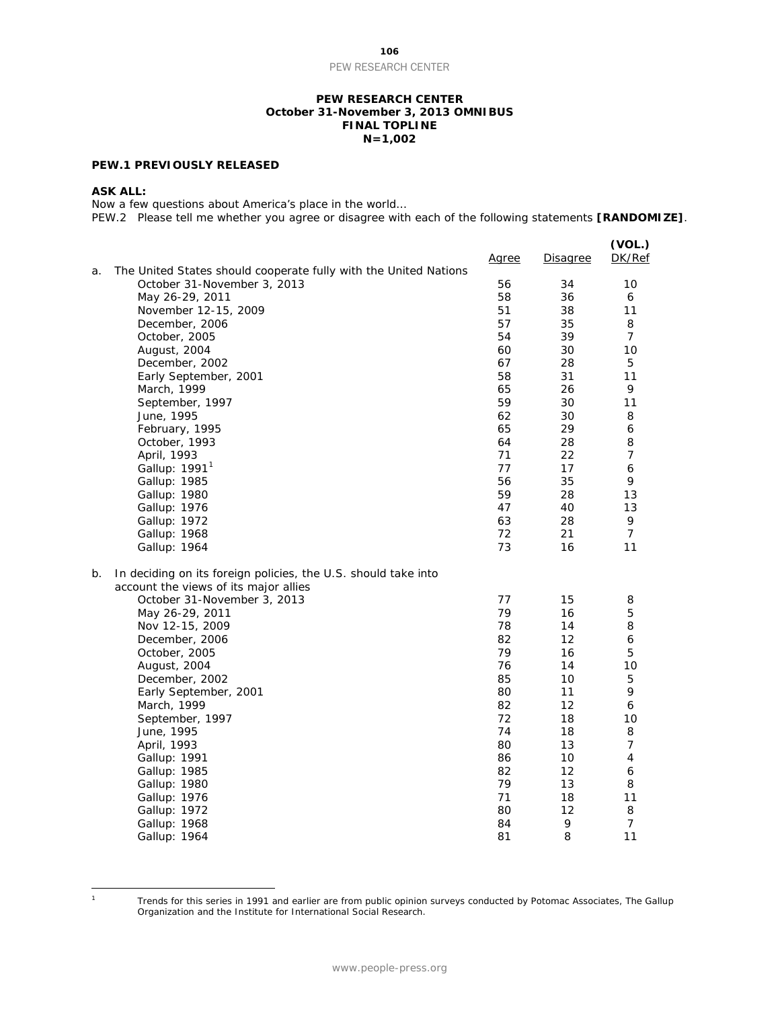**106** PEW RESEARCH CENTER

#### **PEW RESEARCH CENTER October 31-November 3, 2013 OMNIBUS FINAL TOPLINE N=1,002**

#### **PEW.1 PREVIOUSLY RELEASED**

#### **ASK ALL:**

Now a few questions about America's place in the world…

PEW.2 Please tell me whether you agree or disagree with each of the following statements **[RANDOMIZE]**.

| 56<br>34<br>10<br>October 31-November 3, 2013<br>May 26-29, 2011<br>58<br>36<br>6<br>51<br>38<br>11<br>November 12-15, 2009<br>57<br>35<br>8<br>December, 2006<br>54<br>39<br>$\overline{7}$<br>October, 2005<br>30<br>10<br>60<br>August, 2004<br>67<br>28<br>5<br>December, 2002<br>58<br>31<br>11<br>Early September, 2001<br>March, 1999<br>65<br>26<br>9<br>59<br>30<br>11<br>September, 1997<br>30<br>June, 1995<br>62<br>8<br>29<br>65<br>6<br>February, 1995<br>28<br>8<br>October, 1993<br>64<br>71<br>22<br>$\overline{7}$<br>April, 1993<br>17<br>Gallup: $19911$<br>77<br>6<br>35<br>56<br>Gallup: 1985<br>9<br>59<br>28<br>Gallup: 1980<br>13<br>40<br>13<br>Gallup: 1976<br>47<br>63<br>28<br>9<br>Gallup: 1972<br>$\overline{7}$<br>72<br>21<br>Gallup: 1968<br>73<br>16<br>11<br>Gallup: 1964<br>In deciding on its foreign policies, the U.S. should take into<br>account the views of its major allies<br>77<br>15<br>October 31-November 3, 2013<br>8<br>79<br>16<br>5<br>May 26-29, 2011<br>78<br>8<br>14<br>Nov 12-15, 2009<br>12<br>82<br>6<br>December, 2006<br>79<br>16<br>5<br>October, 2005<br>76<br>14<br>10<br>August, 2004<br>85<br>10<br>5<br>December, 2002<br>11<br>9<br>80<br>Early September, 2001<br>12<br>82<br>6<br>March, 1999<br>72<br>18<br>September, 1997<br>10<br>74<br>18<br>8<br>June, 1995<br>13<br>7<br>80<br>April, 1993<br>Gallup: 1991<br>86<br>10<br>4<br>82<br>12<br>6<br>Gallup: 1985<br>79<br>13<br>Gallup: 1980<br>8<br>71<br>18<br>11<br>Gallup: 1976<br>80<br>12<br>8<br>Gallup: 1972<br>9<br>84<br>7<br>Gallup: 1968 |    |                                                                  | <u>Agree</u> | <b>Disagree</b> | (VOL.)<br>DK/Ref |
|--------------------------------------------------------------------------------------------------------------------------------------------------------------------------------------------------------------------------------------------------------------------------------------------------------------------------------------------------------------------------------------------------------------------------------------------------------------------------------------------------------------------------------------------------------------------------------------------------------------------------------------------------------------------------------------------------------------------------------------------------------------------------------------------------------------------------------------------------------------------------------------------------------------------------------------------------------------------------------------------------------------------------------------------------------------------------------------------------------------------------------------------------------------------------------------------------------------------------------------------------------------------------------------------------------------------------------------------------------------------------------------------------------------------------------------------------------------------------------------------------------------------------------------------------------------------------------|----|------------------------------------------------------------------|--------------|-----------------|------------------|
|                                                                                                                                                                                                                                                                                                                                                                                                                                                                                                                                                                                                                                                                                                                                                                                                                                                                                                                                                                                                                                                                                                                                                                                                                                                                                                                                                                                                                                                                                                                                                                                | a. | The United States should cooperate fully with the United Nations |              |                 |                  |
|                                                                                                                                                                                                                                                                                                                                                                                                                                                                                                                                                                                                                                                                                                                                                                                                                                                                                                                                                                                                                                                                                                                                                                                                                                                                                                                                                                                                                                                                                                                                                                                |    |                                                                  |              |                 |                  |
|                                                                                                                                                                                                                                                                                                                                                                                                                                                                                                                                                                                                                                                                                                                                                                                                                                                                                                                                                                                                                                                                                                                                                                                                                                                                                                                                                                                                                                                                                                                                                                                |    |                                                                  |              |                 |                  |
|                                                                                                                                                                                                                                                                                                                                                                                                                                                                                                                                                                                                                                                                                                                                                                                                                                                                                                                                                                                                                                                                                                                                                                                                                                                                                                                                                                                                                                                                                                                                                                                |    |                                                                  |              |                 |                  |
|                                                                                                                                                                                                                                                                                                                                                                                                                                                                                                                                                                                                                                                                                                                                                                                                                                                                                                                                                                                                                                                                                                                                                                                                                                                                                                                                                                                                                                                                                                                                                                                |    |                                                                  |              |                 |                  |
|                                                                                                                                                                                                                                                                                                                                                                                                                                                                                                                                                                                                                                                                                                                                                                                                                                                                                                                                                                                                                                                                                                                                                                                                                                                                                                                                                                                                                                                                                                                                                                                |    |                                                                  |              |                 |                  |
|                                                                                                                                                                                                                                                                                                                                                                                                                                                                                                                                                                                                                                                                                                                                                                                                                                                                                                                                                                                                                                                                                                                                                                                                                                                                                                                                                                                                                                                                                                                                                                                |    |                                                                  |              |                 |                  |
|                                                                                                                                                                                                                                                                                                                                                                                                                                                                                                                                                                                                                                                                                                                                                                                                                                                                                                                                                                                                                                                                                                                                                                                                                                                                                                                                                                                                                                                                                                                                                                                |    |                                                                  |              |                 |                  |
|                                                                                                                                                                                                                                                                                                                                                                                                                                                                                                                                                                                                                                                                                                                                                                                                                                                                                                                                                                                                                                                                                                                                                                                                                                                                                                                                                                                                                                                                                                                                                                                |    |                                                                  |              |                 |                  |
|                                                                                                                                                                                                                                                                                                                                                                                                                                                                                                                                                                                                                                                                                                                                                                                                                                                                                                                                                                                                                                                                                                                                                                                                                                                                                                                                                                                                                                                                                                                                                                                |    |                                                                  |              |                 |                  |
|                                                                                                                                                                                                                                                                                                                                                                                                                                                                                                                                                                                                                                                                                                                                                                                                                                                                                                                                                                                                                                                                                                                                                                                                                                                                                                                                                                                                                                                                                                                                                                                |    |                                                                  |              |                 |                  |
|                                                                                                                                                                                                                                                                                                                                                                                                                                                                                                                                                                                                                                                                                                                                                                                                                                                                                                                                                                                                                                                                                                                                                                                                                                                                                                                                                                                                                                                                                                                                                                                |    |                                                                  |              |                 |                  |
|                                                                                                                                                                                                                                                                                                                                                                                                                                                                                                                                                                                                                                                                                                                                                                                                                                                                                                                                                                                                                                                                                                                                                                                                                                                                                                                                                                                                                                                                                                                                                                                |    |                                                                  |              |                 |                  |
|                                                                                                                                                                                                                                                                                                                                                                                                                                                                                                                                                                                                                                                                                                                                                                                                                                                                                                                                                                                                                                                                                                                                                                                                                                                                                                                                                                                                                                                                                                                                                                                |    |                                                                  |              |                 |                  |
|                                                                                                                                                                                                                                                                                                                                                                                                                                                                                                                                                                                                                                                                                                                                                                                                                                                                                                                                                                                                                                                                                                                                                                                                                                                                                                                                                                                                                                                                                                                                                                                |    |                                                                  |              |                 |                  |
|                                                                                                                                                                                                                                                                                                                                                                                                                                                                                                                                                                                                                                                                                                                                                                                                                                                                                                                                                                                                                                                                                                                                                                                                                                                                                                                                                                                                                                                                                                                                                                                |    |                                                                  |              |                 |                  |
|                                                                                                                                                                                                                                                                                                                                                                                                                                                                                                                                                                                                                                                                                                                                                                                                                                                                                                                                                                                                                                                                                                                                                                                                                                                                                                                                                                                                                                                                                                                                                                                |    |                                                                  |              |                 |                  |
|                                                                                                                                                                                                                                                                                                                                                                                                                                                                                                                                                                                                                                                                                                                                                                                                                                                                                                                                                                                                                                                                                                                                                                                                                                                                                                                                                                                                                                                                                                                                                                                |    |                                                                  |              |                 |                  |
|                                                                                                                                                                                                                                                                                                                                                                                                                                                                                                                                                                                                                                                                                                                                                                                                                                                                                                                                                                                                                                                                                                                                                                                                                                                                                                                                                                                                                                                                                                                                                                                |    |                                                                  |              |                 |                  |
|                                                                                                                                                                                                                                                                                                                                                                                                                                                                                                                                                                                                                                                                                                                                                                                                                                                                                                                                                                                                                                                                                                                                                                                                                                                                                                                                                                                                                                                                                                                                                                                |    |                                                                  |              |                 |                  |
|                                                                                                                                                                                                                                                                                                                                                                                                                                                                                                                                                                                                                                                                                                                                                                                                                                                                                                                                                                                                                                                                                                                                                                                                                                                                                                                                                                                                                                                                                                                                                                                |    |                                                                  |              |                 |                  |
|                                                                                                                                                                                                                                                                                                                                                                                                                                                                                                                                                                                                                                                                                                                                                                                                                                                                                                                                                                                                                                                                                                                                                                                                                                                                                                                                                                                                                                                                                                                                                                                | b. |                                                                  |              |                 |                  |
|                                                                                                                                                                                                                                                                                                                                                                                                                                                                                                                                                                                                                                                                                                                                                                                                                                                                                                                                                                                                                                                                                                                                                                                                                                                                                                                                                                                                                                                                                                                                                                                |    |                                                                  |              |                 |                  |
|                                                                                                                                                                                                                                                                                                                                                                                                                                                                                                                                                                                                                                                                                                                                                                                                                                                                                                                                                                                                                                                                                                                                                                                                                                                                                                                                                                                                                                                                                                                                                                                |    |                                                                  |              |                 |                  |
|                                                                                                                                                                                                                                                                                                                                                                                                                                                                                                                                                                                                                                                                                                                                                                                                                                                                                                                                                                                                                                                                                                                                                                                                                                                                                                                                                                                                                                                                                                                                                                                |    |                                                                  |              |                 |                  |
|                                                                                                                                                                                                                                                                                                                                                                                                                                                                                                                                                                                                                                                                                                                                                                                                                                                                                                                                                                                                                                                                                                                                                                                                                                                                                                                                                                                                                                                                                                                                                                                |    |                                                                  |              |                 |                  |
|                                                                                                                                                                                                                                                                                                                                                                                                                                                                                                                                                                                                                                                                                                                                                                                                                                                                                                                                                                                                                                                                                                                                                                                                                                                                                                                                                                                                                                                                                                                                                                                |    |                                                                  |              |                 |                  |
|                                                                                                                                                                                                                                                                                                                                                                                                                                                                                                                                                                                                                                                                                                                                                                                                                                                                                                                                                                                                                                                                                                                                                                                                                                                                                                                                                                                                                                                                                                                                                                                |    |                                                                  |              |                 |                  |
|                                                                                                                                                                                                                                                                                                                                                                                                                                                                                                                                                                                                                                                                                                                                                                                                                                                                                                                                                                                                                                                                                                                                                                                                                                                                                                                                                                                                                                                                                                                                                                                |    |                                                                  |              |                 |                  |
|                                                                                                                                                                                                                                                                                                                                                                                                                                                                                                                                                                                                                                                                                                                                                                                                                                                                                                                                                                                                                                                                                                                                                                                                                                                                                                                                                                                                                                                                                                                                                                                |    |                                                                  |              |                 |                  |
|                                                                                                                                                                                                                                                                                                                                                                                                                                                                                                                                                                                                                                                                                                                                                                                                                                                                                                                                                                                                                                                                                                                                                                                                                                                                                                                                                                                                                                                                                                                                                                                |    |                                                                  |              |                 |                  |
|                                                                                                                                                                                                                                                                                                                                                                                                                                                                                                                                                                                                                                                                                                                                                                                                                                                                                                                                                                                                                                                                                                                                                                                                                                                                                                                                                                                                                                                                                                                                                                                |    |                                                                  |              |                 |                  |
|                                                                                                                                                                                                                                                                                                                                                                                                                                                                                                                                                                                                                                                                                                                                                                                                                                                                                                                                                                                                                                                                                                                                                                                                                                                                                                                                                                                                                                                                                                                                                                                |    |                                                                  |              |                 |                  |
|                                                                                                                                                                                                                                                                                                                                                                                                                                                                                                                                                                                                                                                                                                                                                                                                                                                                                                                                                                                                                                                                                                                                                                                                                                                                                                                                                                                                                                                                                                                                                                                |    |                                                                  |              |                 |                  |
|                                                                                                                                                                                                                                                                                                                                                                                                                                                                                                                                                                                                                                                                                                                                                                                                                                                                                                                                                                                                                                                                                                                                                                                                                                                                                                                                                                                                                                                                                                                                                                                |    |                                                                  |              |                 |                  |
|                                                                                                                                                                                                                                                                                                                                                                                                                                                                                                                                                                                                                                                                                                                                                                                                                                                                                                                                                                                                                                                                                                                                                                                                                                                                                                                                                                                                                                                                                                                                                                                |    |                                                                  |              |                 |                  |
|                                                                                                                                                                                                                                                                                                                                                                                                                                                                                                                                                                                                                                                                                                                                                                                                                                                                                                                                                                                                                                                                                                                                                                                                                                                                                                                                                                                                                                                                                                                                                                                |    |                                                                  |              |                 |                  |
|                                                                                                                                                                                                                                                                                                                                                                                                                                                                                                                                                                                                                                                                                                                                                                                                                                                                                                                                                                                                                                                                                                                                                                                                                                                                                                                                                                                                                                                                                                                                                                                |    |                                                                  |              |                 |                  |
|                                                                                                                                                                                                                                                                                                                                                                                                                                                                                                                                                                                                                                                                                                                                                                                                                                                                                                                                                                                                                                                                                                                                                                                                                                                                                                                                                                                                                                                                                                                                                                                |    |                                                                  |              |                 |                  |
|                                                                                                                                                                                                                                                                                                                                                                                                                                                                                                                                                                                                                                                                                                                                                                                                                                                                                                                                                                                                                                                                                                                                                                                                                                                                                                                                                                                                                                                                                                                                                                                |    |                                                                  |              |                 |                  |
|                                                                                                                                                                                                                                                                                                                                                                                                                                                                                                                                                                                                                                                                                                                                                                                                                                                                                                                                                                                                                                                                                                                                                                                                                                                                                                                                                                                                                                                                                                                                                                                |    | Gallup: 1964                                                     | 81           | 8               | 11               |

<span id="page-106-0"></span> $\overline{a}$ 

<sup>1</sup> Trends for this series in 1991 and earlier are from public opinion surveys conducted by Potomac Associates, The Gallup Organization and the Institute for International Social Research.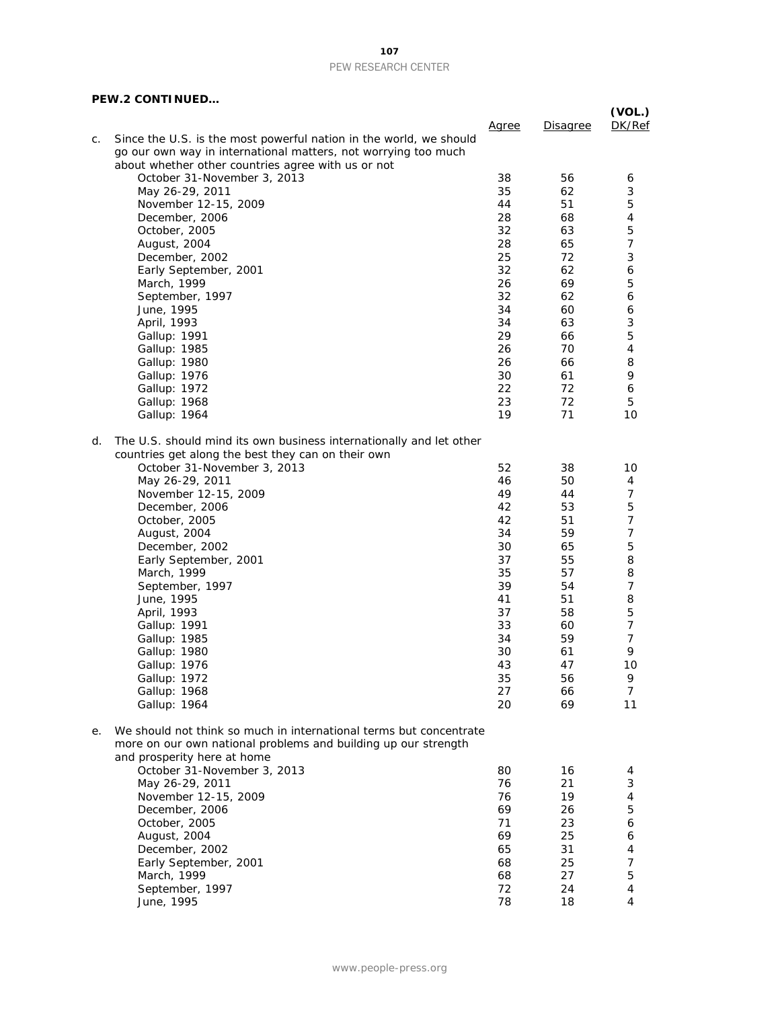### **107** PEW RESEARCH CENTER

### **PEW.2 CONTINUED…**

|    | <b>FEW.Z UUNTINUED</b>                                              |              |          | (VOL.)         |
|----|---------------------------------------------------------------------|--------------|----------|----------------|
|    |                                                                     | <u>Agree</u> | Disagree | DK/Ref         |
| C. | Since the U.S. is the most powerful nation in the world, we should  |              |          |                |
|    | go our own way in international matters, not worrying too much      |              |          |                |
|    | about whether other countries agree with us or not                  |              |          |                |
|    | October 31-November 3, 2013                                         | 38           | 56       | 6              |
|    | May 26-29, 2011                                                     | 35           | 62       | 3              |
|    | November 12-15, 2009                                                | 44           | 51       | 5              |
|    | December, 2006                                                      | 28           | 68       | 4              |
|    | October, 2005                                                       | 32           | 63       | 5              |
|    | August, 2004                                                        | 28           | 65       | 7              |
|    | December, 2002                                                      | 25           | 72       | 3              |
|    | Early September, 2001                                               | 32           | 62       | 6              |
|    | March, 1999                                                         | 26           | 69       | 5              |
|    | September, 1997                                                     | 32           | 62       | 6              |
|    | June, 1995                                                          | 34           | 60       | 6              |
|    | April, 1993                                                         | 34           | 63       | 3              |
|    | Gallup: 1991                                                        | 29           | 66       | 5              |
|    | Gallup: 1985                                                        | 26           | 70       | 4              |
|    | Gallup: 1980                                                        | 26           | 66       | 8              |
|    | Gallup: 1976                                                        | 30           | 61       | 9              |
|    | Gallup: 1972                                                        | 22           | 72       | 6              |
|    | Gallup: 1968                                                        | 23           | 72       | 5              |
|    | Gallup: 1964                                                        | 19           | 71       | 10             |
| d. | The U.S. should mind its own business internationally and let other |              |          |                |
|    | countries get along the best they can on their own                  |              |          |                |
|    | October 31-November 3, 2013                                         | 52           | 38       | 10             |
|    | May 26-29, 2011                                                     | 46           | 50       | 4              |
|    | November 12-15, 2009                                                | 49           | 44       | $\overline{7}$ |
|    | December, 2006                                                      | 42           | 53       | 5              |
|    | October, 2005                                                       | 42           | 51       | $\overline{7}$ |
|    | August, 2004                                                        | 34           | 59       | $\overline{7}$ |
|    | December, 2002                                                      | 30           | 65       | 5              |
|    | Early September, 2001                                               | 37           | 55       | 8              |
|    | March, 1999                                                         | 35           | 57       | 8              |
|    | September, 1997                                                     | 39           | 54       | 7              |
|    | June, 1995                                                          | 41           | 51       | 8              |
|    | April, 1993                                                         | 37           | 58       | 5              |
|    | Gallup: 1991                                                        | 33           | 60       | 7              |
|    | Gallup: 1985                                                        | 34           | 59       | 7              |
|    | Gallup: 1980                                                        | 30           | 61       | 9              |
|    | Gallup: 1976                                                        | 43           | 47       | 10             |
|    | Gallup: 1972                                                        | 35           | 56       | 9              |
|    | Gallup: 1968                                                        | 27           | 66       | 7              |
|    | Gallup: 1964                                                        | 20           | 69       | 11             |
|    |                                                                     |              |          |                |
| е. | We should not think so much in international terms but concentrate  |              |          |                |
|    | more on our own national problems and building up our strength      |              |          |                |
|    | and prosperity here at home                                         |              |          |                |
|    | October 31-November 3, 2013                                         | 80           | 16       | 4              |
|    | May 26-29, 2011                                                     | 76           | 21       | 3              |
|    | November 12-15, 2009                                                | 76           | 19       | 4              |
|    | December, 2006                                                      | 69           | 26       | 5              |
|    | October, 2005                                                       | 71           | 23       | 6              |
|    | August, 2004                                                        | 69           | 25       | 6              |
|    | December, 2002                                                      | 65           | 31       | 4              |
|    | Early September, 2001                                               | 68           | 25       | $\overline{7}$ |
|    | March, 1999                                                         | 68           | 27       | 5              |
|    | September, 1997                                                     | 72           | 24       | 4              |
|    | June, 1995                                                          | 78           | 18       | 4              |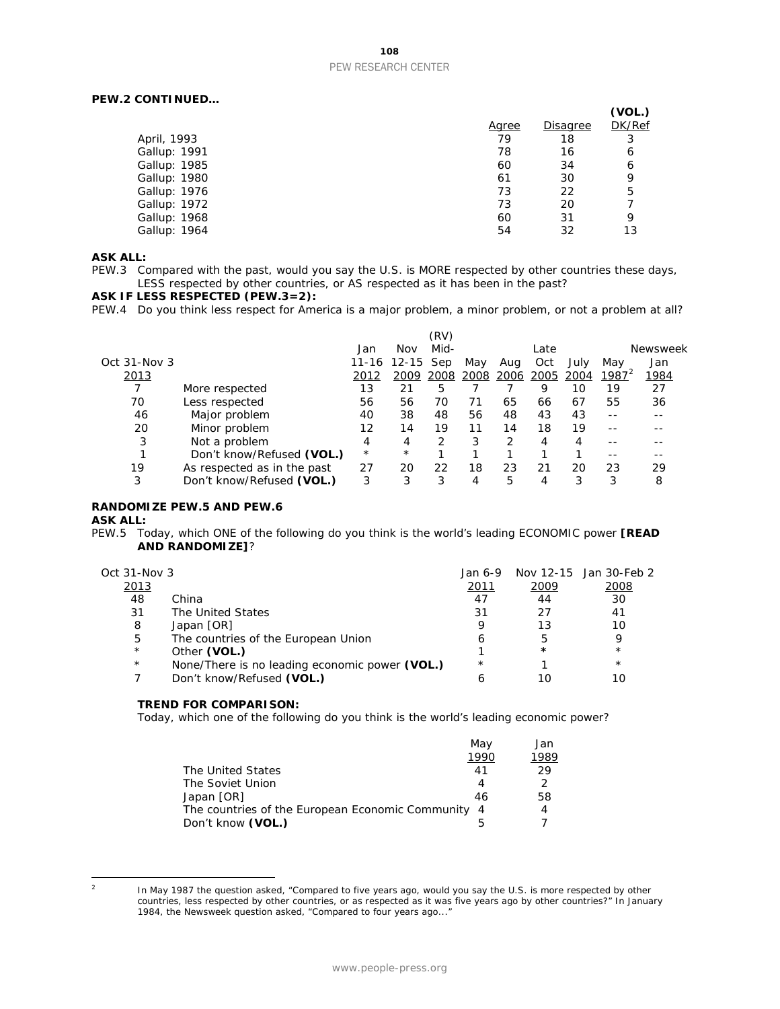# **108** PEW RESEARCH CENTER

# **PEW.2 CONTINUED…**

|              |                 | (VOL.) |
|--------------|-----------------|--------|
| <u>Agree</u> | <b>Disagree</b> | DK/Ref |
| 79           | 18              |        |
| 78           | 16              | 6      |
| 60           | 34              | 6      |
| 61           | 30              | 9      |
| 73           | 22              | 5      |
| 73           | 20              |        |
| 60           | 31              | 9      |
| 54           | 32              | 13     |
|              |                 |        |

### **ASK ALL:**

PEW.3 Compared with the past, would you say the U.S. is MORE respected by other countries these days, LESS respected by other countries, or AS respected as it has been in the past?

## **ASK IF LESS RESPECTED (PEW.3=2):**

PEW.4 Do you think less respect for America is a major problem, a minor problem, or not a problem at all?

|              |                             |         |           | (RV) |      |      |      |      |          |          |
|--------------|-----------------------------|---------|-----------|------|------|------|------|------|----------|----------|
|              |                             | Jan     | Nov       | Mid- |      |      | Late |      |          | Newsweek |
| Oct 31-Nov 3 |                             | 11-16   | $12 - 15$ | Sep  | May  | Aug  | Oct  | July | May      | Jan      |
| 2013         |                             | 2012    | 2009      | 2008 | 2008 | 2006 | 2005 | 2004 | $1987^2$ | 1984     |
|              | More respected              | 13      | 21        | 5    |      |      | 9    | 10   | 19       | 27       |
| 70           | Less respected              | 56      | 56        | 70   | 71   | 65   | 66   | 67   | 55       | 36       |
| 46           | Major problem               | 40      | 38        | 48   | 56   | 48   | 43   | 43   |          |          |
| 20           | Minor problem               | 12      | 14        | 19   | 11   | 14   | 18   | 19   |          |          |
| 3            | Not a problem               | 4       | 4         | っ    | 3    | 2    | 4    | 4    |          |          |
|              | Don't know/Refused (VOL.)   | $\star$ | $^\star$  |      |      |      |      |      |          |          |
| 19           | As respected as in the past | 27      | 20        | 22   | 18   | 23   | 21   | 20   | 23       | 29       |
| 3            | Don't know/Refused (VOL.)   | 3       | 3         | 3    | 4    | 5    | 4    | 3    | 3        | 8        |

#### **RANDOMIZE PEW.5 AND PEW.6**

### **ASK ALL:**

PEW.5 Today, which ONE of the following do you think is the world's leading ECONOMIC power **[READ AND RANDOMIZE]**?

| Oct 31-Nov 3 |                                                | Jan 6-9    |         | Nov 12-15 Jan 30-Feb 2 |
|--------------|------------------------------------------------|------------|---------|------------------------|
| 2013         |                                                | 2011       | 2009    | 2008                   |
| 48           | China                                          | 47         | 44      | 30                     |
| 31           | The United States                              | 31         | 27      | 41                     |
| 8            | Japan [OR]                                     |            | 13      | 10                     |
| 5            | The countries of the European Union            |            | 5       | 9                      |
| $\star$      | Other (VOL.)                                   |            | $\star$ | $\star$                |
| $\star$      | None/There is no leading economic power (VOL.) | $^{\star}$ |         | $\star$                |
|              | Don't know/Refused (VOL.)                      |            | 10      | 10                     |

#### **TREND FOR COMPARISON:**

Today, which one of the following do you think is the world's leading economic power?

|                                                    | May  | Jan           |
|----------------------------------------------------|------|---------------|
|                                                    | 1990 | 1989          |
| The United States                                  | 41   | 29            |
| The Soviet Union                                   | 4    | $\mathcal{P}$ |
| Japan [OR]                                         | 46   | 58            |
| The countries of the European Economic Community 4 |      | 4             |
| Don't know (VOL.)                                  |      |               |

<span id="page-108-0"></span> $\overline{2}$ 

In May 1987 the question asked, "Compared to five years ago, would you say the U.S. is more respected by other countries, less respected by other countries, or as respected as it was five years ago by other countries?" In January 1984, the Newsweek question asked, "Compared to four years ago..."